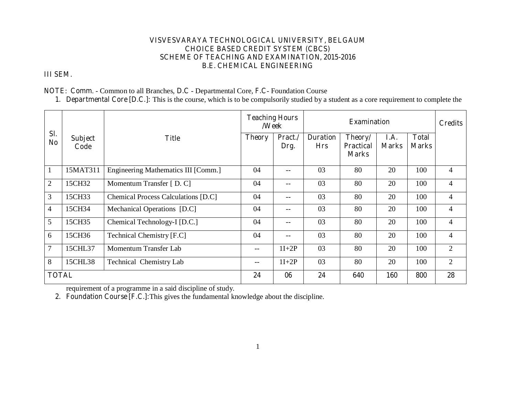#### **VISVESVARAYA TECHNOLOGICAL UNIVERSITY, BELGAUM CHOICE BASED CREDIT SYSTEM (CBCS) SCHEME OF TEACHING AND EXAMINATION, 2015-2016 B.E. CHEMICAL ENGINEERING**

# **III SEM.**

**NOTE**: **Comm**. - Common to all Branches, **D.C** - Departmental Core, **F.C**- Foundation Course

**1. Departmental Core [D.C.]:** This is the course, which is to be compulsorily studied by a student as a core requirement to complete the

|                       |                        |                                            | <b>Teaching Hours</b><br>/Week |                 | <b>Examination</b>            |                                             |                      |                              | <b>Credits</b> |
|-----------------------|------------------------|--------------------------------------------|--------------------------------|-----------------|-------------------------------|---------------------------------------------|----------------------|------------------------------|----------------|
| Sl.<br>N <sub>0</sub> | <b>Subject</b><br>Code | <b>Title</b>                               | <b>Theory</b>                  | Pract./<br>Drg. | <b>Duration</b><br><b>Hrs</b> | Theory/<br><b>Practical</b><br><b>Marks</b> | I.A.<br><b>Marks</b> | <b>Total</b><br><b>Marks</b> |                |
| $\mathbf{1}$          | 15MAT311               | Engineering Mathematics III [Comm.]        | 04                             | --              | 03                            | 80                                          | 20                   | 100                          | $\overline{4}$ |
| $\overline{2}$        | 15CH32                 | Momentum Transfer [D. C]                   | 04                             | --              | 03                            | 80                                          | 20                   | 100                          | $\overline{4}$ |
| 3                     | 15CH33                 | <b>Chemical Process Calculations [D.C]</b> | 04                             | --              | 03                            | 80                                          | 20                   | 100                          | $\overline{4}$ |
| $\overline{4}$        | 15CH34                 | Mechanical Operations [D.C]                | 04                             | --              | 03                            | 80                                          | 20                   | 100                          | 4              |
| 5                     | 15CH35                 | Chemical Technology-I [D.C.]               | 04                             | --              | 03                            | 80                                          | 20                   | 100                          | 4              |
| 6                     | 15CH36                 | Technical Chemistry [F.C]                  | 04                             | --              | 03                            | 80                                          | 20                   | 100                          | $\overline{4}$ |
| $\overline{7}$        | 15CHL37                | Momentum Transfer Lab                      | $-$                            | $1I+2P$         | 03                            | 80                                          | 20                   | 100                          | $\overline{2}$ |
| 8                     | 15CHL38                | <b>Technical Chemistry Lab</b>             | $- -$                          | $1I+2P$         | 03                            | 80                                          | 20                   | 100                          | 2              |
| <b>TOTAL</b>          |                        |                                            | 24                             | 06              | 24                            | 640                                         | 160                  | 800                          | 28             |

requirement of a programme in a said discipline of study.

**2. Foundation Course [F.C.]:**This gives the fundamental knowledge about the discipline.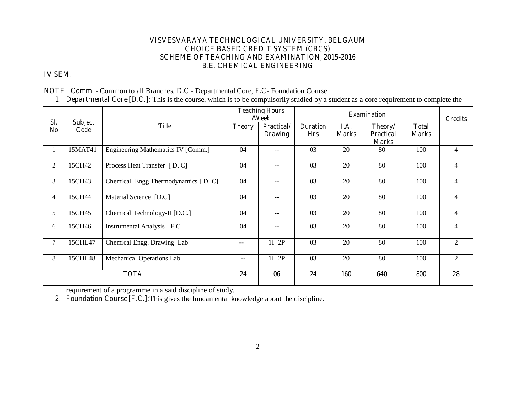#### **VISVESVARAYA TECHNOLOGICAL UNIVERSITY, BELGAUM CHOICE BASED CREDIT SYSTEM (CBCS) SCHEME OF TEACHING AND EXAMINATION, 2015-2016 B.E. CHEMICAL ENGINEERING**

# **IV SEM.**

#### **NOTE**: **Comm**. - Common to all Branches, **D.C** - Departmental Core, **F.C**- Foundation Course

**1. Departmental Core [D.C.]:** This is the course, which is to be compulsorily studied by a student as a core requirement to complete the

|                       |                        |                                     |                          | <b>Teaching Hours</b><br>/Week |                               |                      | <b>Examination</b>                          |                              | <b>Credits</b> |
|-----------------------|------------------------|-------------------------------------|--------------------------|--------------------------------|-------------------------------|----------------------|---------------------------------------------|------------------------------|----------------|
| Sl.<br>N <sub>0</sub> | <b>Subject</b><br>Code | Title                               | <b>Theory</b>            | Practical/<br><b>Drawing</b>   | <b>Duration</b><br><b>Hrs</b> | I.A.<br><b>Marks</b> | Theory/<br><b>Practical</b><br><b>Marks</b> | <b>Total</b><br><b>Marks</b> |                |
| 1                     | 15MAT41                | Engineering Mathematics IV [Comm.]  | 04                       | $--$                           | 03                            | 20                   | 80                                          | 100                          | 4              |
| $\overline{2}$        | 15CH42                 | Process Heat Transfer [D.C]         | 04                       |                                | 03                            | 20                   | 80                                          | 100                          | 4              |
| 3                     | 15CH43                 | Chemical Engg Thermodynamics [D. C] | 04                       |                                | 03                            | 20                   | 80                                          | 100                          | 4              |
| 4                     | 15CH44                 | Material Science [D.C]              | 04                       | $\qquad \qquad -$              | 03                            | 20                   | 80                                          | 100                          | $\overline{4}$ |
| 5                     | 15CH45                 | Chemical Technology-II [D.C.]       | 04                       |                                | 03                            | 20                   | 80                                          | 100                          | $\overline{4}$ |
| 6                     | 15CH46                 | Instrumental Analysis [F.C]         | 04                       | $- -$                          | 03                            | 20                   | 80                                          | 100                          | $\overline{4}$ |
| $\overline{7}$        | 15CHL47                | Chemical Engg. Drawing Lab          | $\overline{\phantom{a}}$ | $1I+2P$                        | 03                            | 20                   | 80                                          | 100                          | 2              |
| 8                     | 15CHL48                | <b>Mechanical Operations Lab</b>    |                          | $1I+2P$                        | 03                            | 20                   | 80                                          | 100                          | $\overline{2}$ |
|                       |                        | <b>TOTAL</b>                        | 24                       | 06                             | 24                            | <b>160</b>           | 640                                         | 800                          | 28             |

requirement of a programme in a said discipline of study.

**2. Foundation Course [F.C.]:**This gives the fundamental knowledge about the discipline.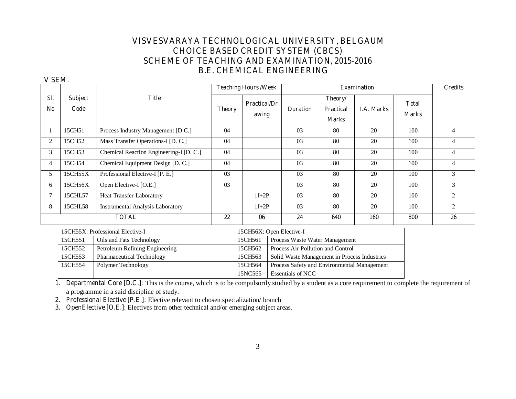# **VISVESVARAYA TECHNOLOGICAL UNIVERSITY, BELGAUM CHOICE BASED CREDIT SYSTEM (CBCS) SCHEME OF TEACHING AND EXAMINATION, 2015-2016 B.E. CHEMICAL ENGINEERING**

#### **V SEM**.

|           |                        |                                         |               | <b>Teaching Hours/Week</b>   |                                              |                                             | <b>Examination</b> |                               | <b>Credits</b> |
|-----------|------------------------|-----------------------------------------|---------------|------------------------------|----------------------------------------------|---------------------------------------------|--------------------|-------------------------------|----------------|
| SI.<br>No | <b>Subject</b><br>Code | <b>Title</b>                            | <b>Theory</b> | <b>Practical/Dr</b><br>awing | <b>Duration</b>                              | Theory/<br><b>Practical</b><br><b>Marks</b> | <b>I.A. Marks</b>  | <b>T</b> otal<br><b>Marks</b> |                |
|           | 15CH51                 | Process Industry Management [D.C.]      | 04            |                              | 03                                           | 80                                          | 20                 | 100                           | $\overline{4}$ |
| 2         | 15CH52                 | Mass Transfer Operations-I [D. C.]      | 04            |                              | 03                                           | 80                                          | 20                 | 100                           | $\overline{4}$ |
| 3         | 15CH53                 | Chemical Reaction Engineering-I [D. C.] | 04            |                              | 03                                           | 80                                          | 20                 | 100                           | $\overline{4}$ |
| 4         | 15CH54                 | Chemical Equipment Design [D. C.]       | 04            |                              | 03                                           | 80                                          | 20                 | 100                           | $\overline{4}$ |
| 5         | 15CH55X                | Professional Elective-I [P. E.]         | 03            |                              | 0 <sub>3</sub>                               | 80                                          | 20                 | 100                           | 3              |
| 6         | 15CH56X                | Open Elective-I [O.E.]                  | 03            |                              | 03                                           | 80                                          | 20                 | 100                           | 3              |
| 7         | 15CHL57                | <b>Heat Transfer Laboratory</b>         |               | $1I+2P$                      | 03                                           | 80                                          | 20                 | 100                           | 2              |
| 8         | 15CHL58                | <b>Instrumental Analysis Laboratory</b> |               | $1I+2P$                      | 03                                           | 80                                          | 20                 | 100                           | $\overline{c}$ |
|           |                        | <b>TOTAL</b>                            | 22            | 06                           | 24                                           | 640                                         | 160                | 800                           | 26             |
|           |                        | 15CH55X: Professional Elective-I        |               |                              | 15CH56X: Open Elective-I                     |                                             |                    |                               |                |
|           | 15CH551                | Oils and Fats Technology                |               | 15CH561                      | Process Waste Water Management               |                                             |                    |                               |                |
|           | 15CH552                | Petroleum Refining Engineering          |               | 15CH562                      | Process Air Pollution and Control            |                                             |                    |                               |                |
|           | 15CH553                | Pharmaceutical Technology               |               | 15CH563                      | Solid Waste Management in Process Industries |                                             |                    |                               |                |
|           | 15CH554                | Polymer Technology                      |               | 15CH564                      | Process Safety and Environmental Management  |                                             |                    |                               |                |

**1. Departmental Core [D.C.]:** This is the course, which is to be compulsorily studied by a student as a core requirement to complete the requirement of a programme in a said discipline of study.

15NC565 Essentials of NCC

**2. Professional Elective [P.E.]:** Elective relevant to chosen specialization/ branch

**3. OpenElective [O.E.]**: Electives from other technical and/or emerging subject areas.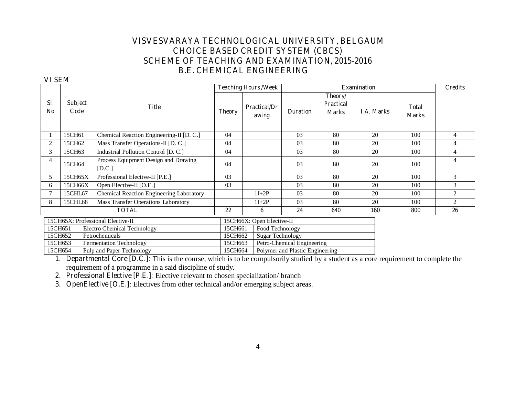# **VISVESVARAYA TECHNOLOGICAL UNIVERSITY, BELGAUM CHOICE BASED CREDIT SYSTEM (CBCS) SCHEME OF TEACHING AND EXAMINATION, 2015-2016 B.E. CHEMICAL ENGINEERING**

#### **VI SEM**

|                       |                        |                                                   |               | <b>Teaching Hours/Week</b>   |                                 |                                             | <b>Examination</b> |                              | <b>Credits</b> |
|-----------------------|------------------------|---------------------------------------------------|---------------|------------------------------|---------------------------------|---------------------------------------------|--------------------|------------------------------|----------------|
| SI.<br>N <sub>0</sub> | <b>Subject</b><br>Code | <b>Title</b>                                      | <b>Theory</b> | <b>Practical/Dr</b><br>awing | <b>Duration</b>                 | Theory/<br><b>Practical</b><br><b>Marks</b> | <b>I.A. Marks</b>  | <b>Total</b><br><b>Marks</b> |                |
|                       | 15CH61                 | Chemical Reaction Engineering-II [D. C.]          | 04            |                              | 03                              | 80                                          | 20                 | 100                          | 4              |
| $\overline{2}$        | 15CH62                 | Mass Transfer Operations-II [D. C.]               | 04            |                              | 03                              | 80                                          | 20                 | 100                          | 4              |
| 3                     | 15CH63                 | Industrial Pollution Control [D. C.]              | 04            |                              | 03                              | 80                                          | 20                 | 100                          | $\overline{4}$ |
| 4                     | 15CH64                 | Process Equipment Design and Drawing<br>$[$ D.C.] | 04            |                              | 03                              | 80                                          | 20                 | 100                          | 4              |
| 5                     | 15CH65X                | Professional Elective-II [P.E.]                   | 03            |                              | 03                              | 80                                          | 20                 | 100                          | 3              |
| 6                     | 15CH66X                | Open Elective-II [O.E.]                           | 03            |                              | 03                              | 80                                          | 20                 | 100                          | 3              |
|                       | 15CHL67                | Chemical Reaction Engineering Laboratory          |               | $1I+2P$                      | 03                              | 80                                          | 20                 | 100                          | 2              |
| 8                     | 15CHL68                | Mass Transfer Operations Laboratory               |               | $1I+2P$                      | 0 <sub>3</sub>                  | 80                                          | 20                 | 100                          | 2              |
|                       |                        | <b>TOTAL</b>                                      | 22            | 6                            | 24                              | 640                                         | <b>160</b>         | 800                          | 26             |
|                       |                        | 15CH65X: Professional Elective-II                 |               | 15CH66X: Open Elective-II    |                                 |                                             |                    |                              |                |
|                       | 15CH651                | Electro Chemical Technology                       | 15CH661       | Food Technology              |                                 |                                             |                    |                              |                |
|                       | 15CH652                | Petrochemicals                                    | 15CH662       | <b>Sugar Technology</b>      |                                 |                                             |                    |                              |                |
|                       | 15CH653                | Fermentation Technology                           | 15CH663       |                              | Petro-Chemical Engineering      |                                             |                    |                              |                |
|                       | 15CH654                | Pulp and Paper Technology                         | 15CH664       |                              | Polymer and Plastic Engineering |                                             |                    |                              |                |

**1. Departmental Core [D.C.]:** This is the course, which is to be compulsorily studied by a student as a core requirement to complete the requirement of a programme in a said discipline of study.

**2. Professional Elective [P.E.]:** Elective relevant to chosen specialization/ branch

 **3. OpenElective [O.E.]**: Electives from other technical and/or emerging subject areas.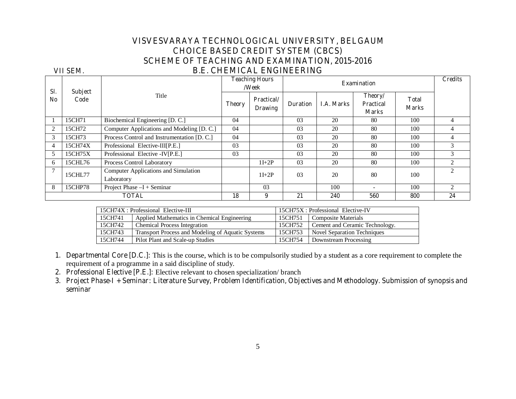# **VISVESVARAYA TECHNOLOGICAL UNIVERSITY, BELGAUM CHOICE BASED CREDIT SYSTEM (CBCS) SCHEME OF TEACHING AND EXAMINATION, 2015-2016**

# **VII SEM. B.E. CHEMICAL ENGINEERING**

| SI.            | <b>Subject</b> |                                                    |               | <b>Teaching Hours</b><br>/Week       |                 | <b>Examination</b> |                                             |                              | <b>Credits</b>              |
|----------------|----------------|----------------------------------------------------|---------------|--------------------------------------|-----------------|--------------------|---------------------------------------------|------------------------------|-----------------------------|
| No.            | Code           | Title                                              | <b>Theory</b> | <b>Practical</b> /<br><b>Drawing</b> | <b>Duration</b> | <b>I.A. Marks</b>  | Theory/<br><b>Practical</b><br><b>Marks</b> | <b>Total</b><br><b>Marks</b> |                             |
|                | 15CH71         | Biochemical Engineering [D. C.]                    | 04            |                                      | 03              | 20                 | 80                                          | 100                          | 4                           |
| $\mathfrak{D}$ | 15CH72         | Computer Applications and Modeling [D. C.]         | 04            |                                      | 03              | 20                 | 80                                          | 100                          | $\overline{4}$              |
| 3              | 15CH73         | Process Control and Instrumentation [D. C.]        | 04            |                                      | 03              | 20                 | 80                                          | 100                          | $\overline{4}$              |
| 4              | 15CH74X        | Professional Elective-III[P.E.]                    | 03            |                                      | 03              | 20                 | 80                                          | 100                          | 3                           |
| 5              | 15CH75X        | Professional Elective -IV[P.E.]                    | 03            |                                      | 0 <sub>3</sub>  | 20                 | 80                                          | 100                          | $\mathcal{F}$               |
| 6              | 15CHL76        | Process Control Laboratory                         |               | $1I+2P$                              | 03              | 20                 | 80                                          | 100                          | $\overline{2}$              |
| $\mathcal{I}$  | 15CHL77        | Computer Applications and Simulation<br>Laboratory |               | $1I+2P$                              | 0 <sub>3</sub>  | 20                 | 80                                          | 100                          | $\mathcal{D}_{\mathcal{L}}$ |
| 8              | 15CHP78        | Project Phase $-I +$ Seminar                       |               | 03                                   |                 | 100                |                                             | 100                          | $\mathfrak{D}$              |
|                |                | <b>TOTAL</b>                                       | 18            | 9                                    | 21              | 240                | 560                                         | 800                          | 24                          |

| 15CH74X : Professional Elective-III |                                                   |         | 15CH75X : Professional Elective-IV |
|-------------------------------------|---------------------------------------------------|---------|------------------------------------|
| 15CH741                             | Applied Mathematics in Chemical Engineering       | 15CH751 | Composite Materials                |
| 15CH742                             | <b>Chemical Process Integration</b>               | 15CH752 | Cement and Ceramic Technology.     |
| 15CH743                             | Transport Process and Modeling of Aquatic Systems | 15CH753 | <b>Novel Separation Techniques</b> |
| 15CH744                             | Pilot Plant and Scale-up Studies                  | 15CH754 | Downstream Processing              |

**1. Departmental Core [D.C.]:** This is the course, which is to be compulsorily studied by a student as a core requirement to complete the requirement of a programme in a said discipline of study.

**2. Professional Elective [P.E.]:** Elective relevant to chosen specialization/ branch

**3. Project Phase-I + Seminar: Literature Survey, Problem Identification, Objectives and Methodology. Submission of synopsis and seminar**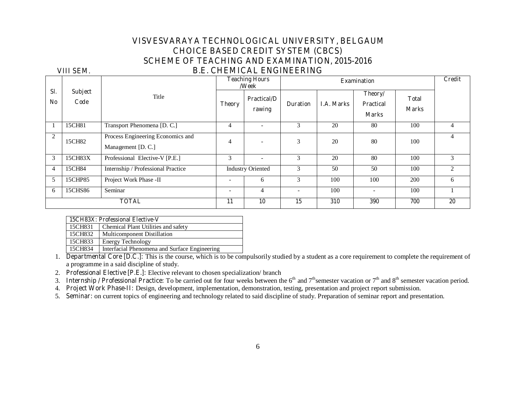# **VISVESVARAYA TECHNOLOGICAL UNIVERSITY, BELGAUM CHOICE BASED CREDIT SYSTEM (CBCS) SCHEME OF TEACHING AND EXAMINATION, 2015-2016 VIII SEM**. **B.E. CHEMICAL ENGINEERING**

#### **Sl. No Subject Code**  Title **Teaching Hours /Week Examination Credit Theory Practical/D rawing Duration | I.A. Marks Theory/ Practical Marks Total Marks**  1 1 15CH81 Transport Phenomena [D. C.] 4 - 3 20 80 100 4 2 15CH82 Process Engineering Economics and Management [D. C.] 4 - 3 20 80 100 4 3 15CH83X Professional Elective-V [P.E.] 3 - 3 20 80 100 3 4 15CH84 Internship / Professional Practice Industry Oriented 3 50 50 100 2 5 15CHP85 Project Work Phase -II - 6 3 100 100 200 6 6 15CHS86 Seminar - 4 - 100 - 100 1 **TOTAL** 10 | 11 | 10 | 15 | 310 | 390 | 700 | 20

|         | 15CH83X: Professional Elective-V    |
|---------|-------------------------------------|
| 15CH831 | Chemical Plant Utilities and safety |
| 15CH832 | Multicomponent Distillation         |
| 15CH833 | <b>Energy Technology</b>            |

15CH834 Interfacial Phenomena and Surface Engineering

1. **Departmental Core [D.C.]:** This is the course, which is to be compulsorily studied by a student as a core requirement to complete the requirement of a programme in a said discipline of study.

2. **Professional Elective [P.E.]:** Elective relevant to chosen specialization/ branch

3. **Internship / Professional Practice:** To be carried out for four weeks between the  $6<sup>th</sup>$  and  $7<sup>th</sup>$  semester vacation period.

4. **Project Work Phase-II:** Design, development, implementation, demonstration, testing, presentation and project report submission.

5. **Seminar:** on current topics of engineering and technology related to said discipline of study. Preparation of seminar report and presentation.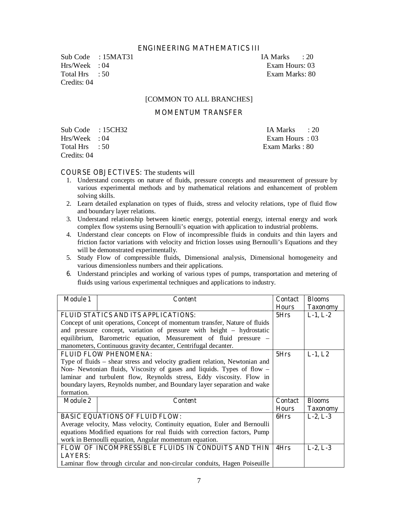#### **ENGINEERING MATHEMATICS III**

Sub Code : 15MAT31 IA Marks : 20 Hrs/Week : 04 Exam Hours: 03 Total Hrs : 50 Exam Marks: 80 Credits: 04

#### [COMMON TO ALL BRANCHES]

#### **MOMENTUM TRANSFER**

Sub Code : 15CH32 IA Marks : 20 Hrs/Week : 04 Exam Hours : 03 Total Hrs : 50 Exam Marks : 80 Credits: 04

#### **COURSE OBJECTIVES:** The students will

- 1. Understand concepts on nature of fluids, pressure concepts and measurement of pressure by various experimental methods and by mathematical relations and enhancement of problem solving skills.
- 2. Learn detailed explanation on types of fluids, stress and velocity relations, type of fluid flow and boundary layer relations.
- 3. Understand relationship between kinetic energy, potential energy, internal energy and work complex flow systems using Bernoulli's equation with application to industrial problems.
- 4. Understand clear concepts on Flow of incompressible fluids in conduits and thin layers and friction factor variations with velocity and friction losses using Bernoulli's Equations and they will be demonstrated experimentally.
- 5. Study Flow of compressible fluids, Dimensional analysis, Dimensional homogeneity and various dimensionless numbers and their applications.
- **6.** Understand principles and working of various types of pumps, transportation and metering of fluids using various experimental techniques and applications to industry.

| <b>Module 1</b> | <b>Content</b>                                                              | <b>Contact</b> | <b>Blooms</b>   |  |
|-----------------|-----------------------------------------------------------------------------|----------------|-----------------|--|
|                 |                                                                             | <b>Hours</b>   | <b>Taxonomy</b> |  |
|                 | FLUID STATICS AND ITS APPLICATIONS:                                         |                |                 |  |
|                 | Concept of unit operations, Concept of momentum transfer, Nature of fluids  |                |                 |  |
|                 | and pressure concept, variation of pressure with height – hydrostatic       |                |                 |  |
|                 | equilibrium, Barometric equation, Measurement of fluid pressure –           |                |                 |  |
|                 | manometers, Continuous gravity decanter, Centrifugal decanter.              |                |                 |  |
|                 | <b>FLUID FLOW PHENOMENA:</b>                                                | 5Hrs           | $L-1, L2$       |  |
|                 | Type of fluids – shear stress and velocity gradient relation, Newtonian and |                |                 |  |
|                 | Non- Newtonian fluids, Viscosity of gases and liquids. Types of flow –      |                |                 |  |
|                 | laminar and turbulent flow, Reynolds stress, Eddy viscosity. Flow in        |                |                 |  |
|                 | boundary layers, Reynolds number, and Boundary layer separation and wake    |                |                 |  |
| formation.      |                                                                             |                |                 |  |
| <b>Module 2</b> | <b>Content</b>                                                              | <b>Contact</b> | <b>Blooms</b>   |  |
|                 |                                                                             | <b>Hours</b>   | <b>Taxonomy</b> |  |
|                 | <b>BASIC EQUATIONS OF FLUID FLOW:</b>                                       | 6Hrs           | $L-2, L-3$      |  |
|                 | Average velocity, Mass velocity, Continuity equation, Euler and Bernoulli   |                |                 |  |
|                 | equations Modified equations for real fluids with correction factors, Pump  |                |                 |  |
|                 | work in Bernoulli equation, Angular momentum equation.                      |                |                 |  |
|                 | FLOW OF INCOMPRESSIBLE FLUIDS IN CONDUITS AND THIN                          | 4Hrs           | $L-2, L-3$      |  |
| <b>LAYERS:</b>  |                                                                             |                |                 |  |
|                 | Laminar flow through circular and non-circular conduits, Hagen Poiseuille   |                |                 |  |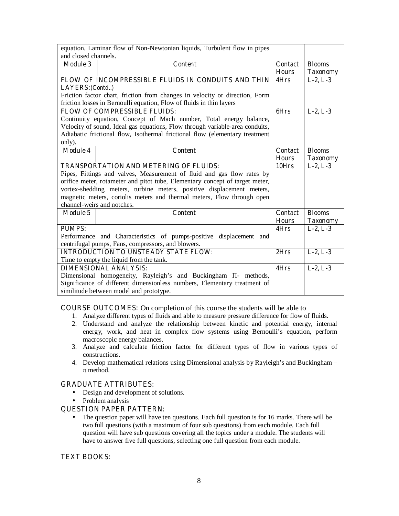| equation, Laminar flow of Non-Newtonian liquids, Turbulent flow in pipes |                                                                                                                     |                                |                                  |
|--------------------------------------------------------------------------|---------------------------------------------------------------------------------------------------------------------|--------------------------------|----------------------------------|
| and closed channels.                                                     |                                                                                                                     |                                |                                  |
| <b>Module 3</b>                                                          | <b>Content</b>                                                                                                      | <b>Contact</b><br><b>Hours</b> | <b>Blooms</b><br><b>Taxonomy</b> |
|                                                                          | FLOW OF INCOMPRESSIBLE FLUIDS IN CONDUITS AND THIN                                                                  | 4Hrs                           | $L-2, L-3$                       |
| LAYERS: (Contd)                                                          |                                                                                                                     |                                |                                  |
|                                                                          | Friction factor chart, friction from changes in velocity or direction, Form                                         |                                |                                  |
|                                                                          | friction losses in Bernoulli equation, Flow of fluids in thin layers                                                |                                |                                  |
|                                                                          | <b>FLOW OF COMPRESSIBLE FLUIDS:</b>                                                                                 | 6Hrs                           | $L-2, L-3$                       |
|                                                                          | Continuity equation, Concept of Mach number, Total energy balance,                                                  |                                |                                  |
|                                                                          | Velocity of sound, Ideal gas equations, Flow through variable-area conduits,                                        |                                |                                  |
|                                                                          | Adiabatic frictional flow, Isothermal frictional flow (elementary treatment                                         |                                |                                  |
| only).                                                                   |                                                                                                                     |                                |                                  |
| <b>Module 4</b>                                                          | <b>Content</b>                                                                                                      | <b>Contact</b>                 | <b>Blooms</b>                    |
|                                                                          |                                                                                                                     | <b>Hours</b>                   | <b>Taxonomy</b>                  |
|                                                                          | <b>TRANSPORTATION AND METERING OF FLUIDS:</b>                                                                       | 10Hrs                          | $L-2, L-3$                       |
|                                                                          | Pipes, Fittings and valves, Measurement of fluid and gas flow rates by                                              |                                |                                  |
|                                                                          | orifice meter, rotameter and pitot tube, Elementary concept of target meter,                                        |                                |                                  |
|                                                                          | vortex-shedding meters, turbine meters, positive displacement meters,                                               |                                |                                  |
|                                                                          | magnetic meters, coriolis meters and thermal meters, Flow through open                                              |                                |                                  |
|                                                                          | channel-weirs and notches.                                                                                          |                                |                                  |
| <b>Module 5</b>                                                          | <b>Content</b>                                                                                                      | <b>Contact</b>                 | <b>Blooms</b>                    |
|                                                                          |                                                                                                                     | <b>Hours</b>                   | <b>Taxonomy</b>                  |
| <b>PUMPS:</b>                                                            |                                                                                                                     | 4Hrs                           | $L-2, L-3$                       |
|                                                                          |                                                                                                                     |                                |                                  |
|                                                                          | Performance and Characteristics of pumps-positive displacement and                                                  |                                |                                  |
|                                                                          | centrifugal pumps, Fans, compressors, and blowers.                                                                  |                                |                                  |
|                                                                          | <b>INTRODUCTION TO UNSTEADY STATE FLOW:</b>                                                                         | 2Hrs                           | $L-2, L-3$                       |
|                                                                          | Time to empty the liquid from the tank.                                                                             |                                |                                  |
|                                                                          | <b>DIMENSIONAL ANALYSIS:</b>                                                                                        | 4Hrs                           | $L-2, L-3$                       |
|                                                                          | Dimensional homogeneity, Rayleigh's and Buckingham<br>- methods,                                                    |                                |                                  |
|                                                                          | Significance of different dimensionless numbers, Elementary treatment of<br>similitude between model and prototype. |                                |                                  |

**COURSE OUTCOMES:** On completion of this course the students will be able to

- 1. Analyze different types of fluids and able to measure pressure difference for flow of fluids.
- 2. Understand and analyze the relationship between kinetic and potential energy, internal energy, work, and heat in complex flow systems using Bernoulli's equation, perform macroscopic energy balances.
- 3. Analyze and calculate friction factor for different types of flow in various types of constructions.
- 4. Develop mathematical relations using Dimensional analysis by Rayleigh's and Buckingham method.

#### **GRADUATE ATTRIBUTES:**

- Design and development of solutions.
- Problem analysis

#### **QUESTION PAPER PATTERN:**

• The question paper will have ten questions. Each full question is for 16 marks. There will be two full questions (with a maximum of four sub questions) from each module. Each full question will have sub questions covering all the topics under a module. The students will have to answer five full questions, selecting one full question from each module.

#### **TEXT BOOKS:**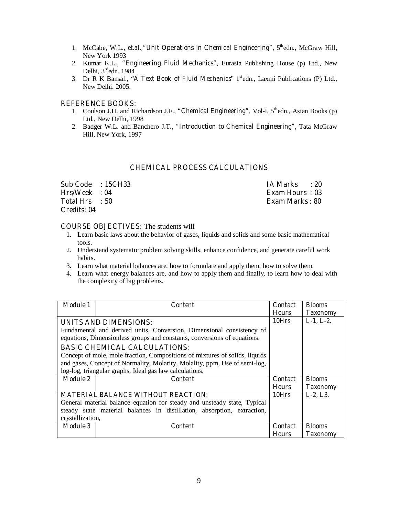- 1. McCabe, W.L., *et.al.*, "Unit Operations in Chemical Engineering", 5<sup>th</sup>edn., McGraw Hill, New York 1993
- 2. Kumar K.L., **"Engineering Fluid Mechanics"**, Eurasia Publishing House (p) Ltd., New Delhi,  $3<sup>rd</sup>$ edn. 1984
- 3. Dr R K Bansal., "A Text Book of Fluid Mechanics" 1<sup>st</sup>edn., Laxmi Publications (P) Ltd., New Delhi. 2005.

#### **REFERENCE BOOKS:**

- 1. Coulson J.H. and Richardson J.F., "Chemical Engineering", Vol-I, 5<sup>th</sup>edn., Asian Books (p) Ltd., New Delhi, 1998
- 2. Badger W.L. and Banchero J.T., **"Introduction to Chemical Engineering"**, Tata McGraw Hill, New York, 1997

#### **CHEMICAL PROCESS CALCULATIONS**

| Sub Code : 15CH33 | IA Marks : 20         |
|-------------------|-----------------------|
| Hrs/Week : 04     | <b>Exam Hours: 03</b> |
| Total Hrs : 50    | Exam Marks : 80       |
| Credits: 04       |                       |

#### **COURSE OBJECTIVES:** The students will

- 1. Learn basic laws about the behavior of gases, liquids and solids and some basic mathematical tools.
- 2. Understand systematic problem solving skills, enhance confidence, and generate careful work habits.
- 3. Learn what material balances are, how to formulate and apply them, how to solve them.
- 4. Learn what energy balances are, and how to apply them and finally, to learn how to deal with the complexity of big problems.

| <b>Module 1</b>  | Content                                                                                                                                           | <b>Contact</b> | <b>Blooms</b>   |
|------------------|---------------------------------------------------------------------------------------------------------------------------------------------------|----------------|-----------------|
|                  |                                                                                                                                                   | <b>Hours</b>   | <b>Taxonomy</b> |
|                  | UNITS AND DIMENSIONS:                                                                                                                             | 10Hrs          | $L-1, L-2.$     |
|                  | Fundamental and derived units, Conversion, Dimensional consistency of<br>equations, Dimensionless groups and constants, conversions of equations. |                |                 |
|                  | <b>BASIC CHEMICAL CALCULATIONS:</b>                                                                                                               |                |                 |
|                  | Concept of mole, mole fraction, Compositions of mixtures of solids, liquids                                                                       |                |                 |
|                  | and gases, Concept of Normality, Molarity, Molality, ppm, Use of semi-log,                                                                        |                |                 |
|                  | log-log, triangular graphs, Ideal gas law calculations.                                                                                           |                |                 |
| <b>Module 2</b>  | <b>Content</b>                                                                                                                                    | <b>Contact</b> | <b>Blooms</b>   |
|                  |                                                                                                                                                   | <b>Hours</b>   | <b>Taxonomy</b> |
|                  | <b>MATERIAL BALANCE WITHOUT REACTION:</b>                                                                                                         | 10Hrs          | $L-2, L3.$      |
|                  | General material balance equation for steady and unsteady state, Typical                                                                          |                |                 |
|                  | steady state material balances in distillation, absorption, extraction,                                                                           |                |                 |
| crystallization, |                                                                                                                                                   |                |                 |
| <b>Module 3</b>  | Content                                                                                                                                           | Contact        | <b>Blooms</b>   |
|                  |                                                                                                                                                   | <b>Hours</b>   | Taxonomv        |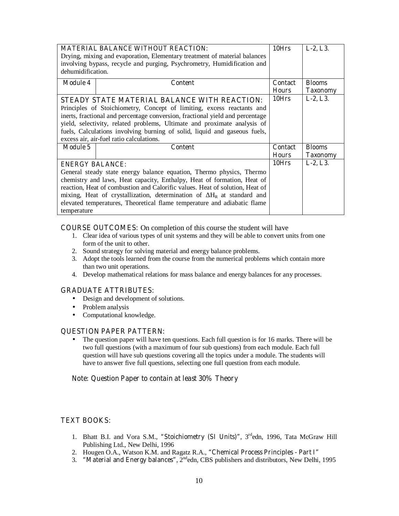|                                                                           | <b>MATERIAL BALANCE WITHOUT REACTION:</b>                                     | 10Hrs          | $L-2, L3.$      |
|---------------------------------------------------------------------------|-------------------------------------------------------------------------------|----------------|-----------------|
| Drying, mixing and evaporation, Elementary treatment of material balances |                                                                               |                |                 |
|                                                                           | involving bypass, recycle and purging, Psychrometry, Humidification and       |                |                 |
| dehumidification.                                                         |                                                                               |                |                 |
| <b>Module 4</b>                                                           | <b>Content</b>                                                                | <b>Contact</b> | <b>Blooms</b>   |
|                                                                           |                                                                               | <b>Hours</b>   | <b>Taxonomy</b> |
|                                                                           | STEADY STATE MATERIAL BALANCE WITH REACTION:                                  | 10Hrs          | $L-2, L3.$      |
|                                                                           | Principles of Stoichiometry, Concept of limiting, excess reactants and        |                |                 |
|                                                                           | inerts, fractional and percentage conversion, fractional yield and percentage |                |                 |
|                                                                           | yield, selectivity, related problems, Ultimate and proximate analysis of      |                |                 |
|                                                                           | fuels, Calculations involving burning of solid, liquid and gaseous fuels,     |                |                 |
|                                                                           | excess air, air-fuel ratio calculations.                                      |                |                 |
| <b>Module 5</b>                                                           | <b>Content</b>                                                                | <b>Contact</b> | <b>Blooms</b>   |
|                                                                           |                                                                               | <b>Hours</b>   | <b>Taxonomy</b> |
| <b>ENERGY BALANCE:</b>                                                    |                                                                               | 10Hrs          | $L-2, L3.$      |
|                                                                           | General steady state energy balance equation, Thermo physics, Thermo          |                |                 |
|                                                                           | chemistry and laws, Heat capacity, Enthalpy, Heat of formation, Heat of       |                |                 |
|                                                                           | reaction, Heat of combustion and Calorific values. Heat of solution, Heat of  |                |                 |
|                                                                           | mixing, Heat of crystallization, determination of $H_R$ at standard and       |                |                 |
|                                                                           |                                                                               |                |                 |
|                                                                           | elevated temperatures, Theoretical flame temperature and adiabatic flame      |                |                 |

**COURSE OUTCOMES:** On completion of this course the student will have

- 1. Clear idea of various types of unit systems and they will be able to convert units from one form of the unit to other.
- 2. Sound strategy for solving material and energy balance problems.
- 3. Adopt the tools learned from the course from the numerical problems which contain more than two unit operations.
- 4. Develop mathematical relations for mass balance and energy balances for any processes.

#### **GRADUATE ATTRIBUTES:**

- Design and development of solutions.
- Problem analysis
- Computational knowledge.

#### **QUESTION PAPER PATTERN:**

• The question paper will have ten questions. Each full question is for 16 marks. There will be two full questions (with a maximum of four sub questions) from each module. Each full question will have sub questions covering all the topics under a module. The students will have to answer five full questions, selecting one full question from each module.

#### **Note: Question Paper to contain at least 30% Theory**

#### **TEXT BOOKS:**

- 1. Bhatt B.I. and Vora S.M., "Stoichiometry (SI Units)", 3<sup>rd</sup>edn, 1996, Tata McGraw Hill Publishing Ltd., New Delhi, 1996
- 2. Hougen O.A., Watson K.M. and Ragatz R.A., **"Chemical Process Principles Part I"**
- 3. **"Material and Energy balances"**, 2<sup>nd</sup>edn, CBS publishers and distributors, New Delhi, 1995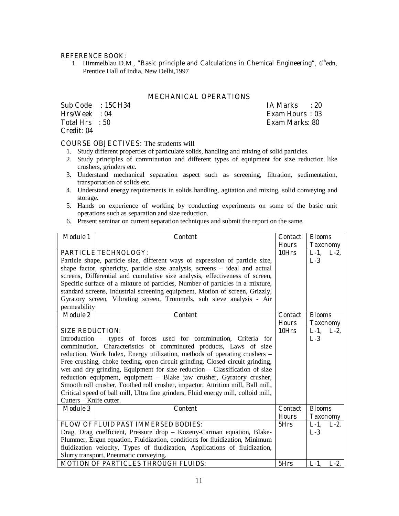#### **REFERENCE BOOK:**

1. Himmelblau D.M., "Basic principle and Calculations in Chemical Engineering", 6<sup>th</sup>edn, Prentice Hall of India, New Delhi,1997

#### **MECHANICAL OPERATIONS**

|                 | Sub Code : 15CH34 | IA Marks : 20         |
|-----------------|-------------------|-----------------------|
| $Hrs/Week$ : 04 |                   | <b>Exam Hours: 03</b> |
| Total Hrs : 50  |                   | <b>Exam Marks: 80</b> |
| Credit: 04      |                   |                       |

#### **COURSE OBJECTIVES:** The students will

- 1. Study different properties of particulate solids, handling and mixing of solid particles.
- 2. Study principles of comminution and different types of equipment for size reduction like crushers, grinders etc.
- 3. Understand mechanical separation aspect such as screening, filtration, sedimentation, transportation of solids etc.
- 4. Understand energy requirements in solids handling, agitation and mixing, solid conveying and storage.
- 5. Hands on experience of working by conducting experiments on some of the basic unit operations such as separation and size reduction.
- 6. Present seminar on current separation techniques and submit the report on the same.

| <b>Module 1</b>                                                               | <b>Content</b>                                                                     | <b>Contact</b> | <b>Blooms</b>   |         |
|-------------------------------------------------------------------------------|------------------------------------------------------------------------------------|----------------|-----------------|---------|
|                                                                               |                                                                                    | <b>Hours</b>   | <b>Taxonomy</b> |         |
|                                                                               | <b>PARTICLE TECHNOLOGY:</b>                                                        | 10Hrs          | $L-1$ ,         | $L-2$ , |
|                                                                               | Particle shape, particle size, different ways of expression of particle size,      |                | $L-3$           |         |
|                                                                               | shape factor, sphericity, particle size analysis, screens – ideal and actual       |                |                 |         |
|                                                                               | screens, Differential and cumulative size analysis, effectiveness of screen,       |                |                 |         |
|                                                                               | Specific surface of a mixture of particles, Number of particles in a mixture,      |                |                 |         |
|                                                                               | standard screens, Industrial screening equipment, Motion of screen, Grizzly,       |                |                 |         |
|                                                                               | Gyratory screen, Vibrating screen, Trommels, sub sieve analysis - Air              |                |                 |         |
| permeability                                                                  |                                                                                    |                |                 |         |
| <b>Module 2</b>                                                               | <b>Content</b>                                                                     | <b>Contact</b> | <b>Blooms</b>   |         |
|                                                                               |                                                                                    | <b>Hours</b>   | <b>Taxonomy</b> |         |
| <b>SIZE REDUCTION:</b>                                                        |                                                                                    | 10Hrs          | $L-1$ , $L-2$ , |         |
|                                                                               | Introduction - types of forces used for comminution, Criteria for                  |                | $L-3$           |         |
| comminution, Characteristics of comminuted products, Laws of size             |                                                                                    |                |                 |         |
| reduction, Work Index, Energy utilization, methods of operating crushers –    |                                                                                    |                |                 |         |
| Free crushing, choke feeding, open circuit grinding, Closed circuit grinding, |                                                                                    |                |                 |         |
| wet and dry grinding, Equipment for size reduction - Classification of size   |                                                                                    |                |                 |         |
|                                                                               | reduction equipment, equipment - Blake jaw crusher, Gyratory crusher,              |                |                 |         |
|                                                                               | Smooth roll crusher, Toothed roll crusher, impactor, Attrition mill, Ball mill,    |                |                 |         |
|                                                                               | Critical speed of ball mill, Ultra fine grinders, Fluid energy mill, colloid mill, |                |                 |         |
| Cutters - Knife cutter.                                                       |                                                                                    |                |                 |         |
| <b>Module 3</b>                                                               | <b>Content</b>                                                                     | <b>Contact</b> | <b>Blooms</b>   |         |
|                                                                               |                                                                                    | <b>Hours</b>   | <b>Taxonomy</b> |         |
|                                                                               | <b>FLOW OF FLUID PAST IMMERSED BODIES:</b>                                         | 5Hrs           | $L-1$ , $L-2$ , |         |
|                                                                               | Drag, Drag coefficient, Pressure drop - Kozeny-Carman equation, Blake-             |                | $L-3$           |         |
|                                                                               | Plummer, Ergun equation, Fluidization, conditions for fluidization, Minimum        |                |                 |         |
|                                                                               | fluidization velocity, Types of fluidization, Applications of fluidization,        |                |                 |         |
|                                                                               | Slurry transport, Pneumatic conveying.                                             |                |                 |         |
|                                                                               | <b>MOTION OF PARTICLES THROUGH FLUIDS:</b>                                         | 5Hrs           | $L-1$ ,         | $L-2$   |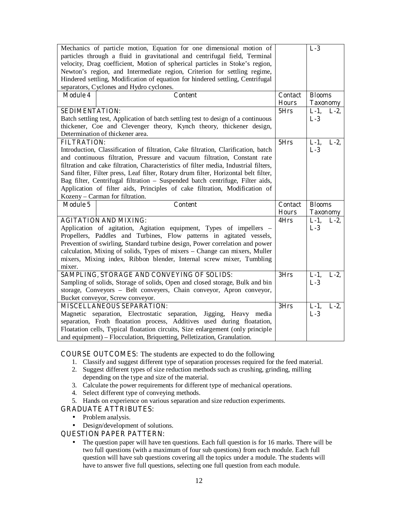|                       | Mechanics of particle motion, Equation for one dimensional motion of<br>particles through a fluid in gravitational and centrifugal field, Terminal<br>velocity, Drag coefficient, Motion of spherical particles in Stoke's region,<br>Newton's region, and Intermediate region, Criterion for settling regime,                                                                                                                                                                                                                                 |                                | $L-3$                               |         |
|-----------------------|------------------------------------------------------------------------------------------------------------------------------------------------------------------------------------------------------------------------------------------------------------------------------------------------------------------------------------------------------------------------------------------------------------------------------------------------------------------------------------------------------------------------------------------------|--------------------------------|-------------------------------------|---------|
|                       | Hindered settling, Modification of equation for hindered settling, Centrifugal                                                                                                                                                                                                                                                                                                                                                                                                                                                                 |                                |                                     |         |
|                       | separators, Cyclones and Hydro cyclones.                                                                                                                                                                                                                                                                                                                                                                                                                                                                                                       |                                |                                     |         |
| <b>Module 4</b>       | <b>Content</b>                                                                                                                                                                                                                                                                                                                                                                                                                                                                                                                                 | <b>Contact</b><br><b>Hours</b> | <b>Blooms</b><br><b>Taxonomy</b>    |         |
| <b>SEDIMENTATION:</b> | Batch settling test, Application of batch settling test to design of a continuous                                                                                                                                                                                                                                                                                                                                                                                                                                                              | 5Hrs                           | $L-1$ ,<br>$L-3$                    | $L-2$   |
|                       | thickener, Coe and Clevenger theory, Kynch theory, thickener design,<br>Determination of thickener area.                                                                                                                                                                                                                                                                                                                                                                                                                                       |                                |                                     |         |
| <b>FILTRATION:</b>    | Introduction, Classification of filtration, Cake filtration, Clarification, batch<br>and continuous filtration, Pressure and vacuum filtration, Constant rate<br>filtration and cake filtration, Characteristics of filter media, Industrial filters,<br>Sand filter, Filter press, Leaf filter, Rotary drum filter, Horizontal belt filter,<br>Bag filter, Centrifugal filtration - Suspended batch centrifuge, Filter aids,<br>Application of filter aids, Principles of cake filtration, Modification of<br>Kozeny - Carman for filtration. | 5Hrs                           | $L-1$ ,<br>$L-3$                    | $L-2$ , |
| <b>Module 5</b>       | <b>Content</b>                                                                                                                                                                                                                                                                                                                                                                                                                                                                                                                                 | <b>Contact</b>                 | <b>Blooms</b>                       |         |
|                       |                                                                                                                                                                                                                                                                                                                                                                                                                                                                                                                                                |                                |                                     |         |
| mixer.                | <b>AGITATION AND MIXING:</b><br>Application of agitation, Agitation equipment, Types of impellers -<br>Propellers, Paddles and Turbines, Flow patterns in agitated vessels,<br>Prevention of swirling, Standard turbine design, Power correlation and power<br>calculation, Mixing of solids, Types of mixers – Change can mixers, Muller<br>mixers, Mixing index, Ribbon blender, Internal screw mixer, Tumbling                                                                                                                              | <b>Hours</b><br>4Hrs           | <b>Taxonomy</b><br>$L-1$ ,<br>$L-3$ | $L-2$   |
|                       | SAMPLING, STORAGE AND CONVEYING OF SOLIDS:<br>Sampling of solids, Storage of solids, Open and closed storage, Bulk and bin<br>storage, Conveyors - Belt conveyers, Chain conveyor, Apron conveyor,<br>Bucket conveyor, Screw conveyor.                                                                                                                                                                                                                                                                                                         | 3Hrs                           | $L-1$ ,<br>$L-3$                    | $L-2$   |

**COURSE OUTCOMES:** The students are expected to do the following

- 1. Classify and suggest different type of separation processes required for the feed material.
- 2. Suggest different types of size reduction methods such as crushing, grinding, milling depending on the type and size of the material.
- 3. Calculate the power requirements for different type of mechanical operations.
- 4. Select different type of conveying methods.
- 5. Hands on experience on various separation and size reduction experiments.

#### **GRADUATE ATTRIBUTES:**

- Problem analysis.
- Design/development of solutions.

#### **QUESTION PAPER PATTERN:**

• The question paper will have ten questions. Each full question is for 16 marks. There will be two full questions (with a maximum of four sub questions) from each module. Each full question will have sub questions covering all the topics under a module. The students will have to answer five full questions, selecting one full question from each module.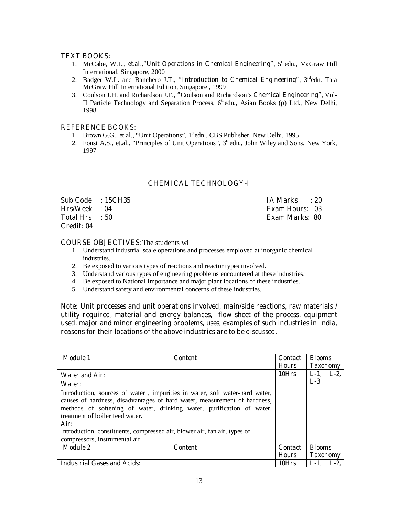#### **TEXT BOOKS:**

- 1. McCabe, W.L., *et.al.,***"Unit Operations in Chemical Engineering"**, 5thedn., McGraw Hill International, Singapore, 2000
- 2. Badger W.L. and Banchero J.T., "Introduction to Chemical Engineering", 3<sup>rd</sup>edn. Tata McGraw Hill International Edition, Singapore , 1999
- 3. Coulson J.H. and Richardson J.F., **"**Coulson and Richardson's **Chemical Engineering"**, Vol-II Particle Technology and Separation Process,  $6^{th}$ edn., Asian Books (p) Ltd., New Delhi, 1998

#### **REFERENCE BOOKS:**

- 1. Brown G.G., et.al., "Unit Operations", 1<sup>st</sup>edn., CBS Publisher, New Delhi, 1995
- 2. Foust A.S., et.al., "Principles of Unit Operations",  $3<sup>rd</sup>$ edn., John Wiley and Sons, New York, 1997

#### **CHEMICAL TECHNOLOGY-I**

| Sub Code : 15CH35 | IA Marks : 20         |
|-------------------|-----------------------|
| $Hrs/Week = 04$   | <b>Exam Hours: 03</b> |
| Total Hrs : 50    | Exam Marks: 80        |
| Credit: 04        |                       |

#### **COURSE OBJECTIVES:**The students will

- 1. Understand industrial scale operations and processes employed at inorganic chemical industries.
- 2. Be exposed to various types of reactions and reactor types involved.
- 3. Understand various types of engineering problems encountered at these industries.
- 4. Be exposed to National importance and major plant locations of these industries.
- 5. Understand safety and environmental concerns of these industries.

**Note: Unit processes and unit operations involved, main/side reactions, raw materials / utility required, material and energy balances, flow sheet of the process, equipment used, major and minor engineering problems, uses, examples of such industries in India, reasons for their locations of the above industries are to be discussed.** 

| <b>Module 1</b>                                                                                                                                                                                                                                                                                                                                                                             | Content                            | <b>Contact</b> | <b>Blooms</b>   |       |
|---------------------------------------------------------------------------------------------------------------------------------------------------------------------------------------------------------------------------------------------------------------------------------------------------------------------------------------------------------------------------------------------|------------------------------------|----------------|-----------------|-------|
|                                                                                                                                                                                                                                                                                                                                                                                             |                                    | <b>Hours</b>   | <b>Taxonomy</b> |       |
| <b>Water and Air:</b>                                                                                                                                                                                                                                                                                                                                                                       |                                    | 10Hrs          | $L-1$           | $L-2$ |
| Water:                                                                                                                                                                                                                                                                                                                                                                                      |                                    |                | $L-3$           |       |
| Introduction, sources of water, impurities in water, soft water-hard water,<br>causes of hardness, disadvantages of hard water, measurement of hardness,<br>methods of softening of water, drinking water, purification of water,<br>treatment of boiler feed water.<br>Air:<br>Introduction, constituents, compressed air, blower air, fan air, types of<br>compressors, instrumental air. |                                    |                |                 |       |
| <b>Module 2</b>                                                                                                                                                                                                                                                                                                                                                                             | <b>Content</b>                     | <b>Contact</b> | <b>Blooms</b>   |       |
|                                                                                                                                                                                                                                                                                                                                                                                             |                                    | <b>Hours</b>   | <b>Taxonomy</b> |       |
|                                                                                                                                                                                                                                                                                                                                                                                             | <b>Industrial Gases and Acids:</b> | 10Hrs          | L-1.            | L-2.  |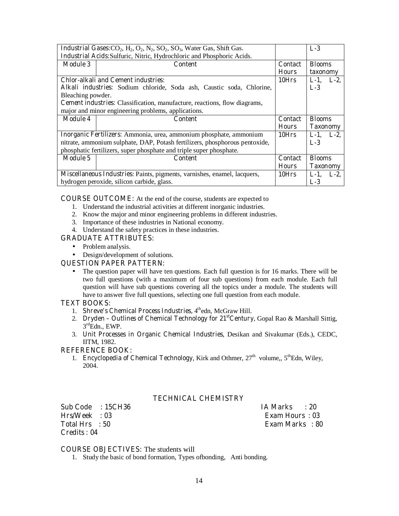|                                                                        | <b>Industrial Gases:</b> CO <sub>2</sub> , H <sub>2</sub> , O <sub>2</sub> , N <sub>2</sub> , SO <sub>2</sub> , SO <sub>3</sub> , Water Gas, Shift Gas. |                | $L-3$           |
|------------------------------------------------------------------------|---------------------------------------------------------------------------------------------------------------------------------------------------------|----------------|-----------------|
| Industrial Acids: Sulfuric, Nitric, Hydrochloric and Phosphoric Acids. |                                                                                                                                                         |                |                 |
| <b>Module 3</b>                                                        | <b>Content</b><br><b>Contact</b>                                                                                                                        |                | <b>Blooms</b>   |
|                                                                        |                                                                                                                                                         | <b>Hours</b>   | taxonomy        |
|                                                                        | <b>Chlor-alkali and Cement industries:</b>                                                                                                              | 10Hrs          | $L-1$ , $L-2$ , |
|                                                                        | Alkali industries: Sodium chloride, Soda ash, Caustic soda, Chlorine,                                                                                   |                | $L-3$           |
| Bleaching powder.                                                      |                                                                                                                                                         |                |                 |
|                                                                        | <b>Cement industries:</b> Classification, manufacture, reactions, flow diagrams,                                                                        |                |                 |
|                                                                        | major and minor engineering problems, applications.                                                                                                     |                |                 |
|                                                                        |                                                                                                                                                         |                |                 |
| <b>Module 4</b>                                                        | <b>Content</b>                                                                                                                                          | <b>Contact</b> | <b>Blooms</b>   |
|                                                                        |                                                                                                                                                         | <b>Hours</b>   | <b>Taxonomy</b> |
|                                                                        | Inorganic Fertilizers: Ammonia, urea, ammonium phosphate, ammonium                                                                                      | 10Hrs          | $L-1$ , $L-2$ , |
|                                                                        | nitrate, ammonium sulphate, DAP, Potash fertilizers, phosphorous pentoxide,                                                                             |                | $L-3$           |
|                                                                        | phosphatic fertilizers, super phosphate and triple super phosphate.                                                                                     |                |                 |
| <b>Module 5</b>                                                        | <b>Content</b>                                                                                                                                          | <b>Contact</b> | <b>Blooms</b>   |
|                                                                        |                                                                                                                                                         | <b>Hours</b>   | <b>Taxonomy</b> |
|                                                                        | Miscellaneous Industries: Paints, pigments, varnishes, enamel, lacquers,                                                                                | 10Hrs          | $L-1$ , $L-2$ , |

**COURSE OUTCOME:** At the end of the course, students are expected to

- 1. Understand the industrial activities at different inorganic industries.
- 2. Know the major and minor engineering problems in different industries.
- 3. Importance of these industries in National economy.
- 4. Understand the safety practices in these industries.

#### **GRADUATE ATTRIBUTES:**

- Problem analysis.
- Design/development of solutions.

#### **QUESTION PAPER PATTERN:**

• The question paper will have ten questions. Each full question is for 16 marks. There will be two full questions (with a maximum of four sub questions) from each module. Each full question will have sub questions covering all the topics under a module. The students will have to answer five full questions, selecting one full question from each module.

#### **TEXT BOOKS:**

- 1. **Shreve's Chemical Process Industries,** 4thedn, McGraw Hill.
- 2. **Dryden Outlines of Chemical Technology for 21st Century, Gopal Rao & Marshall Sittig,**  $3^{\text{rd}}$ Edn., EWP.
- 3. **Unit Processes in Organic Chemical Industries**, Desikan and Sivakumar (Eds.), CEDC, IITM, 1982.

#### **REFERENCE BOOK:**

1. **Encyclopedia of Chemical Technology**, Kirk and Othmer, 27<sup>th</sup> volume,, 5<sup>th</sup>Edn, Wiley, 2004.

#### **TECHNICAL CHEMISTRY**

**Sub Code : 15CH36 IA Marks : 20 Hrs/Week : 03 Exam Hours : 03 Total Hrs : 50 Exam Marks : 80 Credits : 04** 

#### **COURSE OBJECTIVES:** The students will

1. Study the basic of bond formation, Types ofbonding, Anti bonding.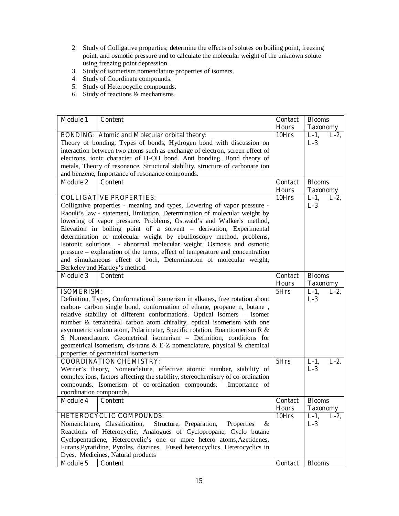- 2. Study of Colligative properties; determine the effects of solutes on boiling point, freezing point, and osmotic pressure and to calculate the molecular weight of the unknown solute using freezing point depression.
- 3. Study of isomerism nomenclature properties of isomers.
- 4. Study of Coordinate compounds.
- 5. Study of Heterocyclic compounds.
- 6. Study of reactions & mechanisms.

| <b>Module 1</b>         | <b>Content</b>                                                                                   | <b>Contact</b> | <b>Blooms</b>      |
|-------------------------|--------------------------------------------------------------------------------------------------|----------------|--------------------|
|                         |                                                                                                  | <b>Hours</b>   | <b>Taxonomy</b>    |
|                         | <b>BONDING:</b> Atomic and Molecular orbital theory:                                             | 10Hrs          | $L-1$ ,<br>$L-2$ , |
|                         | Theory of bonding, Types of bonds, Hydrogen bond with discussion on                              |                | $L-3$              |
|                         | interaction between two atoms such as exchange of electron, screen effect of                     |                |                    |
|                         | electrons, ionic character of H-OH bond. Anti bonding, Bond theory of                            |                |                    |
|                         | metals, Theory of resonance, Structural stability, structure of carbonate ion                    |                |                    |
|                         | and benzene, Importance of resonance compounds.                                                  |                |                    |
| <b>Module 2</b>         | <b>Content</b>                                                                                   | <b>Contact</b> | <b>Blooms</b>      |
|                         |                                                                                                  | <b>Hours</b>   | <b>Taxonomy</b>    |
|                         | <b>COLLIGATIVE PROPERTIES:</b>                                                                   | 10Hrs          | $L-1$ ,<br>$L-2$ , |
|                         | Colligative properties - meaning and types, Lowering of vapor pressure -                         |                | $L-3$              |
|                         | Raoult's law - statement, limitation, Determination of molecular weight by                       |                |                    |
|                         | lowering of vapor pressure. Problems, Ostwald's and Walker's method,                             |                |                    |
|                         | Elevation in boiling point of a solvent - derivation, Experimental                               |                |                    |
|                         | determination of molecular weight by ebullioscopy method, problems,                              |                |                    |
|                         | Isotonic solutions - abnormal molecular weight. Osmosis and osmotic                              |                |                    |
|                         | pressure – explanation of the terms, effect of temperature and concentration                     |                |                    |
|                         | and simultaneous effect of both, Determination of molecular weight,                              |                |                    |
|                         | Berkeley and Hartley's method.                                                                   |                |                    |
| <b>Module 3</b>         | <b>Content</b>                                                                                   | <b>Contact</b> | <b>Blooms</b>      |
|                         |                                                                                                  | <b>Hours</b>   | <b>Taxonomy</b>    |
| <b>ISOMERISM:</b>       |                                                                                                  | 5Hrs           | $L-1$ ,<br>$L-2$ , |
|                         | Definition, Types, Conformational isomerism in alkanes, free rotation about                      |                | $L-3$              |
|                         | carbon- carbon single bond, conformation of ethane, propane n, butane,                           |                |                    |
|                         | relative stability of different conformations. Optical isomers - Isomer                          |                |                    |
|                         | number & tetrahedral carbon atom chirality, optical isomerism with one                           |                |                    |
|                         | asymmetric carbon atom, Polarimeter, Specific rotation, Enantiomerism R &                        |                |                    |
|                         | S Nomenclature. Geometrical isomerism - Definition, conditions for                               |                |                    |
|                         | geometrical isomerism, cis-trans & E-Z nomenclature, physical & chemical                         |                |                    |
|                         | properties of geometrical isomerism                                                              |                |                    |
|                         | <b>COORDINATION CHEMISTRY:</b>                                                                   | 5Hrs           | $L-1$ ,<br>$L-2$   |
|                         | Werner's theory, Nomenclature, effective atomic number, stability of                             |                | $L-3$              |
|                         | complex ions, factors affecting the stability, stereochemistry of co-ordination<br>Importance of |                |                    |
| coordination compounds. | compounds. Isomerism of co-ordination compounds.                                                 |                |                    |
| <b>Module 4</b>         | <b>Content</b>                                                                                   | <b>Contact</b> | <b>Blooms</b>      |
|                         |                                                                                                  | <b>Hours</b>   | <b>Taxonomy</b>    |
|                         | HETEROCYCLIC COMPOUNDS:                                                                          | 10Hrs          | $L-1$ ,<br>$L-2$   |
|                         | Nomenclature, Classification,<br>Structure, Preparation,<br>$\&$<br>Properties                   |                | $L-3$              |
|                         | Reactions of Heterocyclic, Analogues of Cyclopropane, Cyclo butane                               |                |                    |
|                         | Cyclopentadiene, Heterocyclic's one or more hetero atoms, Azetidenes,                            |                |                    |
|                         | Furans, Pyratidine, Pyroles, diazines, Fused heterocyclics, Heterocyclics in                     |                |                    |
|                         | Dyes, Medicines, Natural products                                                                |                |                    |
| <b>Module 5</b>         | <b>Content</b>                                                                                   | Contact        | <b>Blooms</b>      |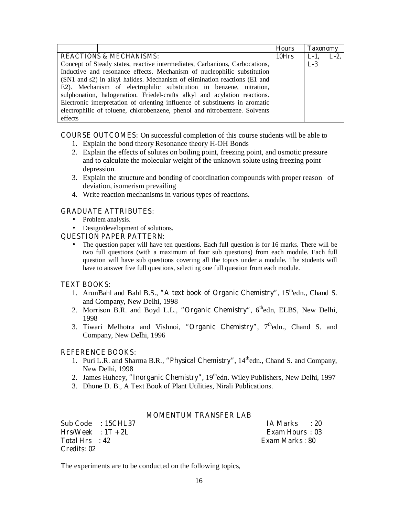|                                                                              | <b>Hours</b> | <b>Taxonomy</b> |       |
|------------------------------------------------------------------------------|--------------|-----------------|-------|
| <b>REACTIONS &amp; MECHANISMS:</b>                                           |              | $L-1$ ,         | $L-2$ |
| Concept of Steady states, reactive intermediates, Carbanions, Carbocations,  |              | $L-3$           |       |
| Inductive and resonance effects. Mechanism of nucleophilic substitution      |              |                 |       |
| (SN1 and s2) in alkyl halides. Mechanism of elimination reactions (E1 and    |              |                 |       |
| E2). Mechanism of electrophilic substitution in benzene, nitration,          |              |                 |       |
| sulphonation, halogenation. Friedel-crafts alkyl and acylation reactions.    |              |                 |       |
| Electronic interpretation of orienting influence of substituents in aromatic |              |                 |       |
| electrophilic of toluene, chlorobenzene, phenol and nitrobenzene. Solvents   |              |                 |       |
| effects                                                                      |              |                 |       |

**COURSE OUTCOMES:** On successful completion of this course students will be able to

- 1. Explain the bond theory Resonance theory H-OH Bonds
- 2. Explain the effects of solutes on boiling point, freezing point, and osmotic pressure and to calculate the molecular weight of the unknown solute using freezing point depression.
- 3. Explain the structure and bonding of coordination compounds with proper reason of deviation, isomerism prevailing
- 4. Write reaction mechanisms in various types of reactions.

### **GRADUATE ATTRIBUTES:**

- Problem analysis.
- Design/development of solutions.

#### **QUESTION PAPER PATTERN:**

• The question paper will have ten questions. Each full question is for 16 marks. There will be two full questions (with a maximum of four sub questions) from each module. Each full question will have sub questions covering all the topics under a module. The students will have to answer five full questions, selecting one full question from each module.

### **TEXT BOOKS:**

- 1. ArunBahl and Bahl B.S., "A text book of Organic Chemistry", 15<sup>th</sup>edn., Chand S. and Company, New Delhi, 1998
- 2. Morrison B.R. and Boyd L.L., "Organic Chemistry", 6<sup>th</sup>edn, ELBS, New Delhi, 1998
- 3. Tiwari Melhotra and Vishnoi, "Organic Chemistry", 7<sup>th</sup>edn., Chand S. and Company, New Delhi, 1996

### **REFERENCE BOOKS:**

- 1. Puri L.R. and Sharma B.R., "Physical Chemistry",  $14<sup>th</sup>$ edn., Chand S. and Company, New Delhi, 1998
- 2. James Huheey, "Inorganic Chemistry", 19<sup>th</sup>edn. Wiley Publishers, New Delhi, 1997
- 3. Dhone D. B., A Text Book of Plant Utilities, Nirali Publications.

#### **MOMENTUM TRANSFER LAB**

| Sub Code : 15CHL37   | IA Marks : 20   |
|----------------------|-----------------|
| $Hrs/Week : 1T + 2L$ | Exam Hours: 03  |
| Total Hrs : 42       | Exam Marks : 80 |
| Credits: 02          |                 |

The experiments are to be conducted on the following topics,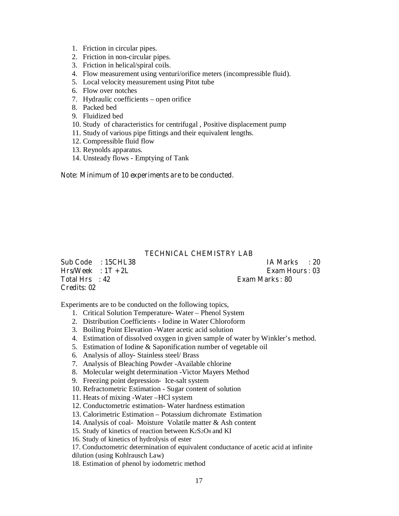- 1. Friction in circular pipes.
- 2. Friction in non-circular pipes.
- 3. Friction in helical/spiral coils.
- 4. Flow measurement using venturi/orifice meters (incompressible fluid).
- 5. Local velocity measurement using Pitot tube
- 6. Flow over notches
- 7. Hydraulic coefficients open orifice
- 8. Packed bed
- 9. Fluidized bed
- 10. Study of characteristics for centrifugal , Positive displacement pump
- 11. Study of various pipe fittings and their equivalent lengths.
- 12. Compressible fluid flow
- 13. Reynolds apparatus.
- 14. Unsteady flows Emptying of Tank

#### **Note: Minimum of 10 experiments are to be conducted.**

#### **TECHNICAL CHEMISTRY LAB**

 $Hrs/Week : 1T + 2L$  Exam Hours : 03 **Total Hrs : 42 Exam Marks : 80 Credits: 02** 

**Sub Code : 15CHL38 IA Marks : 20** 

Experiments are to be conducted on the following topics,

- 1. Critical Solution Temperature- Water Phenol System
- 2. Distribution Coefficients Iodine in Water Chloroform
- 3. Boiling Point Elevation -Water acetic acid solution
- 4. Estimation of dissolved oxygen in given sample of water by Winkler's method.
- 5. Estimation of Iodine & Saponification number of vegetable oil
- 6. Analysis of alloy- Stainless steel/ Brass
- 7. Analysis of Bleaching Powder -Available chlorine
- 8. Molecular weight determination -Victor Mayers Method
- 9. Freezing point depression- Ice-salt system
- 10. Refractometric Estimation Sugar content of solution
- 11. Heats of mixing -Water –HCl system
- 12. Conductometric estimation- Water hardness estimation
- 13. Calorimetric Estimation Potassium dichromate Estimation
- 14. Analysis of coal- Moisture Volatile matter & Ash content
- 15. Study of kinetics of reaction between K2S2O8 and KI
- 16. Study of kinetics of hydrolysis of ester

17. Conductometric determination of equivalent conductance of acetic acid at infinite dilution (using Kohlrausch Law)

18. Estimation of phenol by iodometric method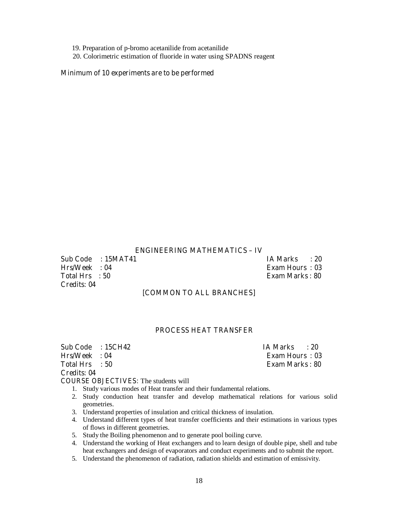19. Preparation of p-bromo acetanilide from acetanilide

20. Colorimetric estimation of fluoride in water using SPADNS reagent

#### **Minimum of 10 experiments are to be performed**

#### **ENGINEERING MATHEMATICS – IV**

**Sub Code : 15MAT41 IA Marks : 20 Hrs/Week : 04 Exam Hours : 03 Total Hrs : 50 Exam Marks : 80 Credits: 04** 

**Exam Hours : 03** 

#### **[COMMON TO ALL BRANCHES]**

#### **PROCESS HEAT TRANSFER**

**Sub Code : 15CH42 IA Marks : 20**<br>**Hrs/Week : 04 Exam Hours : 03 Total Hrs** : 50 **Exam Marks : 80** 

**Credits: 04** 

### **COURSE OBJECTIVES:** The students will

- 1. Study various modes of Heat transfer and their fundamental relations.
- 2. Study conduction heat transfer and develop mathematical relations for various solid geometries.
- 3. Understand properties of insulation and critical thickness of insulation.
- 4. Understand different types of heat transfer coefficients and their estimations in various types of flows in different geometries.
- 5. Study the Boiling phenomenon and to generate pool boiling curve.
- 4. Understand the working of Heat exchangers and to learn design of double pipe, shell and tube heat exchangers and design of evaporators and conduct experiments and to submit the report.
- 5. Understand the phenomenon of radiation, radiation shields and estimation of emissivity.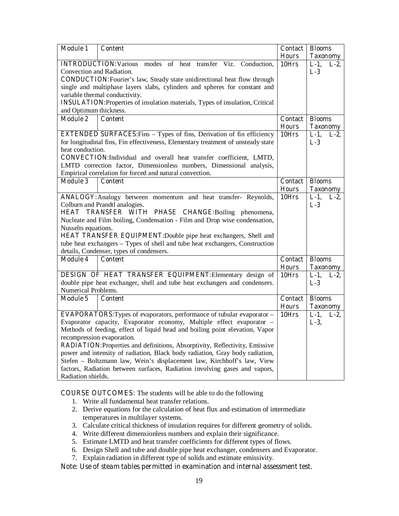| <b>Module 1</b>                                                                                                | <b>Content</b>                                                                   | <b>Contact</b> | <b>Blooms</b>      |
|----------------------------------------------------------------------------------------------------------------|----------------------------------------------------------------------------------|----------------|--------------------|
|                                                                                                                |                                                                                  | <b>Hours</b>   | <b>Taxonomy</b>    |
|                                                                                                                | <b>INTRODUCTION:</b> Various modes of heat transfer Viz. Conduction,             | 10Hrs          | $L-1$ ,<br>$L-2$   |
| Convection and Radiation.                                                                                      |                                                                                  |                | $L-3$              |
|                                                                                                                | <b>CONDUCTION:</b> Fourier's law, Steady state unidirectional heat flow through  |                |                    |
|                                                                                                                | single and multiphase layers slabs, cylinders and spheres for constant and       |                |                    |
|                                                                                                                | variable thermal conductivity.                                                   |                |                    |
| <b>INSULATION:</b> Properties of insulation materials, Types of insulation, Critical<br>and Optimum thickness. |                                                                                  |                |                    |
| <b>Module 2</b>                                                                                                | <b>Content</b>                                                                   | <b>Contact</b> | <b>Blooms</b>      |
|                                                                                                                |                                                                                  | <b>Hours</b>   | <b>Taxonomy</b>    |
|                                                                                                                | <b>EXTENDED SURFACES:</b> Fins - Types of fins, Derivation of fin efficiency     | 10Hrs          | $L-1$ ,<br>$L-2$ , |
|                                                                                                                | for longitudinal fins, Fin effectiveness, Elementary treatment of unsteady state |                | $L-3$              |
| heat conduction.                                                                                               |                                                                                  |                |                    |
|                                                                                                                | CONVECTION:Individual and overall heat transfer coefficient, LMTD,               |                |                    |
|                                                                                                                | LMTD correction factor, Dimensionless numbers, Dimensional analysis,             |                |                    |
|                                                                                                                | Empirical correlation for forced and natural convection.                         |                |                    |
| <b>Module 3</b>                                                                                                | <b>Content</b>                                                                   | <b>Contact</b> | <b>Blooms</b>      |
|                                                                                                                |                                                                                  | <b>Hours</b>   | <b>Taxonomy</b>    |
|                                                                                                                | ANALOGY: Analogy between momentum and heat transfer- Reynolds,                   | 10Hrs          | $L-1$ ,<br>$L-2$   |
|                                                                                                                | Colburn and Prandtl analogies.                                                   |                | $L-3$              |
|                                                                                                                | HEAT TRANSFER WITH PHASE CHANGE: Boiling phenomena,                              |                |                    |
| Nucleate and Film boiling, Condensation - Film and Drop wise condensation,                                     |                                                                                  |                |                    |
| Nusselts equations.                                                                                            |                                                                                  |                |                    |
|                                                                                                                | <b>HEAT TRANSFER EQUIPMENT:</b> Double pipe heat exchangers, Shell and           |                |                    |
|                                                                                                                | tube heat exchangers – Types of shell and tube heat exchangers, Construction     |                |                    |
|                                                                                                                | details, Condenser, types of condensers.                                         |                |                    |
| <b>Module 4</b>                                                                                                | <b>Content</b>                                                                   | <b>Contact</b> | <b>Blooms</b>      |
|                                                                                                                |                                                                                  | <b>Hours</b>   | <b>Taxonomy</b>    |
|                                                                                                                | DESIGN OF HEAT TRANSFER EQUIPMENT: Elementary design of                          | 10Hrs          | $L-1$ ,<br>$L-2$   |
|                                                                                                                | double pipe heat exchanger, shell and tube heat exchangers and condensers.       |                | $L-3$              |
| Numerical Problems.                                                                                            |                                                                                  |                |                    |
| <b>Module 5</b>                                                                                                | <b>Content</b>                                                                   | <b>Contact</b> | <b>Blooms</b>      |
|                                                                                                                |                                                                                  | <b>Hours</b>   | <b>Taxonomy</b>    |
|                                                                                                                | <b>EVAPORATORS:</b> Types of evaporators, performance of tubular evaporator –    | 10Hrs          | $L-1$ ,<br>$L-2$   |
|                                                                                                                | Evaporator capacity, Evaporator economy, Multiple effect evaporator -            |                | $L-3$ ,            |
|                                                                                                                | Methods of feeding, effect of liquid head and boiling point elevation, Vapor     |                |                    |
|                                                                                                                | recompression evaporation.                                                       |                |                    |
|                                                                                                                | RADIATION: Properties and definitions, Absorptivity, Reflectivity, Emissive      |                |                    |
|                                                                                                                | power and intensity of radiation, Black body radiation, Gray body radiation,     |                |                    |
|                                                                                                                | Stefen - Boltzmann law, Wein's displacement law, Kirchhoff's law, View           |                |                    |
|                                                                                                                | factors, Radiation between surfaces, Radiation involving gases and vapors,       |                |                    |
| Radiation shields.                                                                                             |                                                                                  |                |                    |

**COURSE OUTCOMES:** The students will be able to do the following

- 1. Write all fundamental heat transfer relations.
- 2. Derive equations for the calculation of heat flux and estimation of intermediate temperatures in multilayer systems.
- 3. Calculate critical thickness of insulation requires for different geometry of solids.
- 4. Write different dimensionless numbers and explain their significance.
- 5. Estimate LMTD and heat transfer coefficients for different types of flows.
- 6. Design Shell and tube and double pipe heat exchanger, condensers and Evaporator.
- 7. Explain radiation in different type of solids and estimate emissivity.

#### **Note: Use of steam tables permitted in examination and internal assessment test.**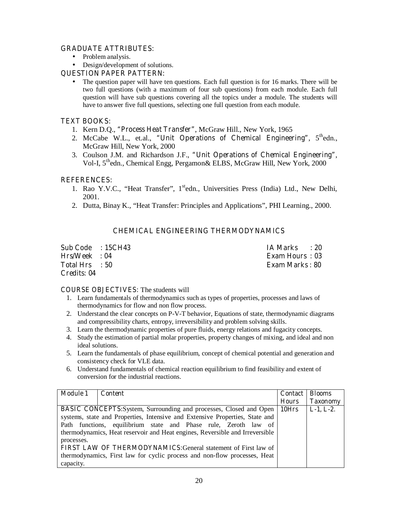#### **GRADUATE ATTRIBUTES:**

- Problem analysis.
- Design/development of solutions.

#### **QUESTION PAPER PATTERN:**

• The question paper will have ten questions. Each full question is for 16 marks. There will be two full questions (with a maximum of four sub questions) from each module. Each full question will have sub questions covering all the topics under a module. The students will have to answer five full questions, selecting one full question from each module.

#### **TEXT BOOKS:**

- 1. Kern D.Q., **"Process Heat Transfer"**, McGraw Hill., New York, 1965
- 2. McCabe W.L., et.al., "Unit Operations of Chemical Engineering", 5<sup>th</sup>edn., McGraw Hill, New York, 2000
- 3. Coulson J.M. and Richardson J.F., **"Unit Operations of Chemical Engineering"**, Vol-I, 5thedn., Chemical Engg, Pergamon& ELBS, McGraw Hill, New York, 2000

### **REFERENCES:**

- 1. Rao Y.V.C., "Heat Transfer", 1<sup>st</sup>edn., Universities Press (India) Ltd., New Delhi, 2001.
- 2. Dutta, Binay K., "Heat Transfer: Principles and Applications", PHI Learning., 2000.

## **CHEMICAL ENGINEERING THERMODYNAMICS**

|                | Sub Code : 15CH43 | IA Marks<br>$\cdot$ 20 |
|----------------|-------------------|------------------------|
| Hrs/Week : 04  |                   | <b>Exam Hours: 03</b>  |
| Total Hrs : 50 |                   | <b>Exam Marks : 80</b> |
| Credits: 04    |                   |                        |

#### **COURSE OBJECTIVES:** The students will

- 1. Learn fundamentals of thermodynamics such as types of properties, processes and laws of thermodynamics for flow and non flow process.
- 2. Understand the clear concepts on P-V-T behavior, Equations of state, thermodynamic diagrams and compressibility charts, entropy, irreversibility and problem solving skills.
- 3. Learn the thermodynamic properties of pure fluids, energy relations and fugacity concepts.
- 4. Study the estimation of partial molar properties, property changes of mixing, and ideal and non ideal solutions.
- 5. Learn the fundamentals of phase equilibrium, concept of chemical potential and generation and consistency check for VLE data.
- 6. Understand fundamentals of chemical reaction equilibrium to find feasibility and extent of conversion for the industrial reactions.

| <b>Module 1</b>                                                              | Content                                                                           | <b>Contact</b> | <b>Blooms</b>   |
|------------------------------------------------------------------------------|-----------------------------------------------------------------------------------|----------------|-----------------|
|                                                                              |                                                                                   | <b>Hours</b>   | <b>Taxonomy</b> |
|                                                                              | <b>BASIC CONCEPTS:</b> System, Surrounding and processes, Closed and Open   10Hrs |                | $L-1, L-2.$     |
|                                                                              | systems, state and Properties, Intensive and Extensive Properties, State and      |                |                 |
| Path functions, equilibrium state and Phase rule, Zeroth law of              |                                                                                   |                |                 |
| thermodynamics, Heat reservoir and Heat engines, Reversible and Irreversible |                                                                                   |                |                 |
| processes.                                                                   |                                                                                   |                |                 |
| FIRST LAW OF THERMODYNAMICS: General statement of First law of               |                                                                                   |                |                 |
|                                                                              | thermodynamics, First law for cyclic process and non-flow processes, Heat         |                |                 |
| capacity.                                                                    |                                                                                   |                |                 |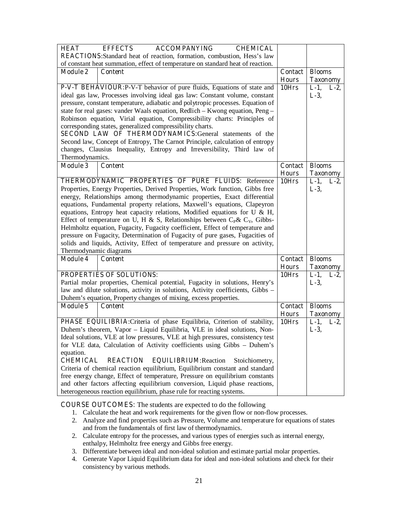| <b>HEAT</b>                                                                     | <b>EFFECTS</b><br><b>ACCOMPANYING</b><br><b>CHEMICAL</b>                                                                                                       |                |                    |
|---------------------------------------------------------------------------------|----------------------------------------------------------------------------------------------------------------------------------------------------------------|----------------|--------------------|
| <b>REACTIONS:</b> Standard heat of reaction, formation, combustion, Hess's law  |                                                                                                                                                                |                |                    |
| of constant heat summation, effect of temperature on standard heat of reaction. |                                                                                                                                                                |                |                    |
| <b>Module 2</b>                                                                 | <b>Content</b>                                                                                                                                                 | Contact        | <b>Blooms</b>      |
|                                                                                 |                                                                                                                                                                | <b>Hours</b>   | <b>Taxonomy</b>    |
|                                                                                 | P-V-T BEHAVIOUR: P-V-T behavior of pure fluids, Equations of state and                                                                                         | 10Hrs          | $L-1$ , $L-2$ ,    |
|                                                                                 | ideal gas law, Processes involving ideal gas law: Constant volume, constant                                                                                    |                | $L-3$ ,            |
|                                                                                 | pressure, constant temperature, adiabatic and polytropic processes. Equation of                                                                                |                |                    |
|                                                                                 | state for real gases: vander Waals equation, Redlich – Kwong equation, Peng –                                                                                  |                |                    |
|                                                                                 | Robinson equation, Virial equation, Compressibility charts: Principles of                                                                                      |                |                    |
|                                                                                 | corresponding states, generalized compressibility charts.                                                                                                      |                |                    |
|                                                                                 | <b>SECOND LAW OF THERMODYNAMICS: General statements of the</b>                                                                                                 |                |                    |
|                                                                                 | Second law, Concept of Entropy, The Carnot Principle, calculation of entropy                                                                                   |                |                    |
|                                                                                 | changes, Clausius Inequality, Entropy and Irreversibility, Third law of                                                                                        |                |                    |
| Thermodynamics.                                                                 |                                                                                                                                                                |                |                    |
| <b>Module 3</b>                                                                 | <b>Content</b>                                                                                                                                                 | <b>Contact</b> | <b>Blooms</b>      |
|                                                                                 |                                                                                                                                                                | <b>Hours</b>   | <b>Taxonomy</b>    |
|                                                                                 | <b>THERMODYNAMIC PROPERTIES OF PURE FLUIDS: Reference</b>                                                                                                      | 10Hrs          | $L-1$ ,<br>$L-2$ , |
|                                                                                 | Properties, Energy Properties, Derived Properties, Work function, Gibbs free                                                                                   |                | $L-3$ ,            |
|                                                                                 | energy, Relationships among thermodynamic properties, Exact differential                                                                                       |                |                    |
|                                                                                 | equations, Fundamental property relations, Maxwell's equations, Clapeyron                                                                                      |                |                    |
|                                                                                 | equations, Entropy heat capacity relations, Modified equations for U $\&$ H,<br>Effect of temperature on U, H & S, Relationships between $C_P \& C_V$ , Gibbs- |                |                    |
|                                                                                 |                                                                                                                                                                |                |                    |
| Helmholtz equation, Fugacity, Fugacity coefficient, Effect of temperature and   |                                                                                                                                                                |                |                    |
| pressure on Fugacity, Determination of Fugacity of pure gases, Fugacities of    |                                                                                                                                                                |                |                    |
| solids and liquids, Activity, Effect of temperature and pressure on activity,   |                                                                                                                                                                |                |                    |
| Thermodynamic diagrams<br><b>Module 4</b>                                       | <b>Content</b>                                                                                                                                                 | <b>Contact</b> | <b>Blooms</b>      |
|                                                                                 |                                                                                                                                                                | <b>Hours</b>   | <b>Taxonomy</b>    |
|                                                                                 | PROPERTIES OF SOLUTIONS:                                                                                                                                       | 10Hrs          | $L-1$ ,<br>$L-2$   |
|                                                                                 | Partial molar properties, Chemical potential, Fugacity in solutions, Henry's                                                                                   |                | $L-3$ ,            |
|                                                                                 | law and dilute solutions, activity in solutions, Activity coefficients, Gibbs -                                                                                |                |                    |
|                                                                                 | Duhem's equation, Property changes of mixing, excess properties.                                                                                               |                |                    |
| <b>Module 5</b>                                                                 | <b>Content</b>                                                                                                                                                 | <b>Contact</b> | <b>Blooms</b>      |
|                                                                                 |                                                                                                                                                                | <b>Hours</b>   | <b>Taxonomy</b>    |
|                                                                                 | PHASE EQUILIBRIA: Criteria of phase Equilibria, Criterion of stability,                                                                                        | 10Hrs          | $L-1$ ,<br>$L-2$ , |
|                                                                                 | Duhem's theorem, Vapor - Liquid Equilibria, VLE in ideal solutions, Non-                                                                                       |                | $L-3$ ,            |
|                                                                                 | Ideal solutions, VLE at low pressures, VLE at high pressures, consistency test                                                                                 |                |                    |
| for VLE data, Calculation of Activity coefficients using Gibbs - Duhem's        |                                                                                                                                                                |                |                    |
| equation.                                                                       |                                                                                                                                                                |                |                    |
| <b>CHEMICAL</b>                                                                 | <b>REACTION</b><br><b>EQUILIBRIUM: Reaction</b><br>Stoichiometry,                                                                                              |                |                    |
|                                                                                 | Criteria of chemical reaction equilibrium, Equilibrium constant and standard                                                                                   |                |                    |
|                                                                                 | free energy change, Effect of temperature, Pressure on equilibrium constants                                                                                   |                |                    |
|                                                                                 | and other factors affecting equilibrium conversion, Liquid phase reactions,                                                                                    |                |                    |
| heterogeneous reaction equilibrium, phase rule for reacting systems.            |                                                                                                                                                                |                |                    |

**COURSE OUTCOMES:** The students are expected to do the following

- 1. Calculate the heat and work requirements for the given flow or non-flow processes.
- 2. Analyze and find properties such as Pressure, Volume and temperature for equations of states and from the fundamentals of first law of thermodynamics.
- 2. Calculate entropy for the processes, and various types of energies such as internal energy, enthalpy, Helmholtz free energy and Gibbs free energy.
- 3. Differentiate between ideal and non-ideal solution and estimate partial molar properties.
- 4. Generate Vapor Liquid Equilibrium data for ideal and non-ideal solutions and check for their consistency by various methods.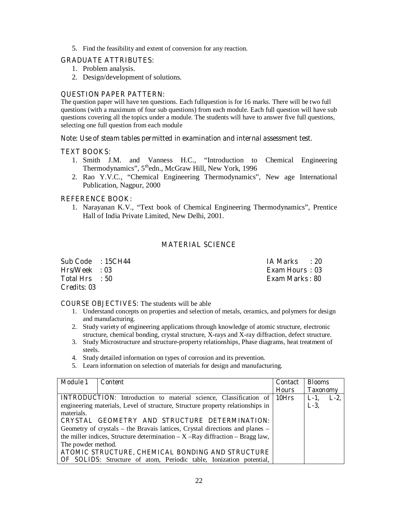5. Find the feasibility and extent of conversion for any reaction.

#### **GRADUATE ATTRIBUTES:**

- 1. Problem analysis.
- 2. Design/development of solutions.

#### **QUESTION PAPER PATTERN:**

The question paper will have ten questions. Each fullquestion is for 16 marks. There will be two full questions (with a maximum of four sub questions) from each module. Each full question will have sub questions covering all the topics under a module. The students will have to answer five full questions, selecting one full question from each module

#### **Note: Use of steam tables permitted in examination and internal assessment test.**

#### **TEXT BOOKS:**

- 1. Smith J.M. and Vanness H.C., "Introduction to Chemical Engineering Thermodynamics", 5<sup>th</sup>edn., McGraw Hill, New York, 1996
- 2. Rao Y.V.C., "Chemical Engineering Thermodynamics", New age International Publication, Nagpur, 2000

#### **REFERENCE BOOK:**

1. Narayanan K.V., "Text book of Chemical Engineering Thermodynamics", Prentice Hall of India Private Limited, New Delhi, 2001.

#### **MATERIAL SCIENCE**

| Sub Code : 15CH44 | IA Marks<br>$\cdot$ 20 |  |
|-------------------|------------------------|--|
| $Hrs/Week = 03$   | <b>Exam Hours: 03</b>  |  |
| Total Hrs : 50    | Exam Marks : 80        |  |
| Credits: 03       |                        |  |

**COURSE OBJECTIVES:** The students will be able

- 1. Understand concepts on properties and selection of metals, ceramics, and polymers for design and manufacturing.
- 2. Study variety of engineering applications through knowledge of atomic structure, electronic structure, chemical bonding, crystal structure, X-rays and X-ray diffraction, defect structure.
- 3. Study Microstructure and structure-property relationships, Phase diagrams, heat treatment of steels.
- 4. Study detailed information on types of corrosion and its prevention.
- 5. Learn information on selection of materials for design and manufacturing.

| <b>Module 1</b>                                                                    | <b>Content</b>                                                                 | <b>Contact</b> | <b>Blooms</b>      |
|------------------------------------------------------------------------------------|--------------------------------------------------------------------------------|----------------|--------------------|
|                                                                                    |                                                                                | <b>Hours</b>   | <b>Taxonomy</b>    |
|                                                                                    | <b>INTRODUCTION:</b> Introduction to material science, Classification of       | 10Hrs          | $L-2$ .<br>$L-1$ , |
|                                                                                    | engineering materials, Level of structure, Structure property relationships in |                | $L-3$ ,            |
| materials.                                                                         |                                                                                |                |                    |
| CRYSTAL GEOMETRY AND STRUCTURE DETERMINATION:                                      |                                                                                |                |                    |
|                                                                                    | Geometry of crystals – the Bravais lattices, Crystal directions and planes –   |                |                    |
| the miller indices, Structure determination $- X - Ray$ diffraction $-$ Bragg law, |                                                                                |                |                    |
| The powder method.                                                                 |                                                                                |                |                    |
| ATOMIC STRUCTURE, CHEMICAL BONDING AND STRUCTURE                                   |                                                                                |                |                    |
|                                                                                    | <b>OF SOLIDS:</b> Structure of atom, Periodic table, Ionization potential,     |                |                    |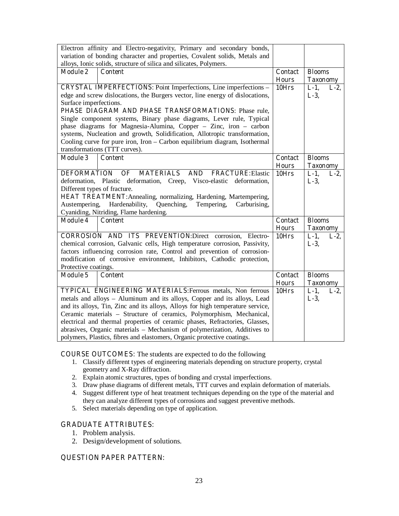|                                                                             | Electron affinity and Electro-negativity, Primary and secondary bonds,                                                                                 |                |                    |
|-----------------------------------------------------------------------------|--------------------------------------------------------------------------------------------------------------------------------------------------------|----------------|--------------------|
| variation of bonding character and properties, Covalent solids, Metals and  |                                                                                                                                                        |                |                    |
| alloys, Ionic solids, structure of silica and silicates, Polymers.          |                                                                                                                                                        |                |                    |
| <b>Module 2</b>                                                             | <b>Content</b>                                                                                                                                         | <b>Contact</b> | <b>Blooms</b>      |
|                                                                             |                                                                                                                                                        | <b>Hours</b>   | <b>Taxonomy</b>    |
|                                                                             | <b>CRYSTAL IMPERFECTIONS:</b> Point Imperfections, Line imperfections -                                                                                | 10Hrs          | $L-1$ ,<br>$L-2$ , |
|                                                                             | edge and screw dislocations, the Burgers vector, line energy of dislocations,                                                                          |                | $L-3$ ,            |
| Surface imperfections.                                                      |                                                                                                                                                        |                |                    |
|                                                                             | PHASE DIAGRAM AND PHASE TRANSFORMATIONS: Phase rule,                                                                                                   |                |                    |
|                                                                             | Single component systems, Binary phase diagrams, Lever rule, Typical                                                                                   |                |                    |
|                                                                             | phase diagrams for Magnesia-Alumina, Copper - Zinc, iron - carbon                                                                                      |                |                    |
|                                                                             | systems, Nucleation and growth, Solidification, Allotropic transformation,                                                                             |                |                    |
|                                                                             | Cooling curve for pure iron, Iron - Carbon equilibrium diagram, Isothermal                                                                             |                |                    |
|                                                                             | transformations (TTT curves).                                                                                                                          |                |                    |
| <b>Module 3</b>                                                             | <b>Content</b>                                                                                                                                         | <b>Contact</b> | <b>Blooms</b>      |
|                                                                             |                                                                                                                                                        | <b>Hours</b>   | <b>Taxonomy</b>    |
| <b>DEFORMATION</b>                                                          | <b>MATERIALS</b><br><b>AND</b><br><b>FRACTURE:</b> Elastic<br>OF                                                                                       | 10Hrs          | $L-1$ ,<br>$L-2$   |
|                                                                             | deformation, Plastic deformation, Creep, Visco-elastic deformation,                                                                                    |                | $L-3$ ,            |
| Different types of fracture.                                                | HEAT TREATMENT: Annealing, normalizing, Hardening, Martempering,                                                                                       |                |                    |
|                                                                             |                                                                                                                                                        |                |                    |
| Austempering,<br>Hardenability,<br>Quenching,<br>Tempering,<br>Carburising, |                                                                                                                                                        |                |                    |
| Cyaniding, Nitriding, Flame hardening.                                      |                                                                                                                                                        |                |                    |
| <b>Module 4</b>                                                             | <b>Content</b>                                                                                                                                         | <b>Contact</b> | <b>Blooms</b>      |
|                                                                             |                                                                                                                                                        | <b>Hours</b>   | <b>Taxonomy</b>    |
|                                                                             | <b>CORROSION AND ITS PREVENTION:Direct corrosion, Electro-</b>                                                                                         | $10$ Hrs       | $L-1$ ,<br>$L-2$   |
|                                                                             | chemical corrosion, Galvanic cells, High temperature corrosion, Passivity,<br>factors influencing corrosion rate, Control and prevention of corrosion- |                | $L-3$ ,            |
|                                                                             | modification of corrosive environment, Inhibitors, Cathodic protection,                                                                                |                |                    |
| Protective coatings.                                                        |                                                                                                                                                        |                |                    |
| <b>Module 5</b>                                                             | <b>Content</b>                                                                                                                                         | <b>Contact</b> | <b>Blooms</b>      |
|                                                                             |                                                                                                                                                        | <b>Hours</b>   | <b>Taxonomy</b>    |
|                                                                             | TYPICAL ENGINEERING MATERIALS: Ferrous metals, Non ferrous                                                                                             | 10Hrs          | $L-1$ ,<br>$L-2$   |
|                                                                             | metals and alloys - Aluminum and its alloys, Copper and its alloys, Lead                                                                               |                | $L-3$ ,            |
|                                                                             | and its alloys, Tin, Zinc and its alloys, Alloys for high temperature service,                                                                         |                |                    |
| Ceramic materials - Structure of ceramics, Polymorphism, Mechanical,        |                                                                                                                                                        |                |                    |
|                                                                             | electrical and thermal properties of ceramic phases, Refractories, Glasses,                                                                            |                |                    |
|                                                                             |                                                                                                                                                        |                |                    |
|                                                                             | abrasives, Organic materials - Mechanism of polymerization, Additives to                                                                               |                |                    |

**COURSE OUTCOMES:** The students are expected to do the following

- 1. Classify different types of engineering materials depending on structure property, crystal geometry and X-Ray diffraction.
- 2. Explain atomic structures, types of bonding and crystal imperfections.
- 3. Draw phase diagrams of different metals, TTT curves and explain deformation of materials.
- 4. Suggest different type of heat treatment techniques depending on the type of the material and they can analyze different types of corrosions and suggest preventive methods.
- 5. Select materials depending on type of application.

#### **GRADUATE ATTRIBUTES:**

- 1. Problem analysis.
- 2. Design/development of solutions.

#### **QUESTION PAPER PATTERN:**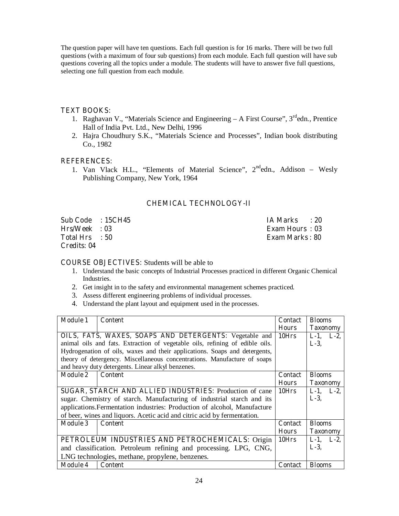The question paper will have ten questions. Each full question is for 16 marks. There will be two full questions (with a maximum of four sub questions) from each module. Each full question will have sub questions covering all the topics under a module. The students will have to answer five full questions, selecting one full question from each module.

#### **TEXT BOOKS:**

- 1. Raghavan V., "Materials Science and Engineering A First Course", 3<sup>rd</sup>edn., Prentice Hall of India Pvt. Ltd., New Delhi, 1996
- 2. Hajra Choudhury S.K., "Materials Science and Processes", Indian book distributing Co., 1982

#### **REFERENCES:**

1. Van Vlack H.L., "Elements of Material Science",  $2<sup>nd</sup>$ edn., Addison – Wesly Publishing Company, New York, 1964

### **CHEMICAL TECHNOLOGY-II**

**Sub Code : 15CH45 IA Marks : 20 Hrs/Week : 03 Exam Hours : 03 Total Hrs : 50 Exam Marks : 80 Credits: 04** 

#### **COURSE OBJECTIVES:** Students will be able to

- 1. Understand the basic concepts of Industrial Processes practiced in different Organic Chemical Industries.
- 2. Get insight in to the safety and environmental management schemes practiced.
- 3. Assess different engineering problems of individual processes.
- 4. Understand the plant layout and equipment used in the processes.

| <b>Module 1</b>                                                           | <b>Content</b>                                                               | <b>Contact</b> | <b>Blooms</b>   |
|---------------------------------------------------------------------------|------------------------------------------------------------------------------|----------------|-----------------|
|                                                                           |                                                                              | <b>Hours</b>   | <b>Taxonomy</b> |
|                                                                           | OILS, FATS, WAXES, SOAPS AND DETERGENTS: Vegetable and                       | 10Hrs          | $L-1$ , $L-2$ , |
|                                                                           | animal oils and fats. Extraction of vegetable oils, refining of edible oils. |                | $L-3$ ,         |
|                                                                           | Hydrogenation of oils, waxes and their applications. Soaps and detergents,   |                |                 |
|                                                                           | theory of detergency. Miscellaneous concentrations. Manufacture of soaps     |                |                 |
|                                                                           | and heavy duty detergents. Linear alkyl benzenes.                            |                |                 |
| <b>Module 2</b>                                                           | Content                                                                      | <b>Contact</b> | <b>Blooms</b>   |
|                                                                           |                                                                              | <b>Hours</b>   | <b>Taxonomy</b> |
| SUGAR, STARCH AND ALLIED INDUSTRIES: Production of cane                   |                                                                              |                | $L-1$ , $L-2$ , |
|                                                                           | sugar. Chemistry of starch. Manufacturing of industrial starch and its       |                | $L-3$ ,         |
| applications. Fermentation industries: Production of alcohol, Manufacture |                                                                              |                |                 |
|                                                                           | of beer, wines and liquors. Acetic acid and citric acid by fermentation.     |                |                 |
| <b>Module 3</b>                                                           | <b>Content</b>                                                               | <b>Contact</b> | <b>Blooms</b>   |
|                                                                           |                                                                              | <b>Hours</b>   | <b>Taxonomy</b> |
|                                                                           | PETROLEUM INDUSTRIES AND PETROCHEMICALS: Origin                              | 10Hrs          | $L-1$ , $L-2$ , |
|                                                                           | and classification. Petroleum refining and processing. LPG, CNG,             |                | $L-3$ ,         |
|                                                                           | LNG technologies, methane, propylene, benzenes.                              |                |                 |
| <b>Module 4</b>                                                           | <b>Content</b>                                                               | <b>Contact</b> | <b>Blooms</b>   |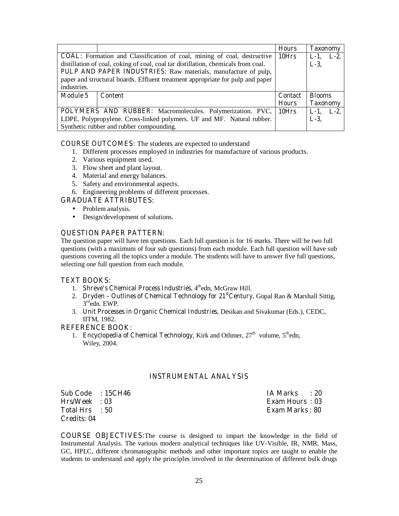|                                                                                |                                                                                   | <b>Hours</b>   | <b>Taxonomy</b> |
|--------------------------------------------------------------------------------|-----------------------------------------------------------------------------------|----------------|-----------------|
| <b>COAL:</b> Formation and Classification of coal, mining of coal, destructive | 10Hrs                                                                             | $L-2$<br>$L-1$ |                 |
|                                                                                | distillation of coal, coking of coal, coal tar distillation, chemicals from coal. |                | $L-3$ ,         |
|                                                                                | PULP AND PAPER INDUSTRIES: Raw materials, manufacture of pulp,                    |                |                 |
|                                                                                | paper and structural boards. Effluent treatment appropriate for pulp and paper    |                |                 |
| industries.                                                                    |                                                                                   |                |                 |
| <b>Module 5</b>                                                                | <b>Content</b>                                                                    | <b>Contact</b> | <b>Blooms</b>   |
|                                                                                |                                                                                   | <b>Hours</b>   | <b>Taxonomy</b> |
|                                                                                | POLYMERS AND RUBBER: Macromolecules. Polymerization. PVC,                         | 10Hrs          | $L-2$<br>$L-1$  |
| LDPE. Polypropylene. Cross-linked polymers. UF and MF. Natural rubber.         |                                                                                   | $L-3$ ,        |                 |
|                                                                                | Synthetic rubber and rubber compounding.                                          |                |                 |

**COURSE OUTCOMES:** The students are expected to understand

- 1. Different processes employed in industries for manufacture of various products.
- 2. Various equipment used.
- 3. Flow sheet and plant layout.
- 4. Material and energy balances.
- 5. Safety and environmental aspects.
- 6. Engineering problems of different processes.

#### **GRADUATE ATTRIBUTES:**

- Problem analysis.
- Design/development of solutions.

#### **QUESTION PAPER PATTERN:**

The question paper will have ten questions. Each full question is for 16 marks. There will be two full questions (with a maximum of four sub questions) from each module. Each full question will have sub questions covering all the topics under a module. The students will have to answer five full questions, selecting one full question from each module.

#### **TEXT BOOKS:**

- 1. **Shreve's Chemical Process Industries,** 4thedn, McGraw Hill.
- 2. **Dryden Outlines of Chemical Technology for 21<sup>st</sup>Century, Gopal Rao & Marshall Sittig,** 3rdedn. EWP.
- 3. **Unit Processes in Organic Chemical Industries**, Desikan and Sivakumar (Eds.), CEDC, IITM, 1982.

#### **REFERENCE BOOK:**

1. **Encyclopedia of Chemical Technology**, Kirk and Othmer,  $27<sup>th</sup>$  volume,  $5<sup>th</sup>$ edn, Wiley, 2004.

#### **INSTRUMENTAL ANALYSIS**

| Sub Code : 15CH46 | IA Marks<br>$\cdot$ 20 |
|-------------------|------------------------|
| Hrs/Week : 03     | <b>Exam Hours: 03</b>  |
| Total Hrs : 50    | <b>Exam Marks</b> : 80 |
| Credits: 04       |                        |

**COURSE OBJECTIVES:**The course is designed to impart the knowledge in the field of Instrumental Analysis. The various modern analytical techniques like UV-Visible, IR, NMR, Mass, GC, HPLC, different chromatographic methods and other important topics are taught to enable the students to understand and apply the principles involved in the determination of different bulk drugs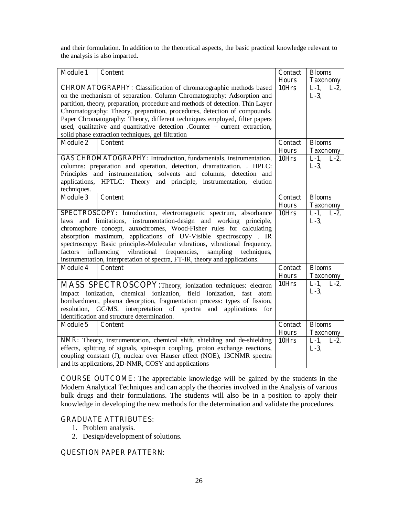and their formulation. In addition to the theoretical aspects, the basic practical knowledge relevant to the analysis is also imparted.

| <b>Module 1</b>                                                     | <b>Content</b>                                                                                                                                  | <b>Contact</b> | <b>Blooms</b>        |
|---------------------------------------------------------------------|-------------------------------------------------------------------------------------------------------------------------------------------------|----------------|----------------------|
|                                                                     |                                                                                                                                                 | <b>Hours</b>   | <b>Taxonomy</b>      |
|                                                                     | <b>CHROMATOGRAPHY:</b> Classification of chromatographic methods based<br>on the mechanism of separation. Column Chromatography: Adsorption and | 10Hrs          | L-1, L-2,<br>$L-3$ , |
|                                                                     | partition, theory, preparation, procedure and methods of detection. Thin Layer                                                                  |                |                      |
|                                                                     | Chromatography: Theory, preparation, procedures, detection of compounds.                                                                        |                |                      |
|                                                                     | Paper Chromatography: Theory, different techniques employed, filter papers                                                                      |                |                      |
|                                                                     | used, qualitative and quantitative detection .Counter - current extraction,                                                                     |                |                      |
|                                                                     | solid phase extraction techniques, gel filtration                                                                                               |                |                      |
| <b>Module 2</b>                                                     | <b>Content</b>                                                                                                                                  | <b>Contact</b> | <b>Blooms</b>        |
|                                                                     |                                                                                                                                                 | <b>Hours</b>   | <b>Taxonomy</b>      |
|                                                                     | GAS CHROMATOGRAPHY: Introduction, fundamentals, instrumentation,                                                                                | 10Hrs          | $L-1$ ,<br>$L-2$     |
|                                                                     | columns: preparation and operation, detection, dramatization. . HPLC:                                                                           |                | $L-3$ ,              |
|                                                                     | Principles and instrumentation, solvents and columns, detection and                                                                             |                |                      |
|                                                                     | applications, HPTLC: Theory and principle, instrumentation, elution                                                                             |                |                      |
| techniques.                                                         |                                                                                                                                                 |                |                      |
| <b>Module 3</b>                                                     | <b>Content</b>                                                                                                                                  | <b>Contact</b> | <b>Blooms</b>        |
|                                                                     |                                                                                                                                                 | <b>Hours</b>   | <b>Taxonomy</b>      |
|                                                                     | SPECTROSCOPY: Introduction, electromagnetic spectrum, absorbance                                                                                | 10Hrs          | $L-1$ ,<br>$L-2$     |
| laws                                                                | and limitations, instrumentation-design and working principle,                                                                                  |                | $L-3$ ,              |
| chromophore concept, auxochromes, Wood-Fisher rules for calculating |                                                                                                                                                 |                |                      |
|                                                                     | absorption maximum, applications of UV-Visible spectroscopy. IR                                                                                 |                |                      |
|                                                                     | spectroscopy: Basic principles-Molecular vibrations, vibrational frequency,                                                                     |                |                      |
| factors                                                             | vibrational<br>influencing<br>frequencies,<br>sampling<br>techniques,                                                                           |                |                      |
|                                                                     | instrumentation, interpretation of spectra, FT-IR, theory and applications.                                                                     |                |                      |
| <b>Module 4</b>                                                     | <b>Content</b>                                                                                                                                  | <b>Contact</b> | <b>Blooms</b>        |
|                                                                     |                                                                                                                                                 | <b>Hours</b>   | <b>Taxonomy</b>      |
|                                                                     | <b>MASS SPECTROSCOPY:</b> Theory, ionization techniques: electron                                                                               | 10Hrs          | $L-1$ ,<br>$L-2$     |
|                                                                     | impact ionization, chemical ionization, field ionization, fast<br>atom                                                                          |                | $L-3$ ,              |
|                                                                     | bombardment, plasma desorption, fragmentation process: types of fission,                                                                        |                |                      |
| resolution,                                                         | GC/MS, interpretation of spectra and applications<br>for                                                                                        |                |                      |
|                                                                     | identification and structure determination.                                                                                                     |                |                      |
| <b>Module 5</b>                                                     | <b>Content</b>                                                                                                                                  | <b>Contact</b> | <b>Blooms</b>        |
|                                                                     |                                                                                                                                                 | <b>Hours</b>   | <b>Taxonomy</b>      |
|                                                                     | NMR: Theory, instrumentation, chemical shift, shielding and de-shielding                                                                        | 10Hrs          | $L-1$ ,<br>$L-2$     |
|                                                                     | effects, splitting of signals, spin-spin coupling, proton exchange reactions,                                                                   |                | $L-3$ ,              |
|                                                                     | coupling constant (J), nuclear over Hauser effect (NOE), 13CNMR spectra                                                                         |                |                      |
| and its applications, 2D-NMR, COSY and applications                 |                                                                                                                                                 |                |                      |

**COURSE OUTCOME**: The appreciable knowledge will be gained by the students in the Modern Analytical Techniques and can apply the theories involved in the Analysis of various bulk drugs and their formulations. The students will also be in a position to apply their knowledge in developing the new methods for the determination and validate the procedures.

#### **GRADUATE ATTRIBUTES:**

- 1. Problem analysis.
- 2. Design/development of solutions.

#### **QUESTION PAPER PATTERN:**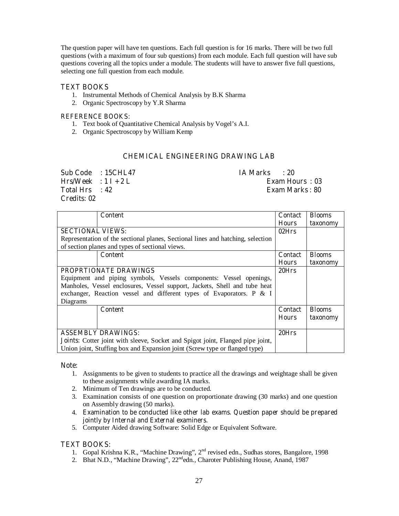The question paper will have ten questions. Each full question is for 16 marks. There will be two full questions (with a maximum of four sub questions) from each module. Each full question will have sub questions covering all the topics under a module. The students will have to answer five full questions, selecting one full question from each module.

#### **TEXT BOOKS**

- 1. Instrumental Methods of Chemical Analysis by B.K Sharma
- 2. Organic Spectroscopy by Y.R Sharma

#### **REFERENCE BOOKS:**

- 1. Text book of Quantitative Chemical Analysis by Vogel's A.I.
- 2. Organic Spectroscopy by William Kemp

#### **CHEMICAL ENGINEERING DRAWING LAB**

| Sub Code : 15CHL47       | IA Marks<br>$\cdot$ 20 |
|--------------------------|------------------------|
| $Hrs/Week$ : $1 I + 2 L$ | Exam Hours: 03         |
| Total Hrs : 42           | Exam Marks : 80        |
| Credits: 02              |                        |

|                                                                                       | <b>Content</b>                                                                  | <b>Contact</b> | <b>Blooms</b> |
|---------------------------------------------------------------------------------------|---------------------------------------------------------------------------------|----------------|---------------|
|                                                                                       |                                                                                 | <b>Hours</b>   | taxonomy      |
| <b>SECTIONAL VIEWS:</b>                                                               | 02Hrs                                                                           |                |               |
|                                                                                       | Representation of the sectional planes, Sectional lines and hatching, selection |                |               |
|                                                                                       | of section planes and types of sectional views.                                 |                |               |
|                                                                                       | <b>Content</b>                                                                  | <b>Contact</b> | <b>Blooms</b> |
|                                                                                       |                                                                                 | <b>Hours</b>   | taxonomy      |
| <b>PROPRTIONATE DRAWINGS</b>                                                          |                                                                                 |                |               |
|                                                                                       | Equipment and piping symbols, Vessels components: Vessel openings,              |                |               |
|                                                                                       | Manholes, Vessel enclosures, Vessel support, Jackets, Shell and tube heat       |                |               |
|                                                                                       | exchanger, Reaction vessel and different types of Evaporators. P & I            |                |               |
| Diagrams                                                                              |                                                                                 |                |               |
|                                                                                       | <b>Content</b>                                                                  | <b>Contact</b> | <b>Blooms</b> |
|                                                                                       |                                                                                 | <b>Hours</b>   | taxonomy      |
|                                                                                       |                                                                                 |                |               |
| <b>ASSEMBLY DRAWINGS:</b>                                                             |                                                                                 | 20Hrs          |               |
| <b>Joints:</b> Cotter joint with sleeve, Socket and Spigot joint, Flanged pipe joint, |                                                                                 |                |               |
|                                                                                       | Union joint, Stuffing box and Expansion joint (Screw type or flanged type)      |                |               |

#### **Note:**

- 1. Assignments to be given to students to practice all the drawings and weightage shall be given to these assignments while awarding IA marks.
- 2. Minimum of Ten drawings are to be conducted.
- 3. Examination consists of one question on proportionate drawing (30 marks) and one question on Assembly drawing (50 marks).
- 4. **Examination to be conducted like other lab exams. Question paper should be prepared jointly by Internal and External examiners.**
- 5. Computer Aided drawing Software: Solid Edge or Equivalent Software.

#### **TEXT BOOKS:**

- 1. Gopal Krishna K.R., "Machine Drawing", 2nd revised edn., Sudhas stores, Bangalore, 1998
- 2. Bhat N.D., "Machine Drawing", 22<sup>nd</sup>edn., Charoter Publishing House, Anand, 1987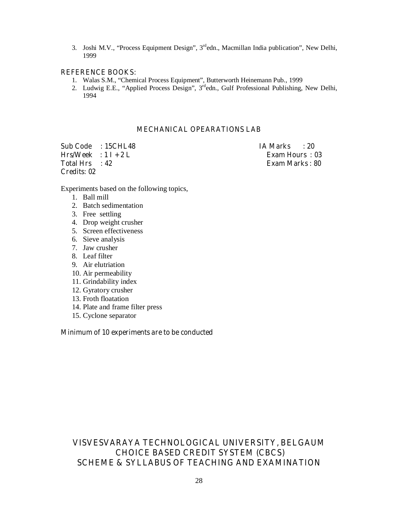3. Joshi M.V., "Process Equipment Design", 3<sup>rd</sup>edn., Macmillan India publication", New Delhi, 1999

#### **REFERENCE BOOKS:**

- 1. Walas S.M., "Chemical Process Equipment", Butterworth Heinemann Pub., 1999
- 2. Ludwig E.E., "Applied Process Design", 3<sup>rd</sup>edn., Gulf Professional Publishing, New Delhi, 1994

#### **MECHANICAL OPEARATIONS LAB**

**Sub Code : 15CHL48 IA Marks : 20**   $Hrs/Week : 1 I + 2 L$  Exam Hours : 03 **Total Hrs : 42 Exam Marks : 80 Credits: 02** 

Experiments based on the following topics,

- 1. Ball mill
- 2. Batch sedimentation
- 3. Free settling
- 4. Drop weight crusher
- 5. Screen effectiveness
- 6. Sieve analysis
- 7. Jaw crusher
- 8. Leaf filter
- 9. Air elutriation
- 10. Air permeability
- 11. Grindability index
- 12. Gyratory crusher
- 13. Froth floatation
- 14. Plate and frame filter press
- 15. Cyclone separator

#### **Minimum of 10 experiments are to be conducted**

# **VISVESVARAYA TECHNOLOGICAL UNIVERSITY, BELGAUM CHOICE BASED CREDIT SYSTEM (CBCS) SCHEME & SYLLABUS OF TEACHING AND EXAMINATION**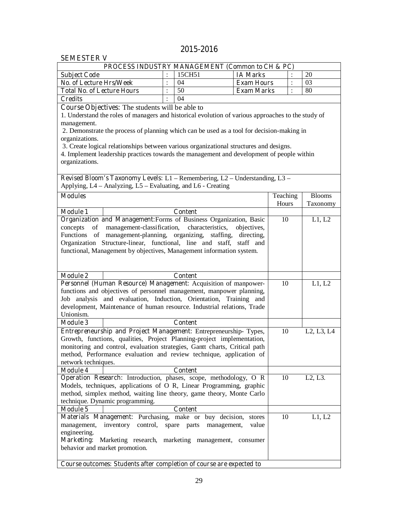# **2015-2016**

### **SEMESTER V**

| SEMESTEK V                                                                                                                                           |                |                  |                      |          |                                   |
|------------------------------------------------------------------------------------------------------------------------------------------------------|----------------|------------------|----------------------|----------|-----------------------------------|
| PROCESS INDUSTRY MANAGEMENT (Common to CH & PC)                                                                                                      |                |                  |                      |          |                                   |
| <b>Subject Code</b><br><b>No. of Lecture Hrs/Week</b>                                                                                                |                | 15CH51           | <b>IA Marks</b>      |          | 20                                |
|                                                                                                                                                      | $\ddot{\cdot}$ | 04               | <b>Exam Hours</b>    |          | 03                                |
| <b>Total No. of Lecture Hours</b>                                                                                                                    |                | 50               | <b>Exam Marks</b>    |          | 80                                |
| <b>Credits</b>                                                                                                                                       |                | 04               |                      |          |                                   |
| Course Objectives: The students will be able to                                                                                                      |                |                  |                      |          |                                   |
| 1. Understand the roles of managers and historical evolution of various approaches to the study of                                                   |                |                  |                      |          |                                   |
| management.<br>2. Demonstrate the process of planning which can be used as a tool for decision-making in                                             |                |                  |                      |          |                                   |
| organizations.                                                                                                                                       |                |                  |                      |          |                                   |
| 3. Create logical relationships between various organizational structures and designs.                                                               |                |                  |                      |          |                                   |
| 4. Implement leadership practices towards the management and development of people within                                                            |                |                  |                      |          |                                   |
| organizations.                                                                                                                                       |                |                  |                      |          |                                   |
|                                                                                                                                                      |                |                  |                      |          |                                   |
| Revised Bloom's Taxonomy Levels: L1 - Remembering, L2 - Understanding, L3 -                                                                          |                |                  |                      |          |                                   |
| Applying, L4 – Analyzing, L5 – Evaluating, and L6 - Creating                                                                                         |                |                  |                      |          |                                   |
| <b>Modules</b>                                                                                                                                       |                |                  |                      | Teaching | <b>Blooms</b>                     |
|                                                                                                                                                      |                |                  |                      | Hours    | Taxonomy                          |
| <b>Module 1</b>                                                                                                                                      |                | <b>Content</b>   |                      |          |                                   |
| Organization and Management: Forms of Business Organization, Basic                                                                                   |                |                  |                      | 10       | L1, L2                            |
| management-classification,<br>of<br>concepts                                                                                                         |                | characteristics, | objectives,          |          |                                   |
| Functions of management-planning, organizing, staffing, directing,                                                                                   |                |                  |                      |          |                                   |
| Organization Structure-linear, functional, line and staff, staff and                                                                                 |                |                  |                      |          |                                   |
| functional, Management by objectives, Management information system.                                                                                 |                |                  |                      |          |                                   |
|                                                                                                                                                      |                |                  |                      |          |                                   |
|                                                                                                                                                      |                |                  |                      |          |                                   |
| <b>Module 2</b>                                                                                                                                      |                | <b>Content</b>   |                      |          |                                   |
| Personnel (Human Resource) Management: Acquisition of manpower-                                                                                      |                |                  |                      | 10       | L1, L2                            |
| functions and objectives of personnel management, manpower planning,                                                                                 |                |                  |                      |          |                                   |
| Job analysis and evaluation, Induction, Orientation, Training and                                                                                    |                |                  |                      |          |                                   |
| development, Maintenance of human resource. Industrial relations, Trade                                                                              |                |                  |                      |          |                                   |
| Unionism.                                                                                                                                            |                |                  |                      |          |                                   |
| <b>Module 3</b>                                                                                                                                      |                | <b>Content</b>   |                      |          |                                   |
| Entrepreneurship and Project Management: Entrepreneurship-Types,                                                                                     |                |                  |                      | 10       | L2, L3, L4                        |
| Growth, functions, qualities, Project Planning-project implementation,<br>monitoring and control, evaluation strategies, Gantt charts, Critical path |                |                  |                      |          |                                   |
| method, Performance evaluation and review technique, application of                                                                                  |                |                  |                      |          |                                   |
| network techniques.                                                                                                                                  |                |                  |                      |          |                                   |
| <b>Module 4</b>                                                                                                                                      |                | <b>Content</b>   |                      |          |                                   |
| <b>Operation Research:</b> Introduction, phases, scope, methodology, O R                                                                             |                |                  |                      | 10       | L <sub>2</sub> , L <sub>3</sub> . |
| Models, techniques, applications of O R, Linear Programming, graphic                                                                                 |                |                  |                      |          |                                   |
| method, simplex method, waiting line theory, game theory, Monte Carlo                                                                                |                |                  |                      |          |                                   |
| technique. Dynamic programming.                                                                                                                      |                |                  |                      |          |                                   |
| <b>Module 5</b>                                                                                                                                      |                | <b>Content</b>   |                      |          |                                   |
| Materials Management: Purchasing, make or buy decision,                                                                                              |                |                  | stores               | 10       | L1, L2                            |
| management,<br>inventory control, spare parts                                                                                                        |                |                  | value<br>management, |          |                                   |
| engineering.                                                                                                                                         |                |                  |                      |          |                                   |
| Marketing: Marketing research, marketing management, consumer                                                                                        |                |                  |                      |          |                                   |
| behavior and market promotion.                                                                                                                       |                |                  |                      |          |                                   |
|                                                                                                                                                      |                |                  |                      |          |                                   |
| Course outcomes: Students after completion of course are expected to                                                                                 |                |                  |                      |          |                                   |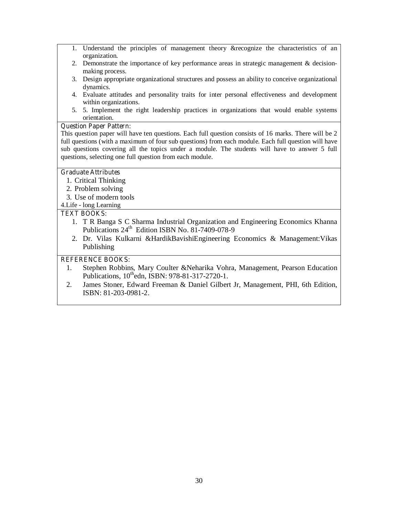- 1. Understand the principles of management theory &recognize the characteristics of an organization.
- 2. Demonstrate the importance of key performance areas in strategic management & decisionmaking process.
- 3. Design appropriate organizational structures and possess an ability to conceive organizational dynamics.
- 4. Evaluate attitudes and personality traits for inter personal effectiveness and development within organizations.
- 5. 5. Implement the right leadership practices in organizations that would enable systems orientation.

#### **Question Paper Pattern:**

This question paper will have ten questions. Each full question consists of 16 marks. There will be 2 full questions (with a maximum of four sub questions) from each module. Each full question will have sub questions covering all the topics under a module. The students will have to answer 5 full questions, selecting one full question from each module.

#### **Graduate Attributes**

- 1. Critical Thinking
- 2. Problem solving
- 3. Use of modern tools
- 4.Life long Learning

#### **TEXT BOOKS:**

- 1. T R Banga S C Sharma Industrial Organization and Engineering Economics Khanna Publications 24<sup>th</sup> Edition ISBN No. 81-7409-078-9
- 2. Dr. Vilas Kulkarni &HardikBavishiEngineering Economics & Management:Vikas Publishing

#### **REFERENCE BOOKS:**

- 1. Stephen Robbins, Mary Coulter &Neharika Vohra, Management, Pearson Education Publications, 10<sup>th</sup>edn, ISBN: 978-81-317-2720-1.
- 2. James Stoner, Edward Freeman & Daniel Gilbert Jr, Management, PHI, 6th Edition, ISBN: 81-203-0981-2.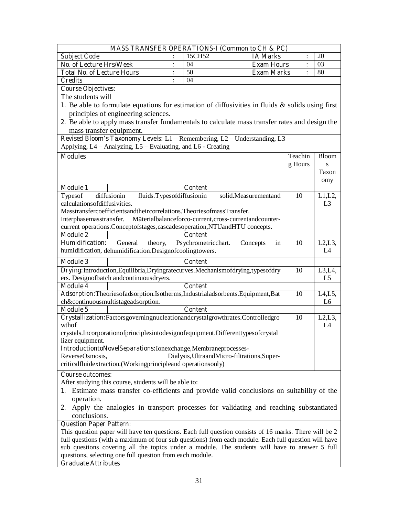|                                                                                                       |                | MASS TRANSFER OPERATIONS-I (Common to CH & PC)         |                      |         |                |  |
|-------------------------------------------------------------------------------------------------------|----------------|--------------------------------------------------------|----------------------|---------|----------------|--|
| <b>Subject Code</b>                                                                                   |                | 15CH52                                                 | <b>IA Marks</b>      |         | 20             |  |
| <b>No. of Lecture Hrs/Week</b>                                                                        | $\ddot{\cdot}$ | 04                                                     | <b>Exam Hours</b>    |         | 03             |  |
| <b>Total No. of Lecture Hours</b>                                                                     | $\ddot{\cdot}$ | 50                                                     | <b>Exam Marks</b>    |         | 80             |  |
| <b>Credits</b>                                                                                        |                | 04                                                     |                      |         |                |  |
| <b>Course Objectives:</b>                                                                             |                |                                                        |                      |         |                |  |
| The students will                                                                                     |                |                                                        |                      |         |                |  |
| 1. Be able to formulate equations for estimation of diffusivities in fluids $\&$ solids using first   |                |                                                        |                      |         |                |  |
| principles of engineering sciences.                                                                   |                |                                                        |                      |         |                |  |
| 2. Be able to apply mass transfer fundamentals to calculate mass transfer rates and design the        |                |                                                        |                      |         |                |  |
| mass transfer equipment.                                                                              |                |                                                        |                      |         |                |  |
| Revised Bloom's Taxonomy Levels: L1 - Remembering, L2 - Understanding, L3 -                           |                |                                                        |                      |         |                |  |
| Applying, L4 – Analyzing, L5 – Evaluating, and L6 - Creating                                          |                |                                                        |                      |         |                |  |
|                                                                                                       |                |                                                        |                      |         |                |  |
| <b>Modules</b>                                                                                        |                |                                                        |                      | Teachin | <b>Bloom</b>   |  |
|                                                                                                       |                |                                                        |                      | g Hours | S              |  |
|                                                                                                       |                |                                                        |                      |         | Taxon          |  |
|                                                                                                       |                |                                                        |                      |         | omy            |  |
| <b>Module 1</b>                                                                                       |                | <b>Content</b>                                         |                      |         |                |  |
| fluids.Typesofdiffusionin<br>Typesof<br>diffusionin                                                   |                |                                                        | solid.Measurementand | 10      | $L1,L2$ ,      |  |
| calculations of diffusivities.                                                                        |                |                                                        |                      |         | L <sub>3</sub> |  |
| Masstransfercoefficientsandtheircorrelations. TheoriesofmassTransfer.                                 |                |                                                        |                      |         |                |  |
| Interphasemasstransfer.                                                                               |                | Materialbalanceforco-current, cross-currentandcounter- |                      |         |                |  |
| current operations.Conceptofstages,cascadesoperation,NTUandHTU concepts.                              |                |                                                        |                      |         |                |  |
| <b>Module 2</b>                                                                                       |                | <b>Content</b>                                         |                      |         |                |  |
| <b>Humidification:</b><br>General<br>theory,                                                          |                | Psychrometricchart.                                    | Concepts<br>in       | 10      | L2, L3,        |  |
| humidification, dehumidification.Designofcoolingtowers.                                               |                |                                                        |                      |         | L4             |  |
| <b>Module 3</b>                                                                                       |                | <b>Content</b>                                         |                      |         |                |  |
| Drying:Introduction,Equilibria,Dryingratecurves.Mechanismofdrying,typesofdry                          |                |                                                        |                      | 10      | L3, L4,        |  |
| ers. Designofbatch andcontinuousdryers.                                                               |                |                                                        |                      |         | L <sub>5</sub> |  |
| <b>Module 4</b>                                                                                       |                | <b>Content</b>                                         |                      |         |                |  |
| Adsorption: Theories of adsorption. Isotherms, Industrial adsorbents. Equipment, Bat                  |                |                                                        |                      | 10      | L4, L5,        |  |
| ch&continuousmultistageadsorption.                                                                    |                |                                                        |                      |         | L <sub>6</sub> |  |
| <b>Module 5</b>                                                                                       |                | <b>Content</b>                                         |                      |         |                |  |
| Crystallization:Factorsgoverningnucleationandcrystalgrowthrates.Controlledgro                         |                |                                                        |                      | 10      | L2, L3,        |  |
| wthof                                                                                                 |                |                                                        |                      |         | L4             |  |
| crystals.Incorporationofprinciplesintodesignofequipment.Differenttypesofcrystal                       |                |                                                        |                      |         |                |  |
| lizer equipment.                                                                                      |                |                                                        |                      |         |                |  |
| IntroductiontoNovelSeparations:Ionexchange,Membraneprocesses-                                         |                |                                                        |                      |         |                |  |
| ReverseOsmosis,                                                                                       |                | Dialysis, UltraandMicro-filtrations, Super-            |                      |         |                |  |
| criticalfluidextraction.(Workingprincipleand operationsonly)                                          |                |                                                        |                      |         |                |  |
| <b>Course outcomes:</b>                                                                               |                |                                                        |                      |         |                |  |
| After studying this course, students will be able to:                                                 |                |                                                        |                      |         |                |  |
| Estimate mass transfer co-efficients and provide valid conclusions on suitability of the<br>1.        |                |                                                        |                      |         |                |  |
| operation.                                                                                            |                |                                                        |                      |         |                |  |
| Apply the analogies in transport processes for validating and reaching substantiated<br>2.            |                |                                                        |                      |         |                |  |
| conclusions.                                                                                          |                |                                                        |                      |         |                |  |
| <b>Question Paper Pattern:</b>                                                                        |                |                                                        |                      |         |                |  |
| This question paper will have ten questions. Each full question consists of 16 marks. There will be 2 |                |                                                        |                      |         |                |  |
| full questions (with a maximum of four sub questions) from each module. Each full question will have  |                |                                                        |                      |         |                |  |
| sub questions covering all the topics under a module. The students will have to answer 5 full         |                |                                                        |                      |         |                |  |
| questions, selecting one full question from each module.                                              |                |                                                        |                      |         |                |  |

# **Graduate Attributes**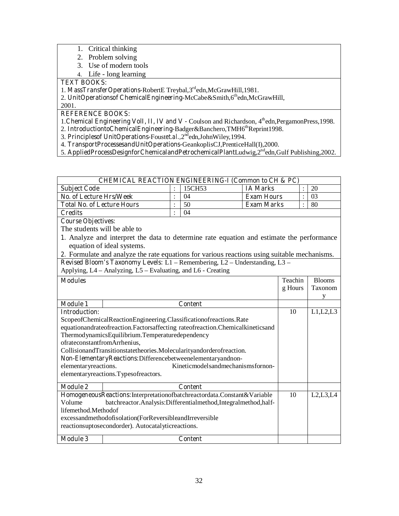- 1. Critical thinking
- 2. Problem solving
- 3. Use of modern tools
- 4. Life long learning

#### **TEXT BOOKS:**

1. **MassTransferOperations-**RobertE Treybal,3rdedn,McGrawHill,1981.

2. **UnitOperationsof ChemicalEngineering-McCabe&Smith,6thedn,McGrawHill,** 

#### 2001.

# **REFERENCE BOOKS:**

- 1. Chemical Engineering VolI, II, IV and V Coulson and Richardson, 4<sup>th</sup>edn, PergamonPress, 1998.
- 2. IntroductiontoChemicalEngineering-Badger&Banchero,TMH6<sup>th</sup>Reprint1998.
- 3. **Principlesof UnitOperations-**Foust*et.al.,*2ndedn,JohnWiley,1994.
- 4. **TransportProcessesandUnitOperations-**GeankoplisCJ,PrenticeHall(I),2000.
- 5. **AppliedProcessDesignforChemicalandPetrochemicalPlant**Ludwig,2<sup>nd</sup>edn,Gulf Publishing,2002.

|                                                                                 | <b>CHEMICAL REACTION ENGINEERING-I (Common to CH &amp; PC)</b>                               |                |                |                   |         |                |               |
|---------------------------------------------------------------------------------|----------------------------------------------------------------------------------------------|----------------|----------------|-------------------|---------|----------------|---------------|
| <b>Subject Code</b>                                                             |                                                                                              |                | 15CH53         | <b>IA Marks</b>   |         |                | 20            |
| No. of Lecture Hrs/Week                                                         |                                                                                              |                | 04             | <b>Exam Hours</b> |         | $\ddot{\cdot}$ | 03            |
| <b>Total No. of Lecture Hours</b>                                               |                                                                                              | $\ddot{\cdot}$ | 50             | <b>Exam Marks</b> |         |                | 80            |
| <b>Credits</b>                                                                  |                                                                                              |                | 04             |                   |         |                |               |
| <b>Course Objectives:</b>                                                       |                                                                                              |                |                |                   |         |                |               |
| The students will be able to                                                    |                                                                                              |                |                |                   |         |                |               |
|                                                                                 | 1. Analyze and interpret the data to determine rate equation and estimate the performance    |                |                |                   |         |                |               |
|                                                                                 | equation of ideal systems.                                                                   |                |                |                   |         |                |               |
|                                                                                 | 2. Formulate and analyze the rate equations for various reactions using suitable mechanisms. |                |                |                   |         |                |               |
|                                                                                 | Revised Bloom's Taxonomy Levels: L1 - Remembering, L2 - Understanding, L3 -                  |                |                |                   |         |                |               |
|                                                                                 | Applying, L4 - Analyzing, L5 - Evaluating, and L6 - Creating                                 |                |                |                   |         |                |               |
| <b>Modules</b>                                                                  |                                                                                              |                |                |                   | Teachin |                | <b>Blooms</b> |
|                                                                                 |                                                                                              |                |                |                   | g Hours |                | Taxonom       |
|                                                                                 |                                                                                              |                |                |                   |         |                | y             |
| <b>Module 1</b>                                                                 |                                                                                              |                | <b>Content</b> |                   |         |                |               |
| <b>Introduction:</b>                                                            |                                                                                              |                |                | 10                |         | L1,L2,L3       |               |
| ScopeofChemicalReactionEngineering.Classificationofreactions.Rate               |                                                                                              |                |                |                   |         |                |               |
| equationandrateofreaction. Factorsaffecting rateofreaction. Chemicalkineticsand |                                                                                              |                |                |                   |         |                |               |
|                                                                                 | ThermodynamicsEquilibrium.Temperaturedependency                                              |                |                |                   |         |                |               |
|                                                                                 | ofrateconstantfromArrhenius,                                                                 |                |                |                   |         |                |               |
| CollisionandTransitionstatetheories.Molecularityandorderofreaction.             |                                                                                              |                |                |                   |         |                |               |
|                                                                                 | Non-ElementaryReactions:Differencebetweenelementaryandnon-                                   |                |                |                   |         |                |               |
|                                                                                 | Kineticmodelsandmechanismsfornon-<br>elementaryreactions.                                    |                |                |                   |         |                |               |
|                                                                                 | elementaryreactions. Typesofreactors.                                                        |                |                |                   |         |                |               |
| <b>Module 2</b>                                                                 |                                                                                              |                | <b>Content</b> |                   |         |                |               |
|                                                                                 | HomogeneousReactions:Interpretationofbatchreactordata.Constant&Variable                      |                |                |                   | 10      |                | L2,L3,L4      |
| Volume<br>batchreactor.Analysis:Differentialmethod,Integralmethod,half-         |                                                                                              |                |                |                   |         |                |               |
| lifemethod.Methodof                                                             |                                                                                              |                |                |                   |         |                |               |
| excessandmethodofisolation(ForReversibleandIrreversible                         |                                                                                              |                |                |                   |         |                |               |
|                                                                                 | reactionsuptosecondorder). Autocatalyticreactions.                                           |                |                |                   |         |                |               |
| <b>Module 3</b>                                                                 |                                                                                              |                | <b>Content</b> |                   |         |                |               |
|                                                                                 |                                                                                              |                |                |                   |         |                |               |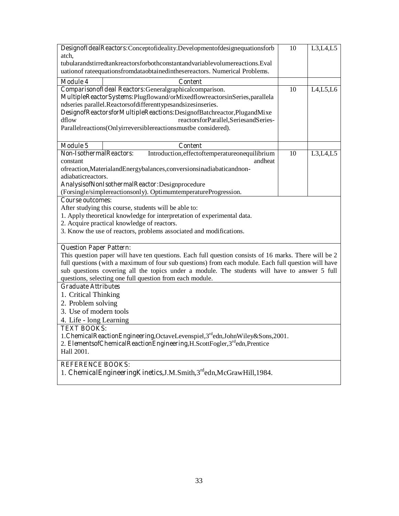| DesignofIdealReactors:Conceptofideality.Developmentofdesignequationsforb                              | 10    | L3,L4,L5   |  |  |  |  |  |
|-------------------------------------------------------------------------------------------------------|-------|------------|--|--|--|--|--|
|                                                                                                       | atch, |            |  |  |  |  |  |
| tubularandstirredtankreactorsforbothconstantandvariablevolumereactions.Eval                           |       |            |  |  |  |  |  |
| uationof rateequationsfromdataobtainedinthesereactors. Numerical Problems.                            |       |            |  |  |  |  |  |
| <b>Module 4</b><br><b>Content</b>                                                                     |       |            |  |  |  |  |  |
| Comparison of Ideal Reactors: General graphical comparison.                                           | 10    | L4, L5, L6 |  |  |  |  |  |
| MultipleReactorSystems:Plugflowand/orMixedflowreactorsinSeries,parallela                              |       |            |  |  |  |  |  |
| ndseries parallel.Reactorsofdifferenttypesandsizesinseries.                                           |       |            |  |  |  |  |  |
| DesignofReactorsforMultipleReactions:DesignofBatchreactor,PlugandMixe                                 |       |            |  |  |  |  |  |
| dflow<br>reactorsforParallel,SeriesandSeries-                                                         |       |            |  |  |  |  |  |
| Parallelreactions(Onlyirreversiblereactionsmustbe considered).                                        |       |            |  |  |  |  |  |
|                                                                                                       |       |            |  |  |  |  |  |
| Module 5<br><b>Content</b>                                                                            |       |            |  |  |  |  |  |
| <b>Non-IsothermalReactors:</b><br>Introduction, effectoftemperatureonequilibrium                      | 10    | L3,L4,L5   |  |  |  |  |  |
| constant<br>andheat                                                                                   |       |            |  |  |  |  |  |
| ofreaction, Materialand Energybalances, conversions inadiabaticand non-                               |       |            |  |  |  |  |  |
| adiabaticreactors.                                                                                    |       |            |  |  |  |  |  |
| AnalysisofNonIsothermalReactor:Designprocedure                                                        |       |            |  |  |  |  |  |
| (Forsingle/simplereactionsonly). OptimumtemperatureProgression.                                       |       |            |  |  |  |  |  |
| <b>Course outcomes:</b>                                                                               |       |            |  |  |  |  |  |
| After studying this course, students will be able to:                                                 |       |            |  |  |  |  |  |
| 1. Apply theoretical knowledge for interpretation of experimental data.                               |       |            |  |  |  |  |  |
| 2. Acquire practical knowledge of reactors.                                                           |       |            |  |  |  |  |  |
| 3. Know the use of reactors, problems associated and modifications.                                   |       |            |  |  |  |  |  |
| <b>Question Paper Pattern:</b>                                                                        |       |            |  |  |  |  |  |
| This question paper will have ten questions. Each full question consists of 16 marks. There will be 2 |       |            |  |  |  |  |  |
| full questions (with a maximum of four sub questions) from each module. Each full question will have  |       |            |  |  |  |  |  |
| sub questions covering all the topics under a module. The students will have to answer 5 full         |       |            |  |  |  |  |  |
| questions, selecting one full question from each module.                                              |       |            |  |  |  |  |  |
| <b>Graduate Attributes</b>                                                                            |       |            |  |  |  |  |  |
| 1. Critical Thinking                                                                                  |       |            |  |  |  |  |  |
| 2. Problem solving                                                                                    |       |            |  |  |  |  |  |
| 3. Use of modern tools                                                                                |       |            |  |  |  |  |  |
| 4. Life - long Learning                                                                               |       |            |  |  |  |  |  |
| <b>TEXT BOOKS:</b>                                                                                    |       |            |  |  |  |  |  |
| 1. ChemicalReactionEngineering,OctaveLevenspiel,3rdedn,JohnWiley&Sons,2001.                           |       |            |  |  |  |  |  |
| 2. ElementsofChemicalReactionEngineering, H.ScottFogler, 3rdedn, Prentice                             |       |            |  |  |  |  |  |
| Hall 2001.                                                                                            |       |            |  |  |  |  |  |
| <b>REFERENCE BOOKS:</b>                                                                               |       |            |  |  |  |  |  |
| 1. ChemicalEngineeringKinetics, J.M. Smith, 3rd edn, McGrawHill, 1984.                                |       |            |  |  |  |  |  |
|                                                                                                       |       |            |  |  |  |  |  |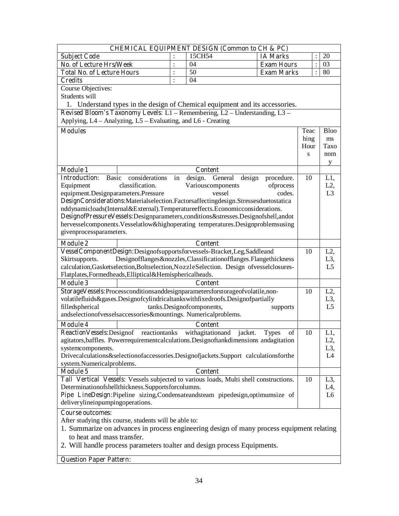| <b>CHEMICAL EQUIPMENT DESIGN (Common to CH &amp; PC)</b>                                                                                                      |                |                                    |                               |      |                |                  |  |
|---------------------------------------------------------------------------------------------------------------------------------------------------------------|----------------|------------------------------------|-------------------------------|------|----------------|------------------|--|
| <b>Subject Code</b>                                                                                                                                           |                | 15CH54                             | <b>IA Marks</b>               |      |                | 20               |  |
| No. of Lecture Hrs/Week                                                                                                                                       | $\ddot{\cdot}$ | 04                                 | <b>Exam Hours</b>             |      | $\ddot{\cdot}$ | 03               |  |
| <b>Total No. of Lecture Hours</b>                                                                                                                             | $\ddot{\cdot}$ | 50                                 | <b>Exam Marks</b>             |      |                | 80               |  |
| <b>Credits</b>                                                                                                                                                | $\ddot{\cdot}$ | 04                                 |                               |      |                |                  |  |
| Course Objectives:                                                                                                                                            |                |                                    |                               |      |                |                  |  |
| Students will                                                                                                                                                 |                |                                    |                               |      |                |                  |  |
| 1. Understand types in the design of Chemical equipment and its accessories.                                                                                  |                |                                    |                               |      |                |                  |  |
| Revised Bloom's Taxonomy Levels: L1 - Remembering, L2 - Understanding, L3 -                                                                                   |                |                                    |                               |      |                |                  |  |
| Applying, L4 – Analyzing, L5 – Evaluating, and L6 - Creating                                                                                                  |                |                                    |                               |      |                |                  |  |
| <b>Modules</b>                                                                                                                                                |                |                                    |                               | Teac |                | <b>Bloo</b>      |  |
|                                                                                                                                                               |                |                                    |                               | hing |                | ms               |  |
|                                                                                                                                                               |                |                                    |                               | Hour |                | Taxo             |  |
|                                                                                                                                                               |                |                                    |                               | S    |                | nom              |  |
|                                                                                                                                                               |                |                                    |                               |      |                | y                |  |
| <b>Module 1</b>                                                                                                                                               |                | <b>Content</b>                     |                               |      |                |                  |  |
| <b>Basic</b><br><b>Introduction:</b><br>considerations                                                                                                        | in             | design. General                    | design<br>procedure.          | 10   |                | L1,              |  |
| classification.<br>Equipment                                                                                                                                  |                | Variouscomponents                  | ofprocess                     |      |                | L2,              |  |
| equipment.Designparameters.Pressure                                                                                                                           |                | vessel                             | codes.                        |      |                | L <sub>3</sub>   |  |
| DesignConsiderations: Materialselection. Factorsaffectingdesign. Stressesduetostatica                                                                         |                |                                    |                               |      |                |                  |  |
| nddynamicloads(Internal&External).Temperatureeffects.Economicconsiderations.                                                                                  |                |                                    |                               |      |                |                  |  |
| DesignofPressureVessels:Designparameters,conditions&stresses.Designofshell,andot                                                                              |                |                                    |                               |      |                |                  |  |
| hervesselcomponents. Vesselatlow&highoperating temperatures. Designproblemsusing                                                                              |                |                                    |                               |      |                |                  |  |
| givenprocessparameters.                                                                                                                                       |                |                                    |                               |      |                |                  |  |
| <b>Module 2</b>                                                                                                                                               |                | <b>Content</b>                     |                               |      |                |                  |  |
|                                                                                                                                                               |                |                                    |                               | 10   |                | $L2$ ,           |  |
| VesselComponentDesign:Designofsupportsforvessels-Bracket,Leg,Saddleand<br>Skirtsupports.<br>Designofflanges&nozzles,Classificationofflanges.Flangethickness   |                |                                    |                               |      |                | L3,              |  |
| calculation, Gasketselection, Boltselection, NozzleSelection. Design ofvesselclosures-                                                                        |                |                                    |                               |      |                | L <sub>5</sub>   |  |
| Flatplates, Formedheads, Elliptical&Hemisphericalheads.                                                                                                       |                |                                    |                               |      |                |                  |  |
| <b>Module 3</b>                                                                                                                                               |                | <b>Content</b>                     |                               |      |                |                  |  |
|                                                                                                                                                               |                |                                    |                               | 10   |                | $L2$ ,           |  |
| StorageVessels:Processconditionsanddesignparametersforstorageofvolatile,non-<br>volatilefluids&gases.Designofcylindricaltankswithfixedroofs.Designofpartially |                |                                    |                               |      |                | L <sub>3</sub> , |  |
| filledspherical<br>tanks.Designofcomponents,                                                                                                                  |                |                                    |                               |      |                | L <sub>5</sub>   |  |
| supports<br>andselectionofvesselsaccessories&mountings. Numericalproblems.                                                                                    |                |                                    |                               |      |                |                  |  |
|                                                                                                                                                               |                |                                    |                               |      |                |                  |  |
| <b>Module 4</b><br><b>Reaction Vessels: Designof</b><br>reactiontanks                                                                                         |                | <b>Content</b><br>withagitationand |                               | 10   |                | L1,              |  |
|                                                                                                                                                               |                |                                    | jacket.<br>of<br><b>Types</b> |      |                | L2,              |  |
| agitators, baffles. Powerrequirementcalculations. Designoftankdimensions andagitation<br>systemcomponents.                                                    |                |                                    |                               |      |                | L <sub>3</sub> , |  |
| Drivecalculations&selectionofaccessories.Designofjackets.Support calculationsforthe                                                                           |                |                                    |                               |      |                | L <sub>4</sub>   |  |
| system.Numericalproblems.                                                                                                                                     |                |                                    |                               |      |                |                  |  |
| <b>Module 5</b>                                                                                                                                               |                | <b>Content</b>                     |                               |      |                |                  |  |
|                                                                                                                                                               |                |                                    |                               | 10   |                | L <sub>3</sub> , |  |
| Tall Vertical Vessels: Vessels subjected to various loads, Multi shell constructions.<br>Determinationofshellthickness.Supportsforcolumns.                    |                |                                    |                               |      |                | L4,              |  |
| Pipe LineDesign:Pipeline sizing,Condensateandsteam pipedesign,optimumsize of                                                                                  |                |                                    |                               |      |                | L <sub>6</sub>   |  |
| deliverylineinpumpingoperations.                                                                                                                              |                |                                    |                               |      |                |                  |  |
|                                                                                                                                                               |                |                                    |                               |      |                |                  |  |
| <b>Course outcomes:</b>                                                                                                                                       |                |                                    |                               |      |                |                  |  |
| After studying this course, students will be able to:<br>1. Summarize on advances in process engineering design of many process equipment relating            |                |                                    |                               |      |                |                  |  |
|                                                                                                                                                               |                |                                    |                               |      |                |                  |  |
| to heat and mass transfer.                                                                                                                                    |                |                                    |                               |      |                |                  |  |
| 2. Will handle process parameters toalter and design process Equipments.                                                                                      |                |                                    |                               |      |                |                  |  |

**Question Paper Pattern:**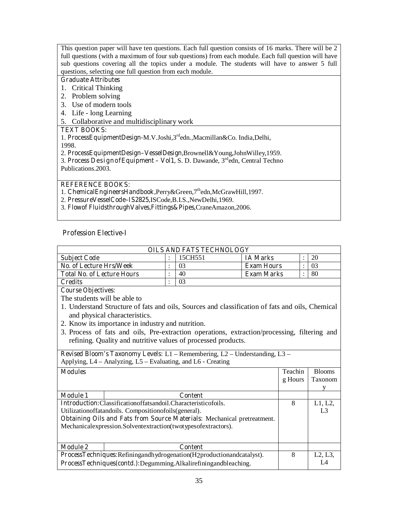This question paper will have ten questions. Each full question consists of 16 marks. There will be 2 full questions (with a maximum of four sub questions) from each module. Each full question will have sub questions covering all the topics under a module. The students will have to answer 5 full questions, selecting one full question from each module.

#### **Graduate Attributes**

- 1. Critical Thinking
- 2. Problem solving
- 3. Use of modern tools
- 4. Life long Learning
- 5. Collaborative and multidisciplinary work

#### **TEXT BOOKS:**

1. **ProcessEquipmentDesign-**M.V.Joshi,3rdedn.,Macmillan&Co. India,Delhi,

1998.

2. **ProcessEquipmentDesign–VesselDesign,**Brownell&Young,JohnWilley,1959.

3. **Process DesignofEquipment – Vol1,** S. D. Dawande, 3rdedn, Central Techno Publications.2003.

**REFERENCE BOOKS:** 

- 1. **ChemicalEngineersHandbook,**Perry&Green,7thedn,McGrawHill,1997.
- 2. **PressureVesselCode–IS2825,**ISCode,B.I.S.,NewDelhi,1969.
- 3. **Flowof FluidsthroughValves,Fittings&Pipes**,CraneAmazon,2006.

### **Profession Elective-I**

| <b>OILS AND FATS TECHNOLOGY</b>   |  |         |                   |  |    |  |
|-----------------------------------|--|---------|-------------------|--|----|--|
| <b>Subject Code</b>               |  | 15CH551 | <b>IA Marks</b>   |  | 20 |  |
| No. of Lecture Hrs/Week           |  |         | <b>Exam Hours</b> |  | 03 |  |
| <b>Total No. of Lecture Hours</b> |  | 40      | <b>Exam Marks</b> |  | 80 |  |
| Credits                           |  |         |                   |  |    |  |

**Course Objectives:** 

The students will be able to

- 1. Understand Structure of fats and oils, Sources and classification of fats and oils, Chemical and physical characteristics.
- 2. Know its importance in industry and nutrition.
- 3. Process of fats and oils, Pre-extraction operations, extraction/processing, filtering and refining. Quality and nutritive values of processed products.

**Revised Bloom's Taxonomy Levels:** L1 – Remembering, L2 – Understanding, L3 – Applying, L4 – Analyzing, L5 – Evaluating, and L6 - Creating

| <b>Modules</b>                                                               |                | Teachin | <b>Blooms</b>  |
|------------------------------------------------------------------------------|----------------|---------|----------------|
|                                                                              |                | g Hours | Taxonom        |
|                                                                              |                |         |                |
| <b>Module 1</b>                                                              | <b>Content</b> |         |                |
| <b>Introduction:</b> Classificationoffatsandoil.Characteristicofoils.        |                |         | L1, L2,        |
| Utilization of fatandoils. Composition of oils (general).                    |                |         | L <sub>3</sub> |
| Obtaining Oils and Fats from Source Materials: Mechanical pretreatment.      |                |         |                |
| Mechanical expression. Solvent extraction (two types of extractors).         |                |         |                |
|                                                                              |                |         |                |
|                                                                              |                |         |                |
| <b>Module 2</b>                                                              | <b>Content</b> |         |                |
| <b>ProcessTechniques:</b> Refiningandhydrogenation(H2productionandcatalyst). |                | 8       | L2, L3,        |
| ProcessTechniques(contd.):Degumming.Alkalirefiningandbleaching.              |                |         | I 4            |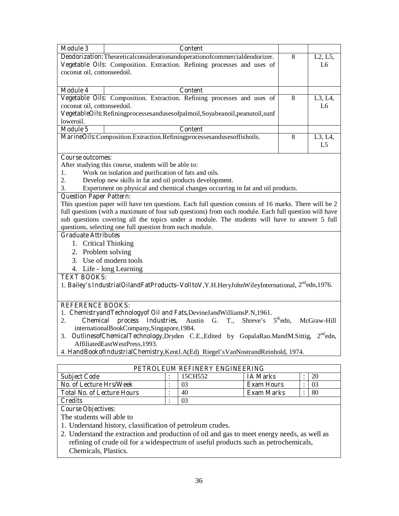| <b>Module 3</b>                                                                                       | <b>Content</b>                                                                                       |    |         |  |  |  |  |
|-------------------------------------------------------------------------------------------------------|------------------------------------------------------------------------------------------------------|----|---------|--|--|--|--|
| <b>Deodorization:</b> Theoreticalconsiderationandoperationofcommercialdeodorizer.                     |                                                                                                      |    | L2, L5, |  |  |  |  |
|                                                                                                       | <b>Vegetable Oils:</b> Composition. Extraction. Refining processes and uses of                       |    | L6      |  |  |  |  |
| coconut oil, cottonseedoil.                                                                           |                                                                                                      |    |         |  |  |  |  |
|                                                                                                       |                                                                                                      |    |         |  |  |  |  |
| <b>Module 4</b>                                                                                       | <b>Content</b>                                                                                       |    |         |  |  |  |  |
|                                                                                                       | Vegetable Oils: Composition. Extraction. Refining processes and uses of                              | 8  | L3, L4, |  |  |  |  |
| coconut oil, cottonseedoil.                                                                           |                                                                                                      |    | L6      |  |  |  |  |
| VegetableOils:Refiningprocessesandusesofpalmoil,Soyabeanoil,peanutoil,sunf                            |                                                                                                      |    |         |  |  |  |  |
| loweroil.                                                                                             |                                                                                                      |    |         |  |  |  |  |
| <b>Module 5</b>                                                                                       | <b>Content</b>                                                                                       |    |         |  |  |  |  |
| MarineOils:Composition.Extraction.Refiningprocessesandusesoffishoils.                                 |                                                                                                      |    | L3, L4, |  |  |  |  |
|                                                                                                       |                                                                                                      | L5 |         |  |  |  |  |
|                                                                                                       |                                                                                                      |    |         |  |  |  |  |
|                                                                                                       | <b>Course outcomes:</b>                                                                              |    |         |  |  |  |  |
| 1.                                                                                                    | After studying this course, students will be able to:                                                |    |         |  |  |  |  |
| 2.                                                                                                    | Work on isolation and purification of fats and oils.                                                 |    |         |  |  |  |  |
| Develop new skills in fat and oil products development.                                               |                                                                                                      |    |         |  |  |  |  |
| Experiment on physical and chemical changes occurring in fat and oil products.<br>3.                  |                                                                                                      |    |         |  |  |  |  |
| <b>Question Paper Pattern:</b>                                                                        |                                                                                                      |    |         |  |  |  |  |
| This question paper will have ten questions. Each full question consists of 16 marks. There will be 2 |                                                                                                      |    |         |  |  |  |  |
|                                                                                                       | full questions (with a maximum of four sub questions) from each module. Each full question will have |    |         |  |  |  |  |

sub questions covering all the topics under a module. The students will have to answer 5 full questions, selecting one full question from each module.

#### **Graduate Attributes**

- 1. Critical Thinking
- 2. Problem solving
- 3. Use of modern tools
- 4. Life long Learning

#### **TEXT BOOKS:**

1. **Bailey's IndustrialOilandFatProducts–VolItoV,**Y.H.HeryJohnWileyInternational, 2ndedn,1976.

#### **REFERENCE BOOKS:**

- 1. **ChemistryandTechnologyof Oil and Fats,**DevineJandWilliamsP.N,1961.
- 2. **Chemical process Industries,** Austin G. T., Shreve's 5<sup>th</sup>edn, McGraw-Hill internationalBookCompany,Singapore,1984.
- 3. **OutlinesofChemicalTechnology,Dryden** C.E.,Edited by GopalaRao.MandM.Sittig, 2<sup>nd</sup>edn, AffiliatedEastWestPress,1993.
- 4. **HandBookofIndustrialChemistry**,KentJ.A(Ed) Riegel'sVanNostrandReinhold, 1974.

| PETROLEUM REFINERY ENGINEERING    |  |         |                   |  |    |  |  |
|-----------------------------------|--|---------|-------------------|--|----|--|--|
| <b>Subject Code</b>               |  | 15CH552 | <b>IA Marks</b>   |  | 20 |  |  |
| No. of Lecture Hrs/Week           |  |         | <b>Exam Hours</b> |  | 03 |  |  |
| <b>Total No. of Lecture Hours</b> |  | 40      | <b>Exam Marks</b> |  | 80 |  |  |
| <b>Credits</b>                    |  |         |                   |  |    |  |  |

#### **Course Objectives:**

The students will able to

- 1. Understand history, classification of petroleum crudes.
- 2. Understand the extraction and production of oil and gas to meet energy needs, as well as refining of crude oil for a widespectrum of useful products such as petrochemicals, Chemicals, Plastics.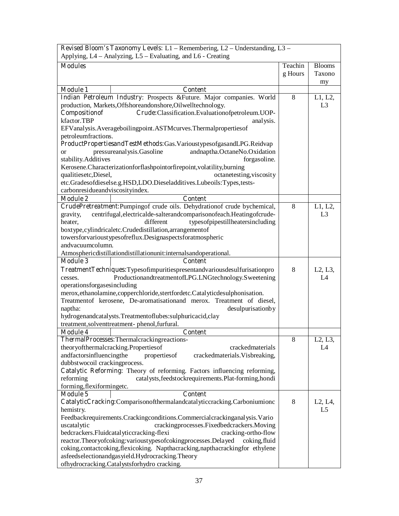| Revised Bloom's Taxonomy Levels: L1 - Remembering, L2 - Understanding, L3 -                                                       |         |                                   |
|-----------------------------------------------------------------------------------------------------------------------------------|---------|-----------------------------------|
| Applying, L4 – Analyzing, L5 – Evaluating, and L6 - Creating                                                                      |         |                                   |
| <b>Modules</b>                                                                                                                    | Teachin | <b>Blooms</b>                     |
|                                                                                                                                   | g Hours | Taxono                            |
|                                                                                                                                   |         | my                                |
| <b>Module 1</b><br><b>Content</b>                                                                                                 |         |                                   |
| Indian Petroleum Industry: Prospects &Future. Major companies. World                                                              | 8       | L1, L2,                           |
| production, Markets, Offshoreandonshore, Oilwelltechnology.                                                                       |         | L <sub>3</sub>                    |
| Compositionof<br>Crude:Classification.Evaluationofpetroleum.UOP-                                                                  |         |                                   |
| kfactor.TBP<br>analysis.                                                                                                          |         |                                   |
| EFVanalysis.Averageboilingpoint.ASTMcurves.Thermalpropertiesof                                                                    |         |                                   |
| petroleumfractions.                                                                                                               |         |                                   |
| ProductPropertiesandTestMethods:Gas.VarioustypesofgasandLPG.Reidvap                                                               |         |                                   |
| pressureanalysis.Gasoline<br>andnaptha.OctaneNo.Oxidation<br><sub>or</sub>                                                        |         |                                   |
| stability.Additives<br>forgasoline.                                                                                               |         |                                   |
| Kerosene.Characterizationforflashpointorfirepoint, volatility, burning                                                            |         |                                   |
| qualitiesetc, Diesel,<br>octanetesting, viscosity                                                                                 |         |                                   |
| etc.Gradesofdieselse.g.HSD,LDO.Dieseladditives.Lubeoils:Types,tests-                                                              |         |                                   |
| carbonresidueandviscosityindex.                                                                                                   |         |                                   |
| <b>Module 2</b><br><b>Content</b>                                                                                                 |         |                                   |
| CrudePretreatment:Pumpingof crude oils. Dehydrationof crude bychemical,                                                           | 8       | L1, L2,                           |
| centrifugal, electricalde-salterandcomparisonofeach. Heating of crude-<br>gravity,                                                |         | L <sub>3</sub>                    |
| different<br>typesofpipestillheatersincluding<br>heater,                                                                          |         |                                   |
| boxtype, cylindricaletc. Crudedistillation, arrangement of                                                                        |         |                                   |
| towersforvarioustypesofreflux.Designaspectsforatmospheric                                                                         |         |                                   |
| andvacuumcolumn.                                                                                                                  |         |                                   |
| Atmosphericdistillationdistillationunit:internalsandoperational.                                                                  |         |                                   |
| <b>Content</b><br><b>Module 3</b>                                                                                                 |         |                                   |
| TreatmentTechniques:Typesofimpuritiespresentandvariousdesulfurisationpro                                                          | 8       | L <sub>2</sub> , L <sub>3</sub> , |
| ProductionandtreatmentofLPG.LNGtechnology.Sweetening<br>cesses.                                                                   |         | L4                                |
| operationsforgasesincluding                                                                                                       |         |                                   |
| merox, ethanolamine, copperchloride, stertfordetc. Catalyticdesulphonisation.                                                     |         |                                   |
| Treatmentof kerosene, De-aromatisationand merox. Treatment of diesel,                                                             |         |                                   |
| desulpurisationby<br>naptha:                                                                                                      |         |                                   |
| hydrogenandcatalysts.Treatmentoflubes:sulphuricacid,clay                                                                          |         |                                   |
| treatment, solventtreatment-phenol, furfural.                                                                                     |         |                                   |
| <b>Module 4</b><br><b>Content</b>                                                                                                 |         |                                   |
| ThermalProcesses: Thermalcrackingreactions-                                                                                       | 8       | L2, L3,                           |
| theoryofthermalcracking.Propertiesof<br>crackedmaterials                                                                          |         | L4                                |
| andfactorsinfluencingthe<br>properties of<br>crackedmaterials. Visbreaking,                                                       |         |                                   |
| dubbstwocoil crackingprocess.                                                                                                     |         |                                   |
| Catalytic Reforming: Theory of reforming. Factors influencing reforming,<br>catalysts, feedstockrequirements. Plat-forming, hondi |         |                                   |
| reforming<br>forming, flexiformingetc.                                                                                            |         |                                   |
| <b>Module 5</b><br><b>Content</b>                                                                                                 |         |                                   |
| CatalyticCracking:Comparisonofthermalandcatalyticcracking.Carboniumionc                                                           | 8       | L2, L4,                           |
| hemistry.                                                                                                                         |         | L5                                |
| Feedbackrequirements.Crackingconditions.Commercialcrackinganalysis.Vario                                                          |         |                                   |
| crackingprocesses.Fixedbedcrackers.Moving<br>uscatalytic                                                                          |         |                                   |
| bedcrackers. Fluidcatal yticcracking-flexi<br>cracking-ortho-flow                                                                 |         |                                   |
| reactor.Theoryofcoking:varioustypesofcokingprocesses.Delayed<br>coking, fluid                                                     |         |                                   |
| coking, contact coking, flexicoking. Napthacracking, napthacracking for ethylene                                                  |         |                                   |
| asfeedselectionandgasyield.Hydrocracking.Theory                                                                                   |         |                                   |
| ofhydrocracking.Catalystsforhydro cracking.                                                                                       |         |                                   |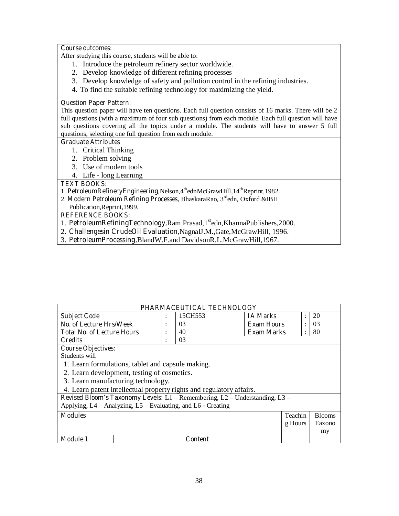After studying this course, students will be able to:

- 1. Introduce the petroleum refinery sector worldwide.
- 2. Develop knowledge of different refining processes
- 3. Develop knowledge of safety and pollution control in the refining industries.
- 4. To find the suitable refining technology for maximizing the yield.

#### **Question Paper Pattern:**

This question paper will have ten questions. Each full question consists of 16 marks. There will be 2 full questions (with a maximum of four sub questions) from each module. Each full question will have sub questions covering all the topics under a module. The students will have to answer 5 full questions, selecting one full question from each module.

#### **Graduate Attributes**

- 1. Critical Thinking
- 2. Problem solving
- 3. Use of modern tools
- 4. Life long Learning

### **TEXT BOOKS:**

- 1. **PetroleumRefineryEngineering**,Nelson,4<sup>th</sup>ednMcGrawHill,14<sup>th</sup>Reprint,1982.
- 2. **Modern Petroleum Refining Processes, BhaskaraRao, 3<sup>rd</sup>edn, Oxford &IBH**
- Publication,Reprint,1999.

- 1. **PetroleumRefiningTechnology,Ram Prasad,1**<sup>st</sup>edn,KhannaPublishers,2000.
- 2. **Challengesin CrudeOil Evaluation,**NagnalJ.M.,Gate,McGrawHill, 1996.
- 3. **PetroleumProcessing,**BlandW.F.and DavidsonR.L.McGrawHill,1967.

|                                                                             |              | PHARMACEUTICAL TECHNOLOGY |                   |                |               |
|-----------------------------------------------------------------------------|--------------|---------------------------|-------------------|----------------|---------------|
| <b>Subject Code</b>                                                         |              | 15CH553                   | <b>IA Marks</b>   | $\ddot{\cdot}$ | 20            |
| <b>No. of Lecture Hrs/Week</b>                                              | ٠<br>$\cdot$ | 03                        | <b>Exam Hours</b> | $\bullet$      | 03            |
| <b>Total No. of Lecture Hours</b>                                           | ٠            | 40                        | <b>Exam Marks</b> | $\ddot{\cdot}$ | 80            |
| <b>Credits</b>                                                              | $\bullet$    | 03                        |                   |                |               |
| <b>Course Objectives:</b>                                                   |              |                           |                   |                |               |
| Students will                                                               |              |                           |                   |                |               |
| 1. Learn formulations, tablet and capsule making.                           |              |                           |                   |                |               |
| 2. Learn development, testing of cosmetics.                                 |              |                           |                   |                |               |
| 3. Learn manufacturing technology.                                          |              |                           |                   |                |               |
| 4. Learn patent intellectual property rights and regulatory affairs.        |              |                           |                   |                |               |
| Revised Bloom's Taxonomy Levels: L1 - Remembering, L2 - Understanding, L3 - |              |                           |                   |                |               |
| Applying, L4 – Analyzing, L5 – Evaluating, and L6 - Creating                |              |                           |                   |                |               |
| <b>Modules</b>                                                              |              |                           |                   | Teachin        | <b>Blooms</b> |
|                                                                             |              |                           |                   | g Hours        | Taxono        |
|                                                                             |              |                           |                   |                | my            |
| <b>Module 1</b>                                                             |              | Content                   |                   |                |               |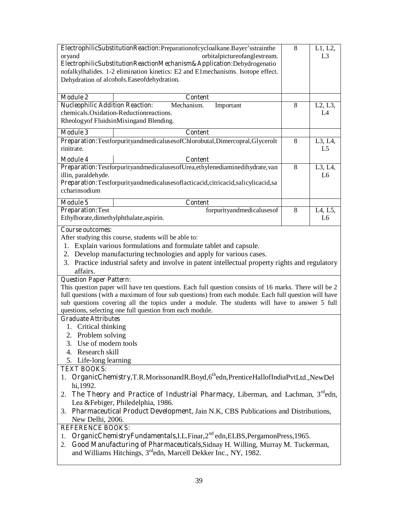|                                                                                                      | ElectrophilicSubstitutionReaction:Preparationofcycloalkane.Bayer'sstrainthe                           | 8 | L1, L2,        |  |  |  |
|------------------------------------------------------------------------------------------------------|-------------------------------------------------------------------------------------------------------|---|----------------|--|--|--|
| oryand                                                                                               | orbitalpictureofanglestream.                                                                          |   | L <sub>3</sub> |  |  |  |
| ElectrophilicSubstitutionReactionMechanism&Application:Dehydrogenatio                                |                                                                                                       |   |                |  |  |  |
| nofalkylhalides. 1-2 elimination kinetics: E2 and E1mechanisms. Isotope effect.                      |                                                                                                       |   |                |  |  |  |
|                                                                                                      | Dehydration of alcohols. Ease of dehydration.                                                         |   |                |  |  |  |
|                                                                                                      |                                                                                                       |   |                |  |  |  |
| <b>Module 2</b>                                                                                      | <b>Content</b>                                                                                        |   |                |  |  |  |
| <b>Nucleophilic Addition Reaction:</b>                                                               | Mechanism.<br>Important<br>chemicals. Oxidation-Reduction reactions.                                  | 8 | L2, L3,<br>L4  |  |  |  |
|                                                                                                      | Rheologyof FluidsinMixingand Blending.                                                                |   |                |  |  |  |
|                                                                                                      |                                                                                                       |   |                |  |  |  |
| <b>Module 3</b>                                                                                      | <b>Content</b>                                                                                        |   |                |  |  |  |
| rinitrate.                                                                                           | Preparation:TestforpurityandmedicalusesofChlorobutal,Dimercopral,Glycerolt                            | 8 | L3, L4,<br>L5  |  |  |  |
| <b>Module 4</b>                                                                                      | Content                                                                                               |   |                |  |  |  |
|                                                                                                      | Preparation:TestforpurityandmedicalusesofUrea,ethylenediaminedihydrate, van                           | 8 | $L3$ , $L4$ ,  |  |  |  |
| illin, paraldehyde.                                                                                  |                                                                                                       |   | L <sub>6</sub> |  |  |  |
|                                                                                                      | Preparation:Testforpurityandmedicalusesoflacticacid,citricacid,salicylicacid,sa                       |   |                |  |  |  |
| ccharinsodium                                                                                        |                                                                                                       |   |                |  |  |  |
| <b>Module 5</b>                                                                                      | <b>Content</b>                                                                                        |   |                |  |  |  |
| <b>Preparation: Test</b>                                                                             | forpurityandmedicalusesof                                                                             | 8 | L4, L5,        |  |  |  |
| Ethylborate, dimethylphthalate, aspirin.                                                             |                                                                                                       |   | L <sub>6</sub> |  |  |  |
| <b>Course outcomes:</b>                                                                              |                                                                                                       |   |                |  |  |  |
|                                                                                                      | After studying this course, students will be able to:                                                 |   |                |  |  |  |
| 1.                                                                                                   | Explain various formulations and formulate tablet and capsule.                                        |   |                |  |  |  |
|                                                                                                      | 2. Develop manufacturing technologies and apply for various cases.                                    |   |                |  |  |  |
| 3. Practice industrial safety and involve in patent intellectual property rights and regulatory      |                                                                                                       |   |                |  |  |  |
| affairs.                                                                                             |                                                                                                       |   |                |  |  |  |
| <b>Question Paper Pattern:</b>                                                                       |                                                                                                       |   |                |  |  |  |
|                                                                                                      | This question paper will have ten questions. Each full question consists of 16 marks. There will be 2 |   |                |  |  |  |
| full questions (with a maximum of four sub questions) from each module. Each full question will have |                                                                                                       |   |                |  |  |  |
| sub questions covering all the topics under a module. The students will have to answer 5 full        |                                                                                                       |   |                |  |  |  |
|                                                                                                      | questions, selecting one full question from each module.                                              |   |                |  |  |  |
| <b>Graduate Attributes</b>                                                                           |                                                                                                       |   |                |  |  |  |
| 1. Critical thinking                                                                                 |                                                                                                       |   |                |  |  |  |
| 2. Problem solving<br>3. Use of modern tools                                                         |                                                                                                       |   |                |  |  |  |
|                                                                                                      |                                                                                                       |   |                |  |  |  |
| 4. Research skill<br>5. Life-long learning                                                           |                                                                                                       |   |                |  |  |  |
| <b>TEXT BOOKS:</b>                                                                                   |                                                                                                       |   |                |  |  |  |
|                                                                                                      | 1. OrganicChemistry,T.R.MorissonandR.Boyd,6 <sup>th</sup> edn,PrenticeHallofIndiaPvtLtd.,NewDel       |   |                |  |  |  |
| hi, 1992.                                                                                            |                                                                                                       |   |                |  |  |  |
| 2.                                                                                                   | The Theory and Practice of Industrial Pharmacy, Liberman, and Lachman, 3 <sup>rd</sup> edn,           |   |                |  |  |  |
|                                                                                                      | Lea & Febiger, Philedelphia, 1986.                                                                    |   |                |  |  |  |
|                                                                                                      | 3. Pharmaceutical Product Development, Jain N.K., CBS Publications and Distributions,                 |   |                |  |  |  |
| New Delhi, 2006.                                                                                     |                                                                                                       |   |                |  |  |  |
| <b>REFERENCE BOOKS:</b>                                                                              |                                                                                                       |   |                |  |  |  |
| 1.                                                                                                   | OrganicChemistryFundamentals, I.L.Finar, 2 <sup>nd</sup> edn, ELBS, PergamonPress, 1965.              |   |                |  |  |  |
| 2.                                                                                                   | Good Manufacturing of Pharmaceuticals, Sidnay H. Willing, Murray M. Tuckerman,                        |   |                |  |  |  |
|                                                                                                      | and Williams Hitchings, 3 <sup>rd</sup> edn, Marcell Dekker Inc., NY, 1982.                           |   |                |  |  |  |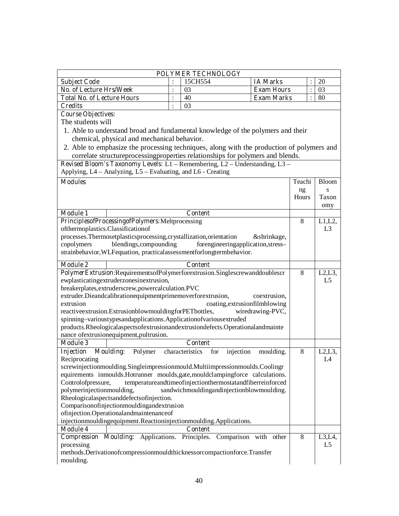|                                                                                                                                             |                | POLYMER TECHNOLOGY                                        |                       |                |                           |
|---------------------------------------------------------------------------------------------------------------------------------------------|----------------|-----------------------------------------------------------|-----------------------|----------------|---------------------------|
| <b>Subject Code</b>                                                                                                                         |                | 15CH554                                                   | <b>IA Marks</b>       |                | 20                        |
| No. of Lecture Hrs/Week                                                                                                                     | $\ddot{\cdot}$ | 03                                                        | <b>Exam Hours</b>     | $\ddot{\cdot}$ | 03                        |
| <b>Total No. of Lecture Hours</b>                                                                                                           | $\ddot{\cdot}$ | 40                                                        | <b>Exam Marks</b>     | $\ddot{\cdot}$ | 80                        |
| <b>Credits</b>                                                                                                                              | $\ddot{\cdot}$ | 03                                                        |                       |                |                           |
| <b>Course Objectives:</b>                                                                                                                   |                |                                                           |                       |                |                           |
| The students will                                                                                                                           |                |                                                           |                       |                |                           |
| 1. Able to understand broad and fundamental knowledge of the polymers and their                                                             |                |                                                           |                       |                |                           |
| chemical, physical and mechanical behavior.                                                                                                 |                |                                                           |                       |                |                           |
| 2. Able to emphasize the processing techniques, along with the production of polymers and                                                   |                |                                                           |                       |                |                           |
| correlate structure processing properties relationships for polymers and blends.                                                            |                |                                                           |                       |                |                           |
| Revised Bloom's Taxonomy Levels: L1 - Remembering, L2 - Understanding, L3 -                                                                 |                |                                                           |                       |                |                           |
| Applying, L4 – Analyzing, L5 – Evaluating, and L6 - Creating                                                                                |                |                                                           |                       |                |                           |
| <b>Modules</b>                                                                                                                              |                |                                                           |                       | Teachi         | <b>Bloom</b>              |
|                                                                                                                                             |                |                                                           |                       | ng             | S                         |
|                                                                                                                                             |                |                                                           |                       | Hours          | Taxon                     |
|                                                                                                                                             |                |                                                           |                       |                | omy                       |
| <b>Module 1</b>                                                                                                                             |                | <b>Content</b>                                            |                       |                |                           |
| PrinciplesofProcessingofPolymers:Meltprocessing                                                                                             |                |                                                           |                       | 8              | L1, L2,                   |
| ofthermoplastics.Classificationof                                                                                                           |                |                                                           |                       |                | L <sub>3</sub>            |
| processes. Thermosetplasticsprocessing, crystallization, orientation                                                                        |                |                                                           | &shrinkage,           |                |                           |
| blendings, compounding<br>copolymers                                                                                                        |                | forengineeringapplication, stress-                        |                       |                |                           |
| strainbehavior, WLFequation, practicalassessmentforlongtermbehavior.                                                                        |                |                                                           |                       |                |                           |
|                                                                                                                                             |                |                                                           |                       |                |                           |
| <b>Module 2</b>                                                                                                                             |                | <b>Content</b>                                            |                       | 8              |                           |
| PolymerExtrusion:RequirementsofPolymerforextrusion.Singlescrewanddoublescr<br>ewplasticatingextruderzonesinextrusion,                       |                |                                                           |                       |                | L2, L3,<br>L <sub>5</sub> |
| breakerplates, extruderscrew, powercal culation. PVC                                                                                        |                |                                                           |                       |                |                           |
| extruder.Dieandcalibrationequipmentprimemoverforextrusion,                                                                                  |                |                                                           | coextrusion,          |                |                           |
| extrusion                                                                                                                                   |                | coating, extrusionfilmblowing                             |                       |                |                           |
| reactive<br>extrusion.ExtrusionblowmouldingforPETbottles,                                                                                   |                |                                                           | wiredrawing-PVC,      |                |                           |
| spinning-varioustypesandapplications.Applicationofvariousextruded                                                                           |                |                                                           |                       |                |                           |
| products.Rheologicalaspectsofextrusionandextrusiondefects.Operationalandmainte                                                              |                |                                                           |                       |                |                           |
| nance of extrusionequipment, pultrusion.                                                                                                    |                |                                                           |                       |                |                           |
| <b>Module 3</b>                                                                                                                             |                | <b>Content</b>                                            |                       |                |                           |
| Injection<br><b>Moulding:</b><br>Polymer                                                                                                    |                | characteristics<br>injection<br>for                       | moulding.             | 8              | L2, L3,                   |
| Reciprocating                                                                                                                               |                |                                                           |                       |                | L4                        |
| screwinjectionmoulding.Singleimpressionmould.Multiimpressionmoulds.Coolingr                                                                 |                |                                                           |                       |                |                           |
| equirements inmoulds. Hotrunner moulds, gate, mouldclampingforce calculations.                                                              |                |                                                           |                       |                |                           |
| Controlofpressure,                                                                                                                          |                | temperatureandtimeofinjectionthermostatandfiberreinforced |                       |                |                           |
| polymerinjectionmoulding,                                                                                                                   |                | sandwichmouldingandinjectionblowmoulding.                 |                       |                |                           |
| Rheologicalaspectsanddefectsofinjection.                                                                                                    |                |                                                           |                       |                |                           |
| Comparisonofinjectionmouldingandextrusion                                                                                                   |                |                                                           |                       |                |                           |
| ofinjection.Operationalandmaintenanceof                                                                                                     |                |                                                           |                       |                |                           |
| injectionmouldingequipment.Reactioninjectionmoulding.Applications.                                                                          |                |                                                           |                       |                |                           |
| <b>Module 4</b>                                                                                                                             |                | <b>Content</b>                                            |                       |                |                           |
| Moulding: Applications. Principles.<br>Compression<br>processing<br>methods.Derivationofcompressionmouldthicknessorcompactionforce.Transfer |                |                                                           | Comparison with other | 8              | L3, L4,<br>L <sub>5</sub> |
| moulding.                                                                                                                                   |                |                                                           |                       |                |                           |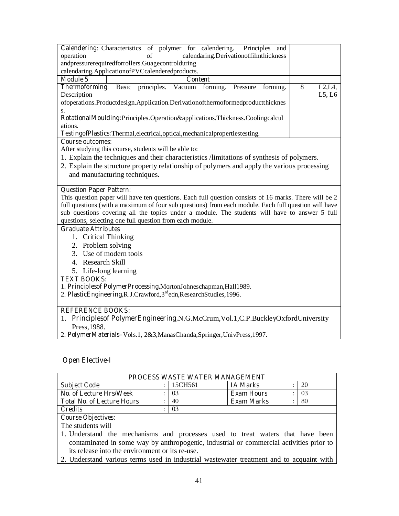|                                                                              |    | <b>Calendering:</b> Characteristics of polymer for calendering.                       | Principles and                        |   |        |
|------------------------------------------------------------------------------|----|---------------------------------------------------------------------------------------|---------------------------------------|---|--------|
| operation                                                                    | of |                                                                                       | calendaring.Derivationoffilmthickness |   |        |
| and pressure required for rollers. Guage control during                      |    |                                                                                       |                                       |   |        |
| calendaring. Application of PVC calendered products.                         |    |                                                                                       |                                       |   |        |
| Module 5                                                                     |    | <b>Content</b>                                                                        |                                       |   |        |
|                                                                              |    | <b>Thermoforming:</b> Basic principles. Vacuum forming.                               | forming.<br>Pressure                  | 8 | L2, LA |
| Description                                                                  |    |                                                                                       |                                       |   | L5, L6 |
|                                                                              |    | ofoperations. Productdesign. Application. Derivation of thermoformed product thicknes |                                       |   |        |
| S.                                                                           |    |                                                                                       |                                       |   |        |
| RotationalMoulding:Principles.Operation&applications.Thickness.Coolingcalcul |    |                                                                                       |                                       |   |        |
| ations.                                                                      |    |                                                                                       |                                       |   |        |
|                                                                              |    | TestingofPlastics:Thermal,electrical,optical,mechanicalpropertiestesting.             |                                       |   |        |

After studying this course, students will be able to:

- 1. Explain the techniques and their characteristics /limitations of synthesis of polymers.
- 2. Explain the structure property relationship of polymers and apply the various processing and manufacturing techniques.

#### **Question Paper Pattern:**

This question paper will have ten questions. Each full question consists of 16 marks. There will be 2 full questions (with a maximum of four sub questions) from each module. Each full question will have sub questions covering all the topics under a module. The students will have to answer 5 full questions, selecting one full question from each module.

#### **Graduate Attributes**

- 1. Critical Thinking
- 2. Problem solving
- 3. Use of modern tools
- 4. Research Skill
- 5. Life-long learning

### **TEXT BOOKS:**

- 1. **Principlesof PolymerProcessing,**MortonJohneschapman,Hall1989.
- 2. **PlasticEngineering,**R.J.Crawford,3rdedn,ResearchStudies,1996.

#### **REFERENCE BOOKS:**

- 1. **Principlesof PolymerEngineering,**N.G.McCrum,Vol.1,C.P.BuckleyOxfordUniversity Press,1988.
- 2. **PolymerMaterials–**Vols.1, 2&3,ManasChanda,Springer,UnivPress,1997.

#### **Open Elective-I**

| PROCESS WASTE WATER MANAGEMENT                                                          |  |         |                   |  |    |
|-----------------------------------------------------------------------------------------|--|---------|-------------------|--|----|
| <b>Subject Code</b>                                                                     |  | 15CH561 | <b>IA Marks</b>   |  | 20 |
| No. of Lecture Hrs/Week                                                                 |  | 03      | <b>Exam Hours</b> |  | 03 |
| <b>Total No. of Lecture Hours</b>                                                       |  | 40      | <b>Exam Marks</b> |  | 80 |
| <b>Credits</b>                                                                          |  | 03      |                   |  |    |
| <b>Course Objectives:</b>                                                               |  |         |                   |  |    |
| The students will                                                                       |  |         |                   |  |    |
| 1. Understand the mechanisms and processes used to treat waters that have been          |  |         |                   |  |    |
| contaminated in some way by anthropogenic, industrial or commercial activities prior to |  |         |                   |  |    |

its release into the environment or its re-use.

2. Understand various terms used in industrial wastewater treatment and to acquaint with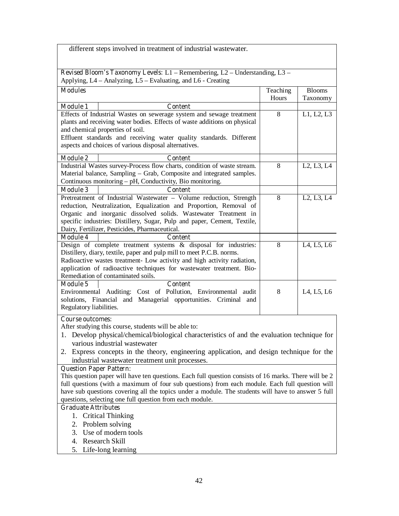|                                | different steps involved in treatment of industrial wastewater.                                                                   |          |               |
|--------------------------------|-----------------------------------------------------------------------------------------------------------------------------------|----------|---------------|
|                                |                                                                                                                                   |          |               |
|                                | Revised Bloom's Taxonomy Levels: L1 - Remembering, L2 - Understanding, L3 -                                                       |          |               |
|                                | Applying, L4 – Analyzing, L5 – Evaluating, and L6 - Creating                                                                      |          |               |
| <b>Modules</b>                 |                                                                                                                                   | Teaching | <b>Blooms</b> |
|                                |                                                                                                                                   | Hours    | Taxonomy      |
| <b>Module 1</b>                | <b>Content</b>                                                                                                                    |          |               |
|                                | Effects of Industrial Wastes on sewerage system and sewage treatment                                                              | 8        | L1, L2, L3    |
|                                | plants and receiving water bodies. Effects of waste additions on physical                                                         |          |               |
|                                | and chemical properties of soil.<br>Effluent standards and receiving water quality standards. Different                           |          |               |
|                                | aspects and choices of various disposal alternatives.                                                                             |          |               |
|                                |                                                                                                                                   |          |               |
| <b>Module 2</b>                | Content                                                                                                                           |          |               |
|                                | Industrial Wastes survey-Process flow charts, condition of waste stream.                                                          | 8        | L2, L3, L4    |
|                                | Material balance, Sampling - Grab, Composite and integrated samples.<br>Continuous monitoring – pH, Conductivity, Bio monitoring. |          |               |
| <b>Module 3</b>                | <b>Content</b>                                                                                                                    |          |               |
|                                | Pretreatment of Industrial Wastewater - Volume reduction, Strength                                                                | 8        | L2, L3, L4    |
|                                | reduction, Neutralization, Equalization and Proportion, Removal of                                                                |          |               |
|                                | Organic and inorganic dissolved solids. Wastewater Treatment in                                                                   |          |               |
|                                | specific industries: Distillery, Sugar, Pulp and paper, Cement, Textile,                                                          |          |               |
|                                | Dairy, Fertilizer, Pesticides, Pharmaceutical.                                                                                    |          |               |
| <b>Module 4</b>                | <b>Content</b>                                                                                                                    |          |               |
|                                | Design of complete treatment systems & disposal for industries:                                                                   | 8        | L4, L5, L6    |
|                                | Distillery, diary, textile, paper and pulp mill to meet P.C.B. norms.                                                             |          |               |
|                                | Radioactive wastes treatment- Low activity and high activity radiation,                                                           |          |               |
|                                | application of radioactive techniques for wastewater treatment. Bio-<br>Remediation of contaminated soils.                        |          |               |
| <b>Module 5</b>                | <b>Content</b>                                                                                                                    |          |               |
|                                | Environmental Auditing: Cost of Pollution, Environmental audit                                                                    | 8        | L4, L5, L6    |
|                                | solutions, Financial and Managerial opportunities. Criminal and                                                                   |          |               |
| Regulatory liabilities.        |                                                                                                                                   |          |               |
| <b>Course outcomes:</b>        |                                                                                                                                   |          |               |
|                                | After studying this course, students will be able to:                                                                             |          |               |
|                                | Develop physical/chemical/biological characteristics of and the evaluation technique for                                          |          |               |
|                                | various industrial wastewater                                                                                                     |          |               |
| 2.                             | Express concepts in the theory, engineering application, and design technique for the                                             |          |               |
|                                | industrial was tewater treatment unit processes.                                                                                  |          |               |
| <b>Question Paper Pattern:</b> |                                                                                                                                   |          |               |
|                                | This question paper will have ten questions. Each full question consists of 16 marks. There will be 2                             |          |               |
|                                | full questions (with a maximum of four sub questions) from each module. Each full question will                                   |          |               |
|                                | have sub questions covering all the topics under a module. The students will have to answer 5 full                                |          |               |
|                                | questions, selecting one full question from each module.                                                                          |          |               |
| <b>Graduate Attributes</b>     |                                                                                                                                   |          |               |
| 1.                             | <b>Critical Thinking</b>                                                                                                          |          |               |
| 3.                             | 2. Problem solving<br>Use of modern tools                                                                                         |          |               |
|                                | 4. Research Skill                                                                                                                 |          |               |
|                                |                                                                                                                                   |          |               |

5. Life-long learning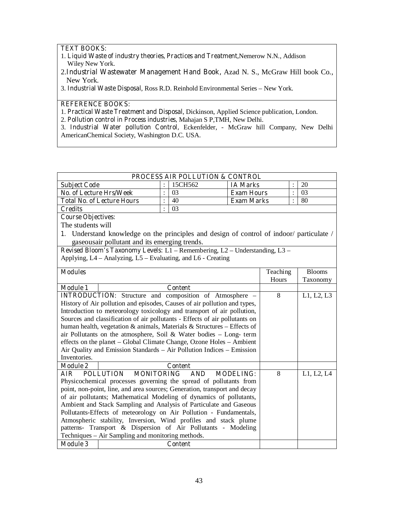### **TEXT BOOKS:**

- 1. **Liquid Waste of industry theories, Practices and Treatment,**Nemerow N.N., Addison Wiley New York.
- 2.**Industrial Wastewater Management Hand Book,** Azad N. S., McGraw Hill book Co., New York.
- 3. **Industrial Waste Disposal**, Ross R.D. Reinhold Environmental Series New York.

## **REFERENCE BOOKS:**

1. **Practical Waste Treatment and Disposal**, Dickinson, Applied Science publication, London.

2. **Pollution control in Process industries,** Mahajan S P,TMH, New Delhi.

3. **Industrial Water pollution Control,** Eckenfelder, - McGraw hill Company, New Delhi AmericanChemical Society, Washington D.C. USA.

| <b>PROCESS AIR POLLUTION &amp; CONTROL</b> |  |         |                   |  |     |  |
|--------------------------------------------|--|---------|-------------------|--|-----|--|
| <b>Subject Code</b>                        |  | 15CH562 | <b>IA Marks</b>   |  | 20  |  |
| No. of Lecture Hrs/Week                    |  | 03      | <b>Exam Hours</b> |  | -03 |  |
| <b>Total No. of Lecture Hours</b>          |  | 40      | <b>Exam Marks</b> |  | 80  |  |
| Credits                                    |  | 03      |                   |  |     |  |

**Course Objectives:** 

The students will

1. Understand knowledge on the principles and design of control of indoor/ particulate / gaseousair pollutant and its emerging trends.

**Revised Bloom's Taxonomy Levels:** L1 – Remembering, L2 – Understanding, L3 – Applying, L4 – Analyzing, L5 – Evaluating, and L6 - Creating

| <b>Modules</b>  |                                                                             | Teaching | <b>Blooms</b> |
|-----------------|-----------------------------------------------------------------------------|----------|---------------|
|                 |                                                                             | Hours    | Taxonomy      |
| <b>Module 1</b> | <b>Content</b>                                                              |          |               |
|                 | <b>INTRODUCTION:</b> Structure and composition of Atmosphere –              | 8        | L1, L2, L3    |
|                 | History of Air pollution and episodes, Causes of air pollution and types,   |          |               |
|                 | Introduction to meteorology toxicology and transport of air pollution,      |          |               |
|                 | Sources and classification of air pollutants - Effects of air pollutants on |          |               |
|                 | human health, vegetation & animals, Materials & Structures – Effects of     |          |               |
|                 | air Pollutants on the atmosphere, Soil & Water bodies $-$ Long-term         |          |               |
|                 | effects on the planet – Global Climate Change, Ozone Holes – Ambient        |          |               |
|                 | Air Quality and Emission Standards – Air Pollution Indices – Emission       |          |               |
| Inventories.    |                                                                             |          |               |
| <b>Module 2</b> | <b>Content</b>                                                              |          |               |
| AIR             | <b>POLLUTION</b><br><b>MONITORING</b><br><b>AND</b><br><b>MODELING:</b>     | 8        | L1, L2, L4    |
|                 | Physicochemical processes governing the spread of pollutants from           |          |               |
|                 | point, non-point, line, and area sources; Generation, transport and decay   |          |               |
|                 | of air pollutants; Mathematical Modeling of dynamics of pollutants,         |          |               |
|                 | Ambient and Stack Sampling and Analysis of Particulate and Gaseous          |          |               |
|                 | Pollutants-Effects of meteorology on Air Pollution - Fundamentals,          |          |               |
|                 | Atmospheric stability, Inversion, Wind profiles and stack plume             |          |               |
|                 | patterns- Transport & Dispersion of Air Pollutants - Modeling               |          |               |
|                 | Techniques – Air Sampling and monitoring methods.                           |          |               |
| <b>Module 3</b> | <b>Content</b>                                                              |          |               |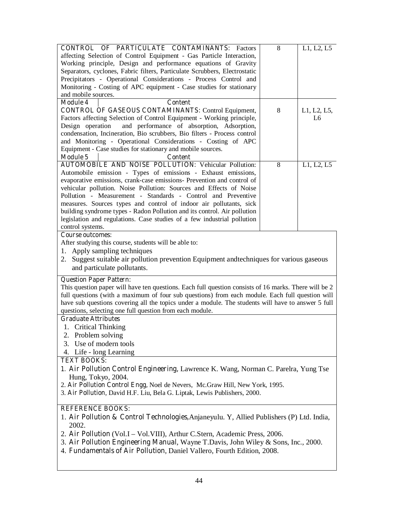| <b>CONTROL OF PARTICULATE CONTAMINANTS: Factors</b>                                                   | 8 | L1, L2, L5  |  |  |  |
|-------------------------------------------------------------------------------------------------------|---|-------------|--|--|--|
| affecting Selection of Control Equipment - Gas Particle Interaction,                                  |   |             |  |  |  |
| Working principle, Design and performance equations of Gravity                                        |   |             |  |  |  |
| Separators, cyclones, Fabric filters, Particulate Scrubbers, Electrostatic                            |   |             |  |  |  |
| Precipitators - Operational Considerations - Process Control and                                      |   |             |  |  |  |
|                                                                                                       |   |             |  |  |  |
| Monitoring - Costing of APC equipment - Case studies for stationary                                   |   |             |  |  |  |
| and mobile sources.                                                                                   |   |             |  |  |  |
| <b>Module 4</b><br><b>Content</b>                                                                     |   |             |  |  |  |
| <b>CONTROL OF GASEOUS CONTAMINANTS: Control Equipment,</b>                                            | 8 | L1, L2, L5, |  |  |  |
| Factors affecting Selection of Control Equipment - Working principle,                                 |   | L6          |  |  |  |
| Design operation<br>and performance of absorption, Adsorption,                                        |   |             |  |  |  |
| condensation, Incineration, Bio scrubbers, Bio filters - Process control                              |   |             |  |  |  |
| and Monitoring - Operational Considerations - Costing of APC                                          |   |             |  |  |  |
| Equipment - Case studies for stationary and mobile sources.                                           |   |             |  |  |  |
| <b>Module 5</b><br><b>Content</b>                                                                     |   |             |  |  |  |
| <b>AUTOMOBILE AND NOISE POLLUTION: Vehicular Pollution:</b>                                           | 8 | L1, L2, L5  |  |  |  |
| Automobile emission - Types of emissions - Exhaust emissions,                                         |   |             |  |  |  |
| evaporative emissions, crank-case emissions- Prevention and control of                                |   |             |  |  |  |
| vehicular pollution. Noise Pollution: Sources and Effects of Noise                                    |   |             |  |  |  |
| Pollution - Measurement - Standards - Control and Preventive                                          |   |             |  |  |  |
| measures. Sources types and control of indoor air pollutants, sick                                    |   |             |  |  |  |
|                                                                                                       |   |             |  |  |  |
| building syndrome types - Radon Pollution and its control. Air pollution                              |   |             |  |  |  |
| legislation and regulations. Case studies of a few industrial pollution                               |   |             |  |  |  |
| control systems.                                                                                      |   |             |  |  |  |
| <b>Course outcomes:</b>                                                                               |   |             |  |  |  |
| After studying this course, students will be able to:                                                 |   |             |  |  |  |
| 1. Apply sampling techniques                                                                          |   |             |  |  |  |
| 2. Suggest suitable air pollution prevention Equipment and techniques for various gaseous             |   |             |  |  |  |
| and particulate pollutants.                                                                           |   |             |  |  |  |
|                                                                                                       |   |             |  |  |  |
| <b>Question Paper Pattern:</b>                                                                        |   |             |  |  |  |
| This question paper will have ten questions. Each full question consists of 16 marks. There will be 2 |   |             |  |  |  |
| full questions (with a maximum of four sub questions) from each module. Each full question will       |   |             |  |  |  |
| have sub questions covering all the topics under a module. The students will have to answer 5 full    |   |             |  |  |  |
| questions, selecting one full question from each module.                                              |   |             |  |  |  |
| <b>Graduate Attributes</b>                                                                            |   |             |  |  |  |
| 1. Critical Thinking                                                                                  |   |             |  |  |  |
| 2. Problem solving                                                                                    |   |             |  |  |  |
| 3. Use of modern tools                                                                                |   |             |  |  |  |
|                                                                                                       |   |             |  |  |  |
| 4. Life - long Learning                                                                               |   |             |  |  |  |
| <b>TEXT BOOKS:</b>                                                                                    |   |             |  |  |  |
| 1. Air Pollution Control Engineering, Lawrence K. Wang, Norman C. Parelra, Yung Tse                   |   |             |  |  |  |
| Hung, Tokyo, 2004.                                                                                    |   |             |  |  |  |
| 2. Air Pollution Control Engg, Noel de Nevers, Mc. Graw Hill, New York, 1995.                         |   |             |  |  |  |
| 3. Air Pollution, David H.F. Liu, Bela G. Liptak, Lewis Publishers, 2000.                             |   |             |  |  |  |
|                                                                                                       |   |             |  |  |  |
| <b>REFERENCE BOOKS:</b>                                                                               |   |             |  |  |  |
| 1. Air Pollution & Control Technologies, Anjaneyulu. Y, Allied Publishers (P) Ltd. India,             |   |             |  |  |  |
| 2002.                                                                                                 |   |             |  |  |  |
|                                                                                                       |   |             |  |  |  |
| 2. Air Pollution (Vol.I – Vol.VIII), Arthur C.Stern, Academic Press, 2006.                            |   |             |  |  |  |
| 3. Air Pollution Engineering Manual, Wayne T.Davis, John Wiley & Sons, Inc., 2000.                    |   |             |  |  |  |
| 4. Fundamentals of Air Pollution, Daniel Vallero, Fourth Edition, 2008.                               |   |             |  |  |  |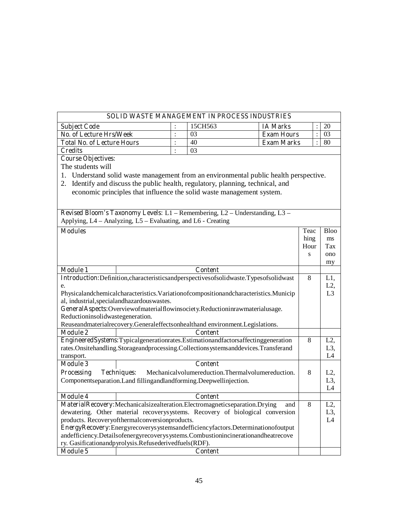## **SOLID WASTE MANAGEMENT IN PROCESS INDUSTRIES**

| <b>Subject Code</b>               | 15CH563 | <b>IA Marks</b>   |    |
|-----------------------------------|---------|-------------------|----|
| No. of Lecture Hrs/Week           | 03      | <b>Exam Hours</b> |    |
| <b>Total No. of Lecture Hours</b> | 40      | <b>Exam Marks</b> | 80 |
| <b>Credits</b>                    | 03      |                   |    |

**Course Objectives:** 

The students will

1. Understand solid waste management from an environmental public health perspective.

2. Identify and discuss the public health, regulatory, planning, technical, and economic principles that influence the solid waste management system.

| <b>Revised Bloom's Taxonomy Levels:</b> L1 – Remembering, L2 – Understanding, L3 – |
|------------------------------------------------------------------------------------|
| Applying, L4 – Analyzing, L5 – Evaluating, and L6 - Creating                       |

| <b>Modules</b>                                                                                  | Teac | <b>Bloo</b>      |
|-------------------------------------------------------------------------------------------------|------|------------------|
|                                                                                                 | hing | ms               |
|                                                                                                 | Hour | Tax              |
|                                                                                                 | S    | ono              |
|                                                                                                 |      | my               |
| <b>Module 1</b><br><b>Content</b>                                                               |      |                  |
| Introduction:Definition,characteristicsandperspectivesofsolidwaste.Typesofsolidwast             | 8    | L1,              |
| e.                                                                                              |      | L2,              |
| Physicalandchemicalcharacteristics. Variationofcompositionandcharacteristics. Municip           |      | L <sub>3</sub>   |
| al, industrial, special and hazardous was tes.                                                  |      |                  |
| GeneralAspects:Overviewofmaterialflowinsociety.Reductioninrawmaterialusage.                     |      |                  |
| Reductioninsolidwastegeneration.                                                                |      |                  |
| Reuseandmaterialrecovery.Generaleffectsonhealthand environment.Legislations.                    |      |                  |
| <b>Module 2</b><br><b>Content</b>                                                               |      |                  |
| EngineeredSystems:Typicalgenerationrates.Estimationandfactorsaffectinggeneration                | 8    | $L2$ ,           |
| rates.Onsitehandling.Storageandprocessing.Collectionsystemsanddevices.Transferand               |      | L <sub>3</sub> , |
| transport.                                                                                      |      | L4               |
| <b>Content</b><br><b>Module 3</b>                                                               |      |                  |
| Mechanical volumereduction. Thermal volumereduction.<br><b>Processing</b><br><b>Techniques:</b> | 8    | L2,              |
| Componentseparation. Land fillingandlandforming. Deepwellinjection.                             |      | L <sub>3</sub> , |
|                                                                                                 |      | L4               |
| <b>Module 4</b><br><b>Content</b>                                                               |      |                  |
| MaterialRecovery:Mechanicalsizealteration.Electromagneticseparation.Drying<br>and               | 8    | L2,              |
| dewatering. Other material recoverysystems. Recovery of biological conversion                   |      | L3,              |
| products. Recoveryofthermalconversionproducts.                                                  |      | L4               |
| EnergyRecovery:Energyrecoverysystemsandefficiencyfactors.Determinationofoutput                  |      |                  |
| andefficiency.Detailsofenergyrecoverysystems.Combustionincinerationandheatrecove                |      |                  |
| ry. Gasificationandpyrolysis.Refusederivedfuels(RDF).                                           |      |                  |
| <b>Module 5</b><br><b>Content</b>                                                               |      |                  |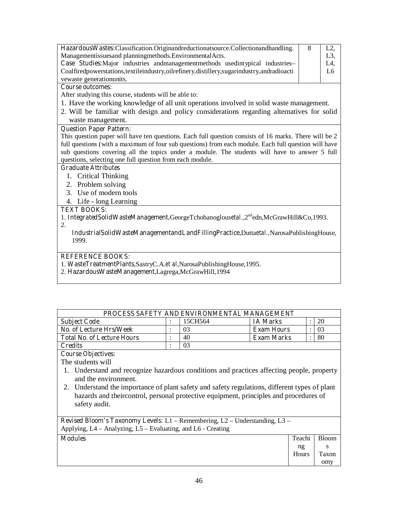| Hazardous Wastes: Classification. Originand reductionation contents collection and handling.      | - 8 |     |
|---------------------------------------------------------------------------------------------------|-----|-----|
| Managementissuesand planningmethods. Environmental Acts.                                          |     | L3  |
| <b>Case Studies:</b> Major industries and management methods used in typical industries–          |     | L4, |
| Coalfired powerstations, textile industry, oil refinery, distillery, sugarindustry, and radioacti |     | L6  |
| vewaste generation units.                                                                         |     |     |

After studying this course, students will be able to:

- 1. Have the working knowledge of all unit operations involved in solid waste management.
- 2. Will be familiar with design and policy considerations regarding alternatives for solid waste management.

#### **Question Paper Pattern:**

This question paper will have ten questions. Each full question consists of 16 marks. There will be 2 full questions (with a maximum of four sub questions) from each module. Each full question will have sub questions covering all the topics under a module. The students will have to answer 5 full questions, selecting one full question from each module.

#### **Graduate Attributes**

- 1. Critical Thinking
- 2. Problem solving
- 3. Use of modern tools
- 4. Life long Learning

#### **TEXT BOOKS:**

1. **IntegratedSolidWasteManagement,**GeorgeTchobanoglous*etal*.,2ndedn,McGrawHill&Co,1993.

2.

**IndustrialSolidWasteManagementandLandFillingPractice,**Dutta*etal.,*NarosaPublishingHouse, 1999.

### **REFERENCE BOOKS:**

1. **WasteTreatmentPlants,**SastryC.A.*et al*,NarosaPublishingHouse,1995.

2. **HazardousWasteManagement**,Lagrega,McGrawHill,1994

| <b>PROCESS SAFETY AND ENVIRONMENTAL MANAGEMENT</b> |  |         |                   |  |    |  |  |  |  |
|----------------------------------------------------|--|---------|-------------------|--|----|--|--|--|--|
| <b>Subject Code</b>                                |  | 15CH564 | <b>IA Marks</b>   |  | 20 |  |  |  |  |
| No. of Lecture Hrs/Week                            |  | 03      | <b>Exam Hours</b> |  | 03 |  |  |  |  |
| <b>Total No. of Lecture Hours</b>                  |  | 40      | <b>Exam Marks</b> |  | 80 |  |  |  |  |
| <b>Credits</b>                                     |  | 03      |                   |  |    |  |  |  |  |

**Course Objectives:** 

The students will

- 1. Understand and recognize hazardous conditions and practices affecting people, property and the environment.
- 2. Understand the importance of plant safety and safety regulations, different types of plant hazards and theircontrol, personal protective equipment, principles and procedures of safety audit.

**Revised Bloom's Taxonomy Levels:** L1 – Remembering, L2 – Understanding, L3 – Applying, L4 – Analyzing, L5 – Evaluating, and L6 - Creating

| <b>Modules</b> | Teachi      | <b>Bloom</b> |
|----------------|-------------|--------------|
|                | ng<br>Hours | Taxon        |
|                |             | omy          |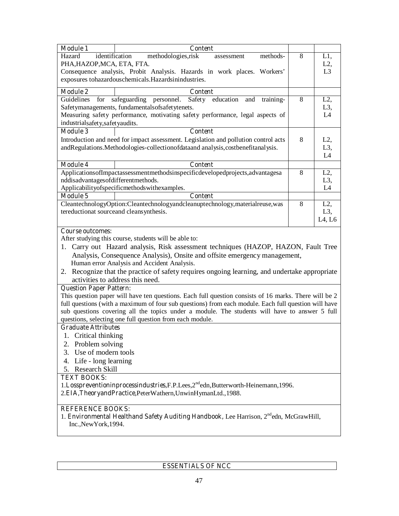| <b>Module 1</b>                    | <b>Content</b>                                                                                        |   |                  |
|------------------------------------|-------------------------------------------------------------------------------------------------------|---|------------------|
| Hazard                             | identification<br>methodologies, risk<br>methods-<br>assessment                                       | 8 | L1,              |
| PHA, HAZOP, MCA, ETA, FTA.         |                                                                                                       |   | L2,              |
|                                    | Consequence analysis, Probit Analysis. Hazards in work places. Workers'                               |   | L <sub>3</sub>   |
|                                    | exposures tohazardouschemicals. Hazardsinindustries.                                                  |   |                  |
| <b>Module 2</b>                    | <b>Content</b>                                                                                        |   |                  |
| Guidelines<br>for                  | safeguarding<br>personnel.<br>Safety<br>education<br>and<br>training-                                 | 8 | $L2$ ,           |
|                                    | Safetymanagements, fundamentalsofsafetytenets.                                                        |   | L <sub>3</sub> , |
|                                    | Measuring safety performance, motivating safety performance, legal aspects of                         |   | L4               |
| industrialsafety,safetyaudits.     |                                                                                                       |   |                  |
| <b>Module 3</b>                    | <b>Content</b>                                                                                        |   |                  |
|                                    | Introduction and need for impact assessment. Legislation and pollution control acts                   | 8 | L2,              |
|                                    | andRegulations.Methodologies-collectionofdataand analysis,costbenefitanalysis.                        |   | L <sub>3</sub> , |
|                                    |                                                                                                       |   | L4               |
| <b>Module 4</b>                    | <b>Content</b>                                                                                        |   |                  |
|                                    | ApplicationsofImpactassessmentmethodsinspecificdevelopedprojects, advantagesa                         | 8 | L2,              |
| nddisadvantagesofdifferentmethods. |                                                                                                       |   | L <sub>3</sub> , |
|                                    | Applicabilityofspecificmethodswithexamples.                                                           |   | L4               |
| <b>Module 5</b>                    | <b>Content</b>                                                                                        |   |                  |
|                                    | CleantechnologyOption:Cleantechnologyandcleanuptechnology,materialreuse,was                           | 8 | L2,              |
|                                    | tereductionat sourceand cleansynthesis.                                                               |   | $L3$ ,           |
|                                    |                                                                                                       |   | L4, L6           |
| <b>Course outcomes:</b>            |                                                                                                       |   |                  |
|                                    | After studying this course, students will be able to:                                                 |   |                  |
|                                    | 1. Carry out Hazard analysis, Risk assessment techniques (HAZOP, HAZON, Fault Tree                    |   |                  |
|                                    | Analysis, Consequence Analysis), Onsite and offsite emergency management,                             |   |                  |
|                                    | Human error Analysis and Accident Analysis.                                                           |   |                  |
|                                    | 2. Recognize that the practice of safety requires ongoing learning, and undertake appropriate         |   |                  |
|                                    | activities to address this need.                                                                      |   |                  |
| <b>Question Paper Pattern:</b>     |                                                                                                       |   |                  |
|                                    | This question paper will have ten questions. Each full question consists of 16 marks. There will be 2 |   |                  |
|                                    | full questions (with a maximum of four sub questions) from each module. Each full question will have  |   |                  |
|                                    | sub questions covering all the topics under a module. The students will have to answer 5 full         |   |                  |
|                                    | questions, selecting one full question from each module.                                              |   |                  |
| <b>Graduate Attributes</b>         |                                                                                                       |   |                  |
| 1. Critical thinking               |                                                                                                       |   |                  |
| 2. Problem solving                 |                                                                                                       |   |                  |
| 3. Use of modern tools             |                                                                                                       |   |                  |
| 4. Life - long learning            |                                                                                                       |   |                  |
| 5. Research Skill                  |                                                                                                       |   |                  |
| <b>TEXT BOOKS:</b>                 |                                                                                                       |   |                  |

1.Losspreventioninprocessindustries,F.P.Lees,2<sup>nd</sup>edn,Butterworth-Heinemann,1996.

2.**EIA,TheoryandPractice**,PeterWathern,UnwinHymanLtd.,1988.

## **REFERENCE BOOKS:**

1. **Environmental Healthand Safety Auditing Handbook,** Lee Harrison, 2<sup>nd</sup>edn, McGrawHill, Inc.,NewYork,1994.

## **ESSENTIALS OF NCC**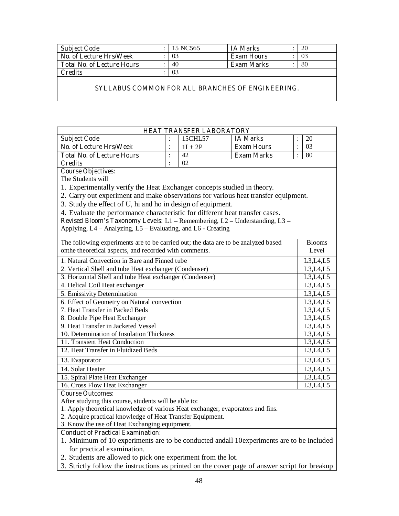| <b>Subject Code</b>               | 15 NC565 | <b>IA Marks</b>   | 20 |
|-----------------------------------|----------|-------------------|----|
| No. of Lecture Hrs/Week           | 03       | <b>Exam Hours</b> | 03 |
| <b>Total No. of Lecture Hours</b> | 40       | Exam Marks        | 80 |
| <b>Credits</b>                    |          |                   |    |

#### **SYLLABUS COMMON FOR ALL BRANCHES OF ENGINEERING.**

|                                                                                    |                | <b>HEAT TRANSFER LABORATORY</b> |                   |                    |                        |  |  |  |  |
|------------------------------------------------------------------------------------|----------------|---------------------------------|-------------------|--------------------|------------------------|--|--|--|--|
| <b>Subject Code</b>                                                                | $\ddot{\cdot}$ | 15CHL57                         | <b>IA Marks</b>   | $\ddot{\cdot}$     | 20                     |  |  |  |  |
| No. of Lecture Hrs/Week                                                            | $\ddot{\cdot}$ | $1I + 2P$                       | <b>Exam Hours</b> | $\overline{\cdot}$ | 03                     |  |  |  |  |
| <b>Total No. of Lecture Hours</b>                                                  | $\ddot{\cdot}$ | 42                              | <b>Exam Marks</b> | $\ddot{\cdot}$     | 80                     |  |  |  |  |
| <b>Credits</b>                                                                     | $\ddot{\cdot}$ | 02                              |                   |                    |                        |  |  |  |  |
| <b>Course Objectives:</b>                                                          |                |                                 |                   |                    |                        |  |  |  |  |
| The Students will                                                                  |                |                                 |                   |                    |                        |  |  |  |  |
| 1. Experimentally verify the Heat Exchanger concepts studied in theory.            |                |                                 |                   |                    |                        |  |  |  |  |
| 2. Carry out experiment and make observations for various heat transfer equipment. |                |                                 |                   |                    |                        |  |  |  |  |
| 3. Study the effect of U, hi and ho in design of equipment.                        |                |                                 |                   |                    |                        |  |  |  |  |
| 4. Evaluate the performance characteristic for different heat transfer cases.      |                |                                 |                   |                    |                        |  |  |  |  |
| Revised Bloom's Taxonomy Levels: L1 - Remembering, L2 - Understanding, L3 -        |                |                                 |                   |                    |                        |  |  |  |  |
| Applying, L4 – Analyzing, L5 – Evaluating, and L6 - Creating                       |                |                                 |                   |                    |                        |  |  |  |  |
| The following experiments are to be carried out; the data are to be analyzed based |                |                                 |                   |                    | <b>Blooms</b>          |  |  |  |  |
| onthe theoretical aspects, and recorded with comments.                             |                |                                 |                   |                    | Level                  |  |  |  |  |
|                                                                                    |                |                                 |                   |                    |                        |  |  |  |  |
| 1. Natural Convection in Bare and Finned tube                                      |                |                                 |                   |                    | L3,L4,L5               |  |  |  |  |
| 2. Vertical Shell and tube Heat exchanger (Condenser)                              |                |                                 |                   |                    | L3,L4,L5               |  |  |  |  |
| 3. Horizontal Shell and tube Heat exchanger (Condenser)                            |                |                                 |                   |                    | L3, L4, L5             |  |  |  |  |
| 4. Helical Coil Heat exchanger                                                     |                |                                 |                   |                    | L3, L4, L5             |  |  |  |  |
| 5. Emissivity Determination                                                        |                |                                 |                   |                    | L3, L4, L5             |  |  |  |  |
| 6. Effect of Geometry on Natural convection                                        |                |                                 |                   |                    | L3,L4,L5               |  |  |  |  |
| 7. Heat Transfer in Packed Beds                                                    |                |                                 |                   |                    | L3, L4, L5             |  |  |  |  |
| 8. Double Pipe Heat Exchanger<br>9. Heat Transfer in Jacketed Vessel               |                |                                 |                   |                    | L3, L4, L5             |  |  |  |  |
| 10. Determination of Insulation Thickness                                          |                |                                 |                   |                    | L3, L4, L5             |  |  |  |  |
| 11. Transient Heat Conduction                                                      |                |                                 |                   |                    | L3,L4,L5<br>L3, L4, L5 |  |  |  |  |
| 12. Heat Transfer in Fluidized Beds                                                |                |                                 |                   |                    | L3, L4, L5             |  |  |  |  |
|                                                                                    |                |                                 |                   |                    |                        |  |  |  |  |
| 13. Evaporator                                                                     |                |                                 |                   |                    | L3, L4, L5             |  |  |  |  |
| 14. Solar Heater                                                                   |                |                                 |                   |                    | L3,L4,L5               |  |  |  |  |
| L3, L4, L5<br>15. Spiral Plate Heat Exchanger                                      |                |                                 |                   |                    |                        |  |  |  |  |
| 16. Cross Flow Heat Exchanger<br>L3, L4, L5                                        |                |                                 |                   |                    |                        |  |  |  |  |
| <b>Course Outcomes:</b>                                                            |                |                                 |                   |                    |                        |  |  |  |  |
| After studying this course, students will be able to:                              |                |                                 |                   |                    |                        |  |  |  |  |
| 1. Apply theoretical knowledge of various Heat exchanger, evaporators and fins.    |                |                                 |                   |                    |                        |  |  |  |  |

- 2. Acquire practical knowledge of Heat Transfer Equipment.
- 3. Know the use of Heat Exchanging equipment.

## **Conduct of Practical Examination:**

- 1. Minimum of 10 experiments are to be conducted andall 10experiments are to be included for practical examination.
- 2. Students are allowed to pick one experiment from the lot.
- 3. Strictly follow the instructions as printed on the cover page of answer script for breakup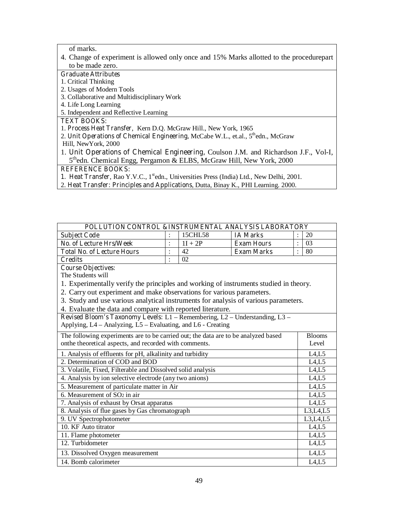of marks.

4. Change of experiment is allowed only once and 15% Marks allotted to the procedurepart to be made zero.

### **Graduate Attributes**

- 1. Critical Thinking
- 2. Usages of Modern Tools
- 3. Collaborative and Multidisciplinary Work
- 4. Life Long Learning
- 5. Independent and Reflective Learning

## **TEXT BOOKS:**

- 1. **Process Heat Transfer**, Kern D.Q. McGraw Hill., New York, 1965
- 2. **Unit Operations of Chemical Engineering, McCabe W.L., et.al., 5<sup>th</sup>edn., McGraw** Hill, NewYork, 2000
- 1. **Unit Operations of Chemical Engineering,** Coulson J.M. and Richardson J.F., Vol-I, 5<sup>th</sup>edn. Chemical Engg, Pergamon & ELBS, McGraw Hill, New York, 2000

- 1. Heat Transfer, Rao Y.V.C., 1<sup>st</sup>edn., Universities Press (India) Ltd., New Delhi, 2001.
- 2. **Heat Transfer: Principles and Applications**, Dutta, Binay K., PHI Learning. 2000.

| POLLUTION CONTROL &INSTRUMENTAL ANALYSIS LABORATORY                                   |                |                         |                   |                            |  |  |  |  |  |
|---------------------------------------------------------------------------------------|----------------|-------------------------|-------------------|----------------------------|--|--|--|--|--|
| <b>Subject Code</b>                                                                   | $\ddot{\cdot}$ | 15CHL58                 | <b>IA Marks</b>   | 20                         |  |  |  |  |  |
| <b>No. of Lecture Hrs/Week</b>                                                        | $\ddot{\cdot}$ | $1I + 2P$               | <b>Exam Hours</b> | 03<br>$\ddot{\cdot}$       |  |  |  |  |  |
| <b>Total No. of Lecture Hours</b>                                                     | $\ddot{\cdot}$ | 42<br><b>Exam Marks</b> |                   | 80<br>$\ddot{\phantom{0}}$ |  |  |  |  |  |
| <b>Credits</b>                                                                        | $\ddot{\cdot}$ | 02                      |                   |                            |  |  |  |  |  |
| <b>Course Objectives:</b>                                                             |                |                         |                   |                            |  |  |  |  |  |
| The Students will                                                                     |                |                         |                   |                            |  |  |  |  |  |
| 1. Experimentally verify the principles and working of instruments studied in theory. |                |                         |                   |                            |  |  |  |  |  |
| 2. Carry out experiment and make observations for various parameters.                 |                |                         |                   |                            |  |  |  |  |  |
| 3. Study and use various analytical instruments for analysis of various parameters.   |                |                         |                   |                            |  |  |  |  |  |
| 4. Evaluate the data and compare with reported literature.                            |                |                         |                   |                            |  |  |  |  |  |
| Revised Bloom's Taxonomy Levels: L1 - Remembering, L2 - Understanding, L3 -           |                |                         |                   |                            |  |  |  |  |  |
| Applying, L4 - Analyzing, L5 - Evaluating, and L6 - Creating                          |                |                         |                   |                            |  |  |  |  |  |
| The following experiments are to be carried out; the data are to be analyzed based    |                |                         |                   | <b>Blooms</b>              |  |  |  |  |  |
| onthe theoretical aspects, and recorded with comments.                                |                |                         |                   | Level                      |  |  |  |  |  |
| 1. Analysis of effluents for pH, alkalinity and turbidity                             |                |                         |                   | L4, L5                     |  |  |  |  |  |
| 2. Determination of COD and BOD                                                       |                |                         |                   | L4,L5                      |  |  |  |  |  |
| 3. Volatile, Fixed, Filterable and Dissolved solid analysis                           |                |                         |                   | L4, L5                     |  |  |  |  |  |
| 4. Analysis by ion selective electrode (any two anions)                               |                |                         |                   | L4, L5                     |  |  |  |  |  |
| 5. Measurement of particulate matter in Air                                           |                |                         |                   | L4, L5                     |  |  |  |  |  |
| 6. Measurement of $SO2$ in air                                                        |                |                         |                   | L4,L5                      |  |  |  |  |  |
| 7. Analysis of exhaust by Orsat apparatus                                             |                |                         |                   | L4,L5                      |  |  |  |  |  |
| 8. Analysis of flue gases by Gas chromatograph                                        |                |                         |                   | L3, L4, L5                 |  |  |  |  |  |
| 9. UV Spectrophotometer                                                               |                |                         |                   | L3, L4, L5                 |  |  |  |  |  |
| 10. KF Auto titrator                                                                  |                |                         |                   | L4, L5                     |  |  |  |  |  |
| 11. Flame photometer                                                                  |                |                         |                   | L4, L5                     |  |  |  |  |  |
| 12. Turbidometer                                                                      |                |                         |                   | L4, L5                     |  |  |  |  |  |
| 13. Dissolved Oxygen measurement                                                      |                |                         |                   | L4,L5                      |  |  |  |  |  |
| 14. Bomb calorimeter                                                                  |                |                         |                   | L4, L5                     |  |  |  |  |  |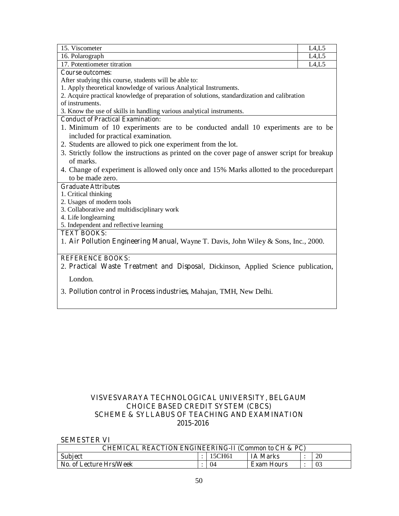| 15. Viscometer                                                                                | L4, L5 |  |  |  |  |  |
|-----------------------------------------------------------------------------------------------|--------|--|--|--|--|--|
| 16. Polarograph                                                                               | L4, L5 |  |  |  |  |  |
| 17. Potentiometer titration                                                                   | L4, L5 |  |  |  |  |  |
| <b>Course outcomes:</b>                                                                       |        |  |  |  |  |  |
| After studying this course, students will be able to:                                         |        |  |  |  |  |  |
| 1. Apply theoretical knowledge of various Analytical Instruments.                             |        |  |  |  |  |  |
| 2. Acquire practical knowledge of preparation of solutions, standardization and calibration   |        |  |  |  |  |  |
| of instruments.                                                                               |        |  |  |  |  |  |
| 3. Know the use of skills in handling various analytical instruments.                         |        |  |  |  |  |  |
| <b>Conduct of Practical Examination:</b>                                                      |        |  |  |  |  |  |
| 1. Minimum of 10 experiments are to be conducted and all 10 experiments are to be             |        |  |  |  |  |  |
| included for practical examination.                                                           |        |  |  |  |  |  |
| 2. Students are allowed to pick one experiment from the lot.                                  |        |  |  |  |  |  |
| 3. Strictly follow the instructions as printed on the cover page of answer script for breakup |        |  |  |  |  |  |
| of marks.                                                                                     |        |  |  |  |  |  |
| 4. Change of experiment is allowed only once and 15% Marks allotted to the procedurepart      |        |  |  |  |  |  |
| to be made zero.                                                                              |        |  |  |  |  |  |
| <b>Graduate Attributes</b>                                                                    |        |  |  |  |  |  |
| 1. Critical thinking                                                                          |        |  |  |  |  |  |
| 2. Usages of modern tools                                                                     |        |  |  |  |  |  |
| 3. Collaborative and multidisciplinary work                                                   |        |  |  |  |  |  |
| 4. Life longlearning                                                                          |        |  |  |  |  |  |
| 5. Independent and reflective learning                                                        |        |  |  |  |  |  |
| <b>TEXT BOOKS:</b>                                                                            |        |  |  |  |  |  |
| 1. Air Pollution Engineering Manual, Wayne T. Davis, John Wiley & Sons, Inc., 2000.           |        |  |  |  |  |  |
|                                                                                               |        |  |  |  |  |  |
| <b>REFERENCE BOOKS:</b>                                                                       |        |  |  |  |  |  |
| 2. Practical Waste Treatment and Disposal, Dickinson, Applied Science publication,            |        |  |  |  |  |  |
|                                                                                               |        |  |  |  |  |  |
| London.                                                                                       |        |  |  |  |  |  |
| 3. Pollution control in Process industries, Mahajan, TMH, New Delhi.                          |        |  |  |  |  |  |

## **VISVESVARAYA TECHNOLOGICAL UNIVERSITY, BELGAUM CHOICE BASED CREDIT SYSTEM (CBCS) SCHEME & SYLLABUS OF TEACHING AND EXAMINATION 2015-2016**

**SEMESTER VI** 

| CHEMICAL REACTION ENGINEERING-II (Common to CH & PC) |  |     |                   |  |    |  |  |
|------------------------------------------------------|--|-----|-------------------|--|----|--|--|
| <b>Subject</b>                                       |  |     | <b>IA Marks</b>   |  | 20 |  |  |
| No. of Lecture Hrs/Week                              |  | ()∠ | <b>Exam Hours</b> |  | 03 |  |  |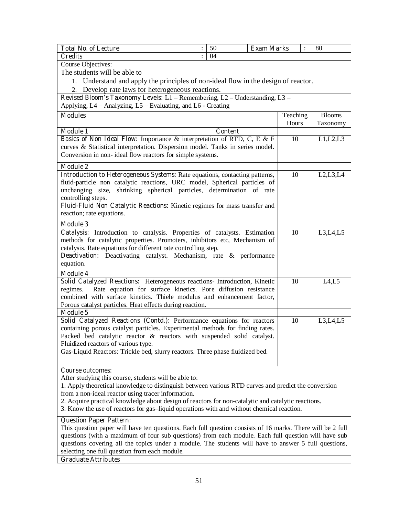| <b>Total No. of Lecture</b>                                                                                   |                | 50 |                | <b>Exam Marks</b> |                   |  | 80                        |
|---------------------------------------------------------------------------------------------------------------|----------------|----|----------------|-------------------|-------------------|--|---------------------------|
| <b>Credits</b>                                                                                                | $\ddot{\cdot}$ | 04 |                |                   |                   |  |                           |
| Course Objectives:                                                                                            |                |    |                |                   |                   |  |                           |
| The students will be able to                                                                                  |                |    |                |                   |                   |  |                           |
| 1. Understand and apply the principles of non-ideal flow in the design of reactor.                            |                |    |                |                   |                   |  |                           |
| 2. Develop rate laws for heterogeneous reactions.                                                             |                |    |                |                   |                   |  |                           |
| Revised Bloom's Taxonomy Levels: L1 - Remembering, L2 - Understanding, L3 -                                   |                |    |                |                   |                   |  |                           |
| Applying, L4 – Analyzing, L5 – Evaluating, and L6 - Creating                                                  |                |    |                |                   |                   |  |                           |
| <b>Modules</b>                                                                                                |                |    |                |                   | Teaching<br>Hours |  | <b>Blooms</b><br>Taxonomy |
| <b>Module 1</b>                                                                                               |                |    | <b>Content</b> |                   |                   |  |                           |
| <b>Basics of Non Ideal Flow:</b> Importance & interpretation of RTD, C, E & F                                 |                |    |                |                   | 10                |  | L1, L2, L3                |
| curves & Statistical interpretation. Dispersion model. Tanks in series model.                                 |                |    |                |                   |                   |  |                           |
| Conversion in non-ideal flow reactors for simple systems.                                                     |                |    |                |                   |                   |  |                           |
| <b>Module 2</b>                                                                                               |                |    |                |                   |                   |  |                           |
| Introduction to Heterogeneous Systems: Rate equations, contacting patterns,                                   |                |    |                |                   | 10                |  | L2,L3,L4                  |
| fluid-particle non catalytic reactions, URC model, Spherical particles of                                     |                |    |                |                   |                   |  |                           |
| unchanging size, shrinking spherical particles, determination of rate                                         |                |    |                |                   |                   |  |                           |
| controlling steps.                                                                                            |                |    |                |                   |                   |  |                           |
| Fluid-Fluid Non Catalytic Reactions: Kinetic regimes for mass transfer and                                    |                |    |                |                   |                   |  |                           |
| reaction; rate equations.                                                                                     |                |    |                |                   |                   |  |                           |
| <b>Module 3</b>                                                                                               |                |    |                |                   |                   |  |                           |
| Catalysis: Introduction to catalysis. Properties of catalysts. Estimation                                     |                |    |                |                   | 10                |  | L3, L4, L5                |
| methods for catalytic properties. Promoters, inhibitors etc, Mechanism of                                     |                |    |                |                   |                   |  |                           |
| catalysis. Rate equations for different rate controlling step.                                                |                |    |                |                   |                   |  |                           |
| <b>Deactivation:</b> Deactivating catalyst. Mechanism, rate & performance<br>equation.                        |                |    |                |                   |                   |  |                           |
| <b>Module 4</b>                                                                                               |                |    |                |                   |                   |  |                           |
| Solid Catalyzed Reactions: Heterogeneous reactions- Introduction, Kinetic                                     |                |    |                |                   | 10                |  | L4, L5                    |
| Rate equation for surface kinetics. Pore diffusion resistance<br>regimes.                                     |                |    |                |                   |                   |  |                           |
| combined with surface kinetics. Thiele modulus and enhancement factor,                                        |                |    |                |                   |                   |  |                           |
| Porous catalyst particles. Heat effects during reaction.                                                      |                |    |                |                   |                   |  |                           |
| <b>Module 5</b>                                                                                               |                |    |                |                   |                   |  |                           |
| Solid Catalyzed Reactions (Contd.): Performance equations for reactors                                        |                |    |                |                   | 10                |  | L3, L4, L5                |
| containing porous catalyst particles. Experimental methods for finding rates.                                 |                |    |                |                   |                   |  |                           |
| Packed bed catalytic reactor & reactors with suspended solid catalyst.<br>Fluidized reactors of various type. |                |    |                |                   |                   |  |                           |
| Gas-Liquid Reactors: Trickle bed, slurry reactors. Three phase fluidized bed.                                 |                |    |                |                   |                   |  |                           |
|                                                                                                               |                |    |                |                   |                   |  |                           |
| <b>Course outcomes:</b>                                                                                       |                |    |                |                   |                   |  |                           |
| After studying this course, students will be able to:                                                         |                |    |                |                   |                   |  |                           |
| 1. Apply theoretical knowledge to distinguish between various RTD curves and predict the conversion           |                |    |                |                   |                   |  |                           |
| from a non-ideal reactor using tracer information.                                                            |                |    |                |                   |                   |  |                           |
| 2. Acquire practical knowledge about design of reactors for non-catalytic and catalytic reactions.            |                |    |                |                   |                   |  |                           |
| 3. Know the use of reactors for gas-liquid operations with and without chemical reaction.                     |                |    |                |                   |                   |  |                           |
| <b>Question Paper Pattern:</b>                                                                                |                |    |                |                   |                   |  |                           |
| This question paper will have ten questions. Each full question consists of 16 marks. There will be 2 full    |                |    |                |                   |                   |  |                           |
| questions (with a maximum of four sub questions) from each module. Each full question will have sub           |                |    |                |                   |                   |  |                           |
| questions covering all the topics under a module. The students will have to answer 5 full questions,          |                |    |                |                   |                   |  |                           |
| selecting one full question from each module.                                                                 |                |    |                |                   |                   |  |                           |
| <b>Graduate Attributes</b>                                                                                    |                |    |                |                   |                   |  |                           |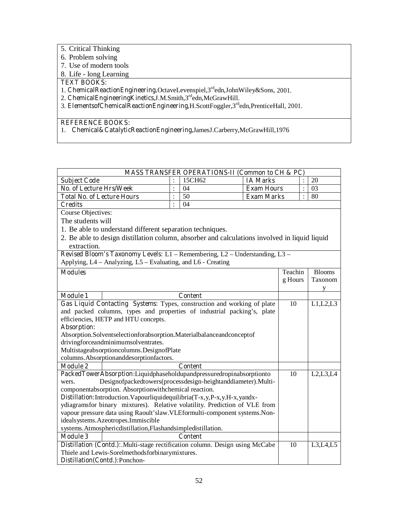- 5. Critical Thinking
- 6. Problem solving
- 7. Use of modern tools
- 8. Life long Learning

## **TEXT BOOKS:**

1. **ChemicalReactionEngineering,**OctaveLevenspiel,3rdedn,JohnWiley&Sons, 2001.

- 2. **ChemicalEngineeringKinetics,**J.M.Smith,3rdedn,McGrawHill.
- 3. **ElementsofChemicalReactionEngineering,**H.ScottFoggler,3rdedn,PrenticeHall, 2001.

## **REFERENCE BOOKS:**

1. **Chemical&CatalyticReactionEngineering,**JamesJ.Carberry,McGrawHill,1976

|                                                                                                                 | <b>MASS TRANSFER OPERATIONS-II (Common to CH &amp; PC)</b>                                    |          |                |                   |                |               |  |  |
|-----------------------------------------------------------------------------------------------------------------|-----------------------------------------------------------------------------------------------|----------|----------------|-------------------|----------------|---------------|--|--|
| <b>Subject Code</b>                                                                                             |                                                                                               |          | 15CH62         | <b>IA Marks</b>   |                | 20            |  |  |
| <b>No. of Lecture Hrs/Week</b>                                                                                  |                                                                                               | $\vdots$ | 04             | <b>Exam Hours</b> | $\ddot{\cdot}$ | 03            |  |  |
| <b>Total No. of Lecture Hours</b>                                                                               |                                                                                               | $\vdots$ | 50             | <b>Exam Marks</b> | $\ddot{\cdot}$ | 80            |  |  |
| <b>Credits</b>                                                                                                  |                                                                                               |          |                |                   |                |               |  |  |
| Course Objectives:                                                                                              |                                                                                               |          |                |                   |                |               |  |  |
| The students will                                                                                               |                                                                                               |          |                |                   |                |               |  |  |
|                                                                                                                 | 1. Be able to understand different separation techniques.                                     |          |                |                   |                |               |  |  |
|                                                                                                                 | 2. Be able to design distillation column, absorber and calculations involved in liquid liquid |          |                |                   |                |               |  |  |
| extraction.                                                                                                     |                                                                                               |          |                |                   |                |               |  |  |
|                                                                                                                 | Revised Bloom's Taxonomy Levels: L1 - Remembering, L2 - Understanding, L3 -                   |          |                |                   |                |               |  |  |
|                                                                                                                 | Applying, L4 – Analyzing, L5 – Evaluating, and L6 - Creating                                  |          |                |                   |                |               |  |  |
| <b>Modules</b>                                                                                                  |                                                                                               |          |                |                   | Teachin        | <b>Blooms</b> |  |  |
|                                                                                                                 |                                                                                               |          |                |                   | g Hours        | Taxonom       |  |  |
|                                                                                                                 |                                                                                               |          |                |                   |                | y             |  |  |
| <b>Module 1</b>                                                                                                 |                                                                                               |          | <b>Content</b> |                   |                |               |  |  |
|                                                                                                                 | Gas Liquid Contacting Systems: Types, construction and working of plate                       |          |                |                   | 10             | L1,L2,L3      |  |  |
|                                                                                                                 | and packed columns, types and properties of industrial packing's, plate                       |          |                |                   |                |               |  |  |
|                                                                                                                 | efficiencies, HETP and HTU concepts.                                                          |          |                |                   |                |               |  |  |
| Absorption:                                                                                                     |                                                                                               |          |                |                   |                |               |  |  |
|                                                                                                                 | Absorption.Solventselectionforabsorption.Materialbalanceandconceptof                          |          |                |                   |                |               |  |  |
|                                                                                                                 | drivingforceandminimumsolventrates.                                                           |          |                |                   |                |               |  |  |
|                                                                                                                 | Multistageabsorptioncolumns. DesignofPlate                                                    |          |                |                   |                |               |  |  |
|                                                                                                                 | columns. Absorptionanddesorptionfactors.                                                      |          |                |                   |                |               |  |  |
| <b>Module 2</b>                                                                                                 |                                                                                               |          | <b>Content</b> |                   |                |               |  |  |
|                                                                                                                 | PackedTowerAbsorption:Liquidphaseholdupandpressuredropinabsorptionto                          |          |                |                   | 10             | L2, L3, L4    |  |  |
| wers.                                                                                                           | Designofpackedtowers(processdesign-heightanddiameter).Multi-                                  |          |                |                   |                |               |  |  |
|                                                                                                                 | componentabsorption. Absorptionwithchemical reaction.                                         |          |                |                   |                |               |  |  |
|                                                                                                                 | Distillation: Introduction. Vapourliquidequilibria(T-x, y, P-x, y.H-x, yandx-                 |          |                |                   |                |               |  |  |
| ydiagramsfor binary mixtures). Relative volatility. Prediction of VLE from                                      |                                                                                               |          |                |                   |                |               |  |  |
| vapour pressure data using Raoult'slaw.VLEformulti-component systems.Non-<br>idealsystems.Azeotropes.Immiscible |                                                                                               |          |                |                   |                |               |  |  |
|                                                                                                                 |                                                                                               |          |                |                   |                |               |  |  |
| <b>Module 3</b>                                                                                                 | systems. Atmospheric distillation, Flashandsimple distillation.                               |          |                |                   |                |               |  |  |
|                                                                                                                 |                                                                                               |          | <b>Content</b> |                   |                |               |  |  |
|                                                                                                                 | Distillation (Contd.): Multi-stage rectification column. Design using McCabe                  |          |                |                   | 10             | L3,L4,L5      |  |  |
|                                                                                                                 | Thiele and Lewis-Sorelmethodsforbinarymixtures.                                               |          |                |                   |                |               |  |  |
|                                                                                                                 | Distillation(Contd.):Ponchon-                                                                 |          |                |                   |                |               |  |  |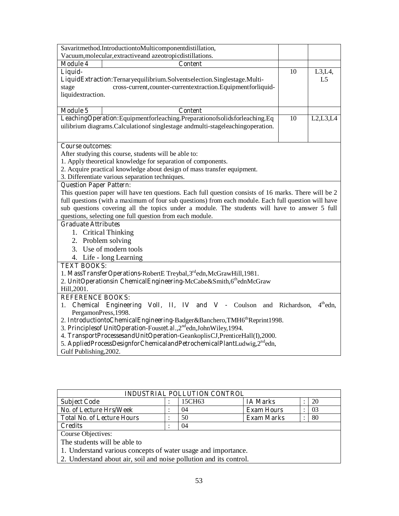| Savaritmethod.IntroductiontoMulticomponentdistillation,                                               |    |            |
|-------------------------------------------------------------------------------------------------------|----|------------|
| Vacuum, molecular, extractive and azeotropic distillations.                                           |    |            |
| <b>Module 4</b><br><b>Content</b>                                                                     |    |            |
| Liquid-                                                                                               | 10 | $L3,L4$ ,  |
| LiquidExtraction:Ternaryequilibrium.Solventselection.Singlestage.Multi-                               |    | L5         |
| stage<br>cross-current, counter-currentextraction. Equipmentforliquid-                                |    |            |
| liquidextraction.                                                                                     |    |            |
|                                                                                                       |    |            |
| <b>Module 5</b><br><b>Content</b>                                                                     |    |            |
| LeachingOperation:Equipmentforleaching.Preparationofsolidsforleaching.Eq                              | 10 | L2,L3,L4   |
| uilibrium diagrams.Calculation of singlestage and multi-stageleaching operation.                      |    |            |
|                                                                                                       |    |            |
| <b>Course outcomes:</b>                                                                               |    |            |
| After studying this course, students will be able to:                                                 |    |            |
| 1. Apply theoretical knowledge for separation of components.                                          |    |            |
| 2. Acquire practical knowledge about design of mass transfer equipment.                               |    |            |
| 3. Differentiate various separation techniques.                                                       |    |            |
| <b>Question Paper Pattern:</b>                                                                        |    |            |
| This question paper will have ten questions. Each full question consists of 16 marks. There will be 2 |    |            |
| full questions (with a maximum of four sub questions) from each module. Each full question will have  |    |            |
| sub questions covering all the topics under a module. The students will have to answer 5 full         |    |            |
| questions, selecting one full question from each module.                                              |    |            |
| <b>Graduate Attributes</b>                                                                            |    |            |
| 1. Critical Thinking                                                                                  |    |            |
| 2. Problem solving                                                                                    |    |            |
| 3. Use of modern tools                                                                                |    |            |
| 4. Life - long Learning                                                                               |    |            |
| <b>TEXT BOOKS:</b>                                                                                    |    |            |
| 1. MassTransferOperations-RobertE Treybal, 3 <sup>rd</sup> edn, McGrawHill, 1981.                     |    |            |
| 2. UnitOperationsin ChemicalEngineering-McCabe&Smith,6thednMcGraw                                     |    |            |
| Hill, 2001.                                                                                           |    |            |
| <b>REFERENCE BOOKS:</b>                                                                               |    |            |
| Chemical Engineering Voll, II, IV and V - Coulson and Richardson,<br>1.                               |    | $4th$ edn. |
| PergamonPress, 1998.                                                                                  |    |            |
| 2. IntroductiontoChemicalEngineering-Badger&Banchero,TMH6 <sup>th</sup> Reprint1998.                  |    |            |
| 3. Principlesof UnitOperation-Foustet.al., 2 <sup>nd</sup> edn, John Wiley, 1994.                     |    |            |
| 4. TransportProcessesandUnitOperation-GeankoplisCJ,PrenticeHall(I),2000.                              |    |            |
| 5. AppliedProcessDesignforChemicalandPetrochemicalPlantLudwig,2 <sup>nd</sup> edn,                    |    |            |
| Gulf Publishing, 2002.                                                                                |    |            |

| <b>INDUSTRIAL POLLUTION CONTROL</b>                                |  |        |                   |  |    |  |
|--------------------------------------------------------------------|--|--------|-------------------|--|----|--|
| <b>Subject Code</b>                                                |  | 15CH63 | <b>IA Marks</b>   |  | 20 |  |
| No. of Lecture Hrs/Week                                            |  | 04     | <b>Exam Hours</b> |  | 03 |  |
| <b>Total No. of Lecture Hours</b>                                  |  | 50     | <b>Exam Marks</b> |  | 80 |  |
| <b>Credits</b>                                                     |  | 04     |                   |  |    |  |
| Course Objectives:                                                 |  |        |                   |  |    |  |
| The students will be able to                                       |  |        |                   |  |    |  |
| 1. Understand various concepts of water usage and importance.      |  |        |                   |  |    |  |
| 2. Understand about air, soil and noise pollution and its control. |  |        |                   |  |    |  |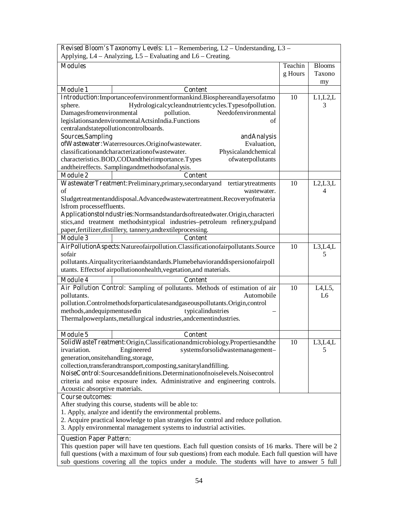| Revised Bloom's Taxonomy Levels: L1 - Remembering, L2 - Understanding, L3 - |                                                                                                       |         |                |  |  |
|-----------------------------------------------------------------------------|-------------------------------------------------------------------------------------------------------|---------|----------------|--|--|
|                                                                             | Applying, $L4 -$ Analyzing, $L5 -$ Evaluating and $L6 -$ Creating.                                    |         |                |  |  |
| <b>Modules</b>                                                              |                                                                                                       | Teachin | <b>Blooms</b>  |  |  |
|                                                                             |                                                                                                       | g Hours | Taxono         |  |  |
|                                                                             |                                                                                                       |         | my             |  |  |
| <b>Module 1</b>                                                             | Content                                                                                               |         |                |  |  |
|                                                                             | Introduction:Importanceofenvironmentformankind.Biosphereandlayersofatmo                               | 10      | L1,L2,L        |  |  |
| sphere.                                                                     | Hydrologicalcycleandnutrientcycles.Typesofpollution.                                                  |         | 3              |  |  |
| Damagesfromenvironmental                                                    | Needofenvironmental<br>pollution.                                                                     |         |                |  |  |
|                                                                             | legislationsandenvironmentalActsinIndia.Functions<br>of                                               |         |                |  |  |
| centralandstatepollutioncontrolboards.                                      |                                                                                                       |         |                |  |  |
| <b>Sources, Sampling</b>                                                    | andAnalysis                                                                                           |         |                |  |  |
|                                                                             | ofWastewater:Waterresources.Originofwastewater.<br>Evaluation,                                        |         |                |  |  |
|                                                                             | classificationandcharacterizationofwastewater.<br>Physicalandchemical                                 |         |                |  |  |
|                                                                             | characteristics.BOD,CODandtheirimportance.Types<br>ofwaterpollutants                                  |         |                |  |  |
|                                                                             | andtheireffects. Samplingandmethodsofanalysis.                                                        |         |                |  |  |
| <b>Module 2</b>                                                             | <b>Content</b>                                                                                        |         |                |  |  |
|                                                                             | WastewaterTreatment:Preliminary,primary,secondaryand tertiarytreatments                               | 10      | L2, L3, L      |  |  |
| of                                                                          | wastewater.                                                                                           |         | $\overline{4}$ |  |  |
|                                                                             | Sludgetreatmentanddisposal.Advancedwastewatertreatment.Recoveryofmateria                              |         |                |  |  |
| lsfrom processeffluents.                                                    |                                                                                                       |         |                |  |  |
|                                                                             | ApplicationstoIndustries:Normsandstandardsoftreatedwater.Origin,characteri                            |         |                |  |  |
|                                                                             | stics, and treatment methodsintypical industries-petroleum refinery, pulpand                          |         |                |  |  |
|                                                                             | paper, fertilizer, distillery, tannery, and textile processing.                                       |         |                |  |  |
| <b>Module 3</b>                                                             | <b>Content</b>                                                                                        |         |                |  |  |
|                                                                             | AirPollutionAspects:Natureofairpollution.Classificationofairpollutants.Source                         | 10      | L3,L4,L        |  |  |
| sofair                                                                      |                                                                                                       |         | 5              |  |  |
|                                                                             | pollutants. Airqualitycriteriaandstandards. Plumebehavioranddispersionofairpoll                       |         |                |  |  |
|                                                                             | utants. Effects of airpollution on health, vegetation, and materials.                                 |         |                |  |  |
| <b>Module 4</b>                                                             | <b>Content</b>                                                                                        |         |                |  |  |
|                                                                             | Air Pollution Control: Sampling of pollutants. Methods of estimation of air                           | 10      | L4, L5,        |  |  |
| pollutants.                                                                 | Automobile                                                                                            |         | L6             |  |  |
|                                                                             | pollution.Controlmethodsforparticulatesandgaseouspollutants.Origin,control                            |         |                |  |  |
| methods, and equipmentused in                                               | typicalindustries                                                                                     |         |                |  |  |
|                                                                             | Thermalpowerplants, metallurgical industries, andcementindustries.                                    |         |                |  |  |
|                                                                             |                                                                                                       |         |                |  |  |
| <b>Module 5</b>                                                             | <b>Content</b>                                                                                        |         |                |  |  |
|                                                                             | SolidWasteTreatment:Origin,Classificationandmicrobiology.Propertiesandthe                             | 10      | L3, L4, L      |  |  |
| irvariation.                                                                | Engineered<br>systemsforsolidwastemanagement-                                                         |         | 5              |  |  |
| generation, onsitehandling, storage,                                        |                                                                                                       |         |                |  |  |
|                                                                             | collection, transferandtransport, composting, sanitarylandfilling.                                    |         |                |  |  |
|                                                                             | NoiseControl:Sourcesanddefinitions.Determinationofnoiselevels.Noisecontrol                            |         |                |  |  |
|                                                                             | criteria and noise exposure index. Administrative and engineering controls.                           |         |                |  |  |
| Acoustic absorptive materials.                                              |                                                                                                       |         |                |  |  |
| <b>Course outcomes:</b>                                                     |                                                                                                       |         |                |  |  |
|                                                                             | After studying this course, students will be able to:                                                 |         |                |  |  |
|                                                                             | 1. Apply, analyze and identify the environmental problems.                                            |         |                |  |  |
|                                                                             | 2. Acquire practical knowledge to plan strategies for control and reduce pollution.                   |         |                |  |  |
|                                                                             | 3. Apply environmental management systems to industrial activities.                                   |         |                |  |  |
| <b>Question Paper Pattern:</b>                                              |                                                                                                       |         |                |  |  |
|                                                                             | This question paper will have ten questions. Each full question consists of 16 marks. There will be 2 |         |                |  |  |

full questions (with a maximum of four sub questions) from each module. Each full question will have sub questions covering all the topics under a module. The students will have to answer 5 full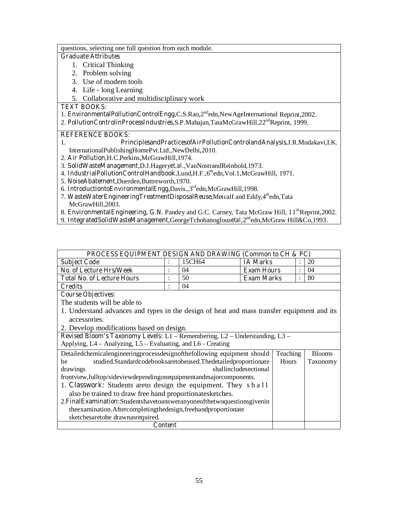questions, selecting one full question from each module.

#### **Graduate Attributes**

- 1. Critical Thinking
- 2. Problem solving
- 3. Use of modern tools
- 4. Life long Learning
- 5. Collaborative and multidisciplinary work

**TEXT BOOKS:** 

- 1. **EnvironmentalPollutionControlEngg,**C.S.Rao,2ndedn,NewAgeInternational Reprint,2002.
- 2. **PollutionControlinProcessIndustries,**S.P.Mahajan,TataMcGrawHill,22<sup>nd</sup>Reprint, 1999.

## **REFERENCE BOOKS:**

## 1. **PrinciplesandPracticesofAirPollutionControlandAnalysis,**J.R.Mudakavi,I.K.

InternationalPublishingHomePvt.Ltd.,NewDelhi,2010.

- 2. **Air Pollution,**H.C.Perkins,McGrawHill,1974.
- 3. **SolidWasteManagement,**D.J.Hagery*et.al*.,VanNostrandReinhold,1973.
- 4. IndustrialPollutionControlHandbook,Lund,H.F.,6<sup>th</sup>edn,Vol.1,McGrawHill, 1971.
- 5. **NoiseAbatement,**Duerden,Buttreworth,1970.
- 6. **IntroductiontoEnvironmentalEngg,**Davis.,3rdedn,McGrawHill,1998.
- 7. **WasteWaterEngineeringTreatmentDisposalReuse,**Metcalf and Eddy,4thedn,Tata McGrawHill,2003.
- 8. **EnvironmentalEngineering, G.N**. Pandey and G.C. Carney, Tata McGraw Hill, 11<sup>th</sup>Reprint,2002.
- 9. **IntegratedSolidWasteManagement,**GeorgeTchobanoglous*etal*,2ndedn,McGraw Hill&Co,1993.

| <b>PROCESS EQUIPMENT DESIGN AND DRAWING (Common to CH &amp; PC)</b> |  |        |                   |  |    |  |
|---------------------------------------------------------------------|--|--------|-------------------|--|----|--|
| <b>Subject Code</b>                                                 |  | 15CH64 | <b>IA Marks</b>   |  | 20 |  |
| <b>No. of Lecture Hrs/Week</b>                                      |  | 04     | <b>Exam Hours</b> |  | 04 |  |
| <b>Total No. of Lecture Hours</b>                                   |  | 50     | <b>Exam Marks</b> |  | 80 |  |
| <b>Credits</b>                                                      |  | 04     |                   |  |    |  |
| $\sim$<br>$\sim$ $\sim$ $\sim$                                      |  |        |                   |  |    |  |

**Course Objectives:** 

The students will be able to

- 1. Understand advances and types in the design of heat and mass transfer equipment and its accessories.
- 2. Develop modifications based on design.

**Revised Bloom's Taxonomy Levels:** L1 – Remembering, L2 – Understanding, L3 – Applying, L4 – Analyzing, L5 – Evaluating, and L6 - Creating

| Detailedchemicalengineeringprocessdesignofthefollowing equipment should            | <b>Teaching</b> | <b>Blooms</b>   |
|------------------------------------------------------------------------------------|-----------------|-----------------|
| studied.Standardcodebooksaretobeused.Thedetailedproportionate<br>be                | <b>Hours</b>    | <b>Taxonomy</b> |
| shallincludesectional<br>drawings                                                  |                 |                 |
| frontview, fulltop/sideviewdependingonequipmentandmajorcomponents.                 |                 |                 |
| 1. Classwork: Students areto design the equipment. They shall                      |                 |                 |
| also be trained to draw free hand proportionatesketches.                           |                 |                 |
| 2. Final Examination: Students have to answer anyone of the two questions given in |                 |                 |
| the examination. After completing the design, free hand proportionate              |                 |                 |
| sketchesaretobe drawnasrequired.                                                   |                 |                 |
| Content                                                                            |                 |                 |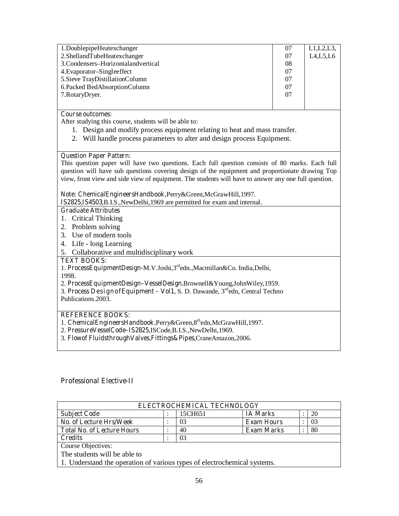| 1. Doublepipe Heatex changer          | 07 | L1,L2,L3 |
|---------------------------------------|----|----------|
| 2. ShellandTubeHeatexchanger          | 07 | L4,L5,L6 |
| 3. Condensers–Horizontal and vertical | 08 |          |
| 4. Evaporator–Singleeffect            | 07 |          |
| 5. Sieve TrayDistillationColumn       | 07 |          |
| 6. Packed BedAbsorptionColumn         | 07 |          |
| 7. Rotary Dryer.                      | 07 |          |
|                                       |    |          |
|                                       |    |          |

After studying this course, students will be able to:

- 1. Design and modify process equipment relating to heat and mass transfer.
- 2. Will handle process parameters to alter and design process Equipment.

#### **Question Paper Pattern:**

This question paper will have two questions. Each full question consists of 80 marks. Each full question will have sub questions covering design of the equipment and proportionate drawing Top view, front view and side view of equipment. The students will have to answer any one full question.

#### **Note: ChemicalEngineersHandbook,**Perry&Green,McGrawHill,1997.

**IS2825,IS4503**,B.I.S.,NewDelhi,1969 are permitted for exam and internal.

#### **Graduate Attributes**

- 1. Critical Thinking
- 2. Problem solving
- 3. Use of modern tools
- 4. Life long Learning
- 5. Collaborative and multidisciplinary work

#### **TEXT BOOKS:**

1. **ProcessEquipmentDesign-**M.V.Joshi,3rdedn.,Macmillan&Co. India,Delhi,

1998.

- 2. **ProcessEquipmentDesign–VesselDesign,**Brownell&Young,JohnWiley,1959.
- 3. **Process DesignofEquipment Vol1,** S. D. Dawande, 3rdedn, Central Techno Publications.2003.

#### **REFERENCE BOOKS:**

- 1. **ChemicalEngineersHandbook,**Perry&Green,8thedn,McGrawHill,1997.
- 2. **PressureVesselCode–IS2825,**ISCode,B.I.S.,NewDelhi,1969.
- 3. **Flowof FluidsthroughValves,Fittings&Pipes**,CraneAmazon,2006.

#### **Professional Elective-II**

| ELECTROCHEMICAL TECHNOLOGY                                             |  |         |                   |  |    |
|------------------------------------------------------------------------|--|---------|-------------------|--|----|
| <b>Subject Code</b>                                                    |  | 15CH651 | <b>IA Marks</b>   |  | 20 |
| No. of Lecture Hrs/Week                                                |  | 03      | <b>Exam Hours</b> |  | 03 |
| <b>Total No. of Lecture Hours</b>                                      |  | 40      | <b>Exam Marks</b> |  | 80 |
| <b>Credits</b>                                                         |  | 03      |                   |  |    |
| Course Objectives:                                                     |  |         |                   |  |    |
| The students will be able to                                           |  |         |                   |  |    |
| 1. Understand the energies of various types of electrochamical systems |  |         |                   |  |    |

1. Understand the operation of various types of electrochemical systems.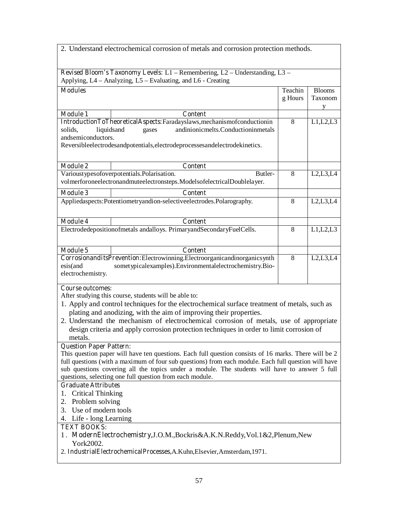| 2. Understand electrochemical corrosion of metals and corrosion protection methods.                   |         |               |
|-------------------------------------------------------------------------------------------------------|---------|---------------|
| Revised Bloom's Taxonomy Levels: L1 - Remembering, L2 - Understanding, L3 -                           |         |               |
| Applying, L4 - Analyzing, L5 - Evaluating, and L6 - Creating                                          |         |               |
| <b>Modules</b>                                                                                        | Teachin | <b>Blooms</b> |
|                                                                                                       | g Hours | Taxonom       |
|                                                                                                       |         | v             |
| <b>Module 1</b><br><b>Content</b>                                                                     |         |               |
| IntroductionToTheoreticalAspects:Faradayslaws,mechanismofconductionin                                 | 8       | L1,L2,L3      |
| andinionicmelts.Conductioninmetals<br>solids,<br>liquidsand<br>gases                                  |         |               |
| andsemiconductors.                                                                                    |         |               |
| Reversibleelectrodesandpotentials, electrodeprocessesandelectrodekinetics.                            |         |               |
|                                                                                                       |         |               |
| <b>Module 2</b><br><b>Content</b>                                                                     |         |               |
| Varioustypesofoverpotentials.Polarisation.<br>Butler-                                                 | 8       | L2,L3,L4      |
| volmerforoneelectronandmuteelectronsteps.ModelsofelectricalDoublelayer.                               |         |               |
| <b>Module 3</b><br><b>Content</b>                                                                     |         |               |
| Appliedaspects:Potentiometryandion-selectiveelectrodes.Polarography.                                  | 8       | L2,L3,L4      |
|                                                                                                       |         |               |
| <b>Module 4</b><br><b>Content</b>                                                                     |         |               |
| Electrodedepositionofmetals andalloys. PrimaryandSecondaryFuelCells.                                  | 8       | L1,L2,L3      |
|                                                                                                       |         |               |
|                                                                                                       |         |               |
| <b>Module 5</b><br><b>Content</b>                                                                     |         |               |
| CorrosionanditsPrevention:Electrowinning.Electroorganicandinorganicsynth                              | 8       | L2,L3,L4      |
| esis(and<br>sometypicalexamples). Environmentalelectrochemistry. Bio-                                 |         |               |
| electrochemistry.                                                                                     |         |               |
| <b>Course outcomes:</b>                                                                               |         |               |
| After studying this course, students will be able to:                                                 |         |               |
| 1. Apply and control techniques for the electrochemical surface treatment of metals, such as          |         |               |
| plating and anodizing, with the aim of improving their properties.                                    |         |               |
| 2. Understand the mechanism of electrochemical corrosion of metals, use of appropriate                |         |               |
| design criteria and apply corrosion protection techniques in order to limit corrosion of              |         |               |
| metals.                                                                                               |         |               |
| <b>Question Paper Pattern:</b>                                                                        |         |               |
| This question paper will have ten questions. Each full question consists of 16 marks. There will be 2 |         |               |
| full questions (with a maximum of four sub questions) from each module. Each full question will have  |         |               |
| sub questions covering all the topics under a module. The students will have to answer 5 full         |         |               |
| questions, selecting one full question from each module.                                              |         |               |
| <b>Graduate Attributes</b>                                                                            |         |               |
| <b>Critical Thinking</b><br>1.                                                                        |         |               |
| Problem solving<br>2.                                                                                 |         |               |
| Use of modern tools<br>3.                                                                             |         |               |
| 4. Life - long Learning                                                                               |         |               |
| <b>TEXT BOOKS:</b>                                                                                    |         |               |
| 1. ModernElectrochemistry, J.O.M., Bockris&A.K.N.Reddy, Vol.1&2, Plenum, New<br>York2002.             |         |               |
| 2. IndustrialElectrochemicalProcesses,A.Kuhn,Elsevier,Amsterdam,1971.                                 |         |               |
|                                                                                                       |         |               |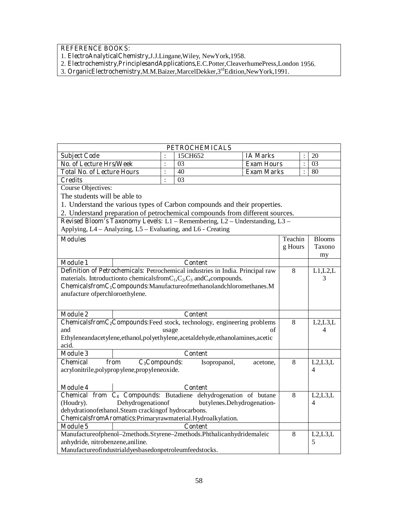- 1. **ElectroAnalyticalChemistry,**J.J.Lingane,Wiley, NewYork,1958.
- 2. **Electrochemistry,PrinciplesandApplications,**E.C.Potter,CleaverhumePress,London 1956.
- 3. **OrganicElectrochemistry,**M.M.Baizer,MarcelDekker,3rdEdition,NewYork,1991.

|                                                        | <b>PETROCHEMICALS</b> |                |                                                                                      |                            |         |                |               |
|--------------------------------------------------------|-----------------------|----------------|--------------------------------------------------------------------------------------|----------------------------|---------|----------------|---------------|
| <b>Subject Code</b>                                    |                       | $\ddot{\cdot}$ | 15CH652                                                                              | <b>IA Marks</b>            |         |                | 20            |
| <b>No. of Lecture Hrs/Week</b>                         |                       | $\vdots$       | 03                                                                                   | <b>Exam Hours</b>          |         | $\ddot{\cdot}$ | 03            |
| <b>Total No. of Lecture Hours</b>                      |                       | $\vdots$       | 40                                                                                   | <b>Exam Marks</b>          |         | $\ddot{\cdot}$ | 80            |
| <b>Credits</b>                                         |                       | $\ddot{\cdot}$ | 03                                                                                   |                            |         |                |               |
| <b>Course Objectives:</b>                              |                       |                |                                                                                      |                            |         |                |               |
| The students will be able to                           |                       |                |                                                                                      |                            |         |                |               |
|                                                        |                       |                | 1. Understand the various types of Carbon compounds and their properties.            |                            |         |                |               |
|                                                        |                       |                | 2. Understand preparation of petrochemical compounds from different sources.         |                            |         |                |               |
|                                                        |                       |                | Revised Bloom's Taxonomy Levels: L1 - Remembering, L2 - Understanding, L3 -          |                            |         |                |               |
|                                                        |                       |                | Applying, L4 – Analyzing, L5 – Evaluating, and L6 - Creating                         |                            |         |                |               |
| <b>Modules</b>                                         |                       |                |                                                                                      |                            | Teachin |                | <b>Blooms</b> |
|                                                        |                       |                |                                                                                      |                            | g Hours |                | Taxono        |
|                                                        |                       |                |                                                                                      |                            |         |                | my            |
| <b>Module 1</b>                                        |                       |                | <b>Content</b>                                                                       |                            |         |                |               |
|                                                        |                       |                | Definition of Petrochemicals: Petrochemical industries in India. Principal raw       |                            | 8       |                | L1,L2,L       |
|                                                        |                       |                | materials. Introduction to chemicals from $C_1$ , $C_2$ , $C_3$ and $C_4$ compounds. |                            |         |                | 3             |
|                                                        |                       |                | ChemicalsfromC <sub>1</sub> Compounds:Manufactureofmethanolandchloromethanes.M       |                            |         |                |               |
| anufacture of perchloroethylene.                       |                       |                |                                                                                      |                            |         |                |               |
|                                                        |                       |                |                                                                                      |                            |         |                |               |
| <b>Module 2</b>                                        |                       |                | <b>Content</b>                                                                       |                            |         |                |               |
|                                                        |                       |                | ChemicalsfromC <sub>2</sub> Compounds:Feed stock, technology, engineering problems   |                            | 8       |                | L2, L3, L     |
| and                                                    |                       | usage          |                                                                                      | of                         |         |                | 4             |
|                                                        |                       |                | Ethyleneandacetylene, ethanol, polyethylene, acetaldehyde, ethanolamines, acetic     |                            |         |                |               |
| acid.                                                  |                       |                |                                                                                      |                            |         |                |               |
| <b>Module 3</b>                                        |                       |                | <b>Content</b>                                                                       |                            |         |                |               |
| <b>Chemical</b><br>from                                | $C_3$ Compounds:      |                | Isopropanol,                                                                         | acetone,                   | 8       |                | L2, L3, L     |
| acrylonitrile, polypropylene, propyleneoxide.          |                       |                |                                                                                      |                            |         |                | 4             |
|                                                        |                       |                |                                                                                      |                            |         |                |               |
| <b>Module 4</b>                                        |                       |                | <b>Content</b>                                                                       |                            |         |                |               |
|                                                        |                       |                | Chemical from C <sub>4</sub> Compounds: Butadiene dehydrogenation of butane          |                            | 8       |                | L2, L3, L     |
| (Houdry).                                              | Dehydrogenationof     |                |                                                                                      | butylenes.Dehydrogenation- |         |                | 4             |
| dehydrationofethanol.Steam crackingof hydrocarbons.    |                       |                |                                                                                      |                            |         |                |               |
|                                                        |                       |                | ChemicalsfromAromatics: Primaryrawmaterial. Hydroalkylation.                         |                            |         |                |               |
| <b>Module 5</b>                                        |                       |                | <b>Content</b>                                                                       |                            |         |                |               |
|                                                        |                       |                | Manufactureofphenol-2methods.Styrene-2methods.Phthalicanhydridemaleic                |                            | 8       |                | L2, L3, L     |
| anhydride, nitrobenzene, aniline.                      |                       |                |                                                                                      |                            |         |                | 5             |
| Manufactureofindustrialdyesbasedonpetroleumfeedstocks. |                       |                |                                                                                      |                            |         |                |               |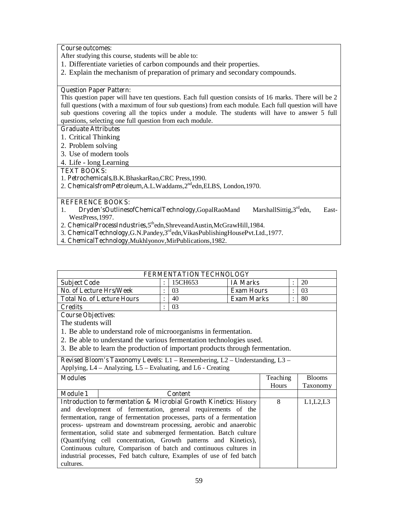After studying this course, students will be able to:

- 1. Differentiate varieties of carbon compounds and their properties.
- 2. Explain the mechanism of preparation of primary and secondary compounds.

### **Question Paper Pattern:**

This question paper will have ten questions. Each full question consists of 16 marks. There will be 2 full questions (with a maximum of four sub questions) from each module. Each full question will have sub questions covering all the topics under a module. The students will have to answer 5 full questions, selecting one full question from each module.

### **Graduate Attributes**

- 1. Critical Thinking
- 2. Problem solving
- 3. Use of modern tools
- 4. Life long Learning

#### **TEXT BOOKS:**

- 1. **Petrochemicals,**B.K.BhaskarRao,CRC Press,1990.
- 2. **ChemicalsfromPetroleum,**A.L.Waddams,2ndedn,ELBS, London,1970.

#### **REFERENCE BOOKS:**

- 1. **Dryden'sOutlinesofChemicalTechnology,**GopalRaoMand MarshallSittig,3<sup>rd</sup>edn, East-WestPress,1997.
- 2. **ChemicalProcessIndustries,**5thedn,ShreveandAustin,McGrawHill,1984.
- 3. **ChemicalTechnology,**G.N.Pandey,3rdedn,VikasPublishingHousePvt.Ltd.,1977.
- 4. **ChemicalTechnology,**Mukhlyonov,MirPublications,1982.

| <b>FERMENTATION TECHNOLOGY</b>    |  |         |                   |  |    |  |
|-----------------------------------|--|---------|-------------------|--|----|--|
| <b>Subject Code</b>               |  | 15CH653 | <b>IA Marks</b>   |  | 20 |  |
| No. of Lecture Hrs/Week           |  | 03      | <b>Exam Hours</b> |  | 03 |  |
| <b>Total No. of Lecture Hours</b> |  | 40      | <b>Exam Marks</b> |  | 80 |  |
| Credits                           |  | 03      |                   |  |    |  |

#### **Course Objectives:**

The students will

- 1. Be able to understand role of microorganisms in fermentation.
- 2. Be able to understand the various fermentation technologies used.
- 3. Be able to learn the production of important products through fermentation.

**Revised Bloom's Taxonomy Levels:** L1 – Remembering, L2 – Understanding, L3 – Applying, L4 – Analyzing, L5 – Evaluating, and L6 - Creating

| <b>Modules</b>  |                                                                              | Teaching     | <b>Blooms</b> |
|-----------------|------------------------------------------------------------------------------|--------------|---------------|
|                 |                                                                              | <b>Hours</b> | Taxonomy      |
| <b>Module 1</b> | <b>Content</b>                                                               |              |               |
|                 | <b>Introduction to fermentation &amp; Microbial Growth Kinetics: History</b> |              | L1, L2, L3    |
|                 | and development of fermentation, general requirements of the                 |              |               |
|                 | fermentation, range of fermentation processes, parts of a fermentation       |              |               |
|                 | process- upstream and downstream processing, aerobic and anaerobic           |              |               |
|                 | fermentation, solid state and submerged fermentation. Batch culture          |              |               |
|                 | (Quantifying cell concentration, Growth patterns and Kinetics),              |              |               |
|                 | Continuous culture, Comparison of batch and continuous cultures in           |              |               |
|                 | industrial processes, Fed batch culture, Examples of use of fed batch        |              |               |
| cultures.       |                                                                              |              |               |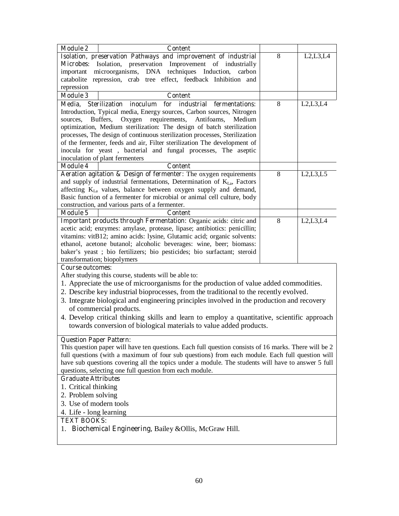| <b>Module 2</b><br><b>Content</b>                                                                     |   |            |
|-------------------------------------------------------------------------------------------------------|---|------------|
| Isolation, preservation Pathways and improvement of industrial                                        | 8 | L2, L3, L4 |
| Isolation, preservation Improvement of industrially<br><b>Microbes:</b>                               |   |            |
| microorganisms, DNA techniques Induction,<br>important<br>carbon                                      |   |            |
| catabolite repression, crab tree effect, feedback Inhibition and                                      |   |            |
| repression                                                                                            |   |            |
| <b>Module 3</b><br><b>Content</b>                                                                     |   |            |
| for industrial fermentations:<br><b>Sterilization</b><br>inoculum<br>Media,                           | 8 | L2,L3,L4   |
| Introduction, Typical media, Energy sources, Carbon sources, Nitrogen                                 |   |            |
| requirements, Antifoams,<br>sources,<br>Buffers,<br>Oxygen<br>Medium                                  |   |            |
| optimization, Medium sterilization: The design of batch sterilization                                 |   |            |
| processes, The design of continuous sterilization processes, Sterilization                            |   |            |
| of the fermenter, feeds and air, Filter sterilization The development of                              |   |            |
| inocula for yeast, bacterial and fungal processes, The aseptic                                        |   |            |
| inoculation of plant fermenters<br>Module 4<br><b>Content</b>                                         |   |            |
| Aeration agitation & Design of fermenter: The oxygen requirements                                     | 8 | L2, L3, L5 |
| and supply of industrial fermentations, Determination of KLa, Factors                                 |   |            |
| affecting K <sub>La</sub> values, balance between oxygen supply and demand,                           |   |            |
| Basic function of a fermenter for microbial or animal cell culture, body                              |   |            |
| construction, and various parts of a fermenter.                                                       |   |            |
| <b>Module 5</b><br><b>Content</b>                                                                     |   |            |
| Important products through Fermentation: Organic acids: citric and                                    | 8 | L2,L3,L4   |
| acetic acid; enzymes: amylase, protease, lipase; antibiotics: penicillin;                             |   |            |
| vitamins: vitB12; amino acids: lysine, Glutamic acid; organic solvents:                               |   |            |
| ethanol, acetone butanol; alcoholic beverages: wine, beer; biomass:                                   |   |            |
| baker's yeast; bio fertilizers; bio pesticides; bio surfactant; steroid                               |   |            |
| transformation; biopolymers                                                                           |   |            |
| <b>Course outcomes:</b>                                                                               |   |            |
| After studying this course, students will be able to:                                                 |   |            |
| 1. Appreciate the use of microorganisms for the production of value added commodities.                |   |            |
| 2. Describe key industrial bioprocesses, from the traditional to the recently evolved.                |   |            |
| 3. Integrate biological and engineering principles involved in the production and recovery            |   |            |
| of commercial products.                                                                               |   |            |
| 4. Develop critical thinking skills and learn to employ a quantitative, scientific approach           |   |            |
| towards conversion of biological materials to value added products.                                   |   |            |
|                                                                                                       |   |            |
| <b>Question Paper Pattern:</b>                                                                        |   |            |
| This question paper will have ten questions. Each full question consists of 16 marks. There will be 2 |   |            |
| full questions (with a maximum of four sub questions) from each module. Each full question will       |   |            |
| have sub questions covering all the topics under a module. The students will have to answer 5 full    |   |            |
| questions, selecting one full question from each module.                                              |   |            |
| <b>Graduate Attributes</b>                                                                            |   |            |
| 1. Critical thinking                                                                                  |   |            |
| 2. Problem solving                                                                                    |   |            |
| 3. Use of modern tools                                                                                |   |            |
| 4. Life - long learning                                                                               |   |            |
| <b>TEXT BOOKS:</b>                                                                                    |   |            |
| Biochemical Engineering, Bailey & Ollis, McGraw Hill.<br>1.                                           |   |            |
|                                                                                                       |   |            |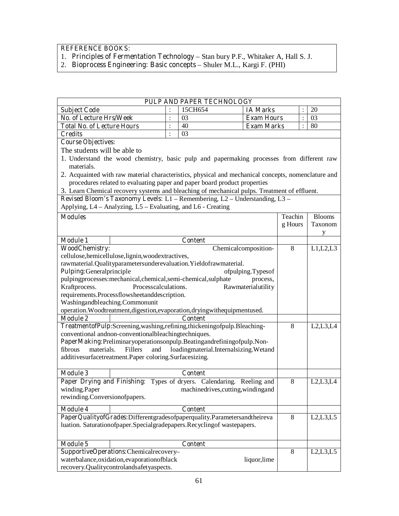**REFERENCE BOOKS:** 

- 1. **Principles of Fermentation Technology** Stan bury P.F., Whitaker A, Hall S. J.
- 2. **Bioprocess Engineering: Basic concepts** Shuler M.L., Kargi F. (PHI)

| PULP AND PAPER TECHNOLOGY         |  |         |                   |  |    |  |  |
|-----------------------------------|--|---------|-------------------|--|----|--|--|
| <b>Subject Code</b>               |  | 15CH654 | <b>IA Marks</b>   |  | 20 |  |  |
| No. of Lecture Hrs/Week           |  |         | <b>Exam Hours</b> |  | 03 |  |  |
| <b>Total No. of Lecture Hours</b> |  | 40      | <b>Exam Marks</b> |  | 80 |  |  |
| Credits                           |  |         |                   |  |    |  |  |

**Course Objectives:** 

The students will be able to

- 1. Understand the wood chemistry, basic pulp and papermaking processes from different raw materials.
- 2. Acquainted with raw material characteristics, physical and mechanical concepts, nomenclature and procedures related to evaluating paper and paper board product properties

3. Learn Chemical recovery systems and bleaching of mechanical pulps. Treatment of effluent.

**Revised Bloom's Taxonomy Levels:** L1 – Remembering, L2 – Understanding, L3 –

Applying, L4 – Analyzing, L5 – Evaluating, and L6 - Creating

| <b>Modules</b>                                                             |                                                                              | Teachin | <b>Blooms</b> |
|----------------------------------------------------------------------------|------------------------------------------------------------------------------|---------|---------------|
|                                                                            |                                                                              | g Hours | Taxonom       |
|                                                                            |                                                                              |         | y             |
| <b>Module 1</b>                                                            | <b>Content</b>                                                               |         |               |
| <b>WoodChemistry:</b>                                                      | Chemicalcomposition-                                                         | 8       | L1,L2,L3      |
|                                                                            | cellulose, hemicellulose, lignin, woodextractives,                           |         |               |
|                                                                            | rawmaterial.Qualityparametersunderevaluation.Yieldofrawmaterial.             |         |               |
| Pulping:Generalprinciple                                                   | ofpulping.Typesof                                                            |         |               |
|                                                                            | pulpingprocesses:mechanical,chemical,semi-chemical,sulphate<br>process,      |         |               |
| Kraftprocess.                                                              | Processcalculations.<br>Rawmaterialutility                                   |         |               |
|                                                                            | requirements.Processflowsheetanddescription.                                 |         |               |
| Washingandbleaching.Commonunit                                             |                                                                              |         |               |
|                                                                            | operation. Woodtreatment, digestion, evaporation, drying with equipmentused. |         |               |
| <b>Module 2</b>                                                            | <b>Content</b>                                                               |         |               |
|                                                                            | TreatmentofPulp:Screening,washing,refining,thickeningofpulp.Bleaching-       | 8       | L2,L3,L4      |
|                                                                            | conventional and non-conventional bleaching techniques.                      |         |               |
|                                                                            | PaperMaking:Preliminaryoperationsonpulp.Beatingandrefiningofpulp.Non-        |         |               |
| fibrous<br>materials.                                                      | Fillers<br>loadingmaterial.Internalsizing.Wetand<br>and                      |         |               |
|                                                                            | additivesurfacetreatment.Paper coloring.Surfacesizing.                       |         |               |
|                                                                            |                                                                              |         |               |
| <b>Module 3</b>                                                            | <b>Content</b>                                                               |         |               |
|                                                                            | Paper Drying and Finishing: Types of dryers. Calendaring. Reeling and        | 8       | L2,L3,L4      |
| winding.Paper                                                              | machinedrives, cutting, winding and                                          |         |               |
| rewinding.Conversionofpapers.                                              |                                                                              |         |               |
| <b>Module 4</b>                                                            | <b>Content</b>                                                               |         |               |
|                                                                            | PaperQualityofGrades:Differentgradesofpaperquality.Parametersandtheireva     | 8       | L2, L3, L5    |
| luation. Saturationofpaper. Special gradepapers. Recycling of wastepapers. |                                                                              |         |               |
|                                                                            |                                                                              |         |               |
| <b>Module 5</b>                                                            | <b>Content</b>                                                               |         |               |
|                                                                            | SupportiveOperations:Chemicalrecovery-                                       | 8       | L2, L3, L5    |
|                                                                            | waterbalance, oxidation, evaporation of black<br>liquor, lime                |         |               |
|                                                                            | recovery.Qualitycontrolandsafetyaspects.                                     |         |               |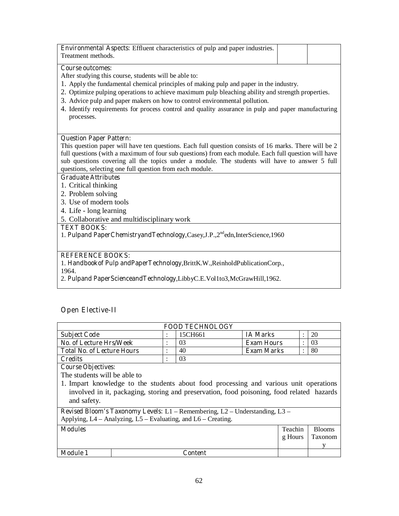| <b>Environmental Aspects:</b> Effluent characteristics of pulp and paper industries.<br>Treatment methods. |  |
|------------------------------------------------------------------------------------------------------------|--|
| <b>Course outcomes:</b>                                                                                    |  |

After studying this course, students will be able to:

- 1. Apply the fundamental chemical principles of making pulp and paper in the industry.
- 2. Optimize pulping operations to achieve maximum pulp bleaching ability and strength properties.
- 3. Advice pulp and paper makers on how to control environmental pollution.
- 4. Identify requirements for process control and quality assurance in pulp and paper manufacturing processes.

#### **Question Paper Pattern:**

This question paper will have ten questions. Each full question consists of 16 marks. There will be 2 full questions (with a maximum of four sub questions) from each module. Each full question will have sub questions covering all the topics under a module. The students will have to answer 5 full questions, selecting one full question from each module.

#### **Graduate Attributes**

- 1. Critical thinking
- 2. Problem solving
- 3. Use of modern tools
- 4. Life long learning
- 5. Collaborative and multidisciplinary work

#### **TEXT BOOKS:**

1. **Pulpand PaperChemistryandTechnology**,Casey,J.P.,2ndedn,InterScience,1960

### **REFERENCE BOOKS:**

1. **Handbookof Pulp andPaperTechnology**,BrittK.W.,ReinholdPublicationCorp.,

1964.

2. **Pulpand PaperScienceandTechnology**,LibbyC.E.Vol1to3,McGrawHill,1962.

## **Open Elective-II**

| <b>FOOD TECHNOLOGY</b>            |  |         |                   |  |    |  |  |
|-----------------------------------|--|---------|-------------------|--|----|--|--|
| <b>Subject Code</b>               |  | 15CH661 | <b>IA Marks</b>   |  | 20 |  |  |
| No. of Lecture Hrs/Week           |  | 03      | <b>Exam Hours</b> |  | 03 |  |  |
| <b>Total No. of Lecture Hours</b> |  | 40      | <b>Exam Marks</b> |  | 80 |  |  |
| <b>Credits</b>                    |  | 03      |                   |  |    |  |  |

**Course Objectives:** 

The students will be able to

1. Impart knowledge to the students about food processing and various unit operations involved in it, packaging, storing and preservation, food poisoning, food related hazards and safety.

**Revised Bloom's Taxonomy Levels:** L1 – Remembering, L2 – Understanding, L3 – Applying,  $L4 -$ Analyzing,  $L5 -$ Evaluating, and  $L6 -$ Creating.

| <b>Modules</b>  |         | Teachin | <b>Blooms</b> |
|-----------------|---------|---------|---------------|
|                 |         | g Hours | Taxonom       |
|                 |         |         |               |
| <b>Module 1</b> | Content |         |               |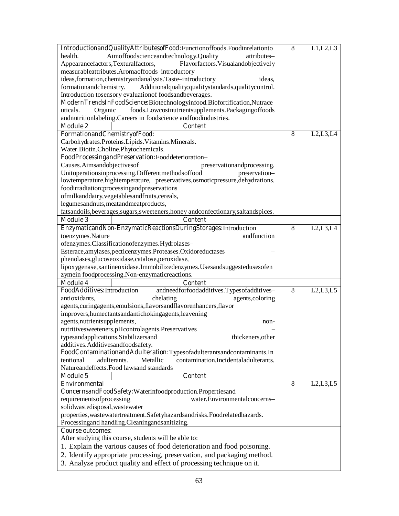| IntroductionandQualityAttributesofFood:Functionoffoods.Foodinrelationto                                             | 8 | L1,L2,L3   |
|---------------------------------------------------------------------------------------------------------------------|---|------------|
| Aimoffoodscienceandtechnology.Quality<br>health.<br>attributes-                                                     |   |            |
| Appearancefactors, Texturalfactors,<br>Flavorfactors. Visualandobjectively                                          |   |            |
| measurableattributes.Aromaoffoods-introductory                                                                      |   |            |
| ideas, formation, chemistry and analysis. Taste-introductory<br>ideas,                                              |   |            |
| formationandchemistry.<br>Additionalquality;qualitystandards,qualitycontrol.                                        |   |            |
| Introduction tosensory evaluation of foodsandbeverages.                                                             |   |            |
| ModernTrendsInFoodScience:Biotechnologyinfood.Biofortification,Nutrace                                              |   |            |
| foods.Lowcostnutrientsupplements.Packagingoffoods<br>Organic<br>uticals.                                            |   |            |
| andnutritionlabeling. Careers in foodscience andfoodindustries.                                                     |   |            |
| <b>Module 2</b><br><b>Content</b>                                                                                   |   |            |
| FormationandChemistryofFood:                                                                                        | 8 | L2,L3,L4   |
| Carbohydrates.Proteins.Lipids.Vitamins.Minerals.                                                                    |   |            |
| Water.Biotin.Choline.Phytochemicals.                                                                                |   |            |
| FoodProcessingandPreservation:Fooddeterioration-                                                                    |   |            |
| Causes.Aimsandobjectivesof<br>preservation and processing.                                                          |   |            |
| Unitoperationsinprocessing.Differentmethodsoffood<br>preservation-                                                  |   |            |
| lowtemperature, hightemperature, preservatives, osmotic pressure, dehydrations.                                     |   |            |
| foodirradiation;processingandpreservations                                                                          |   |            |
| ofmilkanddairy, vegetables and fruits, cereals,                                                                     |   |            |
| legumesandnuts, meatandmeatproducts,                                                                                |   |            |
| fatsandoils, beverages, sugars, sweeteners, honey and confectionary, saltandspices.                                 |   |            |
| <b>Module 3</b><br><b>Content</b>                                                                                   |   |            |
| EnzymaticandNon-EnzymaticReactionsDuringStorages:Introduction                                                       | 8 | L2, L3, L4 |
| toenzymes.Nature<br>andfunction                                                                                     |   |            |
| ofenzymes.Classificationofenzymes.Hydrolases-                                                                       |   |            |
| Esterace, amylases, pecticenzymes. Proteases. Oxidoreductases                                                       |   |            |
| phenolases, glucoseoxidase, catalose, peroxidase,                                                                   |   |            |
| lipoxygenase, xantineoxidase. Immobilizedenzymes. Usesandsuggestedusesofen                                          |   |            |
| zymein foodprocessing.Non-enzymaticreactions.                                                                       |   |            |
| <b>Module 4</b><br><b>Content</b>                                                                                   |   |            |
| andneedforfoodadditives.Typesofadditives-<br>FoodAdditives:Introduction                                             | 8 | L2, L3, L5 |
| antioxidants,<br>chelating<br>agents, coloring                                                                      |   |            |
| agents, curingagents, emulsions, flavorsandflavorenhancers, flavor                                                  |   |            |
| improvers, humectants and antichoking agents, leavening                                                             |   |            |
| agents, nutrients upplements,                                                                                       |   |            |
| non-<br>nutritivesweeteners, pHcontrolagents. Preservatives                                                         |   |            |
| typesandapplications.Stabilizersand<br>thickeners, other                                                            |   |            |
| additives.Additivesandfoodsafety.                                                                                   |   |            |
| FoodContaminationandAdulteration:Typesofadulterantsandcontaminants.In                                               |   |            |
| contamination.Incidentaladulterants.<br>tentional<br>adulterants.<br>Metallic                                       |   |            |
| Natureandeffects. Food lawsand standards                                                                            |   |            |
| <b>Module 5</b>                                                                                                     |   |            |
| <b>Content</b><br><b>Environmental</b>                                                                              | 8 | L2,L3,L5   |
| ConcernsandFoodSafety:Waterinfoodproduction.Propertiesand                                                           |   |            |
| water.Environmentalconcerns-                                                                                        |   |            |
| requirements of processing                                                                                          |   |            |
| solidwastedisposal, wastewater<br>properties, was tewater treatment. Safety hazards and risks. Foodrelated hazards. |   |            |
|                                                                                                                     |   |            |
| Processingand handling.Cleaningandsanitizing.                                                                       |   |            |
| <b>Course outcomes:</b>                                                                                             |   |            |
| After studying this course, students will be able to:                                                               |   |            |
| 1. Explain the various causes of food deterioration and food poisoning.                                             |   |            |
| 2. Identify appropriate processing, preservation, and packaging method.                                             |   |            |
| 3. Analyze product quality and effect of processing technique on it.                                                |   |            |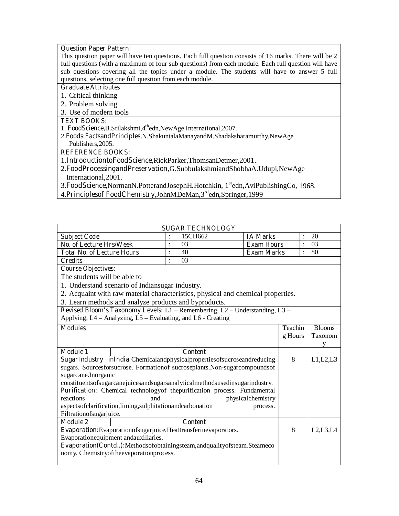#### **Question Paper Pattern:**

This question paper will have ten questions. Each full question consists of 16 marks. There will be 2 full questions (with a maximum of four sub questions) from each module. Each full question will have sub questions covering all the topics under a module. The students will have to answer 5 full questions, selecting one full question from each module.

#### **Graduate Attributes**

- 1. Critical thinking
- 2. Problem solving
- 3. Use of modern tools

#### **TEXT BOOKS:**

- 1. **FoodScience,**B.Srilakshmi,4thedn,NewAge International,2007.
- 2.**Foods:FactsandPrinciples,**N.ShakuntalaManayandM.Shadaksharamurthy,NewAge Publishers,2005.

### **REFERENCE BOOKS:**

- 1.**IntroductiontoFoodScience,**RickParker,ThomsanDetmer,2001.
- 2.**FoodProcessingandPreservation,**G.SubbulakshmiandShobhaA.Udupi,NewAge International,2001.
- 3. FoodScience, NormanN. Potterand Joseph H. Hotchkin, 1<sup>st</sup>edn, AviPublishingCo, 1968.
- 4.**Principlesof FoodChemistry,**JohnMDeMan,3rdedn,Springer,1999

| <b>SUGAR TECHNOLOGY</b>           |  |         |                   |  |    |  |  |
|-----------------------------------|--|---------|-------------------|--|----|--|--|
| <b>Subject Code</b>               |  | 15CH662 | <b>IA Marks</b>   |  | 20 |  |  |
| <b>No. of Lecture Hrs/Week</b>    |  |         | <b>Exam Hours</b> |  | 03 |  |  |
| <b>Total No. of Lecture Hours</b> |  | 40      | <b>Exam Marks</b> |  | 80 |  |  |
| Credits                           |  |         |                   |  |    |  |  |

### **Course Objectives:**

The students will be able to

- 1. Understand scenario of Indiansugar industry.
- 2. Acquaint with raw material characteristics, physical and chemical properties.
- 3. Learn methods and analyze products and byproducts.

**Revised Bloom's Taxonomy Levels:** L1 – Remembering, L2 – Understanding, L3 – Applying, L4 – Analyzing, L5 – Evaluating, and L6 - Creating

| <b>Modules</b>                                                             |                                                                                       | Teachin | <b>Blooms</b> |
|----------------------------------------------------------------------------|---------------------------------------------------------------------------------------|---------|---------------|
|                                                                            |                                                                                       | g Hours | Taxonom       |
|                                                                            |                                                                                       |         |               |
| Module 1                                                                   | Content                                                                               |         |               |
|                                                                            | SugarIndustry inIndia:Chemicalandphysicalpropertiesofsucroseandreducing               | 8       | L1,L2,L3      |
|                                                                            | sugars. Sourcesforsucrose. Formation of sucroseplants. Non-sugarcompounds of          |         |               |
| sugarcane.Inorganic                                                        |                                                                                       |         |               |
|                                                                            | constituents of sugarcane juices and sugars analytical methods used in sugarindustry. |         |               |
|                                                                            | Purification: Chemical technology of the purification process. Fundamental            |         |               |
| reactions                                                                  | physicalchemistry<br>and                                                              |         |               |
|                                                                            | aspects of clarification, liming, sulphitation and carbonation<br>process.            |         |               |
| Filtrationofsugarjuice.                                                    |                                                                                       |         |               |
| <b>Module 2</b>                                                            | Content                                                                               |         |               |
|                                                                            | Evaporation: Evaporation of sugariuice. Heat transferine vaporators.                  | 8       | L2.L3.L4      |
| Evaporationequipment andauxiliaries.                                       |                                                                                       |         |               |
| Evaporation(Contd):Methodsofobtainingsteam, and quality of steam. Steameco |                                                                                       |         |               |
|                                                                            | nomy. Chemistryoftheevaporationprocess.                                               |         |               |
|                                                                            |                                                                                       |         |               |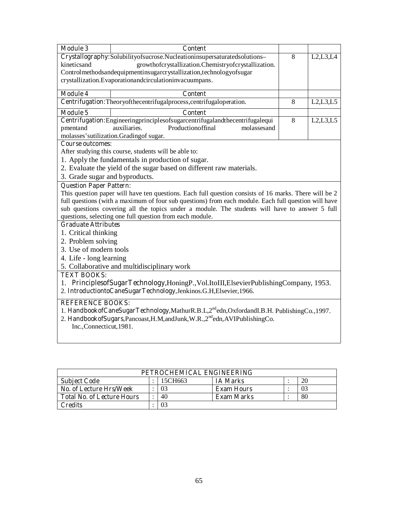| <b>Module 3</b>                                                    | <b>Content</b>                                                                                                                                            |   |            |  |  |  |  |
|--------------------------------------------------------------------|-----------------------------------------------------------------------------------------------------------------------------------------------------------|---|------------|--|--|--|--|
|                                                                    | Crystallography:Solubilityofsucrose.Nucleationinsupersaturatedsolutions-                                                                                  | 8 | L2, L3, L4 |  |  |  |  |
| growthofcrystallization.Chemistryofcrystallization.<br>kineticsand |                                                                                                                                                           |   |            |  |  |  |  |
|                                                                    | Controlmethodsandequipmentinsugarcrystallization, technology of sugar                                                                                     |   |            |  |  |  |  |
|                                                                    | crystallization.Evaporationandcirculationinvacuumpans.                                                                                                    |   |            |  |  |  |  |
| <b>Module 4</b>                                                    | <b>Content</b>                                                                                                                                            |   |            |  |  |  |  |
|                                                                    | Centrifugation: Theoryofthecentrifugalprocess, centrifugal operation.                                                                                     | 8 | L2, L3, L5 |  |  |  |  |
| <b>Module 5</b>                                                    | <b>Content</b>                                                                                                                                            |   |            |  |  |  |  |
|                                                                    | Centrifugation: Engineeringprinciples of sugarcentrifugaland the centrifugale qui                                                                         | 8 | L2,L3,L5   |  |  |  |  |
| pmentand                                                           | auxiliaries.<br>Productionoffinal<br>molassesand                                                                                                          |   |            |  |  |  |  |
|                                                                    | molasses' sutilization. Grading of sugar.                                                                                                                 |   |            |  |  |  |  |
| <b>Course outcomes:</b>                                            |                                                                                                                                                           |   |            |  |  |  |  |
|                                                                    | After studying this course, students will be able to:                                                                                                     |   |            |  |  |  |  |
|                                                                    | 1. Apply the fundamentals in production of sugar.                                                                                                         |   |            |  |  |  |  |
|                                                                    | 2. Evaluate the yield of the sugar based on different raw materials.                                                                                      |   |            |  |  |  |  |
| 3. Grade sugar and byproducts.                                     |                                                                                                                                                           |   |            |  |  |  |  |
| <b>Question Paper Pattern:</b>                                     |                                                                                                                                                           |   |            |  |  |  |  |
|                                                                    | This question paper will have ten questions. Each full question consists of 16 marks. There will be 2                                                     |   |            |  |  |  |  |
|                                                                    | full questions (with a maximum of four sub questions) from each module. Each full question will have                                                      |   |            |  |  |  |  |
|                                                                    | sub questions covering all the topics under a module. The students will have to answer 5 full<br>questions, selecting one full question from each module. |   |            |  |  |  |  |
| <b>Graduate Attributes</b>                                         |                                                                                                                                                           |   |            |  |  |  |  |
| 1. Critical thinking                                               |                                                                                                                                                           |   |            |  |  |  |  |
| 2. Problem solving                                                 |                                                                                                                                                           |   |            |  |  |  |  |
| 3. Use of modern tools                                             |                                                                                                                                                           |   |            |  |  |  |  |
|                                                                    |                                                                                                                                                           |   |            |  |  |  |  |
| 4. Life - long learning                                            |                                                                                                                                                           |   |            |  |  |  |  |
| <b>TEXT BOOKS:</b>                                                 | 5. Collaborative and multidisciplinary work                                                                                                               |   |            |  |  |  |  |
|                                                                    |                                                                                                                                                           |   |            |  |  |  |  |
|                                                                    | 1. PrinciplesofSugarTechnology,HoningP.,Vol.ItoIII,ElsevierPublishingCompany, 1953.<br>2. IntroductiontoCaneSugarTechnology,Jenkinos.G.H,Elsevier,1966.   |   |            |  |  |  |  |
| <b>REFERENCE BOOKS:</b>                                            |                                                                                                                                                           |   |            |  |  |  |  |
|                                                                    | 1. HandbookofCaneSugarTechnology,MathurR.B.L.2 <sup>nd</sup> edn,OxfordandI.B.H. PublishingCo.,1997.                                                      |   |            |  |  |  |  |
|                                                                    | 2. HandbookofSugars, Pancoast, H.M, and Junk, W.R., 2 <sup>nd</sup> edn, AVIPublishingCo.                                                                 |   |            |  |  |  |  |
| Inc., Connecticut, 1981.                                           |                                                                                                                                                           |   |            |  |  |  |  |
|                                                                    |                                                                                                                                                           |   |            |  |  |  |  |
|                                                                    |                                                                                                                                                           |   |            |  |  |  |  |

| PETROCHEMICAL ENGINEERING         |  |         |                   |  |    |  |  |  |
|-----------------------------------|--|---------|-------------------|--|----|--|--|--|
| <b>Subject Code</b>               |  | 15CH663 | <b>IA Marks</b>   |  | 20 |  |  |  |
| <b>No. of Lecture Hrs/Week</b>    |  | 03      | <b>Exam Hours</b> |  | 03 |  |  |  |
| <b>Total No. of Lecture Hours</b> |  | 40      | <b>Exam Marks</b> |  | 80 |  |  |  |
| Credits                           |  | 03      |                   |  |    |  |  |  |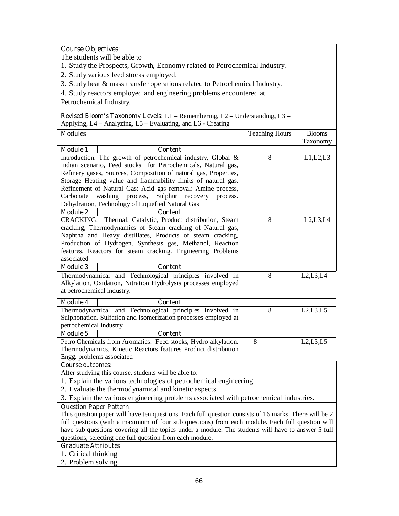## **Course Objectives:**

The students will be able to

- 1. Study the Prospects, Growth, Economy related to Petrochemical Industry.
- 2. Study various feed stocks employed.
- 3. Study heat & mass transfer operations related to Petrochemical Industry.
- 4. Study reactors employed and engineering problems encountered at

Petrochemical Industry.

| <b>Revised Bloom's Taxonomy Levels:</b> $L1$ – Remembering, $L2$ – Understanding, $L3$ – |                                                                                       |                       |               |  |  |  |  |
|------------------------------------------------------------------------------------------|---------------------------------------------------------------------------------------|-----------------------|---------------|--|--|--|--|
|                                                                                          | Applying, L4 – Analyzing, L5 – Evaluating, and L6 - Creating                          |                       |               |  |  |  |  |
| <b>Modules</b>                                                                           |                                                                                       | <b>Teaching Hours</b> | <b>Blooms</b> |  |  |  |  |
|                                                                                          |                                                                                       |                       | Taxonomy      |  |  |  |  |
| <b>Module 1</b>                                                                          | <b>Content</b>                                                                        |                       |               |  |  |  |  |
|                                                                                          | Introduction: The growth of petrochemical industry, Global &                          | 8                     | L1,L2,L3      |  |  |  |  |
|                                                                                          | Indian scenario, Feed stocks for Petrochemicals, Natural gas,                         |                       |               |  |  |  |  |
|                                                                                          | Refinery gases, Sources, Composition of natural gas, Properties,                      |                       |               |  |  |  |  |
|                                                                                          | Storage Heating value and flammability limits of natural gas.                         |                       |               |  |  |  |  |
|                                                                                          | Refinement of Natural Gas: Acid gas removal: Amine process,                           |                       |               |  |  |  |  |
| Carbonate                                                                                | washing<br>process,<br>Sulphur recovery process.                                      |                       |               |  |  |  |  |
|                                                                                          | Dehydration, Technology of Liquefied Natural Gas                                      |                       |               |  |  |  |  |
| <b>Module 2</b>                                                                          | <b>Content</b>                                                                        |                       |               |  |  |  |  |
|                                                                                          | CRACKING: Thermal, Catalytic, Product distribution, Steam                             | 8                     | L2, L3, L4    |  |  |  |  |
|                                                                                          | cracking, Thermodynamics of Steam cracking of Natural gas,                            |                       |               |  |  |  |  |
|                                                                                          | Naphtha and Heavy distillates, Products of steam cracking,                            |                       |               |  |  |  |  |
|                                                                                          | Production of Hydrogen, Synthesis gas, Methanol, Reaction                             |                       |               |  |  |  |  |
|                                                                                          | features. Reactors for steam cracking. Engineering Problems                           |                       |               |  |  |  |  |
| associated                                                                               |                                                                                       |                       |               |  |  |  |  |
| <b>Module 3</b>                                                                          | <b>Content</b>                                                                        |                       |               |  |  |  |  |
|                                                                                          |                                                                                       |                       |               |  |  |  |  |
|                                                                                          | Thermodynamical and Technological principles involved in                              | 8                     | L2,L3,L4      |  |  |  |  |
|                                                                                          | Alkylation, Oxidation, Nitration Hydrolysis processes employed                        |                       |               |  |  |  |  |
| at petrochemical industry.                                                               |                                                                                       |                       |               |  |  |  |  |
| <b>Module 4</b>                                                                          | <b>Content</b>                                                                        |                       |               |  |  |  |  |
|                                                                                          | Thermodynamical and Technological principles involved in                              | 8                     | L2, L3, L5    |  |  |  |  |
|                                                                                          | Sulphonation, Sulfation and Isomerization processes employed at                       |                       |               |  |  |  |  |
| petrochemical industry                                                                   |                                                                                       |                       |               |  |  |  |  |
| <b>Module 5</b>                                                                          | <b>Content</b>                                                                        |                       |               |  |  |  |  |
|                                                                                          | Petro Chemicals from Aromatics: Feed stocks, Hydro alkylation.                        | 8                     | L2, L3, L5    |  |  |  |  |
|                                                                                          | Thermodynamics, Kinetic Reactors features Product distribution                        |                       |               |  |  |  |  |
| Engg. problems associated                                                                |                                                                                       |                       |               |  |  |  |  |
| <b>Course outcomes:</b>                                                                  |                                                                                       |                       |               |  |  |  |  |
|                                                                                          | After studying this course, students will be able to:                                 |                       |               |  |  |  |  |
|                                                                                          | 1. Explain the various technologies of petrochemical engineering.                     |                       |               |  |  |  |  |
|                                                                                          | 2. Evaluate the thermodynamical and kinetic aspects.                                  |                       |               |  |  |  |  |
|                                                                                          | 3. Explain the various engineering problems associated with petrochemical industries. |                       |               |  |  |  |  |
| <b>Question Paper Pattern:</b>                                                           |                                                                                       |                       |               |  |  |  |  |

This question paper will have ten questions. Each full question consists of 16 marks. There will be 2 full questions (with a maximum of four sub questions) from each module. Each full question will have sub questions covering all the topics under a module. The students will have to answer 5 full questions, selecting one full question from each module.

## **Graduate Attributes**

- 1. Critical thinking
- 2. Problem solving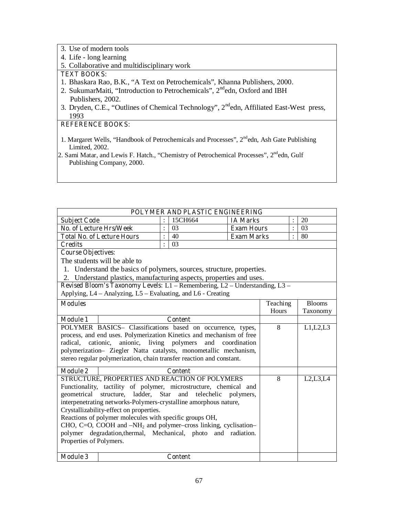- 3. Use of modern tools
- 4. Life long learning
- 5. Collaborative and multidisciplinary work

## **TEXT BOOKS:**

- 1. Bhaskara Rao, B.K., "A Text on Petrochemicals", Khanna Publishers, 2000.
- 2. SukumarMaiti, "Introduction to Petrochemicals",  $2^{nd}$ edn, Oxford and IBH Publishers, 2002.
- 3. Dryden, C.E., "Outlines of Chemical Technology", 2<sup>nd</sup>edn, Affiliated East-West press, 1993

- 1. Margaret Wells, "Handbook of Petrochemicals and Processes", 2<sup>nd</sup>edn, Ash Gate Publishing Limited, 2002.
- 2. Sami Matar, and Lewis F. Hatch., "Chemistry of Petrochemical Processes", 2<sup>nd</sup>edn, Gulf Publishing Company, 2000.

|                                                                    | POLYMER AND PLASTIC ENGINEERING                                             |                |                |                   |          |                |               |
|--------------------------------------------------------------------|-----------------------------------------------------------------------------|----------------|----------------|-------------------|----------|----------------|---------------|
| <b>Subject Code</b>                                                |                                                                             |                | 15CH664        | <b>IA Marks</b>   |          |                | 20            |
| <b>No. of Lecture Hrs/Week</b>                                     |                                                                             | $\ddot{\cdot}$ | 03             | <b>Exam Hours</b> |          | $\ddot{\cdot}$ | 03            |
|                                                                    | <b>Total No. of Lecture Hours</b>                                           | $\ddot{\cdot}$ | 40             | <b>Exam Marks</b> |          | $\ddot{\cdot}$ | 80            |
| <b>Credits</b>                                                     |                                                                             |                |                |                   |          |                |               |
| <b>Course Objectives:</b>                                          |                                                                             |                |                |                   |          |                |               |
|                                                                    | The students will be able to                                                |                |                |                   |          |                |               |
|                                                                    | 1. Understand the basics of polymers, sources, structure, properties.       |                |                |                   |          |                |               |
|                                                                    | 2. Understand plastics, manufacturing aspects, properties and uses.         |                |                |                   |          |                |               |
|                                                                    | Revised Bloom's Taxonomy Levels: L1 - Remembering, L2 - Understanding, L3 - |                |                |                   |          |                |               |
|                                                                    | Applying, L4 – Analyzing, L5 – Evaluating, and L6 - Creating                |                |                |                   |          |                |               |
| <b>Modules</b>                                                     |                                                                             |                |                |                   | Teaching |                | <b>Blooms</b> |
|                                                                    |                                                                             |                |                |                   | Hours    |                | Taxonomy      |
| <b>Module 1</b>                                                    |                                                                             |                | <b>Content</b> |                   |          |                |               |
|                                                                    | POLYMER BASICS- Classifications based on occurrence, types,                 |                |                |                   | 8        |                | L1,L2,L3      |
|                                                                    | process, and end uses. Polymerization Kinetics and mechanism of free        |                |                |                   |          |                |               |
| radical, cationic,                                                 | anionic, living polymers                                                    |                |                | and coordination  |          |                |               |
|                                                                    | polymerization- Ziegler Natta catalysts, monometallic mechanism,            |                |                |                   |          |                |               |
|                                                                    | stereo regular polymerization, chain transfer reaction and constant.        |                |                |                   |          |                |               |
| <b>Module 2</b>                                                    |                                                                             |                | <b>Content</b> |                   |          |                |               |
|                                                                    | STRUCTURE, PROPERTIES AND REACTION OF POLYMERS                              |                |                |                   | 8        |                | L2, L3, L4    |
|                                                                    | Functionality, tactility of polymer, microstructure, chemical and           |                |                |                   |          |                |               |
|                                                                    | geometrical structure, ladder, Star and telechelic polymers,                |                |                |                   |          |                |               |
|                                                                    | interpenetrating networks-Polymers-crystalline amorphous nature,            |                |                |                   |          |                |               |
|                                                                    | Crystallizability-effect on properties.                                     |                |                |                   |          |                |               |
| Reactions of polymer molecules with specific groups OH,            |                                                                             |                |                |                   |          |                |               |
| CHO, C=O, COOH and $-NH_2$ and polymer-cross linking, cyclisation- |                                                                             |                |                |                   |          |                |               |
| polymer degradation, thermal, Mechanical, photo<br>and radiation.  |                                                                             |                |                |                   |          |                |               |
| Properties of Polymers.                                            |                                                                             |                |                |                   |          |                |               |
|                                                                    |                                                                             |                |                |                   |          |                |               |
| <b>Module 3</b>                                                    |                                                                             |                | <b>Content</b> |                   |          |                |               |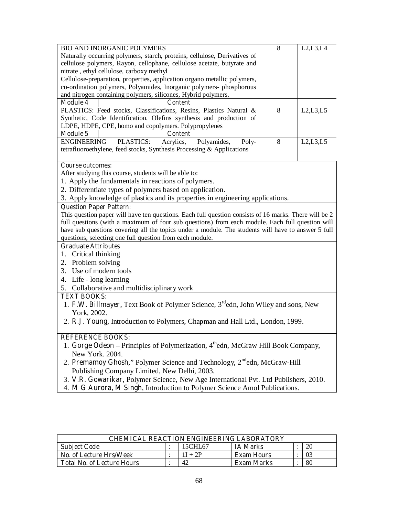| <b>BIO AND INORGANIC POLYMERS</b>                                              | 8 | L2,L3,L4   |  |  |  |
|--------------------------------------------------------------------------------|---|------------|--|--|--|
| Naturally occurring polymers, starch, proteins, cellulose, Derivatives of      |   |            |  |  |  |
| cellulose polymers, Rayon, cellophane, cellulose acetate, butyrate and         |   |            |  |  |  |
| nitrate, ethyl cellulose, carboxy methyl                                       |   |            |  |  |  |
| Cellulose-preparation, properties, application organo metallic polymers,       |   |            |  |  |  |
| co-ordination polymers, Polyamides, Inorganic polymers- phosphorous            |   |            |  |  |  |
| and nitrogen containing polymers, silicones, Hybrid polymers.                  |   |            |  |  |  |
| <b>Module 4</b><br>Content                                                     |   |            |  |  |  |
| PLASTICS: Feed stocks, Classifications, Resins, Plastics Natural &             | 8 | L2, L3, L5 |  |  |  |
| Synthetic, Code Identification. Olefins synthesis and production of            |   |            |  |  |  |
| LDPE, HDPE, CPE, homo and copolymers. Polypropylenes                           |   |            |  |  |  |
| <b>Module 5</b><br><b>Content</b>                                              |   |            |  |  |  |
| <b>ENGINEERING</b><br>PLASTICS:<br>Acrylics, Polyamides,<br>Poly-              | 8 | L2,L3,L5   |  |  |  |
| tetrafluoroethylene, feed stocks, Synthesis Processing & Applications          |   |            |  |  |  |
|                                                                                |   |            |  |  |  |
| <b>Course outcomes:</b>                                                        |   |            |  |  |  |
| After studying this course, students will be able to:                          |   |            |  |  |  |
| 1. Apply the fundamentals in reactions of polymers.                            |   |            |  |  |  |
| 2. Differentiate types of polymers based on application.                       |   |            |  |  |  |
| 3. Apply knowledge of plastics and its properties in engineering applications. |   |            |  |  |  |
| <b>Question Paper Pattern:</b>                                                 |   |            |  |  |  |

This question paper will have ten questions. Each full question consists of 16 marks. There will be 2 full questions (with a maximum of four sub questions) from each module. Each full question will have sub questions covering all the topics under a module. The students will have to answer 5 full questions, selecting one full question from each module.

#### **Graduate Attributes**

- 1. Critical thinking
- 2. Problem solving
- 3. Use of modern tools
- 4. Life long learning
- 5. Collaborative and multidisciplinary work

## **TEXT BOOKS:**

- 1. **F.W. Billmayer**, Text Book of Polymer Science, 3rdedn, John Wiley and sons, New York, 2002.
- 2. **R.J. Young**, Introduction to Polymers, Chapman and Hall Ltd., London, 1999.

- 1. **Gorge Odeon** Principles of Polymerization, 4thedn, McGraw Hill Book Company, New York. 2004.
- 2. **Premamoy Ghosh**," Polymer Science and Technology, 2<sup>nd</sup>edn, McGraw-Hill Publishing Company Limited, New Delhi, 2003.
- 3. **V.R. Gowarikar**, Polymer Science, New Age International Pvt. Ltd Publishers, 2010.
- 4. **M G Aurora, M Singh**, Introduction to Polymer Science Amol Publications.

| <b>CHEMICAL REACTION ENGINEERING LABORATORY</b> |  |           |                   |  |    |
|-------------------------------------------------|--|-----------|-------------------|--|----|
| <b>Subject Code</b>                             |  | 15CHL67   | <b>IA Marks</b>   |  | 20 |
| No. of Lecture Hrs/Week                         |  | $1I + 2P$ | <b>Exam Hours</b> |  | 03 |
| <b>Total No. of Lecture Hours</b>               |  | 42        | <b>Exam Marks</b> |  | 80 |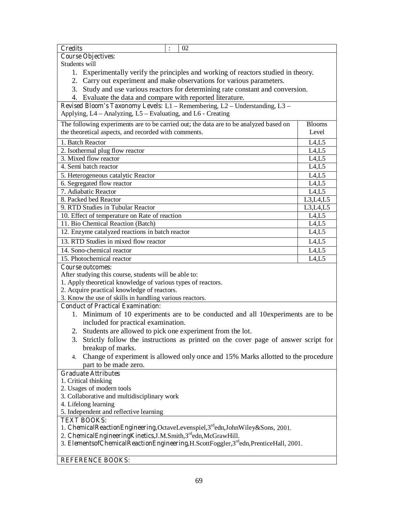| <b>Credits</b><br>$\ddot{\cdot}$<br>02                                                                                |                 |  |  |  |
|-----------------------------------------------------------------------------------------------------------------------|-----------------|--|--|--|
| <b>Course Objectives:</b>                                                                                             |                 |  |  |  |
| Students will                                                                                                         |                 |  |  |  |
| 1. Experimentally verify the principles and working of reactors studied in theory.                                    |                 |  |  |  |
| 2. Carry out experiment and make observations for various parameters.                                                 |                 |  |  |  |
| 3. Study and use various reactors for determining rate constant and conversion.                                       |                 |  |  |  |
| 4. Evaluate the data and compare with reported literature.                                                            |                 |  |  |  |
| Revised Bloom's Taxonomy Levels: L1 - Remembering, L2 - Understanding, L3 -                                           |                 |  |  |  |
| Applying, L4 - Analyzing, L5 - Evaluating, and L6 - Creating                                                          |                 |  |  |  |
| The following experiments are to be carried out; the data are to be analyzed based on                                 | <b>Blooms</b>   |  |  |  |
| the theoretical aspects, and recorded with comments.                                                                  | Level           |  |  |  |
|                                                                                                                       |                 |  |  |  |
| 1. Batch Reactor                                                                                                      | L4,L5<br>L4, L5 |  |  |  |
| 2. Isothermal plug flow reactor<br>3. Mixed flow reactor                                                              | L4, L5          |  |  |  |
| 4. Semi batch reactor                                                                                                 | L4,L5           |  |  |  |
|                                                                                                                       | L4,L5           |  |  |  |
| 5. Heterogeneous catalytic Reactor<br>6. Segregated flow reactor                                                      | L4,L5           |  |  |  |
| 7. Adiabatic Reactor                                                                                                  | L4, L5          |  |  |  |
| 8. Packed bed Reactor                                                                                                 | L3, L4, L5      |  |  |  |
| 9. RTD Studies in Tubular Reactor                                                                                     | L3, L4, L5      |  |  |  |
| 10. Effect of temperature on Rate of reaction                                                                         | L4, L5          |  |  |  |
| 11. Bio Chemical Reaction (Batch)                                                                                     | LA,L5           |  |  |  |
| 12. Enzyme catalyzed reactions in batch reactor                                                                       | LA,L5           |  |  |  |
| 13. RTD Studies in mixed flow reactor                                                                                 | L4, L5          |  |  |  |
|                                                                                                                       |                 |  |  |  |
| 14. Sono-chemical reactor                                                                                             | L4, L5          |  |  |  |
| 15. Photochemical reactor<br>L4, L5                                                                                   |                 |  |  |  |
| <b>Course outcomes:</b>                                                                                               |                 |  |  |  |
| After studying this course, students will be able to:<br>1. Apply theoretical knowledge of various types of reactors. |                 |  |  |  |
| 2. Acquire practical knowledge of reactors.                                                                           |                 |  |  |  |
| 3. Know the use of skills in handling various reactors.                                                               |                 |  |  |  |
| <b>Conduct of Practical Examination:</b>                                                                              |                 |  |  |  |
| 1. Minimum of 10 experiments are to be conducted and all 10 experiments are to be                                     |                 |  |  |  |
| included for practical examination.                                                                                   |                 |  |  |  |
| 2. Students are allowed to pick one experiment from the lot.                                                          |                 |  |  |  |
| 3. Strictly follow the instructions as printed on the cover page of answer script for                                 |                 |  |  |  |
| breakup of marks.                                                                                                     |                 |  |  |  |
| 4.                                                                                                                    |                 |  |  |  |
| Change of experiment is allowed only once and 15% Marks allotted to the procedure<br>part to be made zero.            |                 |  |  |  |
| <b>Graduate Attributes</b>                                                                                            |                 |  |  |  |
| 1. Critical thinking                                                                                                  |                 |  |  |  |
| 2. Usages of modern tools                                                                                             |                 |  |  |  |
| 3. Collaborative and multidisciplinary work                                                                           |                 |  |  |  |
| 4. Lifelong learning                                                                                                  |                 |  |  |  |
| 5. Independent and reflective learning                                                                                |                 |  |  |  |
| <b>TEXT BOOKS:</b>                                                                                                    |                 |  |  |  |
| 1. ChemicalReactionEngineering,OctaveLevenspiel,3 <sup>rd</sup> edn,JohnWiley&Sons, 2001.                             |                 |  |  |  |
| 2. ChemicalEngineeringKinetics, J.M.Smith, 3 <sup>rd</sup> edn, McGrawHill.                                           |                 |  |  |  |
| 3. ElementsofChemicalReactionEngineering, H.ScottFoggler, 3rd edn, Prentice Hall, 2001.                               |                 |  |  |  |
|                                                                                                                       |                 |  |  |  |
| <b>REFERENCE BOOKS:</b>                                                                                               |                 |  |  |  |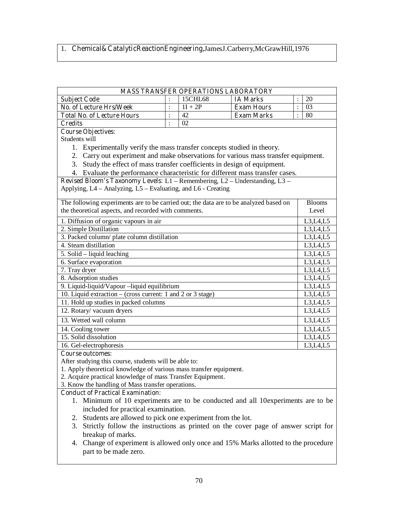# 1. **Chemical&CatalyticReactionEngineering,**JamesJ.Carberry,McGrawHill,1976

| <b>MASS TRANSFER OPERATIONS LABORATORY</b>                                                             |                |           |                   |                |               |
|--------------------------------------------------------------------------------------------------------|----------------|-----------|-------------------|----------------|---------------|
| <b>Subject Code</b>                                                                                    |                | 15CHL68   | <b>IA Marks</b>   | $\ddot{\cdot}$ | 20            |
| <b>No. of Lecture Hrs/Week</b>                                                                         | $\ddot{\cdot}$ | $1I + 2P$ | <b>Exam Hours</b> | $\ddot{\cdot}$ | 03            |
| <b>Total No. of Lecture Hours</b>                                                                      |                | 42        | <b>Exam Marks</b> |                | 80            |
| <b>Credits</b>                                                                                         | $\ddot{\cdot}$ | 02        |                   |                |               |
| <b>Course Objectives:</b>                                                                              |                |           |                   |                |               |
| Students will                                                                                          |                |           |                   |                |               |
| 1. Experimentally verify the mass transfer concepts studied in theory.                                 |                |           |                   |                |               |
| 2. Carry out experiment and make observations for various mass transfer equipment.                     |                |           |                   |                |               |
| 3. Study the effect of mass transfer coefficients in design of equipment.                              |                |           |                   |                |               |
| 4. Evaluate the performance characteristic for different mass transfer cases.                          |                |           |                   |                |               |
| Revised Bloom's Taxonomy Levels: L1 - Remembering, L2 - Understanding, L3 -                            |                |           |                   |                |               |
| Applying, L4 – Analyzing, L5 – Evaluating, and L6 - Creating                                           |                |           |                   |                |               |
| The following experiments are to be carried out; the data are to be analyzed based on                  |                |           |                   |                | <b>Blooms</b> |
| the theoretical aspects, and recorded with comments.                                                   |                |           |                   |                | Level         |
| 1. Diffusion of organic vapours in air                                                                 |                |           |                   |                | L3, L4, L5    |
| 2. Simple Distillation                                                                                 |                |           |                   |                | L3, L4, L5    |
| 3. Packed column/ plate column distillation                                                            |                |           |                   |                | L3, L4, L5    |
| 4. Steam distillation                                                                                  |                |           |                   |                | L3, L4, L5    |
| $5.$ Solid – liquid leaching                                                                           |                |           |                   |                | L3, L4, L5    |
| 6. Surface evaporation                                                                                 |                |           |                   |                | L3,L4,L5      |
| 7. Tray dryer                                                                                          |                |           |                   | L3,L4,L5       |               |
| 8. Adsorption studies                                                                                  |                |           |                   | L3, L4, L5     |               |
| 9. Liquid-liquid/Vapour -liquid equilibrium                                                            |                |           |                   | L3, L4, L5     |               |
| 10. Liquid extraction – (cross current: 1 and 2 or 3 stage)                                            |                |           |                   | L3, L4, L5     |               |
| 11. Hold up studies in packed columns                                                                  |                |           | L3, L4, L5        |                |               |
| 12. Rotary/vacuum dryers<br>L3, L4, L5                                                                 |                |           |                   |                |               |
| 13. Wetted wall column<br>L3, L4, L5                                                                   |                |           |                   |                |               |
| 14. Cooling tower                                                                                      |                |           |                   |                | L3,L4,L5      |
| 15. Solid dissolution                                                                                  |                |           |                   |                | L3,L4,L5      |
| 16. Gel-electrophoresis                                                                                |                |           |                   |                | L3, L4, L5    |
| <b>Course outcomes:</b>                                                                                |                |           |                   |                |               |
| After studying this course, students will be able to:                                                  |                |           |                   |                |               |
| 1. Apply theoretical knowledge of various mass transfer equipment.                                     |                |           |                   |                |               |
| 2. Acquire practical knowledge of mass Transfer Equipment.                                             |                |           |                   |                |               |
| 3. Know the handling of Mass transfer operations.                                                      |                |           |                   |                |               |
| <b>Conduct of Practical Examination:</b>                                                               |                |           |                   |                |               |
| 1. Minimum of 10 experiments are to be conducted and all 10 experiments are to be                      |                |           |                   |                |               |
| included for practical examination.                                                                    |                |           |                   |                |               |
| 2. Students are allowed to pick one experiment from the lot.                                           |                |           |                   |                |               |
| Strictly follow the instructions as printed on the cover page of answer script for<br>3.               |                |           |                   |                |               |
| breakup of marks.<br>Change of experiment is allowed only once and 15% Marks allotted to the procedure |                |           |                   |                |               |
| 4.                                                                                                     |                |           |                   |                |               |

part to be made zero.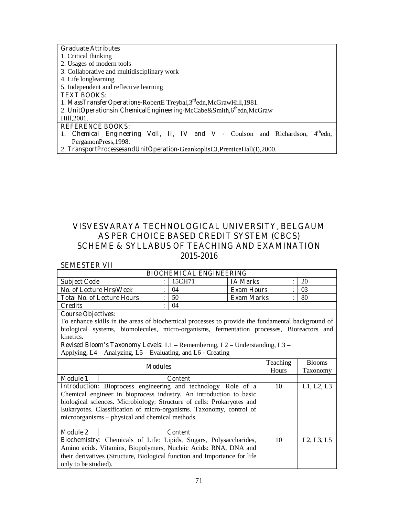| <b>Graduate Attributes</b>                                                            |
|---------------------------------------------------------------------------------------|
| 1. Critical thinking                                                                  |
| 2. Usages of modern tools                                                             |
| 3. Collaborative and multidisciplinary work                                           |
| 4. Life longlearning                                                                  |
| 5. Independent and reflective learning                                                |
| <b>TEXT BOOKS:</b>                                                                    |
| 1. MassTransferOperations-RobertE Treybal, 3rdedn, McGrawHill, 1981.                  |
| 2. UnitOperationsin ChemicalEngineering-McCabe&Smith,6thedn,McGraw                    |
| Hill, 2001.                                                                           |
| <b>REFERENCE BOOKS:</b>                                                               |
| Chemical Engineering VolI, II, IV and V - Coulson and Richardson,<br>$4th$ edn,<br>1. |
| PergamonPress, 1998.                                                                  |
|                                                                                       |

2. **TransportProcessesandUnitOperation-**GeankoplisCJ,PrenticeHall(I),2000.

## **VISVESVARAYA TECHNOLOGICAL UNIVERSITY, BELGAUM AS PER CHOICE BASED CREDIT SYSTEM (CBCS) SCHEME & SYLLABUS OF TEACHING AND EXAMINATION 2015-2016**

### **SEMESTER VII**

| <b>BIOCHEMICAL ENGINEERING</b>    |  |        |                   |  |     |  |
|-----------------------------------|--|--------|-------------------|--|-----|--|
| <b>Subject Code</b>               |  | 15CH71 | <b>IA Marks</b>   |  | 20  |  |
| No. of Lecture Hrs/Week           |  | 04     | <b>Exam Hours</b> |  | -03 |  |
| <b>Total No. of Lecture Hours</b> |  | 50     | Exam Marks        |  | 80  |  |
| <b>Credits</b>                    |  | 04     |                   |  |     |  |

#### **Course Objectives:**

To enhance skills in the areas of biochemical processes to provide the fundamental background of biological systems, biomolecules, micro-organisms, fermentation processes, Bioreactors and kinetics.

**Revised Bloom's Taxonomy Levels:** L1 – Remembering, L2 – Understanding, L3 – Applying, L4 – Analyzing, L5 – Evaluating, and L6 - Creating

| <b>Modules</b>       |                                                                           | Teaching     | <b>Blooms</b>                                    |
|----------------------|---------------------------------------------------------------------------|--------------|--------------------------------------------------|
|                      |                                                                           | <b>Hours</b> | Taxonomy                                         |
| <b>Module 1</b>      | <b>Content</b>                                                            |              |                                                  |
|                      | Introduction: Bioprocess engineering and technology. Role of a            | 10           | L1, L2, L3                                       |
|                      | Chemical engineer in bioprocess industry. An introduction to basic        |              |                                                  |
|                      | biological sciences. Microbiology: Structure of cells: Prokaryotes and    |              |                                                  |
|                      | Eukaryotes. Classification of micro-organisms. Taxonomy, control of       |              |                                                  |
|                      | microorganisms – physical and chemical methods.                           |              |                                                  |
|                      |                                                                           |              |                                                  |
| <b>Module 2</b>      | <b>Content</b>                                                            |              |                                                  |
|                      | Biochemistry: Chemicals of Life: Lipids, Sugars, Polysaccharides,         | 10           | L <sub>2</sub> , L <sub>3</sub> , L <sub>5</sub> |
|                      | Amino acids. Vitamins, Biopolymers, Nucleic Acids: RNA, DNA and           |              |                                                  |
|                      | their derivatives (Structure, Biological function and Importance for life |              |                                                  |
| only to be studied). |                                                                           |              |                                                  |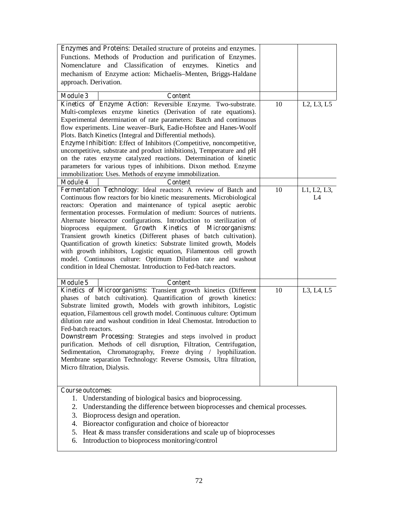| <b>Enzymes and Proteins:</b> Detailed structure of proteins and enzymes.        |    |                                                  |
|---------------------------------------------------------------------------------|----|--------------------------------------------------|
| Functions. Methods of Production and purification of Enzymes.                   |    |                                                  |
| Nomenclature and Classification of enzymes. Kinetics and                        |    |                                                  |
|                                                                                 |    |                                                  |
| mechanism of Enzyme action: Michaelis-Menten, Briggs-Haldane                    |    |                                                  |
| approach. Derivation.                                                           |    |                                                  |
| <b>Module 3</b><br><b>Content</b>                                               |    |                                                  |
| Kinetics of Enzyme Action: Reversible Enzyme. Two-substrate.                    | 10 | L <sub>2</sub> , L <sub>3</sub> , L <sub>5</sub> |
| Multi-complexes enzyme kinetics (Derivation of rate equations).                 |    |                                                  |
| Experimental determination of rate parameters: Batch and continuous             |    |                                                  |
| flow experiments. Line weaver-Burk, Eadie-Hofstee and Hanes-Woolf               |    |                                                  |
| Plots. Batch Kinetics (Integral and Differential methods).                      |    |                                                  |
| <b>Enzyme Inhibition:</b> Effect of Inhibitors (Competitive, noncompetitive,    |    |                                                  |
| uncompetitive, substrate and product inhibitions), Temperature and pH           |    |                                                  |
| on the rates enzyme catalyzed reactions. Determination of kinetic               |    |                                                  |
| parameters for various types of inhibitions. Dixon method. Enzyme               |    |                                                  |
| immobilization: Uses. Methods of enzyme immobilization.                         |    |                                                  |
| <b>Module 4</b><br><b>Content</b>                                               |    |                                                  |
| Fermentation Technology: Ideal reactors: A review of Batch and                  | 10 | L1, L2, L3,                                      |
| Continuous flow reactors for bio kinetic measurements. Microbiological          |    | L4                                               |
| reactors: Operation and maintenance of typical aseptic aerobic                  |    |                                                  |
| fermentation processes. Formulation of medium: Sources of nutrients.            |    |                                                  |
| Alternate bioreactor configurations. Introduction to sterilization of           |    |                                                  |
| bioprocess equipment. Growth Kinetics of Microorganisms:                        |    |                                                  |
| Transient growth kinetics (Different phases of batch cultivation).              |    |                                                  |
| Quantification of growth kinetics: Substrate limited growth, Models             |    |                                                  |
| with growth inhibitors, Logistic equation, Filamentous cell growth              |    |                                                  |
| model. Continuous culture: Optimum Dilution rate and washout                    |    |                                                  |
| condition in Ideal Chemostat. Introduction to Fed-batch reactors.               |    |                                                  |
|                                                                                 |    |                                                  |
| <b>Module 5</b><br><b>Content</b>                                               |    |                                                  |
| Kinetics of Microorganisms: Transient growth kinetics (Different                | 10 | L3, L4, L5                                       |
| phases of batch cultivation). Quantification of growth kinetics:                |    |                                                  |
| Substrate limited growth, Models with growth inhibitors, Logistic               |    |                                                  |
| equation, Filamentous cell growth model. Continuous culture: Optimum            |    |                                                  |
| dilution rate and washout condition in Ideal Chemostat. Introduction to         |    |                                                  |
| Fed-batch reactors.                                                             |    |                                                  |
| Downstream Processing: Strategies and steps involved in product                 |    |                                                  |
| purification. Methods of cell disruption, Filtration, Centrifugation,           |    |                                                  |
| Sedimentation, Chromatography, Freeze drying / lyophilization.                  |    |                                                  |
| Membrane separation Technology: Reverse Osmosis, Ultra filtration,              |    |                                                  |
| Micro filtration, Dialysis.                                                     |    |                                                  |
|                                                                                 |    |                                                  |
|                                                                                 |    |                                                  |
| <b>Course outcomes:</b>                                                         |    |                                                  |
| 1. Understanding of biological basics and bioprocessing.                        |    |                                                  |
| Understanding the difference between bioprocesses and chemical processes.<br>2. |    |                                                  |
| Bioprocess design and operation.<br>3.                                          |    |                                                  |
| Bioreactor configuration and choice of bioreactor<br>4.                         |    |                                                  |

- 5. Heat & mass transfer considerations and scale up of bioprocesses
- 6. Introduction to bioprocess monitoring/control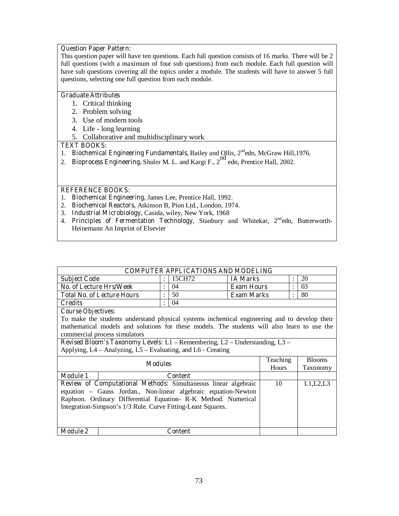#### **Question Paper Pattern:**

This question paper will have ten questions. Each full question consists of 16 marks. There will be 2 full questions (with a maximum of four sub questions) from each module. Each full question will have sub questions covering all the topics under a module. The students will have to answer 5 full questions, selecting one full question from each module.

#### **Graduate Attributes**

- 1. Critical thinking
- 2. Problem solving
- 3. Use of modern tools
- 4. Life long learning
- 5. Collaborative and multidisciplinary work

#### **TEXT BOOKS:**

- 1. **Biochemical Engineering Fundamentals, Bailey and Ollis, 2<sup>nd</sup>edn, McGraw Hill, 1976.**
- 2. **Bioprocess Engineering,** Shuler M. L. and Kargi F., 2<sup>nd</sup> edn, Prentice Hall, 2002.

#### **REFERENCE BOOKS:**

- 1. **Biochemical Engineering,** James Lee, Prentice Hall, 1992.
- 2. **Biochemical Reactors,** Atkinson B, Pion Ltd., London, 1974.
- 3. **Industrial Microbiology,** Casida, wiley, New York, 1968
- 4. Principles of Fermentation Technology, Stanbury and Whitekar, 2<sup>nd</sup>edn, Butterworth-Heinemann An Imprint of Elsevier

| <b>COMPUTER APPLICATIONS AND MODELING</b> |  |        |                   |  |    |  |  |
|-------------------------------------------|--|--------|-------------------|--|----|--|--|
| <b>Subject Code</b>                       |  | 15CH72 | <b>IA Marks</b>   |  | 20 |  |  |
| No. of Lecture Hrs/Week                   |  | 04     | <b>Exam Hours</b> |  | 03 |  |  |
| <b>Total No. of Lecture Hours</b>         |  | 50     | <b>Exam Marks</b> |  | 80 |  |  |
| <b>Credits</b>                            |  | 04     |                   |  |    |  |  |
| l Course Objectives                       |  |        |                   |  |    |  |  |

#### **Course Objectives:**

To make the students understand physical systems inchemical engineering and to develop their mathematical models and solutions for these models. The students will also learn to use the commercial process simulators

|                                                                                                                                                                                                                                                                          | Teaching       | <b>Blooms</b> |          |
|--------------------------------------------------------------------------------------------------------------------------------------------------------------------------------------------------------------------------------------------------------------------------|----------------|---------------|----------|
|                                                                                                                                                                                                                                                                          | <b>Modules</b> | Hours         | Taxonomy |
| <b>Module 1</b>                                                                                                                                                                                                                                                          | <b>Content</b> |               |          |
| <b>Review of Computational Methods:</b> Simultaneous linear algebraic<br>equation – Gauss Jordan., Non-linear algebraic equation-Newton<br>Raphson. Ordinary Differential Equation-R-K Method. Numerical<br>Integration-Simpson's 1/3 Rule. Curve Fitting-Least Squares. |                | 10            | L1,L2,L3 |
| <b>Module 2</b>                                                                                                                                                                                                                                                          | Content        |               |          |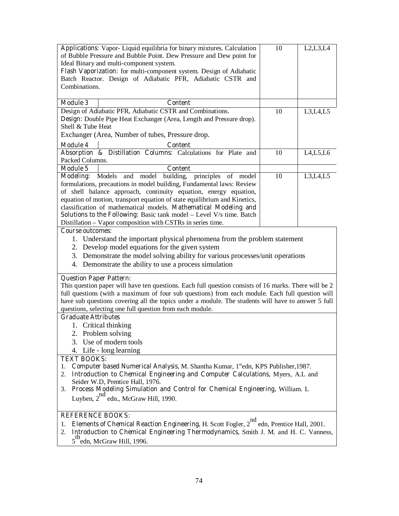|                                                                                                                                                                                                  | Applications: Vapor-Liquid equilibria for binary mixtures. Calculation<br>of Bubble Pressure and Bubble Point. Dew Pressure and Dew point for | 10 | L2, L3, L4 |  |  |  |  |  |
|--------------------------------------------------------------------------------------------------------------------------------------------------------------------------------------------------|-----------------------------------------------------------------------------------------------------------------------------------------------|----|------------|--|--|--|--|--|
|                                                                                                                                                                                                  | Ideal Binary and multi-component system.                                                                                                      |    |            |  |  |  |  |  |
|                                                                                                                                                                                                  | Flash Vaporization: for multi-component system. Design of Adiabatic                                                                           |    |            |  |  |  |  |  |
|                                                                                                                                                                                                  | Batch Reactor. Design of Adiabatic PFR, Adiabatic CSTR and                                                                                    |    |            |  |  |  |  |  |
| Combinations.                                                                                                                                                                                    |                                                                                                                                               |    |            |  |  |  |  |  |
| <b>Module 3</b>                                                                                                                                                                                  | <b>Content</b>                                                                                                                                |    |            |  |  |  |  |  |
|                                                                                                                                                                                                  | Design of Adiabatic PFR, Adiabatic CSTR and Combinations.                                                                                     | 10 | L3, L4, L5 |  |  |  |  |  |
|                                                                                                                                                                                                  | Design: Double Pipe Heat Exchanger (Area, Length and Pressure drop).                                                                          |    |            |  |  |  |  |  |
| Shell & Tube Heat                                                                                                                                                                                |                                                                                                                                               |    |            |  |  |  |  |  |
|                                                                                                                                                                                                  | Exchanger (Area, Number of tubes, Pressure drop.                                                                                              |    |            |  |  |  |  |  |
| <b>Module 4</b>                                                                                                                                                                                  | Content                                                                                                                                       |    |            |  |  |  |  |  |
| Packed Columns.                                                                                                                                                                                  | Absorption & Distillation Columns: Calculations for Plate and                                                                                 | 10 | L4, L5, L6 |  |  |  |  |  |
| <b>Module 5</b>                                                                                                                                                                                  | <b>Content</b>                                                                                                                                |    |            |  |  |  |  |  |
| Modeling: Models and                                                                                                                                                                             | model<br>building,<br>principles<br>of<br>model                                                                                               | 10 | L3, L4, L5 |  |  |  |  |  |
|                                                                                                                                                                                                  | formulations, precautions in model building, Fundamental laws: Review                                                                         |    |            |  |  |  |  |  |
|                                                                                                                                                                                                  | of shell balance approach, continuity equation, energy equation,                                                                              |    |            |  |  |  |  |  |
|                                                                                                                                                                                                  | equation of motion, transport equation of state equilibrium and Kinetics,<br>classification of mathematical models. Mathematical Modeling and |    |            |  |  |  |  |  |
|                                                                                                                                                                                                  | <b>Solutions to the Following:</b> Basic tank model - Level V/s time. Batch                                                                   |    |            |  |  |  |  |  |
|                                                                                                                                                                                                  | Distillation - Vapor composition with CSTRs in series time.                                                                                   |    |            |  |  |  |  |  |
| <b>Course outcomes:</b>                                                                                                                                                                          |                                                                                                                                               |    |            |  |  |  |  |  |
|                                                                                                                                                                                                  | 1. Understand the important physical phenomena from the problem statement                                                                     |    |            |  |  |  |  |  |
|                                                                                                                                                                                                  | 2. Develop model equations for the given system                                                                                               |    |            |  |  |  |  |  |
|                                                                                                                                                                                                  | 3. Demonstrate the model solving ability for various processes/unit operations                                                                |    |            |  |  |  |  |  |
|                                                                                                                                                                                                  | 4. Demonstrate the ability to use a process simulation                                                                                        |    |            |  |  |  |  |  |
| <b>Question Paper Pattern:</b>                                                                                                                                                                   |                                                                                                                                               |    |            |  |  |  |  |  |
|                                                                                                                                                                                                  | This question paper will have ten questions. Each full question consists of 16 marks. There will be 2                                         |    |            |  |  |  |  |  |
|                                                                                                                                                                                                  | full questions (with a maximum of four sub questions) from each module. Each full question will                                               |    |            |  |  |  |  |  |
|                                                                                                                                                                                                  | have sub questions covering all the topics under a module. The students will have to answer 5 full                                            |    |            |  |  |  |  |  |
|                                                                                                                                                                                                  | questions, selecting one full question from each module.                                                                                      |    |            |  |  |  |  |  |
| <b>Graduate Attributes</b>                                                                                                                                                                       |                                                                                                                                               |    |            |  |  |  |  |  |
|                                                                                                                                                                                                  | 1. Critical thinking                                                                                                                          |    |            |  |  |  |  |  |
|                                                                                                                                                                                                  | 2. Problem solving<br>3. Use of modern tools                                                                                                  |    |            |  |  |  |  |  |
| 4.                                                                                                                                                                                               | Life - long learning                                                                                                                          |    |            |  |  |  |  |  |
|                                                                                                                                                                                                  |                                                                                                                                               |    |            |  |  |  |  |  |
| <b>TEXT BOOKS:</b><br>Computer based Numerical Analysis, M. Shantha Kumar, 1 <sup>st</sup> edn, KPS Publisher, 1987.<br>1.                                                                       |                                                                                                                                               |    |            |  |  |  |  |  |
| Introduction to Chemical Engineering and Computer Calculations, Myers, A.L and<br>2.                                                                                                             |                                                                                                                                               |    |            |  |  |  |  |  |
| Seider W.D, Prentice Hall, 1976.                                                                                                                                                                 |                                                                                                                                               |    |            |  |  |  |  |  |
| Process Modeling Simulation and Control for Chemical Engineering, William. L<br>3.                                                                                                               |                                                                                                                                               |    |            |  |  |  |  |  |
| Luyben, $2^{nd}$ edn., McGraw Hill, 1990.                                                                                                                                                        |                                                                                                                                               |    |            |  |  |  |  |  |
|                                                                                                                                                                                                  | <b>REFERENCE BOOKS:</b>                                                                                                                       |    |            |  |  |  |  |  |
| <b>Elements of Chemical Reaction Engineering, H. Scott Fogler, 2<sup>nd</sup><br/>Introduction to Chemical Chemical Chemical Scott Fogler, 2<sup>nd</sup></b><br>edn, Prentice Hall, 2001.<br>1. |                                                                                                                                               |    |            |  |  |  |  |  |
| Introduction to Chemical Engineering Thermodynamics, Smith J. M. and H. C. Vanness,<br>2.<br>th.                                                                                                 |                                                                                                                                               |    |            |  |  |  |  |  |

 $5<sup>th</sup>$ edn, McGraw Hill, 1996.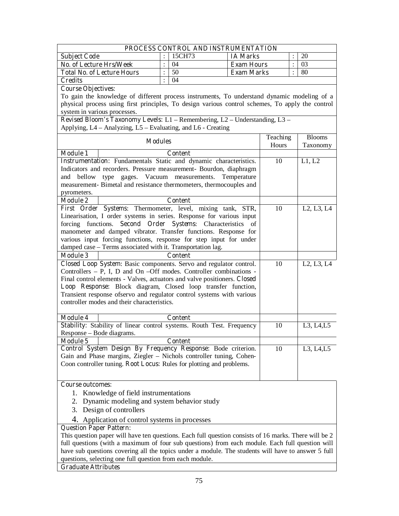| PROCESS CONTROL AND INSTRUMENTATION                                                                   |                                                             |                      |                   |          |                |                                                  |  |
|-------------------------------------------------------------------------------------------------------|-------------------------------------------------------------|----------------------|-------------------|----------|----------------|--------------------------------------------------|--|
| <b>Subject Code</b>                                                                                   |                                                             | 15CH73               | <b>IA Marks</b>   |          |                | 20                                               |  |
| <b>No. of Lecture Hrs/Week</b>                                                                        |                                                             | 04                   | <b>Exam Hours</b> |          | $\ddot{\cdot}$ | 03                                               |  |
| <b>Total No. of Lecture Hours</b>                                                                     |                                                             | 50                   | <b>Exam Marks</b> |          | $\ddot{\cdot}$ | 80                                               |  |
| <b>Credits</b>                                                                                        |                                                             | 04                   |                   |          |                |                                                  |  |
| <b>Course Objectives:</b>                                                                             |                                                             |                      |                   |          |                |                                                  |  |
| To gain the knowledge of different process instruments, To understand dynamic modeling of a           |                                                             |                      |                   |          |                |                                                  |  |
| physical process using first principles, To design various control schemes, To apply the control      |                                                             |                      |                   |          |                |                                                  |  |
| system in various processes.                                                                          |                                                             |                      |                   |          |                |                                                  |  |
| Revised Bloom's Taxonomy Levels: L1 - Remembering, L2 - Understanding, L3 -                           |                                                             |                      |                   |          |                |                                                  |  |
| Applying, L4 – Analyzing, L5 – Evaluating, and L6 - Creating                                          |                                                             |                      |                   |          |                |                                                  |  |
| <b>Modules</b>                                                                                        |                                                             |                      |                   | Teaching |                | <b>Blooms</b>                                    |  |
|                                                                                                       |                                                             |                      |                   | Hours    |                | Taxonomy                                         |  |
| <b>Module 1</b>                                                                                       |                                                             | Content              |                   |          |                |                                                  |  |
| Instrumentation: Fundamentals Static and dynamic characteristics.                                     |                                                             |                      |                   | 10       |                | L1, L2                                           |  |
| Indicators and recorders. Pressure measurement- Bourdon, diaphragm                                    |                                                             |                      |                   |          |                |                                                  |  |
| and bellow<br>type<br>gages.                                                                          |                                                             | Vacuum measurements. | Temperature       |          |                |                                                  |  |
| measurement- Bimetal and resistance thermometers, thermocouples and                                   |                                                             |                      |                   |          |                |                                                  |  |
| pyrometers.                                                                                           |                                                             |                      |                   |          |                |                                                  |  |
| <b>Module 2</b>                                                                                       |                                                             | <b>Content</b>       |                   |          |                |                                                  |  |
| First Order Systems: Thermometer, level, mixing tank, STR,                                            |                                                             |                      |                   | 10       |                | L <sub>2</sub> , L <sub>3</sub> , L <sub>4</sub> |  |
| Linearisation, I order systems in series. Response for various input                                  |                                                             |                      |                   |          |                |                                                  |  |
| forcing functions. Second Order Systems: Characteristics of                                           |                                                             |                      |                   |          |                |                                                  |  |
| manometer and damped vibrator. Transfer functions. Response for                                       |                                                             |                      |                   |          |                |                                                  |  |
| various input forcing functions, response for step input for under                                    |                                                             |                      |                   |          |                |                                                  |  |
|                                                                                                       | damped case - Terms associated with it. Transportation lag. |                      |                   |          |                |                                                  |  |
| <b>Module 3</b>                                                                                       |                                                             | <b>Content</b>       |                   |          |                |                                                  |  |
| Closed Loop System: Basic components. Servo and regulator control.                                    |                                                             |                      |                   | 10       |                | L2, L3, L4                                       |  |
| Controllers $- P$ , I, D and On $- Off$ modes. Controller combinations -                              |                                                             |                      |                   |          |                |                                                  |  |
| Final control elements - Valves, actuators and valve positioners. Closed                              |                                                             |                      |                   |          |                |                                                  |  |
| Loop Response: Block diagram, Closed loop transfer function,                                          |                                                             |                      |                   |          |                |                                                  |  |
| Transient response ofservo and regulator control systems with various                                 |                                                             |                      |                   |          |                |                                                  |  |
| controller modes and their characteristics.                                                           |                                                             |                      |                   |          |                |                                                  |  |
| <b>Module 4</b>                                                                                       |                                                             | <b>Content</b>       |                   |          |                |                                                  |  |
| Stability: Stability of linear control systems. Routh Test. Frequency                                 |                                                             |                      |                   | 10       |                | L3, L4, L5                                       |  |
| Response – Bode diagrams.                                                                             |                                                             |                      |                   |          |                |                                                  |  |
| <b>Module 5</b>                                                                                       |                                                             | Content              |                   |          |                |                                                  |  |
| Control System Design By Frequency Response: Bode criterion.                                          |                                                             |                      |                   | 10       |                | L3, L4, L5                                       |  |
| Gain and Phase margins, Ziegler - Nichols controller tuning, Cohen-                                   |                                                             |                      |                   |          |                |                                                  |  |
| Coon controller tuning. Root Locus: Rules for plotting and problems.                                  |                                                             |                      |                   |          |                |                                                  |  |
|                                                                                                       |                                                             |                      |                   |          |                |                                                  |  |
|                                                                                                       |                                                             |                      |                   |          |                |                                                  |  |
| Course outcomes:                                                                                      |                                                             |                      |                   |          |                |                                                  |  |
| 1. Knowledge of field instrumentations                                                                |                                                             |                      |                   |          |                |                                                  |  |
| 2. Dynamic modeling and system behavior study                                                         |                                                             |                      |                   |          |                |                                                  |  |
| 3. Design of controllers                                                                              |                                                             |                      |                   |          |                |                                                  |  |
|                                                                                                       |                                                             |                      |                   |          |                |                                                  |  |
| 4. Application of control systems in processes<br><b>Question Paper Pattern:</b>                      |                                                             |                      |                   |          |                |                                                  |  |
| This question paper will have ten questions. Each full question consists of 16 marks. There will be 2 |                                                             |                      |                   |          |                |                                                  |  |
| full questions (with a maximum of four sub questions) from each module. Each full question will       |                                                             |                      |                   |          |                |                                                  |  |
| have sub questions covering all the topics under a module. The students will have to answer 5 full    |                                                             |                      |                   |          |                |                                                  |  |
|                                                                                                       |                                                             |                      |                   |          |                |                                                  |  |
| questions, selecting one full question from each module.                                              |                                                             |                      |                   |          |                |                                                  |  |

# **Graduate Attributes**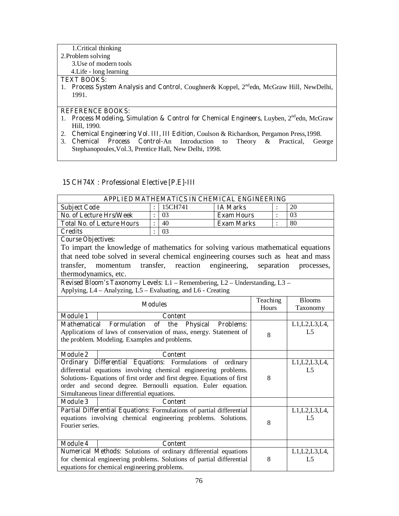#### 1.Critical thinking 2.Problem solving 3.Use of modern tools 4.Life - long learning

#### **TEXT BOOKS:**

1. **Process System Analysis and Control,** Coughner& Koppel, 2ndedn, McGraw Hill, NewDelhi, 1991.

#### **REFERENCE BOOKS:**

- 1. **Process Modeling, Simulation & Control for Chemical Engineers, Luyben, 2<sup>nd</sup>edn, McGraw** Hill, 1990.
- 2. **Chemical Engineering Vol. III, III Edition,** Coulson & Richardson, Pergamon Press,1998.
- 3. **Chemical Process Control-**An Introduction to Theory & Practical, George Stephanopoules,Vol.3, Prentice Hall, New Delhi, 1998.

# **15 CH74X : Professional Elective [P.E]-III**

| APPLIED MATHEMATICS IN CHEMICAL ENGINEERING             |  |    |                   |  |    |  |  |  |
|---------------------------------------------------------|--|----|-------------------|--|----|--|--|--|
| 20<br>15CH741<br><b>Subject Code</b><br><b>IA Marks</b> |  |    |                   |  |    |  |  |  |
| <b>No. of Lecture Hrs/Week</b>                          |  | 03 | <b>Exam Hours</b> |  | 03 |  |  |  |
| <b>Total No. of Lecture Hours</b>                       |  | 40 | <b>Exam Marks</b> |  | 80 |  |  |  |
| <b>Credits</b>                                          |  | 03 |                   |  |    |  |  |  |
| $\sim$<br>$\sim$ $\sim$ $\sim$                          |  |    |                   |  |    |  |  |  |

#### **Course Objectives:**

To impart the knowledge of mathematics for solving various mathematical equations that need tobe solved in several chemical engineering courses such as heat and mass transfer, momentum transfer, reaction engineering, separation processes, thermodynamics, etc.

|                 | <b>Modules</b>                                                           | Teaching | <b>Blooms</b>   |  |  |
|-----------------|--------------------------------------------------------------------------|----------|-----------------|--|--|
|                 |                                                                          | Hours    | Taxonomy        |  |  |
| <b>Module 1</b> | Content                                                                  |          |                 |  |  |
|                 | Mathematical Formulation of the Physical Problems:                       |          | L1, L2, L3, L4, |  |  |
|                 | Applications of laws of conservation of mass, energy. Statement of       | 8        | L <sub>5</sub>  |  |  |
|                 | the problem. Modeling. Examples and problems.                            |          |                 |  |  |
|                 |                                                                          |          |                 |  |  |
| <b>Module 2</b> | <b>Content</b>                                                           |          |                 |  |  |
| Ordinary        | Differential Equations: Formulations of ordinary                         |          | L1,L2,L3,L4     |  |  |
|                 | differential equations involving chemical engineering problems.          |          | L5              |  |  |
|                 | Solutions- Equations of first order and first degree. Equations of first | 8        |                 |  |  |
|                 | order and second degree. Bernoulli equation. Euler equation.             |          |                 |  |  |
|                 | Simultaneous linear differential equations.                              |          |                 |  |  |
| <b>Module 3</b> | <b>Content</b>                                                           |          |                 |  |  |
|                 | Partial Differential Equations: Formulations of partial differential     |          | L1, L2, L3, L4, |  |  |
|                 | equations involving chemical engineering problems. Solutions.            |          | L5              |  |  |
| Fourier series. |                                                                          | 8        |                 |  |  |
|                 |                                                                          |          |                 |  |  |
| <b>Module 4</b> | <b>Content</b>                                                           |          |                 |  |  |
|                 | <b>Numerical Methods:</b> Solutions of ordinary differential equations   |          | L1, L2, L3, L4, |  |  |
|                 | for chemical engineering problems. Solutions of partial differential     | 8        | I 5             |  |  |
|                 | equations for chemical engineering problems.                             |          |                 |  |  |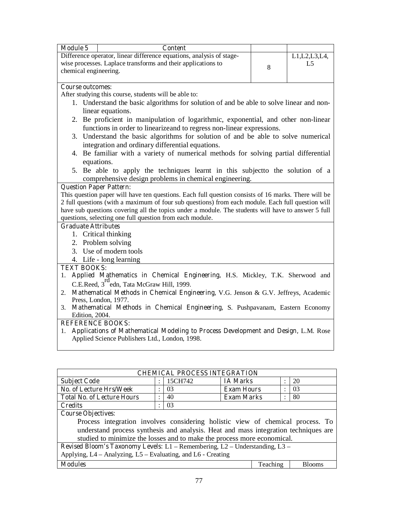| <b>Module 5</b>       | <b>Content</b>                                                       |                 |
|-----------------------|----------------------------------------------------------------------|-----------------|
|                       | Difference operator, linear difference equations, analysis of stage- | L1, L2, L3, L4, |
|                       | wise processes. Laplace transforms and their applications to         |                 |
| chemical engineering. |                                                                      |                 |
|                       |                                                                      |                 |

#### **Course outcomes:**

After studying this course, students will be able to:

- 1. Understand the basic algorithms for solution of and be able to solve linear and nonlinear equations.
- 2. Be proficient in manipulation of logarithmic, exponential, and other non-linear functions in order to linearizeand to regress non-linear expressions.
- 3. Understand the basic algorithms for solution of and be able to solve numerical integration and ordinary differential equations.
- 4. Be familiar with a variety of numerical methods for solving partial differential equations.
- 5. Be able to apply the techniques learnt in this subjectto the solution of a comprehensive design problems in chemical engineering.

# **Question Paper Pattern:**

This question paper will have ten questions. Each full question consists of 16 marks. There will be 2 full questions (with a maximum of four sub questions) from each module. Each full question will have sub questions covering all the topics under a module. The students will have to answer 5 full questions, selecting one full question from each module.

# **Graduate Attributes**

- 1. Critical thinking
- 2. Problem solving
- 3. Use of modern tools
- 4. Life long learning

#### **TEXT BOOKS:**

- 1. **Applied Mathematics in Chemical Engineering,** H.S. Mickley, T.K. Sherwood and C.E.Reed, 3<sup>rd</sup>edn, Tata McGraw Hill, 1999.
- 2. **Mathematical Methods in Chemical Engineering,** V.G. Jenson & G.V. Jeffreys, Academic Press, London, 1977.
- 3. **Mathematical Methods in Chemical Engineering,** S. Pushpavanam, Eastern Economy Edition, 2004.

# **REFERENCE BOOKS:**

1. **Applications of Mathematical Modeling to Process Development and Design,** L.M. Rose Applied Science Publishers Ltd., London, 1998.

| <b>CHEMICAL PROCESS INTEGRATION</b>                                                 |                           |         |                   |  |                |  |
|-------------------------------------------------------------------------------------|---------------------------|---------|-------------------|--|----------------|--|
| <b>Subject Code</b>                                                                 | $\ddot{\cdot}$            | 15CH742 | <b>IA Marks</b>   |  | 20             |  |
| No. of Lecture Hrs/Week                                                             | $\bullet$                 | 03      | <b>Exam Hours</b> |  | 0 <sup>3</sup> |  |
| <b>Total No. of Lecture Hours</b>                                                   | $\ddot{\cdot}$            | 40      | <b>Exam Marks</b> |  | 80             |  |
| <b>Credits</b>                                                                      | $\bullet$                 | 03      |                   |  |                |  |
| <b>Course Objectives:</b>                                                           |                           |         |                   |  |                |  |
| Process integration involves considering holistic view of chemical process. To      |                           |         |                   |  |                |  |
| understand process synthesis and analysis. Heat and mass integration techniques are |                           |         |                   |  |                |  |
| studied to minimize the losses and to make the process more economical.             |                           |         |                   |  |                |  |
| <b>Revised Bloom's Taxonomy Levels:</b> L1 – Remembering, L2 – Understanding, L3 –  |                           |         |                   |  |                |  |
| Applying, L4 – Analyzing, L5 – Evaluating, and L6 - Creating                        |                           |         |                   |  |                |  |
| <b>Modules</b>                                                                      | Teaching<br><b>Blooms</b> |         |                   |  |                |  |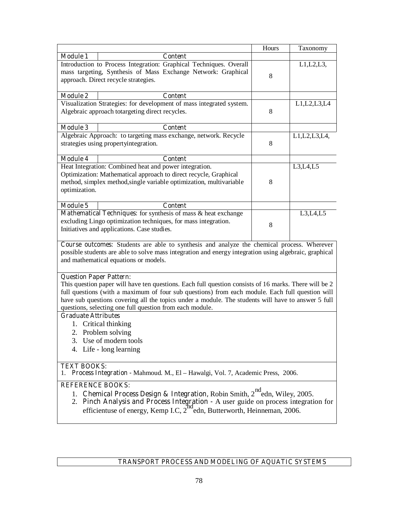|                                                                                                                                                                                                                                                                                                |                                                                                                                                                                                                                                                                                                                                                                                                              | Hours | Taxonomy        |  |  |  |  |
|------------------------------------------------------------------------------------------------------------------------------------------------------------------------------------------------------------------------------------------------------------------------------------------------|--------------------------------------------------------------------------------------------------------------------------------------------------------------------------------------------------------------------------------------------------------------------------------------------------------------------------------------------------------------------------------------------------------------|-------|-----------------|--|--|--|--|
| <b>Module 1</b>                                                                                                                                                                                                                                                                                | <b>Content</b>                                                                                                                                                                                                                                                                                                                                                                                               |       |                 |  |  |  |  |
|                                                                                                                                                                                                                                                                                                | Introduction to Process Integration: Graphical Techniques. Overall<br>mass targeting, Synthesis of Mass Exchange Network: Graphical<br>approach. Direct recycle strategies.                                                                                                                                                                                                                                  | 8     | $L1,L2,L3$ ,    |  |  |  |  |
| <b>Module 2</b>                                                                                                                                                                                                                                                                                | Content                                                                                                                                                                                                                                                                                                                                                                                                      |       |                 |  |  |  |  |
|                                                                                                                                                                                                                                                                                                | Visualization Strategies: for development of mass integrated system.<br>Algebraic approach totargeting direct recycles.                                                                                                                                                                                                                                                                                      | 8     | L1,L2,L3,L4     |  |  |  |  |
| <b>Module 3</b>                                                                                                                                                                                                                                                                                | <b>Content</b>                                                                                                                                                                                                                                                                                                                                                                                               |       |                 |  |  |  |  |
|                                                                                                                                                                                                                                                                                                | Algebraic Approach: to targeting mass exchange, network. Recycle<br>strategies using propertyintegration.                                                                                                                                                                                                                                                                                                    | 8     | L1, L2, L3, L4, |  |  |  |  |
| <b>Module 4</b>                                                                                                                                                                                                                                                                                | <b>Content</b>                                                                                                                                                                                                                                                                                                                                                                                               |       |                 |  |  |  |  |
| optimization.                                                                                                                                                                                                                                                                                  | Heat Integration: Combined heat and power integration.<br>Optimization: Mathematical approach to direct recycle, Graphical<br>method, simplex method, single variable optimization, multivariable                                                                                                                                                                                                            | 8     | L3, L4, L5      |  |  |  |  |
| <b>Module 5</b>                                                                                                                                                                                                                                                                                | <b>Content</b><br>Mathematical Techniques: for synthesis of mass & heat exchange<br>L3, L4, L5<br>excluding Lingo optimization techniques, for mass integration.<br>8<br>Initiatives and applications. Case studies.                                                                                                                                                                                         |       |                 |  |  |  |  |
|                                                                                                                                                                                                                                                                                                | Course outcomes: Students are able to synthesis and analyze the chemical process. Wherever<br>possible students are able to solve mass integration and energy integration using algebraic, graphical<br>and mathematical equations or models.                                                                                                                                                                |       |                 |  |  |  |  |
|                                                                                                                                                                                                                                                                                                | <b>Question Paper Pattern:</b><br>This question paper will have ten questions. Each full question consists of 16 marks. There will be 2<br>full questions (with a maximum of four sub questions) from each module. Each full question will<br>have sub questions covering all the topics under a module. The students will have to answer 5 full<br>questions, selecting one full question from each module. |       |                 |  |  |  |  |
| <b>Graduate Attributes</b>                                                                                                                                                                                                                                                                     |                                                                                                                                                                                                                                                                                                                                                                                                              |       |                 |  |  |  |  |
|                                                                                                                                                                                                                                                                                                | 1. Critical thinking                                                                                                                                                                                                                                                                                                                                                                                         |       |                 |  |  |  |  |
|                                                                                                                                                                                                                                                                                                | 2. Problem solving                                                                                                                                                                                                                                                                                                                                                                                           |       |                 |  |  |  |  |
| 3. Use of modern tools<br>4. Life - long learning                                                                                                                                                                                                                                              |                                                                                                                                                                                                                                                                                                                                                                                                              |       |                 |  |  |  |  |
| <b>TEXT BOOKS:</b><br>Process Integration - Mahmoud. M., El - Hawalgi, Vol. 7, Academic Press, 2006.                                                                                                                                                                                           |                                                                                                                                                                                                                                                                                                                                                                                                              |       |                 |  |  |  |  |
| <b>REFERENCE BOOKS:</b><br>Chemical Process Design & Integration, Robin Smith, 2 <sup>nd</sup> edn, Wiley, 2005.<br>1.<br>2. Pinch Analysis and Process Integration - A user guide on process integration for<br>efficientuse of energy, Kemp I.C, $2^{nd}$ edn, Butterworth, Heinneman, 2006. |                                                                                                                                                                                                                                                                                                                                                                                                              |       |                 |  |  |  |  |
|                                                                                                                                                                                                                                                                                                |                                                                                                                                                                                                                                                                                                                                                                                                              |       |                 |  |  |  |  |

# **TRANSPORT PROCESS AND MODELING OF AQUATIC SYSTEMS**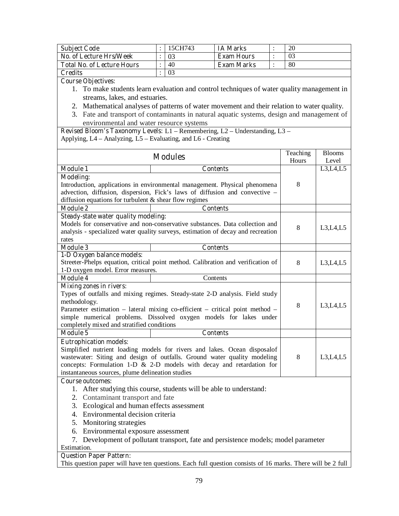| <b>Subject Code</b>               | 15CH743 | <b>IA Marks</b>   | 20 |
|-----------------------------------|---------|-------------------|----|
| No. of Lecture Hrs/Week           | 03      | <b>Exam Hours</b> |    |
| <b>Total No. of Lecture Hours</b> | 40      | <b>Exam Marks</b> | 80 |
| <b>Credits</b>                    | 03      |                   |    |

**Course Objectives:** 

- 1. To make students learn evaluation and control techniques of water quality management in streams, lakes, and estuaries.
- 2. Mathematical analyses of patterns of water movement and their relation to water quality.
- 3. Fate and transport of contaminants in natural aquatic systems, design and management of environmental and water resource systems

|                                                                                                            | Teaching                                                                         | <b>Blooms</b> |            |  |  |  |
|------------------------------------------------------------------------------------------------------------|----------------------------------------------------------------------------------|---------------|------------|--|--|--|
|                                                                                                            | <b>Modules</b>                                                                   | Hours         | Level      |  |  |  |
| <b>Module 1</b>                                                                                            | <b>Contents</b>                                                                  |               | L3, L4, L5 |  |  |  |
| <b>Modeling:</b>                                                                                           |                                                                                  |               |            |  |  |  |
|                                                                                                            | Introduction, applications in environmental management. Physical phenomena       | 8             |            |  |  |  |
|                                                                                                            | advection, diffusion, dispersion, Fick's laws of diffusion and convective -      |               |            |  |  |  |
| diffusion equations for turbulent & shear flow regimes                                                     |                                                                                  |               |            |  |  |  |
| <b>Module 2</b>                                                                                            | <b>Contents</b>                                                                  |               |            |  |  |  |
| <b>Steady-state water quality modeling:</b>                                                                |                                                                                  |               |            |  |  |  |
|                                                                                                            | Models for conservative and non-conservative substances. Data collection and     | 8             |            |  |  |  |
|                                                                                                            | analysis - specialized water quality surveys, estimation of decay and recreation |               | L3, L4, L5 |  |  |  |
| rates                                                                                                      |                                                                                  |               |            |  |  |  |
| <b>Module 3</b>                                                                                            | <b>Contents</b>                                                                  |               |            |  |  |  |
| 1-D Oxygen balance models:                                                                                 |                                                                                  |               |            |  |  |  |
|                                                                                                            | Streeter-Phelps equation, critical point method. Calibration and verification of | 8             | L3, L4, L5 |  |  |  |
| 1-D oxygen model. Error measures.                                                                          |                                                                                  |               |            |  |  |  |
| <b>Module 4</b>                                                                                            | Contents                                                                         |               |            |  |  |  |
| <b>Mixing zones in rivers:</b>                                                                             |                                                                                  |               |            |  |  |  |
|                                                                                                            | Types of outfalls and mixing regimes. Steady-state 2-D analysis. Field study     |               |            |  |  |  |
| methodology.                                                                                               |                                                                                  | 8             | L3, L4, L5 |  |  |  |
| Parameter estimation - lateral mixing co-efficient - critical point method -                               |                                                                                  |               |            |  |  |  |
|                                                                                                            | simple numerical problems. Dissolved oxygen models for lakes under               |               |            |  |  |  |
| completely mixed and stratified conditions                                                                 |                                                                                  |               |            |  |  |  |
| <b>Module 5</b>                                                                                            | <b>Contents</b>                                                                  |               |            |  |  |  |
| <b>Eutrophication models:</b>                                                                              |                                                                                  |               |            |  |  |  |
|                                                                                                            | Simplified nutrient loading models for rivers and lakes. Ocean disposalof        |               |            |  |  |  |
|                                                                                                            | wastewater: Siting and design of outfalls. Ground water quality modeling         | 8             | L3,L4,L5   |  |  |  |
|                                                                                                            | concepts: Formulation 1-D $\&$ 2-D models with decay and retardation for         |               |            |  |  |  |
| instantaneous sources, plume delineation studies                                                           |                                                                                  |               |            |  |  |  |
| <b>Course outcomes:</b>                                                                                    |                                                                                  |               |            |  |  |  |
|                                                                                                            | 1. After studying this course, students will be able to understand:              |               |            |  |  |  |
|                                                                                                            | 2. Contaminant transport and fate                                                |               |            |  |  |  |
| 3. Ecological and human effects assessment                                                                 |                                                                                  |               |            |  |  |  |
| 4. Environmental decision criteria                                                                         |                                                                                  |               |            |  |  |  |
| 5. Monitoring strategies                                                                                   |                                                                                  |               |            |  |  |  |
| 6. Environmental exposure assessment                                                                       |                                                                                  |               |            |  |  |  |
| 7. Development of pollutant transport, fate and persistence models; model parameter                        |                                                                                  |               |            |  |  |  |
| Estimation.                                                                                                |                                                                                  |               |            |  |  |  |
| <b>Question Paper Pattern:</b>                                                                             |                                                                                  |               |            |  |  |  |
| This question paper will have ten questions. Each full question consists of 16 marks. There will be 2 full |                                                                                  |               |            |  |  |  |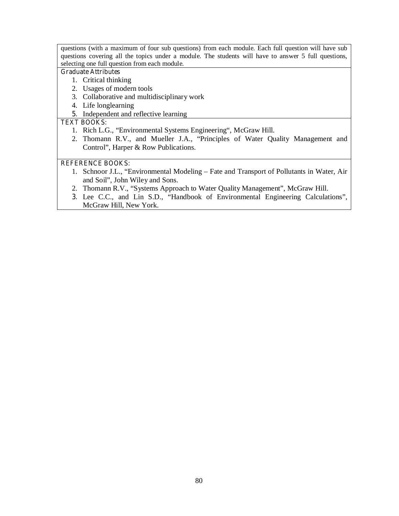questions (with a maximum of four sub questions) from each module. Each full question will have sub questions covering all the topics under a module. The students will have to answer 5 full questions, selecting one full question from each module.

#### **Graduate Attributes**

- 1. Critical thinking
- 2. Usages of modern tools
- 3. Collaborative and multidisciplinary work
- 4. Life longlearning
- **5.** Independent and reflective learning

# **TEXT BOOKS:**

- 1. Rich L.G., "Environmental Systems Engineering", McGraw Hill.
- 2. Thomann R.V., and Mueller J.A., "Principles of Water Quality Management and Control", Harper & Row Publications.

# **REFERENCE BOOKS:**

- 1. Schnoor J.L., "Environmental Modeling Fate and Transport of Pollutants in Water, Air and Soil", John Wiley and Sons.
- 2. Thomann R.V., "Systems Approach to Water Quality Management", McGraw Hill.
- **3.** Lee C.C., and Lin S.D., "Handbook of Environmental Engineering Calculations", McGraw Hill, New York.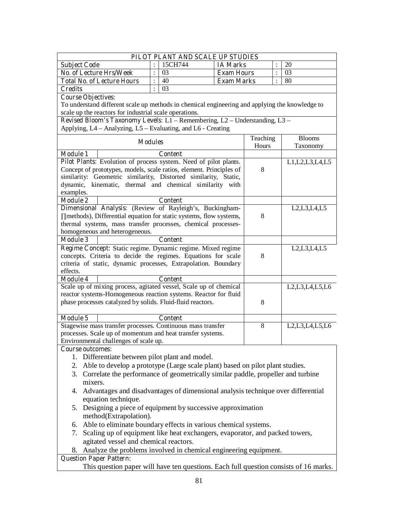|                                                                                         |                                                                                                |                | PILOT PLANT AND SCALE UP STUDIES |                   |          |                |                                                                                    |
|-----------------------------------------------------------------------------------------|------------------------------------------------------------------------------------------------|----------------|----------------------------------|-------------------|----------|----------------|------------------------------------------------------------------------------------|
| <b>Subject Code</b>                                                                     |                                                                                                |                | 15CH744                          | <b>IA Marks</b>   |          |                | 20                                                                                 |
| <b>No. of Lecture Hrs/Week</b>                                                          |                                                                                                | $\ddot{\cdot}$ | 03                               | <b>Exam Hours</b> |          | $\ddot{\cdot}$ | 03                                                                                 |
|                                                                                         | <b>Total No. of Lecture Hours</b>                                                              | $\ddot{\cdot}$ | 40                               | <b>Exam Marks</b> |          | $\ddot{\cdot}$ | 80                                                                                 |
| <b>Credits</b>                                                                          |                                                                                                | $\ddot{\cdot}$ | 03                               |                   |          |                |                                                                                    |
| <b>Course Objectives:</b>                                                               |                                                                                                |                |                                  |                   |          |                |                                                                                    |
|                                                                                         | To understand different scale up methods in chemical engineering and applying the knowledge to |                |                                  |                   |          |                |                                                                                    |
|                                                                                         | scale up the reactors for industrial scale operations.                                         |                |                                  |                   |          |                |                                                                                    |
|                                                                                         | Revised Bloom's Taxonomy Levels: L1 - Remembering, L2 - Understanding, L3 -                    |                |                                  |                   |          |                |                                                                                    |
|                                                                                         | Applying, L4 – Analyzing, L5 – Evaluating, and L6 - Creating                                   |                |                                  |                   |          |                |                                                                                    |
|                                                                                         | <b>Modules</b>                                                                                 |                |                                  |                   | Teaching |                | <b>Blooms</b>                                                                      |
|                                                                                         |                                                                                                |                |                                  |                   | Hours    |                | Taxonomy                                                                           |
| <b>Module 1</b>                                                                         |                                                                                                |                | <b>Content</b>                   |                   |          |                |                                                                                    |
|                                                                                         | Pilot Plants: Evolution of process system. Need of pilot plants.                               |                |                                  |                   |          |                | L1, L2, L3, L4, L5                                                                 |
|                                                                                         | Concept of prototypes, models, scale ratios, element. Principles of                            |                |                                  |                   | 8        |                |                                                                                    |
|                                                                                         | similarity: Geometric similarity, Distorted similarity, Static,                                |                |                                  |                   |          |                |                                                                                    |
|                                                                                         | dynamic, kinematic, thermal and chemical similarity with                                       |                |                                  |                   |          |                |                                                                                    |
| examples.<br><b>Module 2</b>                                                            |                                                                                                |                | <b>Content</b>                   |                   |          |                |                                                                                    |
|                                                                                         | Dimensional Analysis: (Review of Rayleigh's, Buckingham-                                       |                |                                  |                   |          |                | L2, L3, L4, L5                                                                     |
|                                                                                         | methods), Differential equation for static systems, flow systems,                              |                |                                  |                   | 8        |                |                                                                                    |
|                                                                                         | thermal systems, mass transfer processes, chemical processes-                                  |                |                                  |                   |          |                |                                                                                    |
|                                                                                         | homogeneous and heterogeneous.                                                                 |                |                                  |                   |          |                |                                                                                    |
| <b>Module 3</b>                                                                         |                                                                                                |                | <b>Content</b>                   |                   |          |                |                                                                                    |
|                                                                                         | Regime Concept: Static regime. Dynamic regime. Mixed regime                                    |                |                                  |                   |          |                | L2, L3, L4, L5                                                                     |
|                                                                                         | concepts. Criteria to decide the regimes. Equations for scale                                  |                |                                  |                   | 8        |                |                                                                                    |
|                                                                                         | criteria of static, dynamic processes, Extrapolation. Boundary                                 |                |                                  |                   |          |                |                                                                                    |
| effects.                                                                                |                                                                                                |                |                                  |                   |          |                |                                                                                    |
| <b>Module 4</b>                                                                         |                                                                                                |                | <b>Content</b>                   |                   |          |                |                                                                                    |
|                                                                                         | Scale up of mixing process, agitated vessel, Scale up of chemical                              |                |                                  |                   |          |                | L <sub>2</sub> , L <sub>3</sub> , L <sub>4</sub> , L <sub>5</sub> , L <sub>6</sub> |
|                                                                                         | reactor systems-Homogeneous reaction systems. Reactor for fluid                                |                |                                  |                   |          |                |                                                                                    |
|                                                                                         | phase processes catalyzed by solids. Fluid-fluid reactors.                                     |                |                                  |                   | 8        |                |                                                                                    |
|                                                                                         |                                                                                                |                |                                  |                   |          |                |                                                                                    |
| <b>Module 5</b>                                                                         |                                                                                                |                | <b>Content</b>                   |                   |          |                |                                                                                    |
|                                                                                         | Stagewise mass transfer processes. Continuous mass transfer                                    |                |                                  |                   | 8        |                | L <sub>2</sub> , L <sub>3</sub> , L <sub>4</sub> , L <sub>5</sub> , L <sub>6</sub> |
|                                                                                         | processes. Scale up of momentum and heat transfer systems.                                     |                |                                  |                   |          |                |                                                                                    |
|                                                                                         | Environmental challenges of scale up.                                                          |                |                                  |                   |          |                |                                                                                    |
| <b>Course outcomes:</b>                                                                 | 1. Differentiate between pilot plant and model.                                                |                |                                  |                   |          |                |                                                                                    |
|                                                                                         | 2. Able to develop a prototype (Large scale plant) based on pilot plant studies.               |                |                                  |                   |          |                |                                                                                    |
|                                                                                         |                                                                                                |                |                                  |                   |          |                |                                                                                    |
|                                                                                         | 3. Correlate the performance of geometrically similar paddle, propeller and turbine            |                |                                  |                   |          |                |                                                                                    |
| mixers.                                                                                 |                                                                                                |                |                                  |                   |          |                |                                                                                    |
|                                                                                         | 4. Advantages and disadvantages of dimensional analysis technique over differential            |                |                                  |                   |          |                |                                                                                    |
|                                                                                         | equation technique.                                                                            |                |                                  |                   |          |                |                                                                                    |
| 5. Designing a piece of equipment by successive approximation<br>method(Extrapolation). |                                                                                                |                |                                  |                   |          |                |                                                                                    |
|                                                                                         | 6. Able to eliminate boundary effects in various chemical systems.                             |                |                                  |                   |          |                |                                                                                    |
|                                                                                         | 7. Scaling up of equipment like heat exchangers, evaporator, and packed towers,                |                |                                  |                   |          |                |                                                                                    |
|                                                                                         | agitated vessel and chemical reactors.                                                         |                |                                  |                   |          |                |                                                                                    |
|                                                                                         | 8. Analyze the problems involved in chemical engineering equipment.                            |                |                                  |                   |          |                |                                                                                    |
| <b>Question Paper Pattern:</b>                                                          |                                                                                                |                |                                  |                   |          |                |                                                                                    |
| This question paper will have ten questions. Each full question consists of 16 marks.   |                                                                                                |                |                                  |                   |          |                |                                                                                    |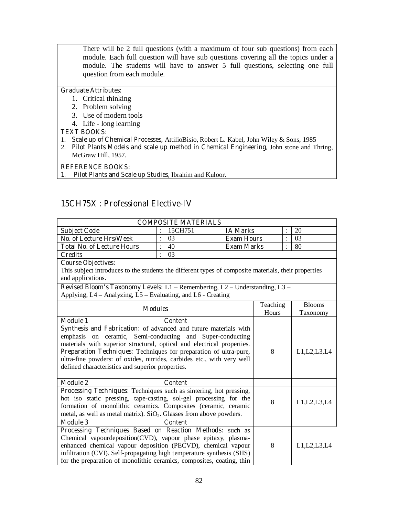There will be 2 full questions (with a maximum of four sub questions) from each module. Each full question will have sub questions covering all the topics under a module. The students will have to answer 5 full questions, selecting one full question from each module.

# **Graduate Attributes:**

- 1. Critical thinking
- 2. Problem solving
- 3. Use of modern tools
- 4. Life long learning

#### **TEXT BOOKS:**

- 1. **Scale up of Chemical Processes**, AttilioBisio, Robert L. Kabel, John Wiley & Sons, 1985
- 2. **Pilot Plants Models and scale up method in Chemical Engineering,** John stone and Thring, McGraw Hill, 1957.

#### **REFERENCE BOOKS:**

**1. Pilot Plants and Scale up Studies,** Ibrahim and Kuloor.

# **15CH75X : Professional Elective-IV**

|                                                                                                                                       | <b>COMPOSITE MATERIALS</b>                                                                                                |                |                   |          |                |                |  |
|---------------------------------------------------------------------------------------------------------------------------------------|---------------------------------------------------------------------------------------------------------------------------|----------------|-------------------|----------|----------------|----------------|--|
| <b>Subject Code</b>                                                                                                                   |                                                                                                                           | 15CH751        | <b>IA Marks</b>   |          |                | 20             |  |
| <b>No. of Lecture Hrs/Week</b>                                                                                                        |                                                                                                                           | 03             | <b>Exam Hours</b> |          | ÷              | 03             |  |
| <b>Total No. of Lecture Hours</b>                                                                                                     |                                                                                                                           | 40             | <b>Exam Marks</b> |          |                | 80             |  |
| <b>Credits</b>                                                                                                                        |                                                                                                                           | 03             |                   |          |                |                |  |
| <b>Course Objectives:</b>                                                                                                             |                                                                                                                           |                |                   |          |                |                |  |
| This subject introduces to the students the different types of composite materials, their properties                                  |                                                                                                                           |                |                   |          |                |                |  |
| and applications.                                                                                                                     |                                                                                                                           |                |                   |          |                |                |  |
| <b>Revised Bloom's Taxonomy Levels:</b> $L1$ – Remembering, $L2$ – Understanding, $L3$ –                                              |                                                                                                                           |                |                   |          |                |                |  |
| Applying, L4 – Analyzing, L5 – Evaluating, and L6 - Creating                                                                          |                                                                                                                           |                |                   |          |                |                |  |
|                                                                                                                                       |                                                                                                                           |                |                   | Teaching |                | <b>Blooms</b>  |  |
| <b>Modules</b>                                                                                                                        |                                                                                                                           |                |                   | Hours    |                | Taxonomy       |  |
| <b>Module 1</b><br><b>Content</b>                                                                                                     |                                                                                                                           |                |                   |          |                |                |  |
| Synthesis and Fabrication: of advanced and future materials with                                                                      |                                                                                                                           |                |                   |          |                |                |  |
| emphasis on ceramic, Semi-conducting and Super-conducting                                                                             |                                                                                                                           |                |                   |          |                |                |  |
| materials with superior structural, optical and electrical properties.                                                                |                                                                                                                           |                |                   |          |                |                |  |
| Preparation Techniques: Techniques for preparation of ultra-pure,                                                                     |                                                                                                                           |                |                   | 8        | L1, L2, L3, L4 |                |  |
| ultra-fine powders: of oxides, nitrides, carbides etc., with very well                                                                |                                                                                                                           |                |                   |          |                |                |  |
| defined characteristics and superior properties.                                                                                      |                                                                                                                           |                |                   |          |                |                |  |
|                                                                                                                                       |                                                                                                                           |                |                   |          |                |                |  |
| <b>Module 2</b>                                                                                                                       |                                                                                                                           | <b>Content</b> |                   |          |                |                |  |
| Processing Techniques: Techniques such as sintering, hot pressing,                                                                    |                                                                                                                           |                |                   |          |                |                |  |
|                                                                                                                                       | hot iso static pressing, tape-casting, sol-gel processing for the                                                         |                | 8                 |          | L1, L2, L3, L4 |                |  |
| formation of monolithic ceramics. Composites (ceramic, ceramic                                                                        |                                                                                                                           |                |                   |          |                |                |  |
| metal, as well as metal matrix). $SiO_2$ . Glasses from above powders.                                                                |                                                                                                                           |                |                   |          |                |                |  |
| <b>Module 3</b>                                                                                                                       |                                                                                                                           | <b>Content</b> |                   |          |                |                |  |
|                                                                                                                                       | Processing Techniques Based on Reaction Methods: such as<br>Chemical vapourdeposition(CVD), vapour phase epitaxy, plasma- |                |                   |          |                |                |  |
|                                                                                                                                       |                                                                                                                           |                |                   | 8        |                |                |  |
| enhanced chemical vapour deposition (PECVD), chemical vapour<br>infiltration (CVI). Self-propagating high temperature synthesis (SHS) |                                                                                                                           |                |                   |          |                | L1, L2, L3, L4 |  |
| for the preparation of monolithic ceramics, composites, coating, thin                                                                 |                                                                                                                           |                |                   |          |                |                |  |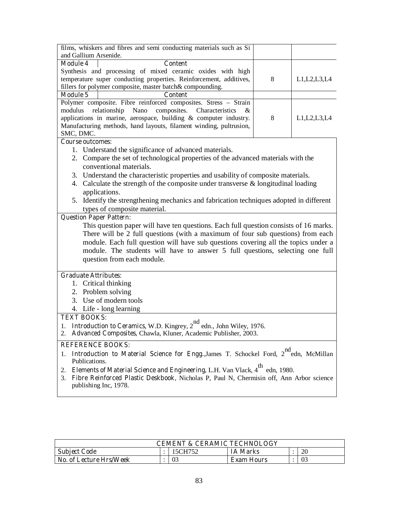| films, whiskers and fibres and semi conducting materials such as Si<br>and Gallium Arsenide.                                                                        |            |                |  |  |  |  |  |
|---------------------------------------------------------------------------------------------------------------------------------------------------------------------|------------|----------------|--|--|--|--|--|
| <b>Module 4</b><br><b>Content</b>                                                                                                                                   |            |                |  |  |  |  |  |
| Synthesis and processing of mixed ceramic oxides with high                                                                                                          |            |                |  |  |  |  |  |
| temperature super conducting properties. Reinforcement, additives,                                                                                                  | 8          | L1, L2, L3, L4 |  |  |  |  |  |
| fillers for polymer composite, master batch& compounding.                                                                                                           |            |                |  |  |  |  |  |
| <b>Module 5</b><br><b>Content</b>                                                                                                                                   |            |                |  |  |  |  |  |
| Polymer composite. Fibre reinforced composites. Stress - Strain                                                                                                     |            |                |  |  |  |  |  |
| composites. Characteristics<br>modulus<br>relationship<br>Nano                                                                                                      | &          |                |  |  |  |  |  |
| applications in marine, aerospace, building & computer industry.                                                                                                    | 8          | L1, L2, L3, L4 |  |  |  |  |  |
| Manufacturing methods, hand layouts, filament winding, pultrusion,                                                                                                  |            |                |  |  |  |  |  |
| SMC, DMC.                                                                                                                                                           |            |                |  |  |  |  |  |
| <b>Course outcomes:</b>                                                                                                                                             |            |                |  |  |  |  |  |
| 1. Understand the significance of advanced materials.                                                                                                               |            |                |  |  |  |  |  |
| 2. Compare the set of technological properties of the advanced materials with the                                                                                   |            |                |  |  |  |  |  |
| conventional materials.                                                                                                                                             |            |                |  |  |  |  |  |
| 3. Understand the characteristic properties and usability of composite materials.                                                                                   |            |                |  |  |  |  |  |
| 4. Calculate the strength of the composite under transverse $\&$ longitudinal loading                                                                               |            |                |  |  |  |  |  |
| applications.                                                                                                                                                       |            |                |  |  |  |  |  |
| 5. Identify the strengthening mechanics and fabrication techniques adopted in different                                                                             |            |                |  |  |  |  |  |
| types of composite material.                                                                                                                                        |            |                |  |  |  |  |  |
| <b>Question Paper Pattern:</b>                                                                                                                                      |            |                |  |  |  |  |  |
| This question paper will have ten questions. Each full question consists of 16 marks.                                                                               |            |                |  |  |  |  |  |
| There will be 2 full questions (with a maximum of four sub questions) from each                                                                                     |            |                |  |  |  |  |  |
| module. Each full question will have sub questions covering all the topics under a<br>module. The students will have to answer 5 full questions, selecting one full |            |                |  |  |  |  |  |
|                                                                                                                                                                     |            |                |  |  |  |  |  |
| question from each module.                                                                                                                                          |            |                |  |  |  |  |  |
| <b>Graduate Attributes:</b>                                                                                                                                         |            |                |  |  |  |  |  |
| 1. Critical thinking                                                                                                                                                |            |                |  |  |  |  |  |
| 2. Problem solving                                                                                                                                                  |            |                |  |  |  |  |  |
| 3. Use of modern tools                                                                                                                                              |            |                |  |  |  |  |  |
| 4. Life - long learning                                                                                                                                             |            |                |  |  |  |  |  |
| <b>TEXT BOOKS:</b>                                                                                                                                                  |            |                |  |  |  |  |  |
| 1. <b>Introduction to Ceramics</b> , W.D. Kingrey, 2 <sup>nd</sup> edn., John Wiley, 1976.                                                                          |            |                |  |  |  |  |  |
| Advanced Composites, Chawla, Kluner, Academic Publisher, 2003.<br>2.                                                                                                |            |                |  |  |  |  |  |
| <b>REFERENCE BOOKS:</b>                                                                                                                                             |            |                |  |  |  |  |  |
| Introduction to Material Science for Engg., James T. Schockel Ford, 2 <sup>nd</sup> edn, McMillan<br>1.<br>Publications.                                            | nd         |                |  |  |  |  |  |
| <b>Elements of Material Science and Engineering, L.H. Van Vlack, 4th</b><br>2.                                                                                      | edn, 1980. |                |  |  |  |  |  |
| Fibre Reinforced Plastic Deskbook, Nicholas P, Paul N, Chermisin off, Ann Arbor science<br>3.                                                                       |            |                |  |  |  |  |  |
| publishing Inc, 1978.                                                                                                                                               |            |                |  |  |  |  |  |

| CEMENT & CERAMIC TECHNOLOGY    |  |         |                   |  |    |  |  |
|--------------------------------|--|---------|-------------------|--|----|--|--|
| <b>Subject Code</b>            |  | 15CH752 | <b>IA Marks</b>   |  | 20 |  |  |
| <b>No. of Lecture Hrs/Week</b> |  | 03      | <b>Exam Hours</b> |  | 03 |  |  |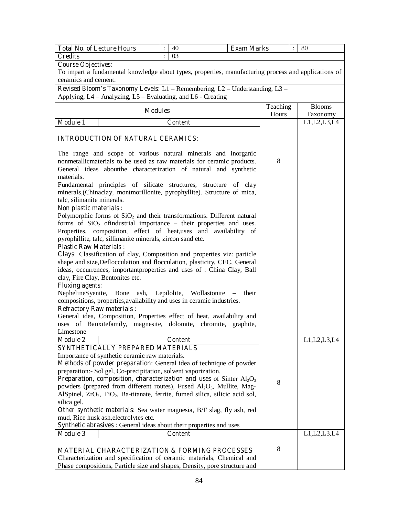| <b>Total No. of Lecture Hours</b>                                                                                                                    |                                                                                                       | 40             | <b>Exam Marks</b>                             |                   | 80                                                                 |  |  |
|------------------------------------------------------------------------------------------------------------------------------------------------------|-------------------------------------------------------------------------------------------------------|----------------|-----------------------------------------------|-------------------|--------------------------------------------------------------------|--|--|
| <b>Credits</b>                                                                                                                                       | $\ddot{\cdot}$                                                                                        | 03             |                                               |                   |                                                                    |  |  |
| <b>Course Objectives:</b>                                                                                                                            |                                                                                                       |                |                                               |                   |                                                                    |  |  |
|                                                                                                                                                      | To impart a fundamental knowledge about types, properties, manufacturing process and applications of  |                |                                               |                   |                                                                    |  |  |
| ceramics and cement.                                                                                                                                 |                                                                                                       |                |                                               |                   |                                                                    |  |  |
| Revised Bloom's Taxonomy Levels: $L1$ – Remembering, $L2$ – Understanding, $L3$ –                                                                    |                                                                                                       |                |                                               |                   |                                                                    |  |  |
| Applying, L4 - Analyzing, L5 - Evaluating, and L6 - Creating                                                                                         |                                                                                                       |                |                                               |                   |                                                                    |  |  |
|                                                                                                                                                      |                                                                                                       |                |                                               |                   |                                                                    |  |  |
| <b>Modules</b>                                                                                                                                       |                                                                                                       |                |                                               | Teaching<br>Hours | <b>Blooms</b><br>Taxonomy                                          |  |  |
| <b>Module 1</b>                                                                                                                                      |                                                                                                       | <b>Content</b> |                                               |                   | $\overline{L}$ 1, L <sub>2</sub> , L <sub>3</sub> , L <sub>4</sub> |  |  |
|                                                                                                                                                      |                                                                                                       |                |                                               |                   |                                                                    |  |  |
| <b>INTRODUCTION OF NATURAL CERAMICS:</b>                                                                                                             |                                                                                                       |                |                                               |                   |                                                                    |  |  |
| The range and scope of various natural minerals and inorganic                                                                                        |                                                                                                       |                |                                               |                   |                                                                    |  |  |
| nonmetallicmaterials to be used as raw materials for ceramic products.                                                                               |                                                                                                       |                |                                               | 8                 |                                                                    |  |  |
| General ideas aboutthe characterization of natural and synthetic                                                                                     |                                                                                                       |                |                                               |                   |                                                                    |  |  |
| materials.                                                                                                                                           |                                                                                                       |                |                                               |                   |                                                                    |  |  |
| Fundamental principles of silicate structures, structure of clay                                                                                     |                                                                                                       |                |                                               |                   |                                                                    |  |  |
| minerals, (Chinaclay, montmorillonite, pyrophyllite). Structure of mica,                                                                             |                                                                                                       |                |                                               |                   |                                                                    |  |  |
| talc, silimanite minerals.                                                                                                                           |                                                                                                       |                |                                               |                   |                                                                    |  |  |
| Non plastic materials :                                                                                                                              |                                                                                                       |                |                                               |                   |                                                                    |  |  |
| Polymorphic forms of $SiO2$ and their transformations. Different natural                                                                             |                                                                                                       |                |                                               |                   |                                                                    |  |  |
| forms of $SiO2$ of industrial importance – their properties and uses.                                                                                |                                                                                                       |                |                                               |                   |                                                                    |  |  |
| Properties, composition, effect of heat, uses and availability of                                                                                    |                                                                                                       |                |                                               |                   |                                                                    |  |  |
| pyrophillite, talc, sillimanite minerals, zircon sand etc.                                                                                           |                                                                                                       |                |                                               |                   |                                                                    |  |  |
| <b>Plastic Raw Materials:</b>                                                                                                                        |                                                                                                       |                |                                               |                   |                                                                    |  |  |
| Clays: Classification of clay, Composition and properties viz: particle                                                                              |                                                                                                       |                |                                               |                   |                                                                    |  |  |
| shape and size, Deflocculation and flocculation, plasticity, CEC, General<br>ideas, occurrences, important properties and uses of : China Clay, Ball |                                                                                                       |                |                                               |                   |                                                                    |  |  |
| clay, Fire Clay, Bentonites etc.                                                                                                                     |                                                                                                       |                |                                               |                   |                                                                    |  |  |
| <b>Fluxing agents:</b>                                                                                                                               |                                                                                                       |                |                                               |                   |                                                                    |  |  |
| NephelineS yenite,                                                                                                                                   |                                                                                                       |                | Bone ash, Lepilolite, Wollastonite –<br>their |                   |                                                                    |  |  |
| compositions, properties, availability and uses in ceramic industries.                                                                               |                                                                                                       |                |                                               |                   |                                                                    |  |  |
| <b>Refractory Raw materials:</b>                                                                                                                     |                                                                                                       |                |                                               |                   |                                                                    |  |  |
| General idea, Composition, Properties effect of heat, availability and                                                                               |                                                                                                       |                |                                               |                   |                                                                    |  |  |
| uses of Bauxitefamily, magnesite, dolomite, chromite, graphite,                                                                                      |                                                                                                       |                |                                               |                   |                                                                    |  |  |
| Limestone                                                                                                                                            |                                                                                                       |                |                                               |                   |                                                                    |  |  |
| <b>Module 2</b>                                                                                                                                      |                                                                                                       | <b>Content</b> |                                               |                   | L1, L2, L3, L4                                                     |  |  |
| SYNTHETICALLY PREPARED MATERIALS                                                                                                                     |                                                                                                       |                |                                               |                   |                                                                    |  |  |
| Importance of synthetic ceramic raw materials.                                                                                                       |                                                                                                       |                |                                               |                   |                                                                    |  |  |
| Methods of powder preparation: General idea of technique of powder                                                                                   |                                                                                                       |                |                                               |                   |                                                                    |  |  |
| preparation:- Sol gel, Co-precipitation, solvent vaporization.                                                                                       |                                                                                                       |                |                                               |                   |                                                                    |  |  |
| Preparation, composition, characterization and uses of Sinter Al <sub>2</sub> O <sub>3</sub>                                                         |                                                                                                       |                |                                               | 8                 |                                                                    |  |  |
| powders (prepared from different routes), Fused Al <sub>2</sub> O <sub>3</sub> , Mullite, Mag-                                                       |                                                                                                       |                |                                               |                   |                                                                    |  |  |
| silica gel.                                                                                                                                          | AlSpinel, ZrO <sub>2</sub> , TiO <sub>2</sub> , Ba-titanate, ferrite, fumed silica, silicic acid sol, |                |                                               |                   |                                                                    |  |  |
| Other synthetic materials: Sea water magnesia, B/F slag, fly ash, red                                                                                |                                                                                                       |                |                                               |                   |                                                                    |  |  |
| mud, Rice husk ash, electrolytes etc.                                                                                                                |                                                                                                       |                |                                               |                   |                                                                    |  |  |
| Synthetic abrasives : General ideas about their properties and uses                                                                                  |                                                                                                       |                |                                               |                   |                                                                    |  |  |
| <b>Module 3</b>                                                                                                                                      |                                                                                                       | <b>Content</b> |                                               |                   | L1, L2, L3, L4                                                     |  |  |
|                                                                                                                                                      |                                                                                                       |                |                                               |                   |                                                                    |  |  |
| <b>MATERIAL CHARACTERIZATION &amp; FORMING PROCESSES</b>                                                                                             |                                                                                                       |                |                                               | 8                 |                                                                    |  |  |
| Characterization and specification of ceramic materials, Chemical and                                                                                |                                                                                                       |                |                                               |                   |                                                                    |  |  |
| Phase compositions, Particle size and shapes, Density, pore structure and                                                                            |                                                                                                       |                |                                               |                   |                                                                    |  |  |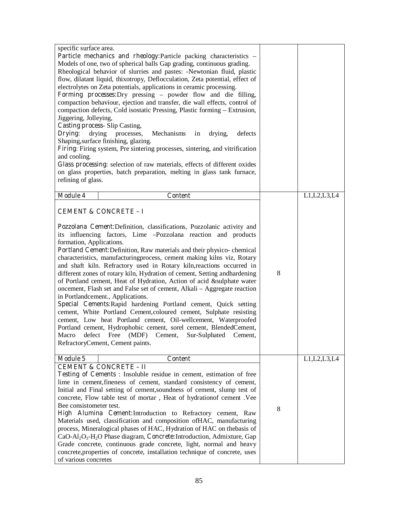| specific surface area.<br>Particle mechanics and rheology: Particle packing characteristics -<br>Models of one, two of spherical balls Gap grading, continuous grading.<br>Rheological behavior of slurries and pastes: -Newtonian fluid, plastic<br>flow, dilatant liquid, thixotropy, Deflocculation, Zeta potential, effect of<br>electrolytes on Zeta potentials, applications in ceramic processing.<br>Forming processes: Dry pressing – powder flow and die filling,<br>compaction behaviour, ejection and transfer, die wall effects, control of<br>compaction defects, Cold isostatic Pressing, Plastic forming - Extrusion,<br>Jiggering, Jolleying,<br><b>Casting process-Slip Casting,</b><br>Drying:<br>drying processes,<br>Mechanisms<br>drying,<br>defects<br>in                                                                                                                                                                                                                                                                     |   |                |
|------------------------------------------------------------------------------------------------------------------------------------------------------------------------------------------------------------------------------------------------------------------------------------------------------------------------------------------------------------------------------------------------------------------------------------------------------------------------------------------------------------------------------------------------------------------------------------------------------------------------------------------------------------------------------------------------------------------------------------------------------------------------------------------------------------------------------------------------------------------------------------------------------------------------------------------------------------------------------------------------------------------------------------------------------|---|----------------|
| Shaping, surface finishing, glazing.<br>Firing: Firing system, Pre sintering processes, sintering, and vitrification<br>and cooling.                                                                                                                                                                                                                                                                                                                                                                                                                                                                                                                                                                                                                                                                                                                                                                                                                                                                                                                 |   |                |
| Glass processing: selection of raw materials, effects of different oxides<br>on glass properties, batch preparation, melting in glass tank furnace,<br>refining of glass.                                                                                                                                                                                                                                                                                                                                                                                                                                                                                                                                                                                                                                                                                                                                                                                                                                                                            |   |                |
| <b>Module 4</b><br><b>Content</b>                                                                                                                                                                                                                                                                                                                                                                                                                                                                                                                                                                                                                                                                                                                                                                                                                                                                                                                                                                                                                    |   | L1, L2, L3, L4 |
| <b>CEMENT &amp; CONCRETE - I</b>                                                                                                                                                                                                                                                                                                                                                                                                                                                                                                                                                                                                                                                                                                                                                                                                                                                                                                                                                                                                                     |   |                |
| Pozzolana Cement: Definition, classifications, Pozzolanic activity and<br>its influencing factors, Lime -Pozzolana reaction and products<br>formation, Applications.<br>Portland Cement: Definition, Raw materials and their physico-chemical<br>characteristics, manufacturingprocess, cement making kilns viz, Rotary<br>and shaft kiln. Refractory used in Rotary kiln, reactions occurred in<br>different zones of rotary kiln, Hydration of cement, Setting andhardening<br>of Portland cement, Heat of Hydration, Action of acid &sulphate water<br>oncement, Flash set and False set of cement, Alkali - Aggregate reaction<br>in Portlandcement., Applications.<br>Special Cements: Rapid hardening Portland cement, Quick setting<br>cement, White Portland Cement, coloured cement, Sulphate resisting<br>cement, Low heat Portland cement, Oil-wellcement, Waterproofed<br>Portland cement, Hydrophobic cement, sorel cement, BlendedCement,<br>Macro defect Free (MDF) Cement, Sur-Sulphated Cement,<br>RefractoryCement, Cement paints. | 8 |                |
| <b>Module 5</b><br><b>Content</b><br><b>CEMENT &amp; CONCRETE - II</b><br>Testing of Cements: Insoluble residue in cement, estimation of free<br>lime in cement, fineness of cement, standard consistency of cement,<br>Initial and Final setting of cement, soundness of cement, slump test of<br>concrete, Flow table test of mortar, Heat of hydrationof cement . Vee<br>Bee consistometer test.<br>High Alumina Cement: Introduction to Refractory cement, Raw<br>Materials used, classification and composition of HAC, manufacturing<br>process, Mineralogical phases of HAC, Hydration of HAC on thebasis of<br>$CaO-AI_2O_3-H_2O$ Phase diagram, <b>Concrete:</b> Introduction, Admixture, Gap<br>Grade concrete, continuous grade concrete, light, normal and heavy<br>concrete, properties of concrete, installation technique of concrete, uses<br>of various concretes                                                                                                                                                                   | 8 | L1, L2, L3, L4 |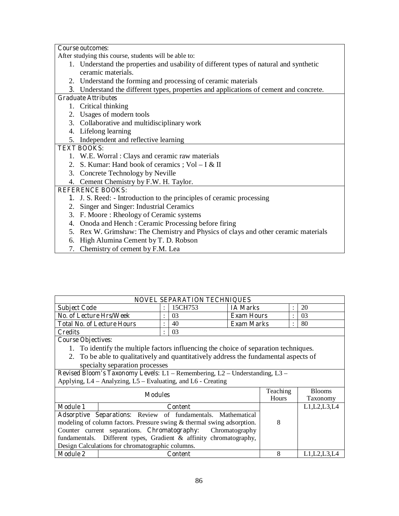# **Course outcomes:**

After studying this course, students will be able to:

- 1. Understand the properties and usability of different types of natural and synthetic ceramic materials.
- 2. Understand the forming and processing of ceramic materials
- **3.** Understand the different types, properties and applications of cement and concrete.

#### **Graduate Attributes**

- 1. Critical thinking
- 2. Usages of modern tools
- 3. Collaborative and multidisciplinary work
- 4. Lifelong learning
- 5. Independent and reflective learning

# **TEXT BOOKS:**

- 1. W.E. Worral : Clays and ceramic raw materials
- 2. S. Kumar: Hand book of ceramics ;  $Vol I & H$
- 3. Concrete Technology by Neville
- 4. Cement Chemistry by F.W. H. Taylor.

# **REFERENCE BOOKS:**

- **1.** J. S. Reed: Introduction to the principles of ceramic processing
- 2. Singer and Singer: Industrial Ceramics
- 3. F. Moore : Rheology of Ceramic systems
- 4. Onoda and Hench : Ceramic Processing before firing
- 5. Rex W. Grimshaw: The Chemistry and Physics of clays and other ceramic materials
- 6. High Alumina Cement by T. D. Robson
- 7. Chemistry of cement by F.M. Lea

| <b>NOVEL SEPARATION TECHNIQUES</b>                      |  |    |                   |  |    |  |  |
|---------------------------------------------------------|--|----|-------------------|--|----|--|--|
| 15CH753<br>20<br><b>IA Marks</b><br><b>Subject Code</b> |  |    |                   |  |    |  |  |
| No. of Lecture Hrs/Week                                 |  |    | <b>Exam Hours</b> |  | 03 |  |  |
| <b>Total No. of Lecture Hours</b>                       |  | 40 | <b>Exam Marks</b> |  | 80 |  |  |
| <b>Credits</b>                                          |  |    |                   |  |    |  |  |

**Course Objectives:** 

- 1. To identify the multiple factors influencing the choice of separation techniques.
- 2. To be able to qualitatively and quantitatively address the fundamental aspects of specialty separation processes

|                 | <b>Modules</b>                                                         | Teaching<br>Hours | <b>Blooms</b><br><b>Taxonomy</b> |
|-----------------|------------------------------------------------------------------------|-------------------|----------------------------------|
| <b>Module 1</b> | Content                                                                |                   | L1, L2, L3, L4                   |
|                 | <b>Adsorptive Separations:</b> Review of fundamentals. Mathematical    |                   |                                  |
|                 | modeling of column factors. Pressure swing & thermal swing adsorption. | 8                 |                                  |
|                 | Counter current separations. Chromatography: Chromatography            |                   |                                  |
|                 | fundamentals. Different types, Gradient & affinity chromatography,     |                   |                                  |
|                 | Design Calculations for chromatographic columns.                       |                   |                                  |
| <b>Module 2</b> | Content                                                                |                   | L1, L2, L3, L4                   |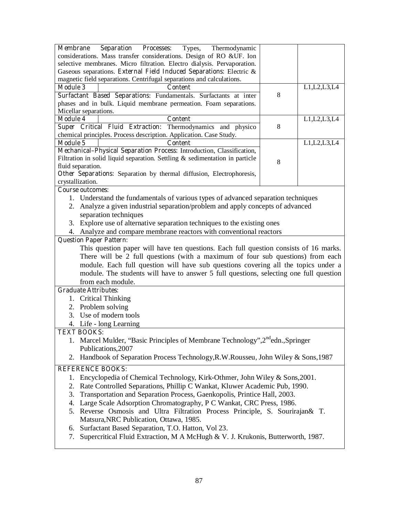| <b>Separation</b><br><b>Processes:</b><br>Types,<br><b>Membrane</b><br>Thermodynamic             |   |                |
|--------------------------------------------------------------------------------------------------|---|----------------|
| considerations. Mass transfer considerations. Design of RO &UF. Ion                              |   |                |
| selective membranes. Micro filtration. Electro dialysis. Pervaporation.                          |   |                |
| Gaseous separations. External Field Induced Separations: Electric &                              |   |                |
| magnetic field separations. Centrifugal separations and calculations.                            |   |                |
| <b>Module 3</b><br><b>Content</b>                                                                |   | L1, L2, L3, L4 |
| Surfactant Based Separations: Fundamentals. Surfactants at inter                                 | 8 |                |
| phases and in bulk. Liquid membrane permeation. Foam separations.                                |   |                |
| Micellar separations.                                                                            |   |                |
| <b>Module 4</b><br><b>Content</b><br>Super Critical Fluid Extraction: Thermodynamics and physico | 8 | L1,L2,L3,L4    |
| chemical principles. Process description. Application. Case Study.                               |   |                |
| <b>Module 5</b><br><b>Content</b>                                                                |   | L1, L2, L3, L4 |
| Mechanical-Physical Separation Process: Introduction, Classification,                            |   |                |
| Filtration in solid liquid separation. Settling $&$ sedimentation in particle                    |   |                |
| fluid separation.                                                                                | 8 |                |
| Other Separations: Separation by thermal diffusion, Electrophoresis,                             |   |                |
| crystallization.                                                                                 |   |                |
| <b>Course outcomes:</b>                                                                          |   |                |
| 1. Understand the fundamentals of various types of advanced separation techniques                |   |                |
| 2. Analyze a given industrial separation/problem and apply concepts of advanced                  |   |                |
| separation techniques                                                                            |   |                |
| 3. Explore use of alternative separation techniques to the existing ones                         |   |                |
| Analyze and compare membrane reactors with conventional reactors<br>4.                           |   |                |
| <b>Question Paper Pattern:</b>                                                                   |   |                |
| This question paper will have ten questions. Each full question consists of 16 marks.            |   |                |
| There will be 2 full questions (with a maximum of four sub questions) from each                  |   |                |
| module. Each full question will have sub questions covering all the topics under a               |   |                |
| module. The students will have to answer 5 full questions, selecting one full question           |   |                |
| from each module.                                                                                |   |                |
| <b>Graduate Attributes:</b>                                                                      |   |                |
| 1. Critical Thinking                                                                             |   |                |
| 2. Problem solving                                                                               |   |                |
| 3. Use of modern tools                                                                           |   |                |
|                                                                                                  |   |                |
| 4. Life - long Learning<br><b>TEXT BOOKS:</b>                                                    |   |                |
| 1. Marcel Mulder, "Basic Principles of Membrane Technology", 2 <sup>nd</sup> edn., Springer      |   |                |
| Publications, 2007                                                                               |   |                |
| Handbook of Separation Process Technology, R.W. Rousseu, John Wiley & Sons, 1987                 |   |                |
| 2.                                                                                               |   |                |
| <b>REFERENCE BOOKS:</b>                                                                          |   |                |
| Encyclopedia of Chemical Technology, Kirk-Othmer, John Wiley & Sons, 2001.<br>1.                 |   |                |
| Rate Controlled Separations, Phillip C Wankat, Kluwer Academic Pub, 1990.<br>2.                  |   |                |
| Transportation and Separation Process, Gaenkopolis, Printice Hall, 2003.<br>3.                   |   |                |
| Large Scale Adsorption Chromatography, P C Wankat, CRC Press, 1986.<br>4.                        |   |                |
| Reverse Osmosis and Ultra Filtration Process Principle, S. Sourirajan& T.<br>5.                  |   |                |
| Matsura, NRC Publication, Ottawa, 1985.                                                          |   |                |
| Surfactant Based Separation, T.O. Hatton, Vol 23.<br>6.                                          |   |                |
| Supercritical Fluid Extraction, M A McHugh & V. J. Krukonis, Butterworth, 1987.<br>7.            |   |                |
|                                                                                                  |   |                |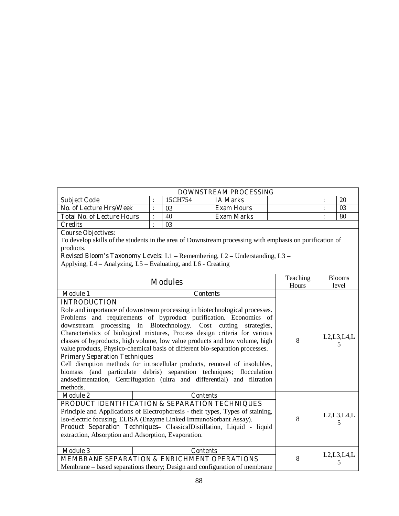| <b>DOWNSTREAM PROCESSING</b>      |  |         |                   |  |             |  |  |  |  |
|-----------------------------------|--|---------|-------------------|--|-------------|--|--|--|--|
| <b>Subject Code</b>               |  | 15CH754 | <b>IA Marks</b>   |  | 20          |  |  |  |  |
| No. of Lecture Hrs/Week           |  |         | <b>Exam Hours</b> |  | $0^{\circ}$ |  |  |  |  |
| <b>Total No. of Lecture Hours</b> |  | 40      | <b>Exam Marks</b> |  | 80          |  |  |  |  |
| <b>Credits</b>                    |  | 03      |                   |  |             |  |  |  |  |

# **Course Objectives:**

To develop skills of the students in the area of Downstream processing with emphasis on purification of products.

|                                                                                                                                                                                                                                                                                                                                                                                                                                                                                                                                                                                                                                                                                                                                                                                         | <b>Modules</b>                                                                                                                                                                                                                                                                                     |                    |                    |
|-----------------------------------------------------------------------------------------------------------------------------------------------------------------------------------------------------------------------------------------------------------------------------------------------------------------------------------------------------------------------------------------------------------------------------------------------------------------------------------------------------------------------------------------------------------------------------------------------------------------------------------------------------------------------------------------------------------------------------------------------------------------------------------------|----------------------------------------------------------------------------------------------------------------------------------------------------------------------------------------------------------------------------------------------------------------------------------------------------|--------------------|--------------------|
| <b>Module 1</b><br><b>INTRODUCTION</b><br>Role and importance of downstream processing in biotechnological processes.<br>Problems and requirements of byproduct purification. Economics of<br>downstream processing in Biotechnology. Cost cutting<br>Characteristics of biological mixtures, Process design criteria for various<br>classes of byproducts, high volume, low value products and low volume, high<br>value products, Physico-chemical basis of different bio-separation processes.<br><b>Primary Separation Techniques</b><br>Cell disruption methods for intracellular products, removal of insolubles,<br>biomass (and particulate debris) separation techniques; flocculation<br>andsedimentation, Centrifugation (ultra and differential) and filtration<br>methods. | 8                                                                                                                                                                                                                                                                                                  | L2, L3, L4, L<br>5 |                    |
| <b>Module 2</b><br>extraction, Absorption and Adsorption, Evaporation.                                                                                                                                                                                                                                                                                                                                                                                                                                                                                                                                                                                                                                                                                                                  | <b>Contents</b><br>PRODUCT IDENTIFICATION & SEPARATION TECHNIQUES<br>Principle and Applications of Electrophoresis - their types, Types of staining,<br>Iso-electric focusing, ELISA (Enzyme Linked ImmunoSorbant Assay).<br>Product Separation Techniques- ClassicalDistillation, Liquid - liquid | 8                  | L2, L3, L4, L      |
| <b>Module 3</b>                                                                                                                                                                                                                                                                                                                                                                                                                                                                                                                                                                                                                                                                                                                                                                         | <b>Contents</b><br><b>MEMBRANE SEPARATION &amp; ENRICHMENT OPERATIONS</b><br>Membrane – based separations theory; Design and configuration of membrane                                                                                                                                             | 8                  | L2, L3, L4, L<br>5 |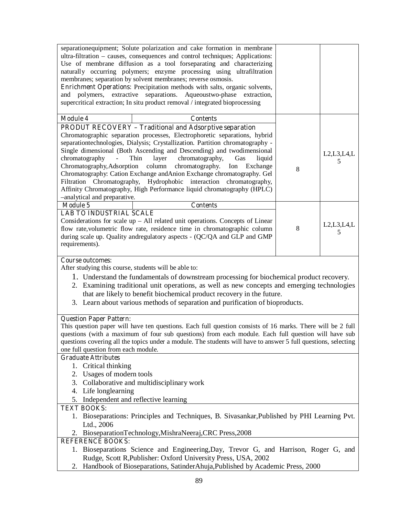| separationequipment; Solute polarization and cake formation in membrane<br>ultra-filtration – causes, consequences and control techniques; Applications:<br>Use of membrane diffusion as a tool forseparating and characterizing<br>naturally occurring polymers; enzyme processing using ultrafiltration<br>membranes; separation by solvent membranes; reverse osmosis. |   |               |
|---------------------------------------------------------------------------------------------------------------------------------------------------------------------------------------------------------------------------------------------------------------------------------------------------------------------------------------------------------------------------|---|---------------|
| Enrichment Operations: Precipitation methods with salts, organic solvents,                                                                                                                                                                                                                                                                                                |   |               |
| extractive separations.<br>Aqueoustwo-phase<br>polymers,<br>and<br>extraction,                                                                                                                                                                                                                                                                                            |   |               |
| supercritical extraction; In situ product removal / integrated bioprocessing                                                                                                                                                                                                                                                                                              |   |               |
| <b>Module 4</b><br><b>Contents</b>                                                                                                                                                                                                                                                                                                                                        |   |               |
| <b>PRODUT RECOVERY - Traditional and Adsorptive separation</b>                                                                                                                                                                                                                                                                                                            |   |               |
| Chromatographic separation processes, Electrophoretic separations, hybrid                                                                                                                                                                                                                                                                                                 |   |               |
| separationtechnologies, Dialysis; Crystallization. Partition chromatography -                                                                                                                                                                                                                                                                                             |   |               |
| Single dimensional (Both Ascending and Descending) and twodimensional                                                                                                                                                                                                                                                                                                     |   | L2, L3, L4, L |
| chromatography,<br>chromatography<br>Thin<br>layer<br>Gas<br>liquid<br>column<br>chromatography.<br>Chromatography, Adsorption<br>Ion<br>Exchange                                                                                                                                                                                                                         |   | 5             |
| Chromatography: Cation Exchange andAnion Exchange chromatography. Gel                                                                                                                                                                                                                                                                                                     | 8 |               |
| Filtration Chromatography, Hydrophobic interaction chromatography,                                                                                                                                                                                                                                                                                                        |   |               |
| Affinity Chromatography, High Performance liquid chromatography (HPLC)                                                                                                                                                                                                                                                                                                    |   |               |
| -analytical and preparative.                                                                                                                                                                                                                                                                                                                                              |   |               |
| Module 5<br><b>Contents</b>                                                                                                                                                                                                                                                                                                                                               |   |               |
| <b>LAB TO INDUSTRIAL SCALE</b>                                                                                                                                                                                                                                                                                                                                            |   |               |
| Considerations for scale $up - All$ related unit operations. Concepts of Linear                                                                                                                                                                                                                                                                                           |   | L2, L3, L4, L |
| flow rate, volumetric flow rate, residence time in chromatographic column                                                                                                                                                                                                                                                                                                 | 8 | 5             |
| during scale up. Quality andregulatory aspects - (QC/QA and GLP and GMP                                                                                                                                                                                                                                                                                                   |   |               |
| requirements).                                                                                                                                                                                                                                                                                                                                                            |   |               |
| <b>Course outcomes:</b>                                                                                                                                                                                                                                                                                                                                                   |   |               |
| After studying this course, students will be able to:                                                                                                                                                                                                                                                                                                                     |   |               |
| 1. Understand the fundamentals of downstream processing for biochemical product recovery.                                                                                                                                                                                                                                                                                 |   |               |
| 2. Examining traditional unit operations, as well as new concepts and emerging technologies                                                                                                                                                                                                                                                                               |   |               |
| that are likely to benefit biochemical product recovery in the future.                                                                                                                                                                                                                                                                                                    |   |               |
| 3. Learn about various methods of separation and purification of bioproducts.                                                                                                                                                                                                                                                                                             |   |               |
|                                                                                                                                                                                                                                                                                                                                                                           |   |               |
| <b>Question Paper Pattern:</b>                                                                                                                                                                                                                                                                                                                                            |   |               |
| This question paper will have ten questions. Each full question consists of 16 marks. There will be 2 full                                                                                                                                                                                                                                                                |   |               |
| questions (with a maximum of four sub questions) from each module. Each full question will have sub                                                                                                                                                                                                                                                                       |   |               |
| questions covering all the topics under a module. The students will have to answer 5 full questions, selecting                                                                                                                                                                                                                                                            |   |               |
| one full question from each module.                                                                                                                                                                                                                                                                                                                                       |   |               |
| <b>Graduate Attributes</b>                                                                                                                                                                                                                                                                                                                                                |   |               |
| 1. Critical thinking                                                                                                                                                                                                                                                                                                                                                      |   |               |
| 2. Usages of modern tools                                                                                                                                                                                                                                                                                                                                                 |   |               |
| 3. Collaborative and multidisciplinary work                                                                                                                                                                                                                                                                                                                               |   |               |
| Life longlearning<br>4.                                                                                                                                                                                                                                                                                                                                                   |   |               |
| Independent and reflective learning<br>5.<br><b>TEXT BOOKS:</b>                                                                                                                                                                                                                                                                                                           |   |               |
| 1. Bioseparations: Principles and Techniques, B. Sivasankar, Published by PHI Learning Pvt.                                                                                                                                                                                                                                                                               |   |               |
|                                                                                                                                                                                                                                                                                                                                                                           |   |               |

# Ltd., 2006 2. BioseparationTechnology,MishraNeeraj,CRC Press,2008

#### **REFERENCE BOOKS:**

- 1. Bioseparations Science and Engineering,Day, Trevor G, and Harrison, Roger G, and Rudge, Scott R,Publisher: Oxford University Press, USA, 2002
- 2. Handbook of Bioseparations, SatinderAhuja,Published by Academic Press, 2000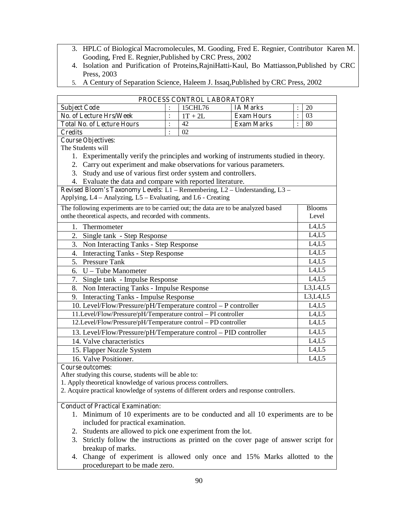- 3. HPLC of Biological Macromolecules, M. Gooding, Fred E. Regnier, Contributor Karen M. Gooding, Fred E. Regnier,Published by CRC Press, 2002
- 4. Isolation and Purification of Proteins,RajniHatti-Kaul, Bo Mattiasson,Published by CRC Press, 2003
- 5. A Century of Separation Science, Haleem J. Issaq,Published by CRC Press, 2002

|                                                                                       |                | PROCESS CONTROL LABORATORY |                   |  |                               |
|---------------------------------------------------------------------------------------|----------------|----------------------------|-------------------|--|-------------------------------|
| <b>Subject Code</b>                                                                   | $\ddot{\cdot}$ | 15CHL76                    | <b>IA Marks</b>   |  | 20                            |
| <b>No. of Lecture Hrs/Week</b>                                                        | $\ddot{\cdot}$ | $1T + 2L$                  | <b>Exam Hours</b> |  | 03                            |
| <b>Total No. of Lecture Hours</b>                                                     | $\ddot{\cdot}$ | 42                         | <b>Exam Marks</b> |  | $\overline{80}$               |
| <b>Credits</b>                                                                        | $\ddot{\cdot}$ | 02                         |                   |  |                               |
| <b>Course Objectives:</b>                                                             |                |                            |                   |  |                               |
| The Students will                                                                     |                |                            |                   |  |                               |
| 1. Experimentally verify the principles and working of instruments studied in theory. |                |                            |                   |  |                               |
| 2. Carry out experiment and make observations for various parameters.                 |                |                            |                   |  |                               |
| Study and use of various first order system and controllers.<br>3.                    |                |                            |                   |  |                               |
| 4. Evaluate the data and compare with reported literature.                            |                |                            |                   |  |                               |
| Revised Bloom's Taxonomy Levels: L1 - Remembering, L2 - Understanding, L3 -           |                |                            |                   |  |                               |
| Applying, L4 - Analyzing, L5 - Evaluating, and L6 - Creating                          |                |                            |                   |  |                               |
| The following experiments are to be carried out; the data are to be analyzed based    |                |                            |                   |  | <b>Blooms</b>                 |
| onthe theoretical aspects, and recorded with comments.<br>Level                       |                |                            |                   |  |                               |
| L4, L5<br>1. Thermometer                                                              |                |                            |                   |  |                               |
| Single tank - Step Response<br>2.                                                     |                |                            |                   |  | L4, L5                        |
| 3.<br>Non Interacting Tanks - Step Response                                           |                |                            |                   |  | L4, L5                        |
| 4. Interacting Tanks - Step Response                                                  |                |                            |                   |  | L4,L5                         |
| 5. Pressure Tank                                                                      |                |                            |                   |  | $\overline{L}4,\overline{L}5$ |
| 6. U – Tube Manometer                                                                 |                |                            |                   |  | L4,L5                         |
| 7.<br>Single tank - Impulse Response                                                  |                |                            |                   |  | L4,L5                         |
| 8. Non Interacting Tanks - Impulse Response                                           |                |                            |                   |  | L3, L4, L5                    |
| 9. Interacting Tanks - Impulse Response                                               |                |                            |                   |  | L3, L4, L5                    |
| 10. Level/Flow/Pressure/pH/Temperature control - P controller                         |                |                            |                   |  | L4, L5                        |
| 11.Level/Flow/Pressure/pH/Temperature control - PI controller                         |                |                            |                   |  | L4,L5                         |
| 12.Level/Flow/Pressure/pH/Temperature control - PD controller                         |                |                            |                   |  | LA,L5                         |
| 13. Level/Flow/Pressure/pH/Temperature control - PID controller                       |                |                            |                   |  | L4, L5                        |
| 14. Valve characteristics                                                             |                |                            |                   |  | L4, L5                        |
| 15. Flapper Nozzle System                                                             |                |                            |                   |  | L4, L5                        |
| 16. Valve Positioner.                                                                 |                |                            |                   |  | L4, L5                        |
| <b>Course outcomes:</b>                                                               |                |                            |                   |  |                               |

After studying this course, students will be able to:

- 1. Apply theoretical knowledge of various process controllers.
- 2. Acquire practical knowledge of systems of different orders and response controllers.

# **Conduct of Practical Examination:**

- 1. Minimum of 10 experiments are to be conducted and all 10 experiments are to be included for practical examination.
- 2. Students are allowed to pick one experiment from the lot.
- 3. Strictly follow the instructions as printed on the cover page of answer script for breakup of marks.
- 4. Change of experiment is allowed only once and 15% Marks allotted to the procedurepart to be made zero.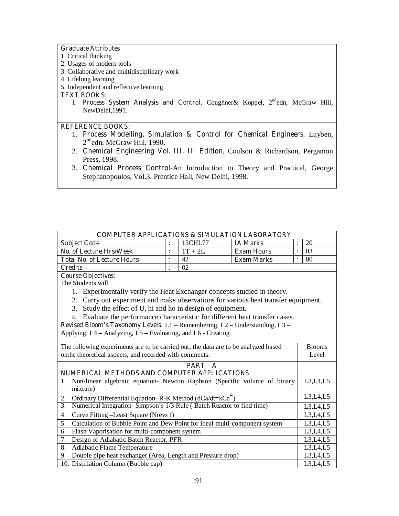#### **Graduate Attributes**

- 1. Critical thinking
- 2. Usages of modern tools
- 3. Collaborative and multidisciplinary work
- 4. Lifelong learning
- 5. Independent and reflective learning

### **TEXT BOOKS:**

1. **Process System Analysis and Control,** Coughner& Koppel, 2<sup>nd</sup>edn, McGraw Hill, NewDelhi,1991.

# **REFERENCE BOOKS:**

- 1. **Process Modelling, Simulation & Control for Chemical Engineers,** Luyben, 2<sup>nd</sup>edn, McGraw Hill, 1990.
- 2. **Chemical Engineering Vol. III, III Edition,** Coulson & Richardson, Pergamon Press, 1998.
- 3. **Chemical Process Control-**An Introduction to Theory and Practical, George Stephanopoulos, Vol.3, Prentice Hall, New Delhi, 1998.

| <b>COMPUTER APPLICATIONS &amp; SIMULATION LABORATORY</b>                                            |            |           |                   |               |  |
|-----------------------------------------------------------------------------------------------------|------------|-----------|-------------------|---------------|--|
| <b>Subject Code</b>                                                                                 |            | 15CHL77   | <b>IA Marks</b>   | 20            |  |
| <b>No. of Lecture Hrs/Week</b>                                                                      |            | $1T + 2L$ | <b>Exam Hours</b> | 03            |  |
| <b>Total No. of Lecture Hours</b>                                                                   |            | 42        | <b>Exam Marks</b> | 80            |  |
| 02<br><b>Credits</b><br>÷                                                                           |            |           |                   |               |  |
| <b>Course Objectives:</b><br>The Students will                                                      |            |           |                   |               |  |
|                                                                                                     |            |           |                   |               |  |
| 1. Experimentally verify the Heat Exchanger concepts studied in theory.                             |            |           |                   |               |  |
| Carry out experiment and make observations for various heat transfer equipment.<br>2.               |            |           |                   |               |  |
| Study the effect of U, hi and ho in design of equipment.<br>3.                                      |            |           |                   |               |  |
| Evaluate the performance characteristic for different heat transfer cases.<br>$\overline{4}$ .      |            |           |                   |               |  |
| Revised Bloom's Taxonomy Levels: L1 - Remembering, L2 - Understanding, L3 -                         |            |           |                   |               |  |
| Applying, L4 – Analyzing, L5 – Evaluating, and L6 - Creating                                        |            |           |                   |               |  |
| The following experiments are to be carried out; the data are to be analyzed based                  |            |           |                   | <b>Blooms</b> |  |
| onthe theoretical aspects, and recorded with comments.                                              |            |           | Level             |               |  |
|                                                                                                     | $PART - A$ |           |                   |               |  |
| NUMERICAL METHODS AND COMPUTER APPLICATIONS                                                         |            |           |                   |               |  |
| Non-linear algebraic equation- Newton Raphson (Specific volume of binary<br>L3,L4,L5<br>$1_{\cdot}$ |            |           |                   |               |  |
| mixture)                                                                                            |            |           |                   |               |  |
| L3, L4, L5<br>Ordinary Differential Equation-R-K Method (dCa/dt=kCa <sup>-</sup> )<br>2.            |            |           |                   |               |  |
| Numerical Integration-Simpson's 1/3 Rule (Batch Reactor to find time)<br>3.<br>L3,L4,L5             |            |           |                   |               |  |
| Curve Fitting -Least Square (Nrevs f)<br>L3, L4, L5<br>4.                                           |            |           |                   |               |  |
| Calculation of Bubble Point and Dew Point for Ideal multi-component system<br>5.<br>L3, L4, L5      |            |           |                   |               |  |
| Flash Vaporisation for multi-component system<br>L3, L4, L5<br>6.                                   |            |           |                   |               |  |
| Design of Adiabatic Batch Reactor, PFR<br>7.                                                        |            |           |                   | L3, L4, L5    |  |
| 8.<br>Adiabatic Flame Temperature                                                                   |            |           |                   | L3, L4, L5    |  |
| Double pipe heat exchanger (Area, Length and Pressure drop)<br>9.                                   |            |           |                   | L3,L4,L5      |  |
| 10. Distillation Column (Bubble cap)                                                                |            |           |                   | L3,L4,L5      |  |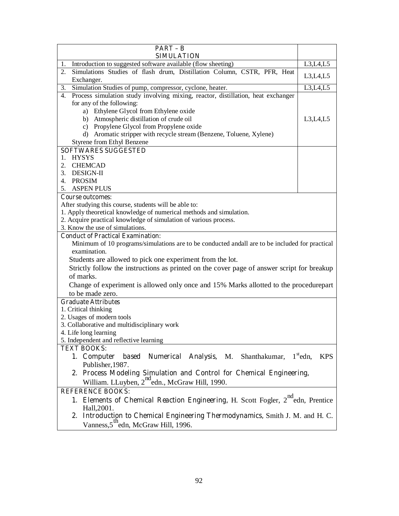| $PART - B$                                                                                     |                                    |  |  |  |
|------------------------------------------------------------------------------------------------|------------------------------------|--|--|--|
| <b>SIMULATION</b>                                                                              |                                    |  |  |  |
| Introduction to suggested software available (flow sheeting)<br>1.                             | L3, L4, L5                         |  |  |  |
| Simulations Studies of flash drum, Distillation Column, CSTR, PFR, Heat<br>2.<br>Exchanger.    | L3, L4, L5                         |  |  |  |
| Simulation Studies of pump, compressor, cyclone, heater.<br>3.                                 | L3,L4,L5                           |  |  |  |
| Process simulation study involving mixing, reactor, distillation, heat exchanger<br>4.         |                                    |  |  |  |
| for any of the following:                                                                      |                                    |  |  |  |
| a) Ethylene Glycol from Ethylene oxide                                                         |                                    |  |  |  |
| b) Atmospheric distillation of crude oil                                                       | L3, L4, L5                         |  |  |  |
| Propylene Glycol from Propylene oxide<br>c)                                                    |                                    |  |  |  |
| Aromatic stripper with recycle stream (Benzene, Toluene, Xylene)<br>d)                         |                                    |  |  |  |
| Styrene from Ethyl Benzene                                                                     |                                    |  |  |  |
| <b>SOFTWARES SUGGESTED</b>                                                                     |                                    |  |  |  |
| 1. HYSYS                                                                                       |                                    |  |  |  |
| 2.<br><b>CHEMCAD</b>                                                                           |                                    |  |  |  |
| <b>DESIGN-II</b><br>3.                                                                         |                                    |  |  |  |
| 4.<br>PROSIM                                                                                   |                                    |  |  |  |
| <b>ASPEN PLUS</b><br>5.                                                                        |                                    |  |  |  |
| <b>Course outcomes:</b>                                                                        |                                    |  |  |  |
| After studying this course, students will be able to:                                          |                                    |  |  |  |
| 1. Apply theoretical knowledge of numerical methods and simulation.                            |                                    |  |  |  |
| 2. Acquire practical knowledge of simulation of various process.                               |                                    |  |  |  |
| 3. Know the use of simulations.<br><b>Conduct of Practical Examination:</b>                    |                                    |  |  |  |
| Minimum of 10 programs/simulations are to be conducted andall are to be included for practical |                                    |  |  |  |
| examination.                                                                                   |                                    |  |  |  |
| Students are allowed to pick one experiment from the lot.                                      |                                    |  |  |  |
| Strictly follow the instructions as printed on the cover page of answer script for breakup     |                                    |  |  |  |
|                                                                                                |                                    |  |  |  |
| of marks.                                                                                      |                                    |  |  |  |
| Change of experiment is allowed only once and 15% Marks allotted to the procedurepart          |                                    |  |  |  |
| to be made zero.                                                                               |                                    |  |  |  |
| <b>Graduate Attributes</b>                                                                     |                                    |  |  |  |
| 1. Critical thinking<br>2. Usages of modern tools                                              |                                    |  |  |  |
| 3. Collaborative and multidisciplinary work                                                    |                                    |  |  |  |
| 4. Life long learning                                                                          |                                    |  |  |  |
| 5. Independent and reflective learning                                                         |                                    |  |  |  |
| <b>TEXT BOOKS:</b>                                                                             |                                    |  |  |  |
| Numerical Analysis, M.<br>1. Computer<br>Shanthakumar,<br>based                                | $1^{\text{st}}$ edn,<br><b>KPS</b> |  |  |  |
| Publisher, 1987.                                                                               |                                    |  |  |  |
| 2. Process Modeling Simulation and Control for Chemical Engineering,                           |                                    |  |  |  |
| William. LLuyben, 2 <sup>nd</sup> edn., McGraw Hill, 1990.                                     |                                    |  |  |  |
| <b>REFERENCE BOOKS:</b>                                                                        |                                    |  |  |  |
| 1. Elements of Chemical Reaction Engineering, H. Scott Fogler, 2 <sup>nd</sup> edn, Prentice   |                                    |  |  |  |
| Hall, 2001.                                                                                    |                                    |  |  |  |
| 2. Introduction to Chemical Engineering Thermodynamics, Smith J. M. and H. C.                  |                                    |  |  |  |
| Vanness, 5 <sup>th</sup> edn, McGraw Hill, 1996.                                               |                                    |  |  |  |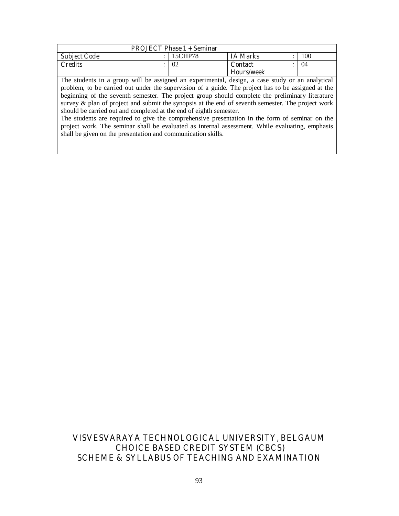| <b>PROJECT Phase 1 + Seminar</b>                                                                   |   |         |                 |  |     |
|----------------------------------------------------------------------------------------------------|---|---------|-----------------|--|-----|
| <b>Subject Code</b>                                                                                | ٠ | 15CHP78 | <b>IA Marks</b> |  | 100 |
| <b>Credits</b>                                                                                     |   | 02      | <b>Contact</b>  |  | 04  |
| Hours/week                                                                                         |   |         |                 |  |     |
| The students in a group will be assigned an experimental, design, a case study or an analytical    |   |         |                 |  |     |
| problem, to be carried out under the supervision of a guide. The project has to be assigned at the |   |         |                 |  |     |
| beginning of the seventh semester. The project group should complete the preliminary literature    |   |         |                 |  |     |
| survey & plan of project and submit the synopsis at the end of seventh semester. The project work  |   |         |                 |  |     |
| should be carried out and completed at the end of eighth semester.                                 |   |         |                 |  |     |

The students are required to give the comprehensive presentation in the form of seminar on the project work. The seminar shall be evaluated as internal assessment. While evaluating, emphasis shall be given on the presentation and communication skills.

# **VISVESVARAYA TECHNOLOGICAL UNIVERSITY, BELGAUM CHOICE BASED CREDIT SYSTEM (CBCS) SCHEME & SYLLABUS OF TEACHING AND EXAMINATION**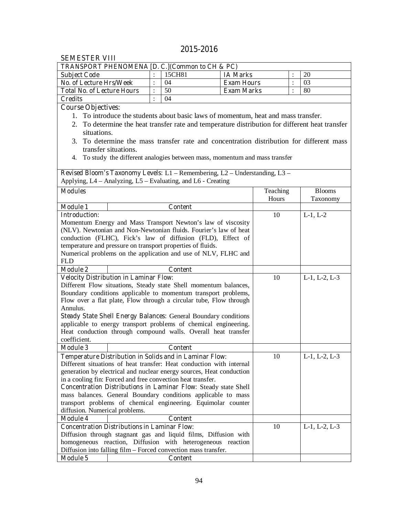# **2015-2016**

| ƏLMLƏ I LK V I II<br><b>TRANSPORT PHENOMENA [D. C.] (Common to CH &amp; PC)</b> |  |                      |                                                                                                 |                |                       |
|---------------------------------------------------------------------------------|--|----------------------|-------------------------------------------------------------------------------------------------|----------------|-----------------------|
| <b>Subject Code</b>                                                             |  | 15CH81               | <b>IA Marks</b>                                                                                 |                | 20                    |
| No. of Lecture Hrs/Week                                                         |  | $\ddot{\cdot}$<br>04 | <b>Exam Hours</b>                                                                               | $\ddot{\cdot}$ | 03                    |
| <b>Total No. of Lecture Hours</b>                                               |  | 50                   | <b>Exam Marks</b>                                                                               |                | 80                    |
|                                                                                 |  | $\ddot{\cdot}$<br>04 |                                                                                                 | $\ddot{\cdot}$ |                       |
| <b>Credits</b>                                                                  |  | $\ddot{\cdot}$       |                                                                                                 |                |                       |
| <b>Course Objectives:</b>                                                       |  |                      |                                                                                                 |                |                       |
| $1_{-}$                                                                         |  |                      | To introduce the students about basic laws of momentum, heat and mass transfer.                 |                |                       |
|                                                                                 |  |                      | 2. To determine the heat transfer rate and temperature distribution for different heat transfer |                |                       |
| situations.                                                                     |  |                      |                                                                                                 |                |                       |
| 3.                                                                              |  |                      | To determine the mass transfer rate and concentration distribution for different mass           |                |                       |
| transfer situations.                                                            |  |                      |                                                                                                 |                |                       |
| 4.                                                                              |  |                      | To study the different analogies between mass, momentum and mass transfer                       |                |                       |
|                                                                                 |  |                      |                                                                                                 |                |                       |
|                                                                                 |  |                      | Revised Bloom's Taxonomy Levels: L1 - Remembering, L2 - Understanding, L3 -                     |                |                       |
| Applying, L4 – Analyzing, L5 – Evaluating, and L6 - Creating                    |  |                      |                                                                                                 |                |                       |
| <b>Modules</b>                                                                  |  |                      |                                                                                                 | Teaching       | <b>Blooms</b>         |
|                                                                                 |  |                      |                                                                                                 | Hours          | Taxonomy              |
| <b>Module 1</b>                                                                 |  | <b>Content</b>       |                                                                                                 |                |                       |
| <b>Introduction:</b>                                                            |  |                      |                                                                                                 | 10             | $L-1, L-2$            |
| Momentum Energy and Mass Transport Newton's law of viscosity                    |  |                      |                                                                                                 |                |                       |
| (NLV). Newtonian and Non-Newtonian fluids. Fourier's law of heat                |  |                      |                                                                                                 |                |                       |
| conduction (FLHC), Fick's law of diffusion (FLD), Effect of                     |  |                      |                                                                                                 |                |                       |
| temperature and pressure on transport properties of fluids.                     |  |                      |                                                                                                 |                |                       |
| Numerical problems on the application and use of NLV, FLHC and                  |  |                      |                                                                                                 |                |                       |
| <b>FLD</b>                                                                      |  |                      |                                                                                                 |                |                       |
| <b>Module 2</b>                                                                 |  | <b>Content</b>       |                                                                                                 |                |                       |
| <b>Velocity Distribution in Laminar Flow:</b>                                   |  |                      |                                                                                                 | 10             | $L-1$ , $L-2$ , $L-3$ |
| Different Flow situations, Steady state Shell momentum balances,                |  |                      |                                                                                                 |                |                       |
| Boundary conditions applicable to momentum transport problems,                  |  |                      |                                                                                                 |                |                       |
| Flow over a flat plate, Flow through a circular tube, Flow through              |  |                      |                                                                                                 |                |                       |
| Annulus.                                                                        |  |                      |                                                                                                 |                |                       |
| <b>Steady State Shell Energy Balances: General Boundary conditions</b>          |  |                      |                                                                                                 |                |                       |
| applicable to energy transport problems of chemical engineering.                |  |                      |                                                                                                 |                |                       |
| Heat conduction through compound walls. Overall heat transfer                   |  |                      |                                                                                                 |                |                       |
| coefficient.                                                                    |  |                      |                                                                                                 |                |                       |
| <b>Module 3</b>                                                                 |  | <b>Content</b>       |                                                                                                 |                |                       |
| <b>Temperature Distribution in Solids and in Laminar Flow:</b>                  |  |                      |                                                                                                 | 10             | $L-1$ , $L-2$ , $L-3$ |
| Different situations of heat transfer: Heat conduction with internal            |  |                      |                                                                                                 |                |                       |
| generation by electrical and nuclear energy sources, Heat conduction            |  |                      |                                                                                                 |                |                       |
| in a cooling fin: Forced and free convection heat transfer.                     |  |                      |                                                                                                 |                |                       |
| <b>Concentration Distributions in Laminar Flow:</b> Steady state Shell          |  |                      |                                                                                                 |                |                       |
| mass balances. General Boundary conditions applicable to mass                   |  |                      |                                                                                                 |                |                       |
| transport problems of chemical engineering. Equimolar counter                   |  |                      |                                                                                                 |                |                       |
| diffusion. Numerical problems.                                                  |  |                      |                                                                                                 |                |                       |
| <b>Module 4</b>                                                                 |  | <b>Content</b>       |                                                                                                 |                |                       |
| <b>Concentration Distributions in Laminar Flow:</b>                             |  |                      |                                                                                                 | 10             | $L-1$ , $L-2$ , $L-3$ |
| Diffusion through stagnant gas and liquid films, Diffusion with                 |  |                      |                                                                                                 |                |                       |
| homogeneous reaction, Diffusion with heterogeneous reaction                     |  |                      |                                                                                                 |                |                       |
| Diffusion into falling film - Forced convection mass transfer.                  |  |                      |                                                                                                 |                |                       |
| <b>Module 5</b>                                                                 |  | <b>Content</b>       |                                                                                                 |                |                       |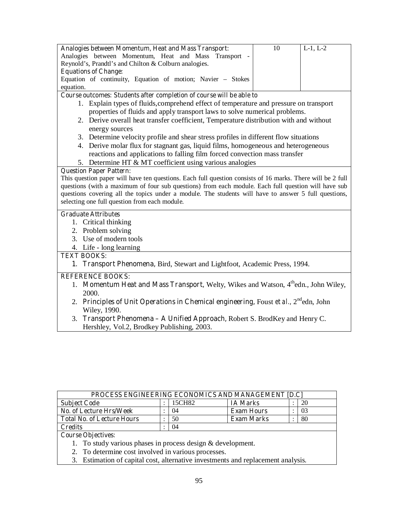| Analogies between Momentum, Heat and Mass Transport:                                                                                                             | 10 | $L-1, L-2$ |  |  |  |  |
|------------------------------------------------------------------------------------------------------------------------------------------------------------------|----|------------|--|--|--|--|
| Analogies between Momentum, Heat and Mass<br>Transport                                                                                                           |    |            |  |  |  |  |
| Reynold's, Prandtl's and Chilton & Colburn analogies.                                                                                                            |    |            |  |  |  |  |
| <b>Equations of Change:</b>                                                                                                                                      |    |            |  |  |  |  |
| Equation of continuity, Equation of motion; Navier - Stokes                                                                                                      |    |            |  |  |  |  |
| equation.                                                                                                                                                        |    |            |  |  |  |  |
| Course outcomes: Students after completion of course will be able to                                                                                             |    |            |  |  |  |  |
| 1. Explain types of fluids, comprehend effect of temperature and pressure on transport                                                                           |    |            |  |  |  |  |
| properties of fluids and apply transport laws to solve numerical problems.                                                                                       |    |            |  |  |  |  |
| 2. Derive overall heat transfer coefficient, Temperature distribution with and without                                                                           |    |            |  |  |  |  |
| energy sources                                                                                                                                                   |    |            |  |  |  |  |
| 3. Determine velocity profile and shear stress profiles in different flow situations                                                                             |    |            |  |  |  |  |
| 4. Derive molar flux for stagnant gas, liquid films, homogeneous and heterogeneous<br>reactions and applications to falling film forced convection mass transfer |    |            |  |  |  |  |
| 5. Determine HT & MT coefficient using various analogies                                                                                                         |    |            |  |  |  |  |
| <b>Question Paper Pattern:</b>                                                                                                                                   |    |            |  |  |  |  |
| This question paper will have ten questions. Each full question consists of 16 marks. There will be 2 full                                                       |    |            |  |  |  |  |
| questions (with a maximum of four sub questions) from each module. Each full question will have sub                                                              |    |            |  |  |  |  |
| questions covering all the topics under a module. The students will have to answer 5 full questions,                                                             |    |            |  |  |  |  |
| selecting one full question from each module.                                                                                                                    |    |            |  |  |  |  |
| <b>Graduate Attributes</b>                                                                                                                                       |    |            |  |  |  |  |
| 1. Critical thinking                                                                                                                                             |    |            |  |  |  |  |
| 2. Problem solving                                                                                                                                               |    |            |  |  |  |  |
| 3. Use of modern tools                                                                                                                                           |    |            |  |  |  |  |
| 4. Life - long learning                                                                                                                                          |    |            |  |  |  |  |
|                                                                                                                                                                  |    |            |  |  |  |  |
| <b>TEXT BOOKS:</b>                                                                                                                                               |    |            |  |  |  |  |
| 1. Transport Phenomena, Bird, Stewart and Lightfoot, Academic Press, 1994.                                                                                       |    |            |  |  |  |  |
| <b>REFERENCE BOOKS:</b>                                                                                                                                          |    |            |  |  |  |  |
| <b>Momentum Heat and Mass Transport, Welty, Wikes and Watson, 4<sup>th</sup>edn., John Wiley,</b><br>1.<br>2000.                                                 |    |            |  |  |  |  |
| 2. Principles of Unit Operations in Chemical engineering, Foust et al., $2^{nd}$ edn, John                                                                       |    |            |  |  |  |  |
| Wiley, 1990.                                                                                                                                                     |    |            |  |  |  |  |
| Transport Phenomena - A Unified Approach, Robert S. BrodKey and Henry C.<br>3.                                                                                   |    |            |  |  |  |  |
| Hershley, Vol.2, Brodkey Publishing, 2003.                                                                                                                       |    |            |  |  |  |  |

| <b>PROCESS ENGINEERING ECONOMICS AND MANAGEMENT [D.C]</b> |  |        |                   |  |    |  |
|-----------------------------------------------------------|--|--------|-------------------|--|----|--|
| <b>Subject Code</b>                                       |  | 15CH82 | <b>IA Marks</b>   |  |    |  |
| <b>No. of Lecture Hrs/Week</b>                            |  | 04     | <b>Exam Hours</b> |  | 03 |  |
| <b>Total No. of Lecture Hours</b>                         |  | 50     | <b>Exam Marks</b> |  | 80 |  |
| C <b>redits</b>                                           |  | 04     |                   |  |    |  |

**Course Objectives:** 

- 1. To study various phases in process design & development.
- 2. To determine cost involved in various processes.
- 3. Estimation of capital cost, alternative investments and replacement analysis.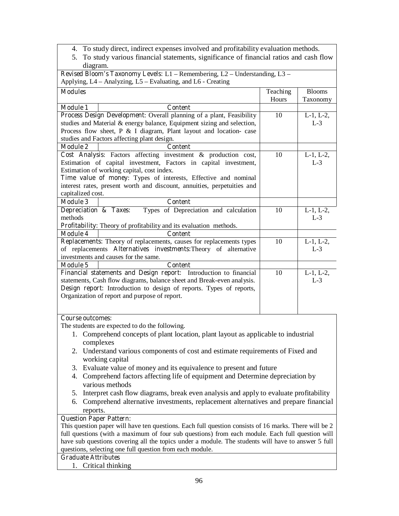- 4. To study direct, indirect expenses involved and profitability evaluation methods.
- 5. To study various financial statements, significance of financial ratios and cash flow diagram.

| <b>Revised Bloom's Taxonomy Levels:</b> $L1$ – Remembering, $L2$ – Understanding, $L3$ – |    |                 |                 |  |  |  |
|------------------------------------------------------------------------------------------|----|-----------------|-----------------|--|--|--|
| Applying, L4 – Analyzing, L5 – Evaluating, and L6 - Creating                             |    |                 |                 |  |  |  |
| <b>Modules</b>                                                                           |    | Teaching        | <b>Blooms</b>   |  |  |  |
|                                                                                          |    | Hours           | Taxonomy        |  |  |  |
| <b>Module 1</b><br><b>Content</b>                                                        |    |                 |                 |  |  |  |
| Process Design Development: Overall planning of a plant, Feasibility                     |    | 10              | $L-1$ , $L-2$ , |  |  |  |
| studies and Material & energy balance, Equipment sizing and selection,                   |    |                 | $L-3$           |  |  |  |
| Process flow sheet, P & I diagram, Plant layout and location-case                        |    |                 |                 |  |  |  |
| studies and Factors affecting plant design.                                              |    |                 |                 |  |  |  |
| <b>Module 2</b><br><b>Content</b>                                                        |    |                 |                 |  |  |  |
| Cost Analysis: Factors affecting investment & production cost,                           |    | 10              | $L-1$ , $L-2$ , |  |  |  |
| Estimation of capital investment, Factors in capital investment,                         |    |                 | $L-3$           |  |  |  |
| Estimation of working capital, cost index.                                               |    |                 |                 |  |  |  |
| Time value of money: Types of interests, Effective and nominal                           |    |                 |                 |  |  |  |
| interest rates, present worth and discount, annuities, perpetuities and                  |    |                 |                 |  |  |  |
| capitalized cost.                                                                        |    |                 |                 |  |  |  |
| <b>Module 3</b><br><b>Content</b>                                                        |    |                 |                 |  |  |  |
| Types of Depreciation and calculation<br>Depreciation & Taxes:                           | 10 | $L-1$ , $L-2$ , |                 |  |  |  |
| methods                                                                                  |    |                 | $L-3$           |  |  |  |
| Profitability: Theory of profitability and its evaluation methods.                       |    |                 |                 |  |  |  |
| <b>Module 4</b><br><b>Content</b>                                                        |    |                 |                 |  |  |  |
| Replacements: Theory of replacements, causes for replacements types                      |    | 10              | $L-1$ , $L-2$ , |  |  |  |
| of replacements Alternatives investments: Theory of alternative                          |    |                 | $L-3$           |  |  |  |
| investments and causes for the same.                                                     |    |                 |                 |  |  |  |
| <b>Module 5</b><br><b>Content</b>                                                        |    |                 |                 |  |  |  |
| Financial statements and Design report: Introduction to financial                        |    | 10              | $L-1$ , $L-2$ , |  |  |  |
| statements, Cash flow diagrams, balance sheet and Break-even analysis.                   |    | $L-3$           |                 |  |  |  |
| Design report: Introduction to design of reports. Types of reports,                      |    |                 |                 |  |  |  |
| Organization of report and purpose of report.                                            |    |                 |                 |  |  |  |
|                                                                                          |    |                 |                 |  |  |  |

#### **Course outcomes:**

The students are expected to do the following.

- 1. Comprehend concepts of plant location, plant layout as applicable to industrial complexes
- 2. Understand various components of cost and estimate requirements of Fixed and working capital
- 3. Evaluate value of money and its equivalence to present and future
- 4. Comprehend factors affecting life of equipment and Determine depreciation by various methods
- 5. Interpret cash flow diagrams, break even analysis and apply to evaluate profitability
- 6. Comprehend alternative investments, replacement alternatives and prepare financial reports.

## **Question Paper Pattern:**

This question paper will have ten questions. Each full question consists of 16 marks. There will be 2 full questions (with a maximum of four sub questions) from each module. Each full question will have sub questions covering all the topics under a module. The students will have to answer 5 full questions, selecting one full question from each module.

#### **Graduate Attributes**

1. Critical thinking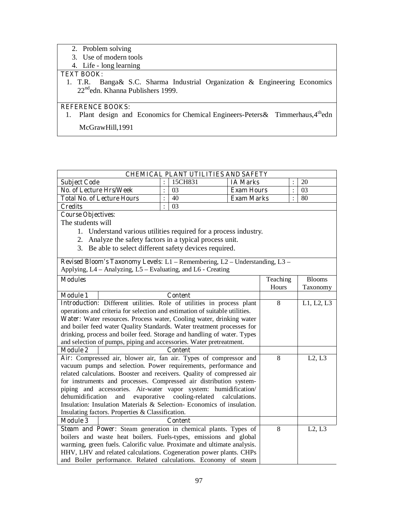- 2. Problem solving
- 3. Use of modern tools
- 4. Life long learning

# **TEXT BOOK:**

1. T.R. Banga& S.C. Sharma Industrial Organization & Engineering Economics 22<sup>nd</sup>edn. Khanna Publishers 1999.

# **REFERENCE BOOKS:**

1. Plant design and Economics for Chemical Engineers-Peters & Timmerhaus, 4<sup>th</sup>edn McGrawHill,1991

| 15CH831<br>20<br><b>IA Marks</b><br><b>Subject Code</b><br><b>No. of Lecture Hrs/Week</b><br>$\ddot{\cdot}$<br>$\ddot{\cdot}$<br>03<br><b>Exam Hours</b><br>03<br>$\ddot{\cdot}$<br>40<br>÷<br><b>Total No. of Lecture Hours</b><br><b>Exam Marks</b><br>80<br>03<br>$\ddot{\cdot}$<br><b>Credits</b><br><b>Course Objectives:</b><br>The students will<br>1. Understand various utilities required for a process industry.<br>2. Analyze the safety factors in a typical process unit.<br>3. Be able to select different safety devices required.<br>Revised Bloom's Taxonomy Levels: L1 - Remembering, L2 - Understanding, L3 -<br>Applying, L4 – Analyzing, L5 – Evaluating, and L6 - Creating<br><b>Modules</b><br>Teaching<br><b>Blooms</b><br>Hours<br>Taxonomy<br><b>Module 1</b><br><b>Content</b><br>Introduction: Different utilities. Role of utilities in process plant<br>8<br>L1, L2, L3<br>operations and criteria for selection and estimation of suitable utilities.<br>Water: Water resources. Process water, Cooling water, drinking water<br>and boiler feed water Quality Standards. Water treatment processes for<br>drinking, process and boiler feed. Storage and handling of water. Types<br>and selection of pumps, piping and accessories. Water pretreatment.<br><b>Module 2</b><br><b>Content</b><br>8<br>Air: Compressed air, blower air, fan air. Types of compressor and<br>L2, L3<br>vacuum pumps and selection. Power requirements, performance and | <b>CHEMICAL PLANT UTILITIES AND SAFETY</b>                                                                                                           |  |  |  |  |  |  |
|---------------------------------------------------------------------------------------------------------------------------------------------------------------------------------------------------------------------------------------------------------------------------------------------------------------------------------------------------------------------------------------------------------------------------------------------------------------------------------------------------------------------------------------------------------------------------------------------------------------------------------------------------------------------------------------------------------------------------------------------------------------------------------------------------------------------------------------------------------------------------------------------------------------------------------------------------------------------------------------------------------------------------------------------------------------------------------------------------------------------------------------------------------------------------------------------------------------------------------------------------------------------------------------------------------------------------------------------------------------------------------------------------------------------------------------------------------------------------------------|------------------------------------------------------------------------------------------------------------------------------------------------------|--|--|--|--|--|--|
|                                                                                                                                                                                                                                                                                                                                                                                                                                                                                                                                                                                                                                                                                                                                                                                                                                                                                                                                                                                                                                                                                                                                                                                                                                                                                                                                                                                                                                                                                       |                                                                                                                                                      |  |  |  |  |  |  |
|                                                                                                                                                                                                                                                                                                                                                                                                                                                                                                                                                                                                                                                                                                                                                                                                                                                                                                                                                                                                                                                                                                                                                                                                                                                                                                                                                                                                                                                                                       |                                                                                                                                                      |  |  |  |  |  |  |
|                                                                                                                                                                                                                                                                                                                                                                                                                                                                                                                                                                                                                                                                                                                                                                                                                                                                                                                                                                                                                                                                                                                                                                                                                                                                                                                                                                                                                                                                                       |                                                                                                                                                      |  |  |  |  |  |  |
|                                                                                                                                                                                                                                                                                                                                                                                                                                                                                                                                                                                                                                                                                                                                                                                                                                                                                                                                                                                                                                                                                                                                                                                                                                                                                                                                                                                                                                                                                       |                                                                                                                                                      |  |  |  |  |  |  |
|                                                                                                                                                                                                                                                                                                                                                                                                                                                                                                                                                                                                                                                                                                                                                                                                                                                                                                                                                                                                                                                                                                                                                                                                                                                                                                                                                                                                                                                                                       |                                                                                                                                                      |  |  |  |  |  |  |
|                                                                                                                                                                                                                                                                                                                                                                                                                                                                                                                                                                                                                                                                                                                                                                                                                                                                                                                                                                                                                                                                                                                                                                                                                                                                                                                                                                                                                                                                                       |                                                                                                                                                      |  |  |  |  |  |  |
|                                                                                                                                                                                                                                                                                                                                                                                                                                                                                                                                                                                                                                                                                                                                                                                                                                                                                                                                                                                                                                                                                                                                                                                                                                                                                                                                                                                                                                                                                       |                                                                                                                                                      |  |  |  |  |  |  |
|                                                                                                                                                                                                                                                                                                                                                                                                                                                                                                                                                                                                                                                                                                                                                                                                                                                                                                                                                                                                                                                                                                                                                                                                                                                                                                                                                                                                                                                                                       |                                                                                                                                                      |  |  |  |  |  |  |
|                                                                                                                                                                                                                                                                                                                                                                                                                                                                                                                                                                                                                                                                                                                                                                                                                                                                                                                                                                                                                                                                                                                                                                                                                                                                                                                                                                                                                                                                                       |                                                                                                                                                      |  |  |  |  |  |  |
|                                                                                                                                                                                                                                                                                                                                                                                                                                                                                                                                                                                                                                                                                                                                                                                                                                                                                                                                                                                                                                                                                                                                                                                                                                                                                                                                                                                                                                                                                       |                                                                                                                                                      |  |  |  |  |  |  |
|                                                                                                                                                                                                                                                                                                                                                                                                                                                                                                                                                                                                                                                                                                                                                                                                                                                                                                                                                                                                                                                                                                                                                                                                                                                                                                                                                                                                                                                                                       |                                                                                                                                                      |  |  |  |  |  |  |
|                                                                                                                                                                                                                                                                                                                                                                                                                                                                                                                                                                                                                                                                                                                                                                                                                                                                                                                                                                                                                                                                                                                                                                                                                                                                                                                                                                                                                                                                                       |                                                                                                                                                      |  |  |  |  |  |  |
|                                                                                                                                                                                                                                                                                                                                                                                                                                                                                                                                                                                                                                                                                                                                                                                                                                                                                                                                                                                                                                                                                                                                                                                                                                                                                                                                                                                                                                                                                       |                                                                                                                                                      |  |  |  |  |  |  |
|                                                                                                                                                                                                                                                                                                                                                                                                                                                                                                                                                                                                                                                                                                                                                                                                                                                                                                                                                                                                                                                                                                                                                                                                                                                                                                                                                                                                                                                                                       |                                                                                                                                                      |  |  |  |  |  |  |
|                                                                                                                                                                                                                                                                                                                                                                                                                                                                                                                                                                                                                                                                                                                                                                                                                                                                                                                                                                                                                                                                                                                                                                                                                                                                                                                                                                                                                                                                                       |                                                                                                                                                      |  |  |  |  |  |  |
|                                                                                                                                                                                                                                                                                                                                                                                                                                                                                                                                                                                                                                                                                                                                                                                                                                                                                                                                                                                                                                                                                                                                                                                                                                                                                                                                                                                                                                                                                       |                                                                                                                                                      |  |  |  |  |  |  |
|                                                                                                                                                                                                                                                                                                                                                                                                                                                                                                                                                                                                                                                                                                                                                                                                                                                                                                                                                                                                                                                                                                                                                                                                                                                                                                                                                                                                                                                                                       |                                                                                                                                                      |  |  |  |  |  |  |
|                                                                                                                                                                                                                                                                                                                                                                                                                                                                                                                                                                                                                                                                                                                                                                                                                                                                                                                                                                                                                                                                                                                                                                                                                                                                                                                                                                                                                                                                                       |                                                                                                                                                      |  |  |  |  |  |  |
|                                                                                                                                                                                                                                                                                                                                                                                                                                                                                                                                                                                                                                                                                                                                                                                                                                                                                                                                                                                                                                                                                                                                                                                                                                                                                                                                                                                                                                                                                       |                                                                                                                                                      |  |  |  |  |  |  |
|                                                                                                                                                                                                                                                                                                                                                                                                                                                                                                                                                                                                                                                                                                                                                                                                                                                                                                                                                                                                                                                                                                                                                                                                                                                                                                                                                                                                                                                                                       |                                                                                                                                                      |  |  |  |  |  |  |
|                                                                                                                                                                                                                                                                                                                                                                                                                                                                                                                                                                                                                                                                                                                                                                                                                                                                                                                                                                                                                                                                                                                                                                                                                                                                                                                                                                                                                                                                                       |                                                                                                                                                      |  |  |  |  |  |  |
|                                                                                                                                                                                                                                                                                                                                                                                                                                                                                                                                                                                                                                                                                                                                                                                                                                                                                                                                                                                                                                                                                                                                                                                                                                                                                                                                                                                                                                                                                       |                                                                                                                                                      |  |  |  |  |  |  |
|                                                                                                                                                                                                                                                                                                                                                                                                                                                                                                                                                                                                                                                                                                                                                                                                                                                                                                                                                                                                                                                                                                                                                                                                                                                                                                                                                                                                                                                                                       |                                                                                                                                                      |  |  |  |  |  |  |
|                                                                                                                                                                                                                                                                                                                                                                                                                                                                                                                                                                                                                                                                                                                                                                                                                                                                                                                                                                                                                                                                                                                                                                                                                                                                                                                                                                                                                                                                                       |                                                                                                                                                      |  |  |  |  |  |  |
| related calculations. Booster and receivers. Quality of compressed air                                                                                                                                                                                                                                                                                                                                                                                                                                                                                                                                                                                                                                                                                                                                                                                                                                                                                                                                                                                                                                                                                                                                                                                                                                                                                                                                                                                                                |                                                                                                                                                      |  |  |  |  |  |  |
|                                                                                                                                                                                                                                                                                                                                                                                                                                                                                                                                                                                                                                                                                                                                                                                                                                                                                                                                                                                                                                                                                                                                                                                                                                                                                                                                                                                                                                                                                       | for instruments and processes. Compressed air distribution system-                                                                                   |  |  |  |  |  |  |
|                                                                                                                                                                                                                                                                                                                                                                                                                                                                                                                                                                                                                                                                                                                                                                                                                                                                                                                                                                                                                                                                                                                                                                                                                                                                                                                                                                                                                                                                                       | piping and accessories. Air-water vapor system: humidification/                                                                                      |  |  |  |  |  |  |
|                                                                                                                                                                                                                                                                                                                                                                                                                                                                                                                                                                                                                                                                                                                                                                                                                                                                                                                                                                                                                                                                                                                                                                                                                                                                                                                                                                                                                                                                                       | cooling-related<br>dehumidification<br>evaporative<br>and<br>calculations.<br>Insulation: Insulation Materials & Selection- Economics of insulation. |  |  |  |  |  |  |
|                                                                                                                                                                                                                                                                                                                                                                                                                                                                                                                                                                                                                                                                                                                                                                                                                                                                                                                                                                                                                                                                                                                                                                                                                                                                                                                                                                                                                                                                                       |                                                                                                                                                      |  |  |  |  |  |  |
|                                                                                                                                                                                                                                                                                                                                                                                                                                                                                                                                                                                                                                                                                                                                                                                                                                                                                                                                                                                                                                                                                                                                                                                                                                                                                                                                                                                                                                                                                       | Insulating factors. Properties & Classification.<br><b>Module 3</b><br><b>Content</b>                                                                |  |  |  |  |  |  |
| 8<br>L2, L3                                                                                                                                                                                                                                                                                                                                                                                                                                                                                                                                                                                                                                                                                                                                                                                                                                                                                                                                                                                                                                                                                                                                                                                                                                                                                                                                                                                                                                                                           |                                                                                                                                                      |  |  |  |  |  |  |
| Steam and Power: Steam generation in chemical plants. Types of                                                                                                                                                                                                                                                                                                                                                                                                                                                                                                                                                                                                                                                                                                                                                                                                                                                                                                                                                                                                                                                                                                                                                                                                                                                                                                                                                                                                                        |                                                                                                                                                      |  |  |  |  |  |  |
|                                                                                                                                                                                                                                                                                                                                                                                                                                                                                                                                                                                                                                                                                                                                                                                                                                                                                                                                                                                                                                                                                                                                                                                                                                                                                                                                                                                                                                                                                       | boilers and waste heat boilers. Fuels-types, emissions and global                                                                                    |  |  |  |  |  |  |
| HHV, LHV and related calculations. Cogeneration power plants. CHPs                                                                                                                                                                                                                                                                                                                                                                                                                                                                                                                                                                                                                                                                                                                                                                                                                                                                                                                                                                                                                                                                                                                                                                                                                                                                                                                                                                                                                    | warming, green fuels. Calorific value. Proximate and ultimate analysis.                                                                              |  |  |  |  |  |  |
| and Boiler performance. Related calculations. Economy of steam                                                                                                                                                                                                                                                                                                                                                                                                                                                                                                                                                                                                                                                                                                                                                                                                                                                                                                                                                                                                                                                                                                                                                                                                                                                                                                                                                                                                                        |                                                                                                                                                      |  |  |  |  |  |  |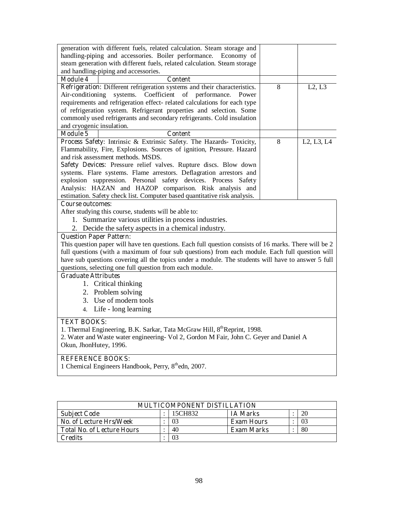| generation with different fuels, related calculation. Steam storage and                               |   |                                                  |
|-------------------------------------------------------------------------------------------------------|---|--------------------------------------------------|
| handling-piping and accessories. Boiler performance.<br>Economy of                                    |   |                                                  |
| steam generation with different fuels, related calculation. Steam storage                             |   |                                                  |
| and handling-piping and accessories.                                                                  |   |                                                  |
| <b>Module 4</b><br><b>Content</b>                                                                     |   |                                                  |
| Refrigeration: Different refrigeration systems and their characteristics.                             | 8 | L2, L3                                           |
| systems. Coefficient of performance.<br>Air-conditioning<br>Power                                     |   |                                                  |
| requirements and refrigeration effect- related calculations for each type                             |   |                                                  |
| of refrigeration system. Refrigerant properties and selection. Some                                   |   |                                                  |
| commonly used refrigerants and secondary refrigerants. Cold insulation                                |   |                                                  |
| and cryogenic insulation.                                                                             |   |                                                  |
| Module 5<br><b>Content</b>                                                                            |   |                                                  |
| Process Safety: Intrinsic & Extrinsic Safety. The Hazards- Toxicity,                                  | 8 | L <sub>2</sub> , L <sub>3</sub> , L <sub>4</sub> |
| Flammability, Fire, Explosions. Sources of ignition, Pressure. Hazard                                 |   |                                                  |
| and risk assessment methods. MSDS.                                                                    |   |                                                  |
| Safety Devices: Pressure relief valves. Rupture discs. Blow down                                      |   |                                                  |
| systems. Flare systems. Flame arrestors. Deflagration arrestors and                                   |   |                                                  |
| explosion suppression. Personal safety devices. Process Safety                                        |   |                                                  |
| Analysis: HAZAN and HAZOP comparison. Risk analysis and                                               |   |                                                  |
| estimation. Safety check list. Computer based quantitative risk analysis.                             |   |                                                  |
| <b>Course outcomes:</b>                                                                               |   |                                                  |
| After studying this course, students will be able to:                                                 |   |                                                  |
| 1. Summarize various utilities in process industries.                                                 |   |                                                  |
| 2. Decide the safety aspects in a chemical industry.                                                  |   |                                                  |
| <b>Question Paper Pattern:</b>                                                                        |   |                                                  |
| This question paper will have ten questions. Each full question consists of 16 marks. There will be 2 |   |                                                  |
| full questions (with a maximum of four sub questions) from each module. Each full question will       |   |                                                  |
| have sub questions covering all the topics under a module. The students will have to answer 5 full    |   |                                                  |
| questions, selecting one full question from each module.                                              |   |                                                  |
| <b>Graduate Attributes</b>                                                                            |   |                                                  |
| 1. Critical thinking                                                                                  |   |                                                  |
| 2. Problem solving                                                                                    |   |                                                  |
| 3. Use of modern tools                                                                                |   |                                                  |
| 4. Life - long learning                                                                               |   |                                                  |
|                                                                                                       |   |                                                  |
| <b>TEXT BOOKS:</b>                                                                                    |   |                                                  |
| 1. Thermal Engineering, B.K. Sarkar, Tata McGraw Hill, 8 <sup>th</sup> Reprint, 1998.                 |   |                                                  |
| 2. Water and Waste water engineering- Vol 2, Gordon M Fair, John C. Geyer and Daniel A                |   |                                                  |
| Okun, JhonHutey, 1996.                                                                                |   |                                                  |
|                                                                                                       |   |                                                  |

#### **REFERENCE BOOKS:**

1 Chemical Engineers Handbook, Perry, 8<sup>th</sup>edn, 2007.

| MULTICOMPONENT DISTILLATION       |  |         |                   |  |    |  |
|-----------------------------------|--|---------|-------------------|--|----|--|
| <b>Subject Code</b>               |  | 15CH832 | <b>IA Marks</b>   |  | 20 |  |
| No. of Lecture Hrs/Week           |  | 03      | <b>Exam Hours</b> |  | 03 |  |
| <b>Total No. of Lecture Hours</b> |  | 40      | Exam Marks        |  | 80 |  |
| Credits                           |  | 03      |                   |  |    |  |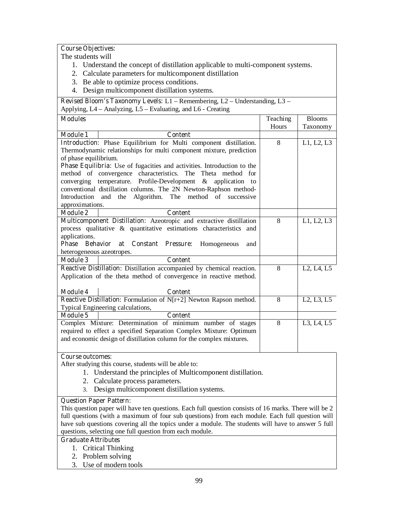# **Course Objectives:**

The students will

- 1. Understand the concept of distillation applicable to multi-component systems.
- 2. Calculate parameters for multicomponent distillation
- 3. Be able to optimize process conditions.
- 4. Design multicomponent distillation systems.

**Revised Bloom's Taxonomy Levels:** L1 – Remembering, L2 – Understanding, L3 – Applying, L4 – Analyzing, L5 – Evaluating, and L6 - Creating

| <b>Modules</b>            |                                                                                | Teaching<br>Hours | <b>Blooms</b><br>Taxonomy                        |
|---------------------------|--------------------------------------------------------------------------------|-------------------|--------------------------------------------------|
| <b>Module 1</b>           | <b>Content</b>                                                                 |                   |                                                  |
|                           | Introduction: Phase Equilibrium for Multi component distillation.              | 8                 | L1, L2, L3                                       |
|                           | Thermodynamic relationships for multi component mixture, prediction            |                   |                                                  |
| of phase equilibrium.     |                                                                                |                   |                                                  |
|                           | <b>Phase Equilibria:</b> Use of fugacities and activities. Introduction to the |                   |                                                  |
|                           | method of convergence characteristics. The Theta method for                    |                   |                                                  |
|                           | converging temperature. Profile-Development & application to                   |                   |                                                  |
|                           | conventional distillation columns. The 2N Newton-Raphson method-               |                   |                                                  |
|                           | Introduction and the Algorithm. The method of successive                       |                   |                                                  |
| approximations.           |                                                                                |                   |                                                  |
| <b>Module 2</b>           | <b>Content</b>                                                                 |                   |                                                  |
|                           | Multicomponent Distillation: Azeotropic and extractive distillation            | 8                 | L1, L2, L3                                       |
|                           | process qualitative & quantitative estimations characteristics and             |                   |                                                  |
| applications.             |                                                                                |                   |                                                  |
| Phase                     | <b>Behavior</b><br><b>Constant Pressure:</b><br>at<br>Homogeneous<br>and       |                   |                                                  |
| heterogeneous azeotropes. |                                                                                |                   |                                                  |
| <b>Module 3</b>           | <b>Content</b>                                                                 |                   |                                                  |
|                           | Reactive Distillation: Distillation accompanied by chemical reaction.          | 8                 | L <sub>2</sub> , L <sub>4</sub> , L <sub>5</sub> |
|                           | Application of the theta method of convergence in reactive method.             |                   |                                                  |
|                           |                                                                                |                   |                                                  |
| Module 4                  | <b>Content</b>                                                                 |                   |                                                  |
|                           | Reactive Distillation: Formulation of N[r+2] Newton Rapson method.             | 8                 | L <sub>2</sub> , L <sub>3</sub> , L <sub>5</sub> |
|                           | Typical Engineering calculations,                                              |                   |                                                  |
| Module 5                  | <b>Content</b>                                                                 |                   |                                                  |
|                           | Complex Mixture: Determination of minimum number of stages                     | 8                 | L3, L4, L5                                       |
|                           | required to effect a specified Separation Complex Mixture: Optimum             |                   |                                                  |
|                           | and economic design of distillation column for the complex mixtures.           |                   |                                                  |

#### **Course outcomes:**

After studying this course, students will be able to:

- 1. Understand the principles of Multicomponent distillation.
- 2. Calculate process parameters.
- 3. Design multicomponent distillation systems.

### **Question Paper Pattern:**

This question paper will have ten questions. Each full question consists of 16 marks. There will be 2 full questions (with a maximum of four sub questions) from each module. Each full question will have sub questions covering all the topics under a module. The students will have to answer 5 full questions, selecting one full question from each module.

#### **Graduate Attributes**

- 1. Critical Thinking
- 2. Problem solving
- 3. Use of modern tools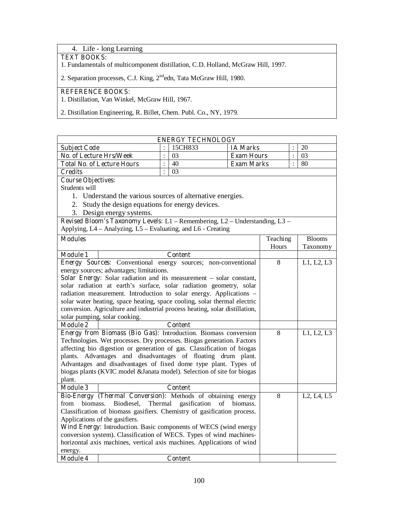# 4. Life - long Learning

#### **TEXT BOOKS:**

1. Fundamentals of multicomponent distillation, C.D. Holland, McGraw Hill, 1997.

2. Separation processes, C.J. King, 2<sup>nd</sup>edn, Tata McGraw Hill, 1980.

# **REFERENCE BOOKS:**

1. Distillation, Van Winkel, McGraw Hill, 1967.

2. Distillation Engineering, R. Billet, Chem. Publ. Co., NY, 1979.

| <b>ENERGY TECHNOLOGY</b>                                                                                                                    |                                                                             |                |                |                   |                |                |               |  |  |
|---------------------------------------------------------------------------------------------------------------------------------------------|-----------------------------------------------------------------------------|----------------|----------------|-------------------|----------------|----------------|---------------|--|--|
| <b>Subject Code</b>                                                                                                                         |                                                                             |                | 15CH833        | <b>IA Marks</b>   |                |                | 20            |  |  |
| No. of Lecture Hrs/Week                                                                                                                     |                                                                             | $\ddot{\cdot}$ | 03             | <b>Exam Hours</b> |                | $\ddot{\cdot}$ | 03            |  |  |
|                                                                                                                                             | <b>Total No. of Lecture Hours</b>                                           | $\vdots$       | 40             | <b>Exam Marks</b> |                | $\ddot{\cdot}$ | 80            |  |  |
| <b>Credits</b>                                                                                                                              |                                                                             | $\ddot{\cdot}$ | 03             |                   |                |                |               |  |  |
|                                                                                                                                             | <b>Course Objectives:</b>                                                   |                |                |                   |                |                |               |  |  |
| Students will                                                                                                                               |                                                                             |                |                |                   |                |                |               |  |  |
|                                                                                                                                             | 1. Understand the various sources of alternative energies.                  |                |                |                   |                |                |               |  |  |
|                                                                                                                                             | 2. Study the design equations for energy devices.                           |                |                |                   |                |                |               |  |  |
|                                                                                                                                             | 3. Design energy systems.                                                   |                |                |                   |                |                |               |  |  |
|                                                                                                                                             | Revised Bloom's Taxonomy Levels: L1 - Remembering, L2 - Understanding, L3 - |                |                |                   |                |                |               |  |  |
|                                                                                                                                             | Applying, L4 – Analyzing, L5 – Evaluating, and L6 - Creating                |                |                |                   |                |                |               |  |  |
| <b>Modules</b>                                                                                                                              |                                                                             |                |                |                   | Teaching       |                | <b>Blooms</b> |  |  |
|                                                                                                                                             |                                                                             |                |                |                   | Hours          |                | Taxonomy      |  |  |
| <b>Module 1</b>                                                                                                                             |                                                                             |                | <b>Content</b> |                   |                |                |               |  |  |
|                                                                                                                                             | Energy Sources: Conventional energy sources; non-conventional               |                |                |                   | 8              |                | L1, L2, L3    |  |  |
|                                                                                                                                             | energy sources; advantages; limitations.                                    |                |                |                   |                |                |               |  |  |
|                                                                                                                                             | Solar Energy: Solar radiation and its measurement – solar constant,         |                |                |                   |                |                |               |  |  |
|                                                                                                                                             | solar radiation at earth's surface, solar radiation geometry, solar         |                |                |                   |                |                |               |  |  |
|                                                                                                                                             | radiation measurement. Introduction to solar energy. Applications -         |                |                |                   |                |                |               |  |  |
|                                                                                                                                             | solar water heating, space heating, space cooling, solar thermal electric   |                |                |                   |                |                |               |  |  |
|                                                                                                                                             | conversion. Agriculture and industrial process heating, solar distillation, |                |                |                   |                |                |               |  |  |
|                                                                                                                                             | solar pumping, solar cooking.                                               |                |                |                   |                |                |               |  |  |
| <b>Module 2</b>                                                                                                                             |                                                                             |                | $\overline{8}$ |                   |                |                |               |  |  |
| Energy from Biomass (Bio Gas): Introduction. Biomass conversion                                                                             |                                                                             |                |                |                   |                |                | L1, L2, L3    |  |  |
| Technologies. Wet processes. Dry processes. Biogas generation. Factors                                                                      |                                                                             |                |                |                   |                |                |               |  |  |
| affecting bio digestion or generation of gas. Classification of biogas                                                                      |                                                                             |                |                |                   |                |                |               |  |  |
| plants. Advantages and disadvantages of floating drum plant.                                                                                |                                                                             |                |                |                   |                |                |               |  |  |
| Advantages and disadvantages of fixed dome type plant. Types of<br>biogas plants (KVIC model & Janata model). Selection of site for biogas  |                                                                             |                |                |                   |                |                |               |  |  |
| plant.                                                                                                                                      |                                                                             |                |                |                   |                |                |               |  |  |
| <b>Module 3</b>                                                                                                                             |                                                                             |                | <b>Content</b> |                   |                |                |               |  |  |
|                                                                                                                                             |                                                                             |                |                |                   | $\overline{8}$ |                | L2, L4, L5    |  |  |
| Bio-Energy (Thermal Conversion): Methods of obtaining energy<br>Thermal<br>biomass.<br>Biodiesel,<br>gasification<br>of<br>biomass.<br>from |                                                                             |                |                |                   |                |                |               |  |  |
|                                                                                                                                             |                                                                             |                |                |                   |                |                |               |  |  |
| Classification of biomass gasifiers. Chemistry of gasification process.<br>Applications of the gasifiers.                                   |                                                                             |                |                |                   |                |                |               |  |  |
| Wind Energy: Introduction. Basic components of WECS (wind energy                                                                            |                                                                             |                |                |                   |                |                |               |  |  |
| conversion system). Classification of WECS. Types of wind machines-                                                                         |                                                                             |                |                |                   |                |                |               |  |  |
| horizontal axis machines, vertical axis machines. Applications of wind                                                                      |                                                                             |                |                |                   |                |                |               |  |  |
| energy.                                                                                                                                     |                                                                             |                |                |                   |                |                |               |  |  |
| <b>Module 4</b>                                                                                                                             |                                                                             |                | <b>Content</b> |                   |                |                |               |  |  |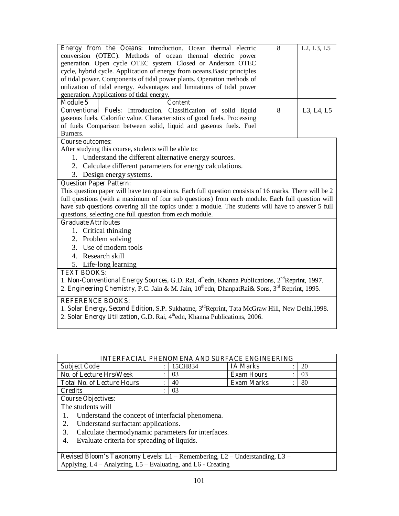| Energy from the Oceans: Introduction. Ocean thermal electric<br>conversion (OTEC). Methods of ocean thermal electric power<br>generation. Open cycle OTEC system. Closed or Anderson OTEC<br>cycle, hybrid cycle. Application of energy from oceans, Basic principles<br>of tidal power. Components of tidal power plants. Operation methods of<br>utilization of tidal energy. Advantages and limitations of tidal power |  | 8 | L <sub>2</sub> , L <sub>3</sub> , L <sub>5</sub> |  |  |  |
|---------------------------------------------------------------------------------------------------------------------------------------------------------------------------------------------------------------------------------------------------------------------------------------------------------------------------------------------------------------------------------------------------------------------------|--|---|--------------------------------------------------|--|--|--|
| generation. Applications of tidal energy.                                                                                                                                                                                                                                                                                                                                                                                 |  |   |                                                  |  |  |  |
| <b>Module 5</b><br><b>Content</b><br>Conventional Fuels: Introduction. Classification of solid liquid<br>gaseous fuels. Calorific value. Characteristics of good fuels. Processing<br>of fuels Comparison between solid, liquid and gaseous fuels. Fuel<br>Burners.                                                                                                                                                       |  | 8 | L3, L4, L5                                       |  |  |  |
| <b>Course outcomes:</b>                                                                                                                                                                                                                                                                                                                                                                                                   |  |   |                                                  |  |  |  |
| After studying this course, students will be able to:                                                                                                                                                                                                                                                                                                                                                                     |  |   |                                                  |  |  |  |
| 1. Understand the different alternative energy sources.                                                                                                                                                                                                                                                                                                                                                                   |  |   |                                                  |  |  |  |
| 2. Calculate different parameters for energy calculations.                                                                                                                                                                                                                                                                                                                                                                |  |   |                                                  |  |  |  |
| 3. Design energy systems.                                                                                                                                                                                                                                                                                                                                                                                                 |  |   |                                                  |  |  |  |
| <b>Question Paper Pattern:</b><br>This question paper will have ten questions. Each full question consists of 16 marks. There will be 2<br>full questions (with a maximum of four sub questions) from each module. Each full question will<br>have sub questions covering all the topics under a module. The students will have to answer 5 full<br>questions, selecting one full question from each module.              |  |   |                                                  |  |  |  |
| <b>Graduate Attributes</b>                                                                                                                                                                                                                                                                                                                                                                                                |  |   |                                                  |  |  |  |
| 1. Critical thinking<br>2. Problem solving<br>3. Use of modern tools<br>4. Research skill<br>5. Life-long learning                                                                                                                                                                                                                                                                                                        |  |   |                                                  |  |  |  |
| <b>TEXT BOOKS:</b>                                                                                                                                                                                                                                                                                                                                                                                                        |  |   |                                                  |  |  |  |
| 1. Non-Conventional Energy Sources, G.D. Rai, 4th edn, Khanna Publications, 2 <sup>nd</sup> Reprint, 1997.<br>2. Engineering Chemistry, P.C. Jain & M. Jain, 10 <sup>th</sup> edn, DhanpatRai& Sons, 3 <sup>rd</sup> Reprint, 1995.                                                                                                                                                                                       |  |   |                                                  |  |  |  |
| <b>REFERENCE BOOKS:</b><br>1. Solar Energy, Second Edition, S.P. Sukhatme, 3 <sup>rd</sup> Reprint, Tata McGraw Hill, New Delhi, 1998.                                                                                                                                                                                                                                                                                    |  |   |                                                  |  |  |  |

2. **Solar Energy Utilization, G.D. Rai**, 4<sup>th</sup>edn, Khanna Publications, 2006.

| <b>INTERFACIAL PHENOMENA AND SURFACE ENGINEERING</b> |  |         |                   |  |    |  |  |  |
|------------------------------------------------------|--|---------|-------------------|--|----|--|--|--|
| <b>Subject Code</b>                                  |  | 15CH834 | <b>IA Marks</b>   |  | 20 |  |  |  |
| No. of Lecture Hrs/Week                              |  | 03      | <b>Exam Hours</b> |  | 03 |  |  |  |
| <b>Total No. of Lecture Hours</b>                    |  | 40      | <b>Exam Marks</b> |  | 80 |  |  |  |
| Credits                                              |  |         |                   |  |    |  |  |  |

# **Course Objectives:**

The students will

- 1. Understand the concept of interfacial phenomena.<br>2. Understand surfactant applications.
- Understand surfactant applications.
- 3. Calculate thermodynamic parameters for interfaces.<br>4. Evaluate criteria for spreading of liquids.
- Evaluate criteria for spreading of liquids.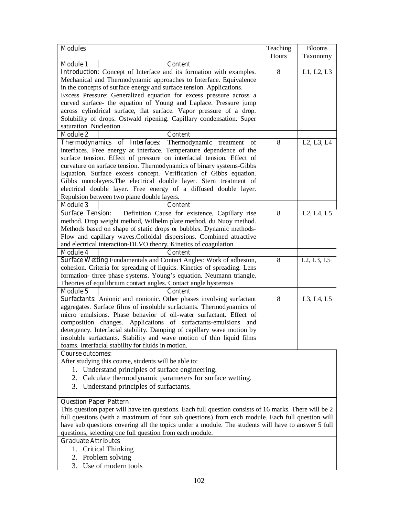| <b>Modules</b>                                                                                  |                                                                                                       | Teaching | <b>Blooms</b>                                    |  |  |  |  |
|-------------------------------------------------------------------------------------------------|-------------------------------------------------------------------------------------------------------|----------|--------------------------------------------------|--|--|--|--|
|                                                                                                 |                                                                                                       | Hours    | Taxonomy                                         |  |  |  |  |
| <b>Module 1</b>                                                                                 | <b>Content</b>                                                                                        |          |                                                  |  |  |  |  |
|                                                                                                 | Introduction: Concept of Interface and its formation with examples.                                   | 8        | L1, L2, L3                                       |  |  |  |  |
|                                                                                                 | Mechanical and Thermodynamic approaches to Interface. Equivalence                                     |          |                                                  |  |  |  |  |
|                                                                                                 | in the concepts of surface energy and surface tension. Applications.                                  |          |                                                  |  |  |  |  |
|                                                                                                 | Excess Pressure: Generalized equation for excess pressure across a                                    |          |                                                  |  |  |  |  |
|                                                                                                 | curved surface- the equation of Young and Laplace. Pressure jump                                      |          |                                                  |  |  |  |  |
|                                                                                                 | across cylindrical surface, flat surface. Vapor pressure of a drop.                                   |          |                                                  |  |  |  |  |
|                                                                                                 | Solubility of drops. Ostwald ripening. Capillary condensation. Super                                  |          |                                                  |  |  |  |  |
| saturation. Nucleation.                                                                         |                                                                                                       |          |                                                  |  |  |  |  |
| <b>Module 2</b>                                                                                 | <b>Content</b>                                                                                        |          |                                                  |  |  |  |  |
| <b>Thermodynamics</b>                                                                           | of Interfaces:<br>Thermodynamic treatment<br>οf                                                       | 8        | L <sub>2</sub> , L <sub>3</sub> , L <sub>4</sub> |  |  |  |  |
|                                                                                                 | interfaces. Free energy at interface. Temperature dependence of the                                   |          |                                                  |  |  |  |  |
|                                                                                                 | surface tension. Effect of pressure on interfacial tension. Effect of                                 |          |                                                  |  |  |  |  |
|                                                                                                 | curvature on surface tension. Thermodynamics of binary systems-Gibbs                                  |          |                                                  |  |  |  |  |
|                                                                                                 | Equation. Surface excess concept. Verification of Gibbs equation.                                     |          |                                                  |  |  |  |  |
|                                                                                                 | Gibbs monolayers. The electrical double layer. Stern treatment of                                     |          |                                                  |  |  |  |  |
|                                                                                                 | electrical double layer. Free energy of a diffused double layer.                                      |          |                                                  |  |  |  |  |
|                                                                                                 | Repulsion between two plane double layers.                                                            |          |                                                  |  |  |  |  |
| <b>Module 3</b>                                                                                 | Content                                                                                               |          |                                                  |  |  |  |  |
| <b>Surface Tension:</b>                                                                         | Definition Cause for existence, Capillary rise                                                        | 8        | L <sub>2</sub> , L <sub>4</sub> , L <sub>5</sub> |  |  |  |  |
|                                                                                                 | method. Drop weight method, Wilhelm plate method, du Nuoy method.                                     |          |                                                  |  |  |  |  |
|                                                                                                 | Methods based on shape of static drops or bubbles. Dynamic methods-                                   |          |                                                  |  |  |  |  |
|                                                                                                 | Flow and capillary waves. Colloidal dispersions. Combined attractive                                  |          |                                                  |  |  |  |  |
|                                                                                                 | and electrical interaction-DLVO theory. Kinetics of coagulation                                       |          |                                                  |  |  |  |  |
| <b>Module 4</b>                                                                                 | <b>Content</b>                                                                                        |          |                                                  |  |  |  |  |
|                                                                                                 | Surface Wetting Fundamentals and Contact Angles: Work of adhesion,                                    | 8        | L <sub>2</sub> , L <sub>3</sub> , L <sub>5</sub> |  |  |  |  |
|                                                                                                 | cohesion. Criteria for spreading of liquids. Kinetics of spreading. Lens                              |          |                                                  |  |  |  |  |
|                                                                                                 | formation- three phase systems. Young's equation. Neumann triangle.                                   |          |                                                  |  |  |  |  |
|                                                                                                 | Theories of equilibrium contact angles. Contact angle hysteresis                                      |          |                                                  |  |  |  |  |
| <b>Module 5</b>                                                                                 | <b>Content</b><br>Surfactants: Anionic and nonionic. Other phases involving surfactant                | 8        |                                                  |  |  |  |  |
|                                                                                                 | aggregates. Surface films of insoluble surfactants. Thermodynamics of                                 |          | L3, L4, L5                                       |  |  |  |  |
|                                                                                                 | micro emulsions. Phase behavior of oil-water surfactant. Effect of                                    |          |                                                  |  |  |  |  |
|                                                                                                 | composition changes. Applications of surfactants-emulsions and                                        |          |                                                  |  |  |  |  |
|                                                                                                 | detergency. Interfacial stability. Damping of capillary wave motion by                                |          |                                                  |  |  |  |  |
|                                                                                                 | insoluble surfactants. Stability and wave motion of thin liquid films                                 |          |                                                  |  |  |  |  |
|                                                                                                 | foams. Interfacial stability for fluids in motion.                                                    |          |                                                  |  |  |  |  |
| <b>Course outcomes:</b>                                                                         |                                                                                                       |          |                                                  |  |  |  |  |
|                                                                                                 | After studying this course, students will be able to:                                                 |          |                                                  |  |  |  |  |
| 1.                                                                                              | Understand principles of surface engineering.                                                         |          |                                                  |  |  |  |  |
|                                                                                                 | 2. Calculate thermodynamic parameters for surface wetting.                                            |          |                                                  |  |  |  |  |
|                                                                                                 | 3. Understand principles of surfactants.                                                              |          |                                                  |  |  |  |  |
|                                                                                                 |                                                                                                       |          |                                                  |  |  |  |  |
| <b>Question Paper Pattern:</b>                                                                  |                                                                                                       |          |                                                  |  |  |  |  |
|                                                                                                 | This question paper will have ten questions. Each full question consists of 16 marks. There will be 2 |          |                                                  |  |  |  |  |
| full questions (with a maximum of four sub questions) from each module. Each full question will |                                                                                                       |          |                                                  |  |  |  |  |
|                                                                                                 | have sub questions covering all the topics under a module. The students will have to answer 5 full    |          |                                                  |  |  |  |  |
| questions, selecting one full question from each module.                                        |                                                                                                       |          |                                                  |  |  |  |  |
| <b>Graduate Attributes</b>                                                                      |                                                                                                       |          |                                                  |  |  |  |  |

- 1. Critical Thinking
- 2. Problem solving
- 3. Use of modern tools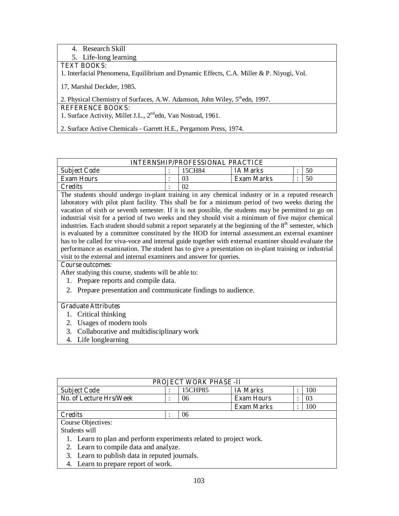4. Research Skill

5. Life-long learning

# **TEXT BOOKS:**

1. Interfacial Phenomena, Equilibrium and Dynamic Effects, C.A. Miller & P. Niyogi, Vol.

17, Marshal Deckder, 1985.

2. Physical Chemistry of Surfaces, A.W. Adamson, John Wiley, 5<sup>th</sup>edn, 1997.

# **REFERENCE BOOKS:**

1. Surface Activity, Millet J.L., 2<sup>nd</sup>edn, Van Nostrad, 1961.

2. Surface Active Chemicals - Garrett H.E., Pergamom Press, 1974.

| <b>INTERNSHIP/PROFESSIONAL PRACTICE</b> |  |        |                   |  |    |  |  |  |
|-----------------------------------------|--|--------|-------------------|--|----|--|--|--|
| <b>Subject Code</b>                     |  | 15CH84 | <b>IA Marks</b>   |  | 50 |  |  |  |
| <b>Exam Hours</b>                       |  | 03     | <b>Exam Marks</b> |  | 50 |  |  |  |
| Credits                                 |  | 02     |                   |  |    |  |  |  |

The students should undergo in-plant training in any chemical industry or in a reputed research laboratory with pilot plant facility. This shall be for a minimum period of two weeks during the vacation of sixth or seventh semester. If it is not possible, the students may be permitted to go on industrial visit for a period of two weeks and they should visit a minimum of five major chemical industries. Each student should submit a report separately at the beginning of the  $8<sup>th</sup>$  semester, which is evaluated by a committee constituted by the HOD for internal assessment.an external examiner has to be called for viva-voce and internal guide together with external examiner should evaluate the performance as examination. The student has to give a presentation on in-plant training or industrial visit to the external and internal examiners and answer for queries.

#### **Course outcomes:**

After studying this course, students will be able to:

- 1. Prepare reports and compile data.
- 2. Prepare presentation and communicate findings to audience.

#### **Graduate Attributes**

- 1. Critical thinking
- 2. Usages of modern tools
- 3. Collaborative and multidisciplinary work
- 4. Life longlearning

| <b>PROJECT WORK PHASE -II</b>                                     |  |         |                   |         |     |  |  |
|-------------------------------------------------------------------|--|---------|-------------------|---------|-----|--|--|
| <b>Subject Code</b>                                               |  | 15CHP85 | <b>IA Marks</b>   |         | 100 |  |  |
| No. of Lecture Hrs/Week                                           |  | 06      | <b>Exam Hours</b> | $\cdot$ | 03  |  |  |
|                                                                   |  |         | <b>Exam Marks</b> | ٠       | 100 |  |  |
| <b>Credits</b>                                                    |  | 06      |                   |         |     |  |  |
| Course Objectives:                                                |  |         |                   |         |     |  |  |
| Students will                                                     |  |         |                   |         |     |  |  |
| 1. Learn to plan and perform experiments related to project work. |  |         |                   |         |     |  |  |

- 2. Learn to compile data and analyze.
- 3. Learn to publish data in reputed journals.
- 4. Learn to prepare report of work.